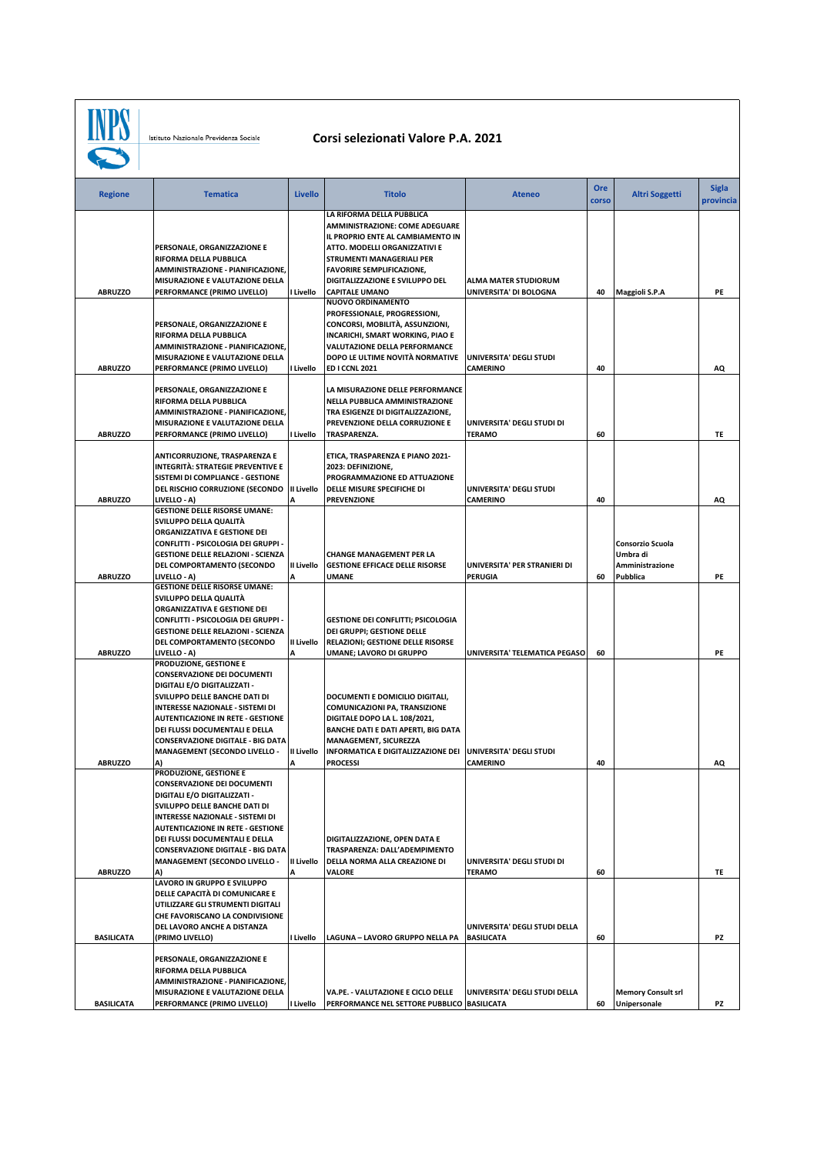**INPS** 

Istituto Nazionale Previdenza Sociale

## **Corsi selezionati Valore P.A. 2021**

| <b>Regione</b>    | <b>Tematica</b>                                                                     | <b>Livello</b>  | <b>Titolo</b>                                                       | <b>Ateneo</b>                                      | Ore<br>corso | <b>Altri Soggetti</b>                     | <b>Sigla</b><br>provincia |
|-------------------|-------------------------------------------------------------------------------------|-----------------|---------------------------------------------------------------------|----------------------------------------------------|--------------|-------------------------------------------|---------------------------|
|                   |                                                                                     |                 | LA RIFORMA DELLA PUBBLICA<br>AMMINISTRAZIONE: COME ADEGUARE         |                                                    |              |                                           |                           |
|                   |                                                                                     |                 | IL PROPRIO ENTE AL CAMBIAMENTO IN                                   |                                                    |              |                                           |                           |
|                   | PERSONALE, ORGANIZZAZIONE E<br>RIFORMA DELLA PUBBLICA                               |                 | ATTO. MODELLI ORGANIZZATIVI E<br>STRUMENTI MANAGERIALI PER          |                                                    |              |                                           |                           |
|                   | AMMINISTRAZIONE - PIANIFICAZIONE,                                                   |                 | <b>FAVORIRE SEMPLIFICAZIONE,</b>                                    |                                                    |              |                                           |                           |
|                   | MISURAZIONE E VALUTAZIONE DELLA                                                     |                 | DIGITALIZZAZIONE E SVILUPPO DEL                                     | ALMA MATER STUDIORUM                               |              |                                           |                           |
| <b>ABRUZZO</b>    | PERFORMANCE (PRIMO LIVELLO)                                                         | I Livello       | <b>CAPITALE UMANO</b><br><b>NUOVO ORDINAMENTO</b>                   | UNIVERSITA' DI BOLOGNA                             | 40           | Maggioli S.P.A                            | PE                        |
|                   |                                                                                     |                 | PROFESSIONALE, PROGRESSIONI,                                        |                                                    |              |                                           |                           |
|                   | PERSONALE, ORGANIZZAZIONE E<br>RIFORMA DELLA PUBBLICA                               |                 | CONCORSI, MOBILITÀ, ASSUNZIONI,<br>INCARICHI, SMART WORKING, PIAO E |                                                    |              |                                           |                           |
|                   | AMMINISTRAZIONE - PIANIFICAZIONE,                                                   |                 | VALUTAZIONE DELLA PERFORMANCE                                       |                                                    |              |                                           |                           |
| <b>ABRUZZO</b>    | MISURAZIONE E VALUTAZIONE DELLA<br>PERFORMANCE (PRIMO LIVELLO)                      | I Livello       | DOPO LE ULTIME NOVITÀ NORMATIVE<br><b>ED I CCNL 2021</b>            | UNIVERSITA' DEGLI STUDI<br><b>CAMERINO</b>         | 40           |                                           | AQ                        |
|                   |                                                                                     |                 |                                                                     |                                                    |              |                                           |                           |
|                   | PERSONALE, ORGANIZZAZIONE E<br>RIFORMA DELLA PUBBLICA                               |                 | LA MISURAZIONE DELLE PERFORMANCE<br>NELLA PUBBLICA AMMINISTRAZIONE  |                                                    |              |                                           |                           |
|                   | AMMINISTRAZIONE - PIANIFICAZIONE,                                                   |                 | TRA ESIGENZE DI DIGITALIZZAZIONE,                                   |                                                    |              |                                           |                           |
|                   | MISURAZIONE E VALUTAZIONE DELLA                                                     |                 | PREVENZIONE DELLA CORRUZIONE E                                      | UNIVERSITA' DEGLI STUDI DI                         |              |                                           |                           |
| <b>ABRUZZO</b>    | PERFORMANCE (PRIMO LIVELLO)                                                         | I Livello       | TRASPARENZA.                                                        | <b>TERAMO</b>                                      | 60           |                                           | TE                        |
|                   | ANTICORRUZIONE, TRASPARENZA E                                                       |                 | ETICA, TRASPARENZA E PIANO 2021-                                    |                                                    |              |                                           |                           |
|                   | <b>INTEGRITÀ: STRATEGIE PREVENTIVE E</b><br>SISTEMI DI COMPLIANCE - GESTIONE        |                 | 2023: DEFINIZIONE,<br>PROGRAMMAZIONE ED ATTUAZIONE                  |                                                    |              |                                           |                           |
|                   | DEL RISCHIO CORRUZIONE (SECONDO                                                     | II Livello      | DELLE MISURE SPECIFICHE DI                                          | UNIVERSITA' DEGLI STUDI                            |              |                                           |                           |
| <b>ABRUZZO</b>    | LIVELLO - A)<br><b>GESTIONE DELLE RISORSE UMANE:</b>                                | А               | <b>PREVENZIONE</b>                                                  | <b>CAMERINO</b>                                    | 40           |                                           | AQ                        |
|                   | SVILUPPO DELLA QUALITÀ                                                              |                 |                                                                     |                                                    |              |                                           |                           |
|                   | ORGANIZZATIVA E GESTIONE DEI<br>CONFLITTI - PSICOLOGIA DEI GRUPPI -                 |                 |                                                                     |                                                    |              | <b>Consorzio Scuola</b>                   |                           |
|                   | <b>GESTIONE DELLE RELAZIONI - SCIENZA</b>                                           |                 | <b>CHANGE MANAGEMENT PER LA</b>                                     |                                                    |              | Umbra di                                  |                           |
| <b>ABRUZZO</b>    | DEL COMPORTAMENTO (SECONDO<br>LIVELLO - A)                                          | II Livello<br>A | <b>GESTIONE EFFICACE DELLE RISORSE</b><br><b>UMANE</b>              | UNIVERSITA' PER STRANIERI DI<br><b>PERUGIA</b>     | 60           | Amministrazione<br>Pubblica               | PE                        |
|                   | <b>GESTIONE DELLE RISORSE UMANE:</b>                                                |                 |                                                                     |                                                    |              |                                           |                           |
|                   | SVILUPPO DELLA QUALITÀ<br>ORGANIZZATIVA E GESTIONE DEI                              |                 |                                                                     |                                                    |              |                                           |                           |
|                   | CONFLITTI - PSICOLOGIA DEI GRUPPI -                                                 |                 | <b>GESTIONE DEI CONFLITTI; PSICOLOGIA</b>                           |                                                    |              |                                           |                           |
|                   | <b>GESTIONE DELLE RELAZIONI - SCIENZA</b>                                           |                 | DEI GRUPPI; GESTIONE DELLE                                          |                                                    |              |                                           |                           |
| <b>ABRUZZO</b>    | DEL COMPORTAMENTO (SECONDO<br>LIVELLO - A)                                          | II Livello<br>А | RELAZIONI; GESTIONE DELLE RISORSE<br>UMANE; LAVORO DI GRUPPO        | UNIVERSITA' TELEMATICA PEGASO                      | 60           |                                           | PE                        |
|                   | PRODUZIONE, GESTIONE E                                                              |                 |                                                                     |                                                    |              |                                           |                           |
|                   | <b>CONSERVAZIONE DEI DOCUMENTI</b><br>DIGITALI E/O DIGITALIZZATI -                  |                 |                                                                     |                                                    |              |                                           |                           |
|                   | SVILUPPO DELLE BANCHE DATI DI                                                       |                 | DOCUMENTI E DOMICILIO DIGITALI,                                     |                                                    |              |                                           |                           |
|                   | <b>INTERESSE NAZIONALE - SISTEMI DI</b><br><b>AUTENTICAZIONE IN RETE - GESTIONE</b> |                 | COMUNICAZIONI PA, TRANSIZIONE<br>DIGITALE DOPO LA L. 108/2021,      |                                                    |              |                                           |                           |
|                   | DEI FLUSSI DOCUMENTALI E DELLA                                                      |                 | BANCHE DATI E DATI APERTI, BIG DATA                                 |                                                    |              |                                           |                           |
|                   | <b>CONSERVAZIONE DIGITALE - BIG DATA</b><br><b>MANAGEMENT (SECONDO LIVELLO -</b>    | II Livello      | <b>MANAGEMENT, SICUREZZA</b><br>INFORMATICA E DIGITALIZZAZIONE DEI  | UNIVERSITA' DEGLI STUDI                            |              |                                           |                           |
| <b>ABRUZZO</b>    | A)                                                                                  | А               | <b>PROCESSI</b>                                                     | CAMERINO                                           | 40           |                                           | AQ                        |
|                   | PRODUZIONE, GESTIONE E<br><b>CONSERVAZIONE DEI DOCUMENTI</b>                        |                 |                                                                     |                                                    |              |                                           |                           |
|                   | DIGITALI E/O DIGITALIZZATI -                                                        |                 |                                                                     |                                                    |              |                                           |                           |
|                   | SVILUPPO DELLE BANCHE DATI DI<br>INTERESSE NAZIONALE - SISTEMI DI                   |                 |                                                                     |                                                    |              |                                           |                           |
|                   | <b>AUTENTICAZIONE IN RETE - GESTIONE</b>                                            |                 |                                                                     |                                                    |              |                                           |                           |
|                   | DEI FLUSSI DOCUMENTALI E DELLA                                                      |                 | DIGITALIZZAZIONE, OPEN DATA E                                       |                                                    |              |                                           |                           |
|                   | <b>CONSERVAZIONE DIGITALE - BIG DATA</b><br><b>MANAGEMENT (SECONDO LIVELLO -</b>    | II Livello      | TRASPARENZA: DALL'ADEMPIMENTO<br>DELLA NORMA ALLA CREAZIONE DI      | UNIVERSITA' DEGLI STUDI DI                         |              |                                           |                           |
| <b>ABRUZZO</b>    | A)                                                                                  | A               | <b>VALORE</b>                                                       | <b>TERAMO</b>                                      | 60           |                                           | TE                        |
|                   | LAVORO IN GRUPPO E SVILUPPO<br>DELLE CAPACITÀ DI COMUNICARE E                       |                 |                                                                     |                                                    |              |                                           |                           |
|                   | UTILIZZARE GLI STRUMENTI DIGITALI                                                   |                 |                                                                     |                                                    |              |                                           |                           |
|                   | CHE FAVORISCANO LA CONDIVISIONE                                                     |                 |                                                                     |                                                    |              |                                           |                           |
| <b>BASILICATA</b> | DEL LAVORO ANCHE A DISTANZA<br>(PRIMO LIVELLO)                                      | I Livello       | LAGUNA - LAVORO GRUPPO NELLA PA                                     | UNIVERSITA' DEGLI STUDI DELLA<br><b>BASILICATA</b> | 60           |                                           | PZ                        |
|                   | PERSONALE, ORGANIZZAZIONE E                                                         |                 |                                                                     |                                                    |              |                                           |                           |
|                   | RIFORMA DELLA PUBBLICA                                                              |                 |                                                                     |                                                    |              |                                           |                           |
|                   | AMMINISTRAZIONE - PIANIFICAZIONE,<br>MISURAZIONE E VALUTAZIONE DELLA                |                 | VA.PE. - VALUTAZIONE E CICLO DELLE                                  | UNIVERSITA' DEGLI STUDI DELLA                      |              |                                           |                           |
| <b>BASILICATA</b> | PERFORMANCE (PRIMO LIVELLO)                                                         | I Livello       | PERFORMANCE NEL SETTORE PUBBLICO   BASILICATA                       |                                                    | 60           | <b>Memory Consult srl</b><br>Unipersonale | PZ                        |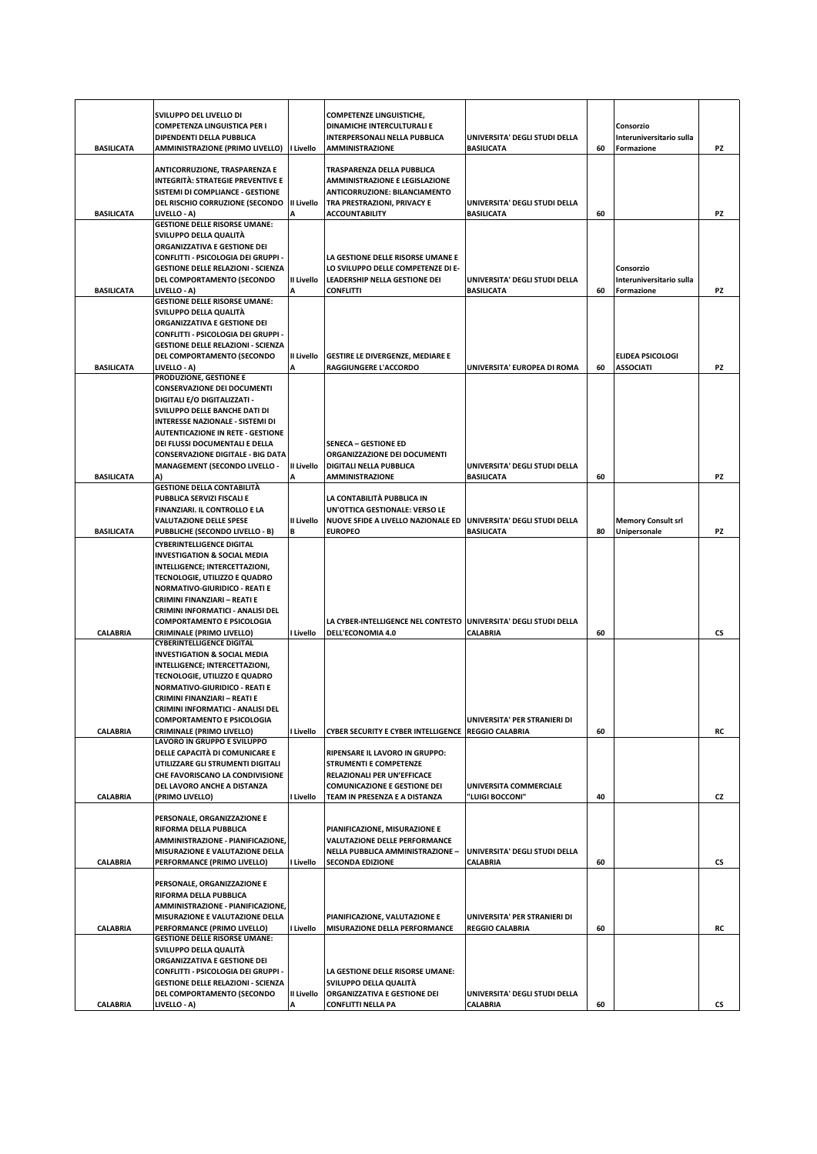|                   | SVILUPPO DEL LIVELLO DI<br><b>COMPETENZA LINGUISTICA PER I</b><br>DIPENDENTI DELLA PUBBLICA                                               |                 | <b>COMPETENZE LINGUISTICHE,</b><br>DINAMICHE INTERCULTURALI E<br><b>INTERPERSONALI NELLA PUBBLICA</b>                        | UNIVERSITA' DEGLI STUDI DELLA |    | Consorzio<br>Interuniversitario sulla |           |
|-------------------|-------------------------------------------------------------------------------------------------------------------------------------------|-----------------|------------------------------------------------------------------------------------------------------------------------------|-------------------------------|----|---------------------------------------|-----------|
| <b>BASILICATA</b> | AMMINISTRAZIONE (PRIMO LIVELLO)   Livello                                                                                                 |                 | <b>AMMINISTRAZIONE</b>                                                                                                       | <b>BASILICATA</b>             | 60 | Formazione                            | PZ        |
|                   | ANTICORRUZIONE, TRASPARENZA E<br>INTEGRITÀ: STRATEGIE PREVENTIVE E<br>SISTEMI DI COMPLIANCE - GESTIONE<br>DEL RISCHIO CORRUZIONE (SECONDO | II Livello      | TRASPARENZA DELLA PUBBLICA<br>AMMINISTRAZIONE E LEGISLAZIONE<br>ANTICORRUZIONE: BILANCIAMENTO<br>TRA PRESTRAZIONI, PRIVACY E | UNIVERSITA' DEGLI STUDI DELLA |    |                                       |           |
| <b>BASILICATA</b> | LIVELLO - A)                                                                                                                              |                 | <b>ACCOUNTABILITY</b>                                                                                                        | <b>BASILICATA</b>             | 60 |                                       | PZ        |
|                   | <b>GESTIONE DELLE RISORSE UMANE:</b>                                                                                                      |                 |                                                                                                                              |                               |    |                                       |           |
|                   | SVILUPPO DELLA QUALITÀ<br>ORGANIZZATIVA E GESTIONE DEI                                                                                    |                 |                                                                                                                              |                               |    |                                       |           |
|                   | CONFLITTI - PSICOLOGIA DEI GRUPPI -                                                                                                       |                 | LA GESTIONE DELLE RISORSE UMANE E                                                                                            |                               |    |                                       |           |
|                   | <b>GESTIONE DELLE RELAZIONI - SCIENZA</b>                                                                                                 |                 | LO SVILUPPO DELLE COMPETENZE DI E-                                                                                           |                               |    | Consorzio                             |           |
|                   | DEL COMPORTAMENTO (SECONDO                                                                                                                | II Livello      | LEADERSHIP NELLA GESTIONE DEI                                                                                                | UNIVERSITA' DEGLI STUDI DELLA |    | Interuniversitario sulla              |           |
| <b>BASILICATA</b> | LIVELLO - A)                                                                                                                              | A               | <b>CONFLITTI</b>                                                                                                             | <b>BASILICATA</b>             | 60 | Formazione                            | PZ        |
|                   | <b>GESTIONE DELLE RISORSE UMANE:</b>                                                                                                      |                 |                                                                                                                              |                               |    |                                       |           |
|                   | SVILUPPO DELLA QUALITÀ<br>ORGANIZZATIVA E GESTIONE DEI                                                                                    |                 |                                                                                                                              |                               |    |                                       |           |
|                   | CONFLITTI - PSICOLOGIA DEI GRUPPI -                                                                                                       |                 |                                                                                                                              |                               |    |                                       |           |
|                   | <b>GESTIONE DELLE RELAZIONI - SCIENZA</b>                                                                                                 |                 |                                                                                                                              |                               |    |                                       |           |
|                   | DEL COMPORTAMENTO (SECONDO                                                                                                                | II Livello      | <b>GESTIRE LE DIVERGENZE, MEDIARE E</b>                                                                                      |                               |    | <b>ELIDEA PSICOLOGI</b>               |           |
| <b>BASILICATA</b> | LIVELLO - A)                                                                                                                              | A               | <b>RAGGIUNGERE L'ACCORDO</b>                                                                                                 | UNIVERSITA' EUROPEA DI ROMA   | 60 | <b>ASSOCIATI</b>                      | PZ        |
|                   | PRODUZIONE, GESTIONE E<br><b>CONSERVAZIONE DEI DOCUMENTI</b>                                                                              |                 |                                                                                                                              |                               |    |                                       |           |
|                   | <b>DIGITALI E/O DIGITALIZZATI -</b>                                                                                                       |                 |                                                                                                                              |                               |    |                                       |           |
|                   | SVILUPPO DELLE BANCHE DATI DI                                                                                                             |                 |                                                                                                                              |                               |    |                                       |           |
|                   | INTERESSE NAZIONALE - SISTEMI DI                                                                                                          |                 |                                                                                                                              |                               |    |                                       |           |
|                   | <b>AUTENTICAZIONE IN RETE - GESTIONE</b>                                                                                                  |                 |                                                                                                                              |                               |    |                                       |           |
|                   | DEI FLUSSI DOCUMENTALI E DELLA                                                                                                            |                 | <b>SENECA - GESTIONE ED</b>                                                                                                  |                               |    |                                       |           |
|                   | <b>CONSERVAZIONE DIGITALE - BIG DATA</b>                                                                                                  | II Livello      | ORGANIZZAZIONE DEI DOCUMENTI<br><b>DIGITALI NELLA PUBBLICA</b>                                                               | UNIVERSITA' DEGLI STUDI DELLA |    |                                       |           |
| <b>BASILICATA</b> | <b>MANAGEMENT (SECONDO LIVELLO -</b>                                                                                                      |                 | <b>AMMINISTRAZIONE</b>                                                                                                       | <b>BASILICATA</b>             | 60 |                                       | PZ        |
|                   | <b>GESTIONE DELLA CONTABILITÀ</b>                                                                                                         |                 |                                                                                                                              |                               |    |                                       |           |
|                   | PUBBLICA SERVIZI FISCALI E                                                                                                                |                 | LA CONTABILITÀ PUBBLICA IN                                                                                                   |                               |    |                                       |           |
|                   | FINANZIARI. IL CONTROLLO E LA                                                                                                             |                 | UN'OTTICA GESTIONALE: VERSO LE                                                                                               |                               |    |                                       |           |
|                   | <b>VALUTAZIONE DELLE SPESE</b>                                                                                                            | II Livello      | NUOVE SFIDE A LIVELLO NAZIONALE ED UNIVERSITA' DEGLI STUDI DELLA                                                             |                               |    | <b>Memory Consult srl</b>             |           |
| <b>BASILICATA</b> | PUBBLICHE (SECONDO LIVELLO - B)                                                                                                           | В               | <b>EUROPEO</b>                                                                                                               | <b>BASILICATA</b>             | 80 | Unipersonale                          | PZ        |
|                   | <b>CYBERINTELLIGENCE DIGITAL</b><br><b>INVESTIGATION &amp; SOCIAL MEDIA</b>                                                               |                 |                                                                                                                              |                               |    |                                       |           |
|                   | INTELLIGENCE; INTERCETTAZIONI,                                                                                                            |                 |                                                                                                                              |                               |    |                                       |           |
|                   | TECNOLOGIE, UTILIZZO E QUADRO                                                                                                             |                 |                                                                                                                              |                               |    |                                       |           |
|                   | <b>NORMATIVO-GIURIDICO - REATI E</b>                                                                                                      |                 |                                                                                                                              |                               |    |                                       |           |
|                   | CRIMINI FINANZIARI - REATI E                                                                                                              |                 |                                                                                                                              |                               |    |                                       |           |
|                   | CRIMINI INFORMATICI - ANALISI DEL<br><b>COMPORTAMENTO E PSICOLOGIA</b>                                                                    |                 | LA CYBER-INTELLIGENCE NEL CONTESTO UNIVERSITA' DEGLI STUDI DELLA                                                             |                               |    |                                       |           |
| <b>CALABRIA</b>   | CRIMINALE (PRIMO LIVELLO)                                                                                                                 | I Livello       | DELL'ECONOMIA 4.0                                                                                                            | <b>CALABRIA</b>               | 60 |                                       | CS        |
|                   | <b>CYBERINTELLIGENCE DIGITAL</b>                                                                                                          |                 |                                                                                                                              |                               |    |                                       |           |
|                   | <b>INVESTIGATION &amp; SOCIAL MEDIA</b>                                                                                                   |                 |                                                                                                                              |                               |    |                                       |           |
|                   | INTELLIGENCE; INTERCETTAZIONI,                                                                                                            |                 |                                                                                                                              |                               |    |                                       |           |
|                   | TECNOLOGIE, UTILIZZO E QUADRO<br><b>NORMATIVO-GIURIDICO - REATI E</b>                                                                     |                 |                                                                                                                              |                               |    |                                       |           |
|                   | CRIMINI FINANZIARI - REATI E                                                                                                              |                 |                                                                                                                              |                               |    |                                       |           |
|                   | CRIMINI INFORMATICI - ANALISI DEL                                                                                                         |                 |                                                                                                                              |                               |    |                                       |           |
|                   | <b>COMPORTAMENTO E PSICOLOGIA</b>                                                                                                         |                 |                                                                                                                              | UNIVERSITA' PER STRANIERI DI  |    |                                       |           |
| <b>CALABRIA</b>   | CRIMINALE (PRIMO LIVELLO)                                                                                                                 | I Livello       | CYBER SECURITY E CYBER INTELLIGENCE REGGIO CALABRIA                                                                          |                               | 60 |                                       | RC        |
|                   | LAVORO IN GRUPPO E SVILUPPO<br>DELLE CAPACITÀ DI COMUNICARE E                                                                             |                 | RIPENSARE IL LAVORO IN GRUPPO:                                                                                               |                               |    |                                       |           |
|                   | UTILIZZARE GLI STRUMENTI DIGITALI                                                                                                         |                 | <b>STRUMENTI E COMPETENZE</b>                                                                                                |                               |    |                                       |           |
|                   | CHE FAVORISCANO LA CONDIVISIONE                                                                                                           |                 | RELAZIONALI PER UN'EFFICACE                                                                                                  |                               |    |                                       |           |
|                   | DEL LAVORO ANCHE A DISTANZA                                                                                                               |                 | <b>COMUNICAZIONE E GESTIONE DEI</b>                                                                                          | UNIVERSITA COMMERCIALE        |    |                                       |           |
| <b>CALABRIA</b>   | (PRIMO LIVELLO)                                                                                                                           | I Livello       | TEAM IN PRESENZA E A DISTANZA                                                                                                | "LUIGI BOCCONI"               | 40 |                                       | CZ        |
|                   | PERSONALE, ORGANIZZAZIONE E                                                                                                               |                 |                                                                                                                              |                               |    |                                       |           |
|                   | RIFORMA DELLA PUBBLICA                                                                                                                    |                 | PIANIFICAZIONE, MISURAZIONE E                                                                                                |                               |    |                                       |           |
|                   | AMMINISTRAZIONE - PIANIFICAZIONE,                                                                                                         |                 | VALUTAZIONE DELLE PERFORMANCE                                                                                                |                               |    |                                       |           |
|                   | MISURAZIONE E VALUTAZIONE DELLA                                                                                                           |                 | NELLA PUBBLICA AMMINISTRAZIONE -                                                                                             | UNIVERSITA' DEGLI STUDI DELLA |    |                                       |           |
| <b>CALABRIA</b>   | PERFORMANCE (PRIMO LIVELLO)                                                                                                               | I Livello       | <b>SECONDA EDIZIONE</b>                                                                                                      | <b>CALABRIA</b>               | 60 |                                       | <b>CS</b> |
|                   | PERSONALE, ORGANIZZAZIONE E                                                                                                               |                 |                                                                                                                              |                               |    |                                       |           |
|                   | RIFORMA DELLA PUBBLICA                                                                                                                    |                 |                                                                                                                              |                               |    |                                       |           |
|                   | AMMINISTRAZIONE - PIANIFICAZIONE,                                                                                                         |                 |                                                                                                                              |                               |    |                                       |           |
|                   | MISURAZIONE E VALUTAZIONE DELLA                                                                                                           |                 | PIANIFICAZIONE, VALUTAZIONE E                                                                                                | UNIVERSITA' PER STRANIERI DI  |    |                                       |           |
| <b>CALABRIA</b>   | PERFORMANCE (PRIMO LIVELLO)<br><b>GESTIONE DELLE RISORSE UMANE:</b>                                                                       | I Livello       | MISURAZIONE DELLA PERFORMANCE                                                                                                | <b>REGGIO CALABRIA</b>        | 60 |                                       | RC        |
|                   | SVILUPPO DELLA QUALITÀ                                                                                                                    |                 |                                                                                                                              |                               |    |                                       |           |
|                   | ORGANIZZATIVA E GESTIONE DEI                                                                                                              |                 |                                                                                                                              |                               |    |                                       |           |
|                   | CONFLITTI - PSICOLOGIA DEI GRUPPI -                                                                                                       |                 | LA GESTIONE DELLE RISORSE UMANE:                                                                                             |                               |    |                                       |           |
|                   | <b>GESTIONE DELLE RELAZIONI - SCIENZA</b>                                                                                                 |                 | SVILUPPO DELLA QUALITÀ                                                                                                       |                               |    |                                       |           |
|                   | DEL COMPORTAMENTO (SECONDO                                                                                                                | II Livello<br>Α | ORGANIZZATIVA E GESTIONE DEI                                                                                                 | UNIVERSITA' DEGLI STUDI DELLA | 60 |                                       |           |
| <b>CALABRIA</b>   | LIVELLO - A)                                                                                                                              |                 | <b>CONFLITTI NELLA PA</b>                                                                                                    | <b>CALABRIA</b>               |    |                                       | СS        |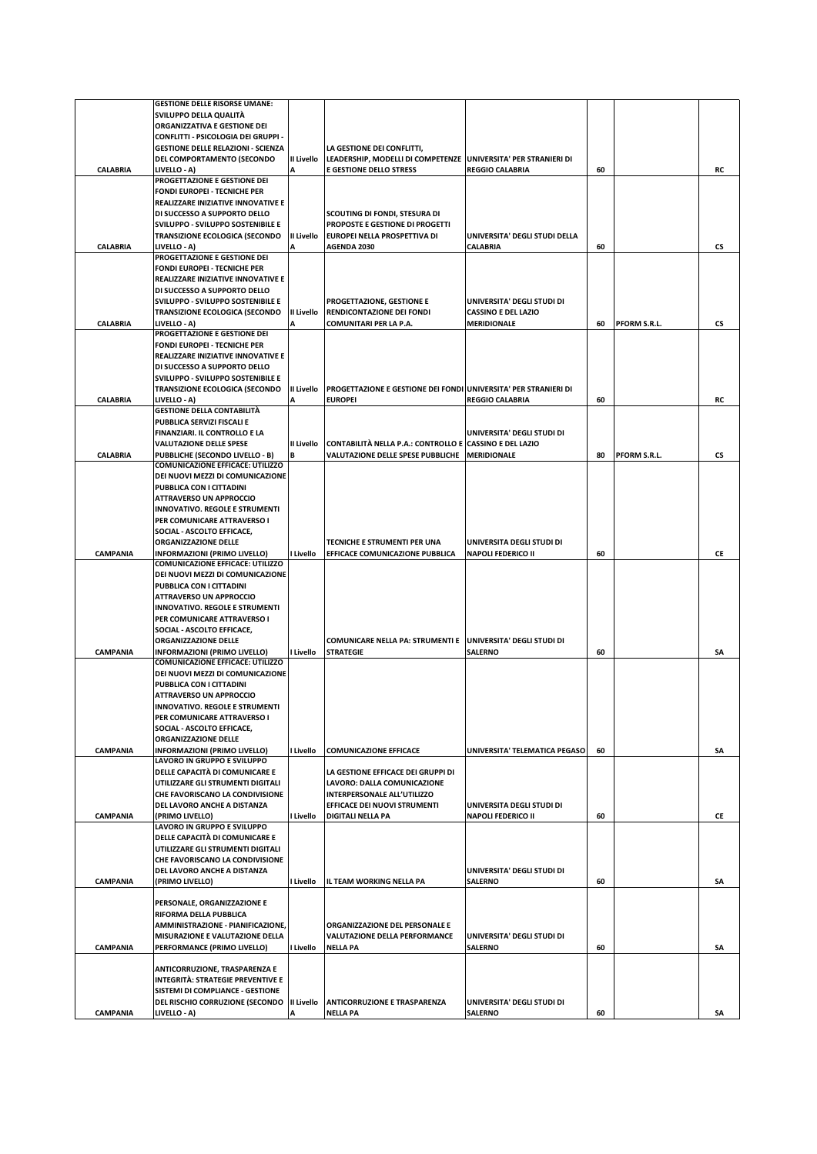|                 | <b>GESTIONE DELLE RISORSE UMANE:</b>      |            |                                                                        |                               |    |              |    |
|-----------------|-------------------------------------------|------------|------------------------------------------------------------------------|-------------------------------|----|--------------|----|
|                 | SVILUPPO DELLA QUALITÀ                    |            |                                                                        |                               |    |              |    |
|                 | ORGANIZZATIVA E GESTIONE DEI              |            |                                                                        |                               |    |              |    |
|                 |                                           |            |                                                                        |                               |    |              |    |
|                 | CONFLITTI - PSICOLOGIA DEI GRUPPI -       |            |                                                                        |                               |    |              |    |
|                 | <b>GESTIONE DELLE RELAZIONI - SCIENZA</b> |            | LA GESTIONE DEI CONFLITTI,                                             |                               |    |              |    |
|                 | DEL COMPORTAMENTO (SECONDO                | II Livello | LEADERSHIP, MODELLI DI COMPETENZE UNIVERSITA' PER STRANIERI DI         |                               |    |              |    |
| CALABRIA        | LIVELLO - A)                              |            | <b>E GESTIONE DELLO STRESS</b>                                         | <b>REGGIO CALABRIA</b>        | 60 |              | RC |
|                 | PROGETTAZIONE E GESTIONE DEI              |            |                                                                        |                               |    |              |    |
|                 | <b>FONDI EUROPEI - TECNICHE PER</b>       |            |                                                                        |                               |    |              |    |
|                 | REALIZZARE INIZIATIVE INNOVATIVE E        |            |                                                                        |                               |    |              |    |
|                 | DI SUCCESSO A SUPPORTO DELLO              |            |                                                                        |                               |    |              |    |
|                 |                                           |            | SCOUTING DI FONDI, STESURA DI                                          |                               |    |              |    |
|                 | SVILUPPO - SVILUPPO SOSTENIBILE E         |            | PROPOSTE E GESTIONE DI PROGETTI                                        |                               |    |              |    |
|                 | TRANSIZIONE ECOLOGICA (SECONDO            | II Livello | EUROPEI NELLA PROSPETTIVA DI                                           | UNIVERSITA' DEGLI STUDI DELLA |    |              |    |
| <b>CALABRIA</b> | LIVELLO - A)                              | Α          | <b>AGENDA 2030</b>                                                     | <b>CALABRIA</b>               | 60 |              | CS |
|                 | PROGETTAZIONE E GESTIONE DEI              |            |                                                                        |                               |    |              |    |
|                 | <b>FONDI EUROPEI - TECNICHE PER</b>       |            |                                                                        |                               |    |              |    |
|                 | REALIZZARE INIZIATIVE INNOVATIVE E        |            |                                                                        |                               |    |              |    |
|                 | DI SUCCESSO A SUPPORTO DELLO              |            |                                                                        |                               |    |              |    |
|                 | SVILUPPO - SVILUPPO SOSTENIBILE E         |            | PROGETTAZIONE, GESTIONE E                                              | UNIVERSITA' DEGLI STUDI DI    |    |              |    |
|                 | <b>TRANSIZIONE ECOLOGICA (SECONDO</b>     | II Livello | RENDICONTAZIONE DEI FONDI                                              | <b>CASSINO E DEL LAZIO</b>    |    |              |    |
| <b>CALABRIA</b> | LIVELLO - A)                              |            | COMUNITARI PER LA P.A.                                                 | <b>MERIDIONALE</b>            | 60 | PFORM S.R.L. | CS |
|                 | PROGETTAZIONE E GESTIONE DEI              |            |                                                                        |                               |    |              |    |
|                 |                                           |            |                                                                        |                               |    |              |    |
|                 | <b>FONDI EUROPEI - TECNICHE PER</b>       |            |                                                                        |                               |    |              |    |
|                 | REALIZZARE INIZIATIVE INNOVATIVE E        |            |                                                                        |                               |    |              |    |
|                 | DI SUCCESSO A SUPPORTO DELLO              |            |                                                                        |                               |    |              |    |
|                 | SVILUPPO - SVILUPPO SOSTENIBILE E         |            |                                                                        |                               |    |              |    |
|                 | <b>TRANSIZIONE ECOLOGICA (SECONDO</b>     | II Livello | <b>PROGETTAZIONE E GESTIONE DEI FONDI UNIVERSITA' PER STRANIERI DI</b> |                               |    |              |    |
| <b>CALABRIA</b> | LIVELLO - A)                              |            | <b>EUROPEI</b>                                                         | <b>REGGIO CALABRIA</b>        | 60 |              | RC |
|                 | <b>GESTIONE DELLA CONTABILITÀ</b>         |            |                                                                        |                               |    |              |    |
|                 | PUBBLICA SERVIZI FISCALI E                |            |                                                                        |                               |    |              |    |
|                 | FINANZIARI. IL CONTROLLO E LA             |            |                                                                        | UNIVERSITA' DEGLI STUDI DI    |    |              |    |
|                 | <b>VALUTAZIONE DELLE SPESE</b>            | II Livello |                                                                        | <b>CASSINO E DEL LAZIO</b>    |    |              |    |
|                 |                                           |            | <b>CONTABILITÀ NELLA P.A.: CONTROLLO E</b>                             |                               |    |              |    |
| <b>CALABRIA</b> | PUBBLICHE (SECONDO LIVELLO - B)           | В          | <b>VALUTAZIONE DELLE SPESE PUBBLICHE</b>                               | <b>MERIDIONALE</b>            | 80 | PFORM S.R.L. | CS |
|                 | <b>COMUNICAZIONE EFFICACE: UTILIZZO</b>   |            |                                                                        |                               |    |              |    |
|                 | DEI NUOVI MEZZI DI COMUNICAZIONE          |            |                                                                        |                               |    |              |    |
|                 | PUBBLICA CON I CITTADINI                  |            |                                                                        |                               |    |              |    |
|                 | <b>ATTRAVERSO UN APPROCCIO</b>            |            |                                                                        |                               |    |              |    |
|                 | <b>INNOVATIVO. REGOLE E STRUMENTI</b>     |            |                                                                        |                               |    |              |    |
|                 | PER COMUNICARE ATTRAVERSO I               |            |                                                                        |                               |    |              |    |
|                 | SOCIAL - ASCOLTO EFFICACE,                |            |                                                                        |                               |    |              |    |
|                 | <b>ORGANIZZAZIONE DELLE</b>               |            | TECNICHE E STRUMENTI PER UNA                                           | UNIVERSITA DEGLI STUDI DI     |    |              |    |
| <b>CAMPANIA</b> | <b>INFORMAZIONI (PRIMO LIVELLO)</b>       | I Livello  | EFFICACE COMUNICAZIONE PUBBLICA                                        | <b>NAPOLI FEDERICO II</b>     | 60 |              | СE |
|                 | <b>COMUNICAZIONE EFFICACE: UTILIZZO</b>   |            |                                                                        |                               |    |              |    |
|                 | DEI NUOVI MEZZI DI COMUNICAZIONE          |            |                                                                        |                               |    |              |    |
|                 | PUBBLICA CON I CITTADINI                  |            |                                                                        |                               |    |              |    |
|                 | <b>ATTRAVERSO UN APPROCCIO</b>            |            |                                                                        |                               |    |              |    |
|                 |                                           |            |                                                                        |                               |    |              |    |
|                 | <b>INNOVATIVO. REGOLE E STRUMENTI</b>     |            |                                                                        |                               |    |              |    |
|                 | PER COMUNICARE ATTRAVERSO I               |            |                                                                        |                               |    |              |    |
|                 | SOCIAL - ASCOLTO EFFICACE,                |            |                                                                        |                               |    |              |    |
|                 | <b>ORGANIZZAZIONE DELLE</b>               |            | COMUNICARE NELLA PA: STRUMENTI E                                       | UNIVERSITA' DEGLI STUDI DI    |    |              |    |
| <b>CAMPANIA</b> | INFORMAZIONI (PRIMO LIVELLO)              | I Livello  | <b>STRATEGIE</b>                                                       | <b>SALERNO</b>                | 60 |              | SA |
|                 | <b>COMUNICAZIONE EFFICACE: UTILIZZO</b>   |            |                                                                        |                               |    |              |    |
|                 | DEI NUOVI MEZZI DI COMUNICAZIONE          |            |                                                                        |                               |    |              |    |
|                 | PUBBLICA CON I CITTADINI                  |            |                                                                        |                               |    |              |    |
|                 | <b>ATTRAVERSO UN APPROCCIO</b>            |            |                                                                        |                               |    |              |    |
|                 | <b>INNOVATIVO. REGOLE E STRUMENTI</b>     |            |                                                                        |                               |    |              |    |
|                 | PER COMUNICARE ATTRAVERSO I               |            |                                                                        |                               |    |              |    |
|                 | SOCIAL - ASCOLTO EFFICACE,                |            |                                                                        |                               |    |              |    |
|                 |                                           |            |                                                                        |                               |    |              |    |
|                 | <b>ORGANIZZAZIONE DELLE</b>               |            |                                                                        |                               |    |              |    |
| CAMPANIA        | <b>INFORMAZIONI (PRIMO LIVELLO)</b>       | I Livello  | <b>COMUNICAZIONE EFFICACE</b>                                          | UNIVERSITA' TELEMATICA PEGASO | 60 |              | SA |
|                 | LAVORO IN GRUPPO E SVILUPPO               |            |                                                                        |                               |    |              |    |
|                 | DELLE CAPACITÀ DI COMUNICARE E            |            | LA GESTIONE EFFICACE DEI GRUPPI DI                                     |                               |    |              |    |
|                 | UTILIZZARE GLI STRUMENTI DIGITALI         |            | LAVORO: DALLA COMUNICAZIONE                                            |                               |    |              |    |
|                 | CHE FAVORISCANO LA CONDIVISIONE           |            | <b>INTERPERSONALE ALL'UTILIZZO</b>                                     |                               |    |              |    |
|                 | DEL LAVORO ANCHE A DISTANZA               |            | EFFICACE DEI NUOVI STRUMENTI                                           | UNIVERSITA DEGLI STUDI DI     |    |              |    |
| CAMPANIA        | (PRIMO LIVELLO)                           | I Livello  | DIGITALI NELLA PA                                                      | <b>NAPOLI FEDERICO II</b>     | 60 |              | CE |
|                 | LAVORO IN GRUPPO E SVILUPPO               |            |                                                                        |                               |    |              |    |
|                 | DELLE CAPACITÀ DI COMUNICARE E            |            |                                                                        |                               |    |              |    |
|                 | UTILIZZARE GLI STRUMENTI DIGITALI         |            |                                                                        |                               |    |              |    |
|                 | CHE FAVORISCANO LA CONDIVISIONE           |            |                                                                        |                               |    |              |    |
|                 | DEL LAVORO ANCHE A DISTANZA               |            |                                                                        | UNIVERSITA' DEGLI STUDI DI    |    |              |    |
|                 |                                           |            |                                                                        |                               |    |              |    |
| CAMPANIA        | (PRIMO LIVELLO)                           | I Livello  | IL TEAM WORKING NELLA PA                                               | <b>SALERNO</b>                | 60 |              | SA |
|                 |                                           |            |                                                                        |                               |    |              |    |
|                 | PERSONALE, ORGANIZZAZIONE E               |            |                                                                        |                               |    |              |    |
|                 | RIFORMA DELLA PUBBLICA                    |            |                                                                        |                               |    |              |    |
|                 | AMMINISTRAZIONE - PIANIFICAZIONE,         |            | ORGANIZZAZIONE DEL PERSONALE E                                         |                               |    |              |    |
|                 | MISURAZIONE E VALUTAZIONE DELLA           |            | VALUTAZIONE DELLA PERFORMANCE                                          | UNIVERSITA' DEGLI STUDI DI    |    |              |    |
| CAMPANIA        | PERFORMANCE (PRIMO LIVELLO)               | I Livello  | <b>NELLA PA</b>                                                        | <b>SALERNO</b>                | 60 |              | SA |
|                 |                                           |            |                                                                        |                               |    |              |    |
|                 |                                           |            |                                                                        |                               |    |              |    |
|                 | ANTICORRUZIONE, TRASPARENZA E             |            |                                                                        |                               |    |              |    |
|                 | INTEGRITÀ: STRATEGIE PREVENTIVE E         |            |                                                                        |                               |    |              |    |
|                 | SISTEMI DI COMPLIANCE - GESTIONE          |            |                                                                        |                               |    |              |    |
|                 | DEL RISCHIO CORRUZIONE (SECONDO           | II Livello | <b>ANTICORRUZIONE E TRASPARENZA</b>                                    | UNIVERSITA' DEGLI STUDI DI    |    |              |    |
| CAMPANIA        | LIVELLO - A)                              | А          | <b>NELLA PA</b>                                                        | SALERNO                       | 60 |              | SΑ |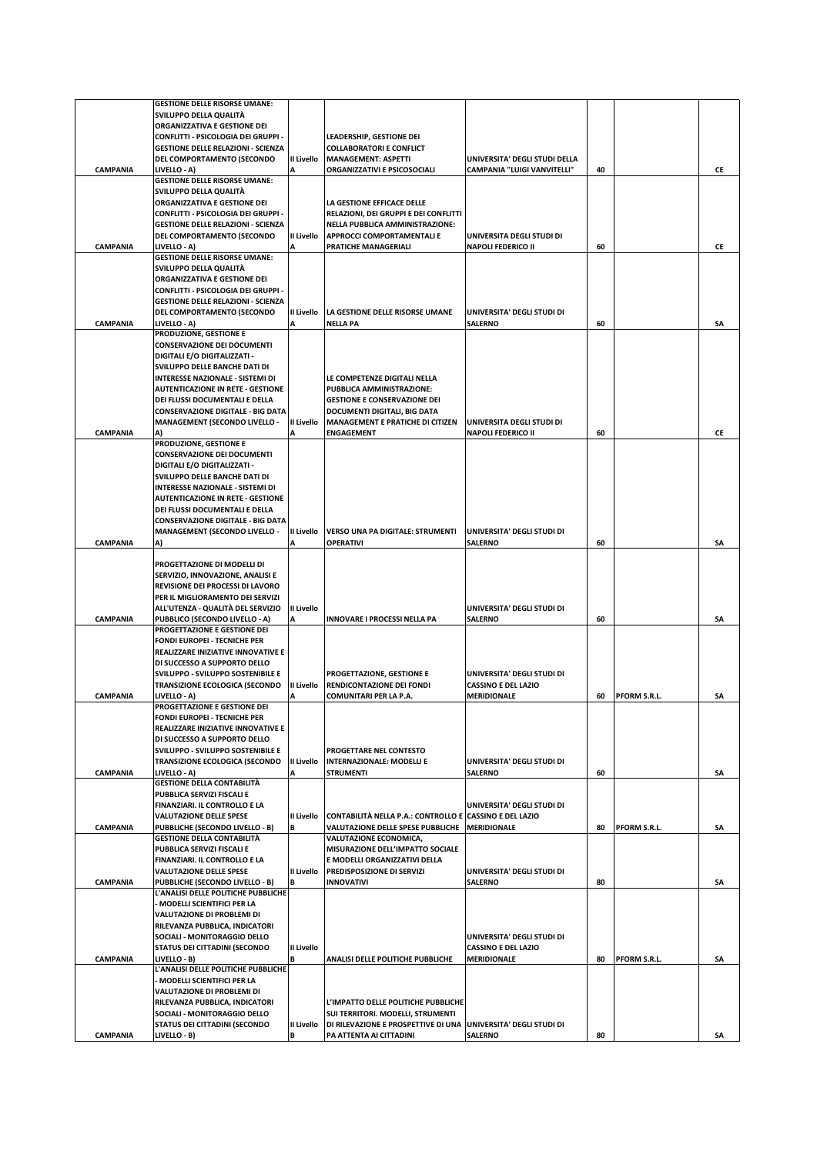|                 | <b>GESTIONE DELLE RISORSE UMANE:</b>                                     |                   |                                                                |                               |    |              |    |
|-----------------|--------------------------------------------------------------------------|-------------------|----------------------------------------------------------------|-------------------------------|----|--------------|----|
|                 | SVILUPPO DELLA QUALITÀ                                                   |                   |                                                                |                               |    |              |    |
|                 | ORGANIZZATIVA E GESTIONE DEI                                             |                   |                                                                |                               |    |              |    |
|                 | CONFLITTI - PSICOLOGIA DEI GRUPPI -                                      |                   | LEADERSHIP, GESTIONE DEI                                       |                               |    |              |    |
|                 | <b>GESTIONE DELLE RELAZIONI - SCIENZA</b>                                |                   | <b>COLLABORATORI E CONFLICT</b>                                |                               |    |              |    |
|                 | DEL COMPORTAMENTO (SECONDO                                               | II Livello        | <b>MANAGEMENT: ASPETTI</b>                                     | UNIVERSITA' DEGLI STUDI DELLA |    |              |    |
| <b>CAMPANIA</b> | LIVELLO - A)<br><b>GESTIONE DELLE RISORSE UMANE:</b>                     |                   | ORGANIZZATIVI E PSICOSOCIALI                                   | CAMPANIA "LUIGI VANVITELLI"   | 40 |              | CE |
|                 | SVILUPPO DELLA QUALITÀ                                                   |                   |                                                                |                               |    |              |    |
|                 | ORGANIZZATIVA E GESTIONE DEI                                             |                   | LA GESTIONE EFFICACE DELLE                                     |                               |    |              |    |
|                 | CONFLITTI - PSICOLOGIA DEI GRUPPI -                                      |                   | RELAZIONI, DEI GRUPPI E DEI CONFLITTI                          |                               |    |              |    |
|                 | <b>GESTIONE DELLE RELAZIONI - SCIENZA</b>                                |                   | NELLA PUBBLICA AMMINISTRAZIONE:                                |                               |    |              |    |
|                 | DEL COMPORTAMENTO (SECONDO                                               | II Livello        | <b>APPROCCI COMPORTAMENTALI E</b>                              | UNIVERSITA DEGLI STUDI DI     |    |              |    |
| <b>CAMPANIA</b> | LIVELLO - A)                                                             |                   | PRATICHE MANAGERIALI                                           | <b>NAPOLI FEDERICO II</b>     | 60 |              | СE |
|                 | <b>GESTIONE DELLE RISORSE UMANE:</b>                                     |                   |                                                                |                               |    |              |    |
|                 | SVILUPPO DELLA QUALITÀ                                                   |                   |                                                                |                               |    |              |    |
|                 | ORGANIZZATIVA E GESTIONE DEI                                             |                   |                                                                |                               |    |              |    |
|                 | CONFLITTI - PSICOLOGIA DEI GRUPPI -                                      |                   |                                                                |                               |    |              |    |
|                 | <b>GESTIONE DELLE RELAZIONI - SCIENZA</b>                                |                   |                                                                |                               |    |              |    |
|                 | DEL COMPORTAMENTO (SECONDO                                               | II Livello        | LA GESTIONE DELLE RISORSE UMANE                                | UNIVERSITA' DEGLI STUDI DI    |    |              |    |
| <b>CAMPANIA</b> | LIVELLO - A)                                                             | A                 | <b>NELLA PA</b>                                                | <b>SALERNO</b>                | 60 |              | SA |
|                 | PRODUZIONE, GESTIONE E                                                   |                   |                                                                |                               |    |              |    |
|                 | <b>CONSERVAZIONE DEI DOCUMENTI</b>                                       |                   |                                                                |                               |    |              |    |
|                 | DIGITALI E/O DIGITALIZZATI -                                             |                   |                                                                |                               |    |              |    |
|                 | SVILUPPO DELLE BANCHE DATI DI<br><b>INTERESSE NAZIONALE - SISTEMI DI</b> |                   | LE COMPETENZE DIGITALI NELLA                                   |                               |    |              |    |
|                 | <b>AUTENTICAZIONE IN RETE - GESTIONE</b>                                 |                   | PUBBLICA AMMINISTRAZIONE:                                      |                               |    |              |    |
|                 | DEI FLUSSI DOCUMENTALI E DELLA                                           |                   | <b>GESTIONE E CONSERVAZIONE DEI</b>                            |                               |    |              |    |
|                 | <b>CONSERVAZIONE DIGITALE - BIG DATA</b>                                 |                   | DOCUMENTI DIGITALI, BIG DATA                                   |                               |    |              |    |
|                 | <b>MANAGEMENT (SECONDO LIVELLO -</b>                                     | II Livello        | MANAGEMENT E PRATICHE DI CITIZEN                               | UNIVERSITA DEGLI STUDI DI     |    |              |    |
| <b>CAMPANIA</b> |                                                                          |                   | <b>ENGAGEMENT</b>                                              | <b>NAPOLI FEDERICO II</b>     | 60 |              | CE |
|                 | PRODUZIONE, GESTIONE E                                                   |                   |                                                                |                               |    |              |    |
|                 | <b>CONSERVAZIONE DEI DOCUMENTI</b>                                       |                   |                                                                |                               |    |              |    |
|                 | DIGITALI E/O DIGITALIZZATI -                                             |                   |                                                                |                               |    |              |    |
|                 | SVILUPPO DELLE BANCHE DATI DI                                            |                   |                                                                |                               |    |              |    |
|                 | <b>INTERESSE NAZIONALE - SISTEMI DI</b>                                  |                   |                                                                |                               |    |              |    |
|                 | <b>AUTENTICAZIONE IN RETE - GESTIONE</b>                                 |                   |                                                                |                               |    |              |    |
|                 | DEI FLUSSI DOCUMENTALI E DELLA                                           |                   |                                                                |                               |    |              |    |
|                 | <b>CONSERVAZIONE DIGITALE - BIG DATA</b>                                 |                   |                                                                |                               |    |              |    |
|                 | <b>MANAGEMENT (SECONDO LIVELLO -</b>                                     | II Livello        | VERSO UNA PA DIGITALE: STRUMENTI                               | UNIVERSITA' DEGLI STUDI DI    |    |              |    |
| <b>CAMPANIA</b> | A)                                                                       | A                 | OPERATIVI                                                      | <b>SALERNO</b>                | 60 |              | SA |
|                 | PROGETTAZIONE DI MODELLI DI                                              |                   |                                                                |                               |    |              |    |
|                 | SERVIZIO, INNOVAZIONE, ANALISI E                                         |                   |                                                                |                               |    |              |    |
|                 | REVISIONE DEI PROCESSI DI LAVORO                                         |                   |                                                                |                               |    |              |    |
|                 | PER IL MIGLIORAMENTO DEI SERVIZI                                         |                   |                                                                |                               |    |              |    |
|                 | ALL'UTENZA - QUALITÀ DEL SERVIZIO                                        | <b>II Livello</b> |                                                                | UNIVERSITA' DEGLI STUDI DI    |    |              |    |
| <b>CAMPANIA</b> | PUBBLICO (SECONDO LIVELLO - A)                                           | Α                 | INNOVARE I PROCESSI NELLA PA                                   | <b>SALERNO</b>                | 60 |              | SA |
|                 | PROGETTAZIONE E GESTIONE DEI                                             |                   |                                                                |                               |    |              |    |
|                 | <b>FONDI EUROPEI - TECNICHE PER</b>                                      |                   |                                                                |                               |    |              |    |
|                 | REALIZZARE INIZIATIVE INNOVATIVE E                                       |                   |                                                                |                               |    |              |    |
|                 | DI SUCCESSO A SUPPORTO DELLO                                             |                   |                                                                |                               |    |              |    |
|                 | SVILUPPO - SVILUPPO SOSTENIBILE E                                        |                   | PROGETTAZIONE, GESTIONE E                                      | UNIVERSITA' DEGLI STUDI DI    |    |              |    |
|                 | <b>TRANSIZIONE ECOLOGICA (SECONDO</b>                                    | II Livello        | RENDICONTAZIONE DEI FONDI                                      | <b>CASSINO E DEL LAZIO</b>    |    |              |    |
| <b>CAMPANIA</b> | LIVELLO - A)                                                             |                   | COMUNITARI PER LA P.A.                                         | <b>MERIDIONALE</b>            | 60 | PFORM S.R.L. | SΑ |
|                 | PROGETTAZIONE E GESTIONE DEI                                             |                   |                                                                |                               |    |              |    |
|                 | <b>FONDI EUROPEI - TECNICHE PER</b>                                      |                   |                                                                |                               |    |              |    |
|                 | REALIZZARE INIZIATIVE INNOVATIVE E<br>DI SUCCESSO A SUPPORTO DELLO       |                   |                                                                |                               |    |              |    |
|                 | SVILUPPO - SVILUPPO SOSTENIBILE E                                        |                   | PROGETTARE NEL CONTESTO                                        |                               |    |              |    |
|                 | TRANSIZIONE ECOLOGICA (SECONDO                                           | II Livello        | <b>INTERNAZIONALE: MODELLI E</b>                               | UNIVERSITA' DEGLI STUDI DI    |    |              |    |
| CAMPANIA        | LIVELLO - A)                                                             | А                 | <b>STRUMENTI</b>                                               | <b>SALERNO</b>                | 60 |              | SA |
|                 | <b>GESTIONE DELLA CONTABILITÀ</b>                                        |                   |                                                                |                               |    |              |    |
|                 | PUBBLICA SERVIZI FISCALI E                                               |                   |                                                                |                               |    |              |    |
|                 | <b>FINANZIARI. IL CONTROLLO E LA</b>                                     |                   |                                                                | UNIVERSITA' DEGLI STUDI DI    |    |              |    |
|                 | <b>VALUTAZIONE DELLE SPESE</b>                                           | II Livello        | <b>CONTABILITÀ NELLA P.A.: CONTROLLO E</b>                     | <b>CASSINO E DEL LAZIO</b>    |    |              |    |
| CAMPANIA        | PUBBLICHE (SECONDO LIVELLO - B)                                          | R                 | VALUTAZIONE DELLE SPESE PUBBLICHE                              | <b>MERIDIONALE</b>            | 80 | PFORM S.R.L. | SΑ |
|                 | <b>GESTIONE DELLA CONTABILITÀ</b>                                        |                   | VALUTAZIONE ECONOMICA,                                         |                               |    |              |    |
|                 | PUBBLICA SERVIZI FISCALI E                                               |                   | MISURAZIONE DELL'IMPATTO SOCIALE                               |                               |    |              |    |
|                 | FINANZIARI. IL CONTROLLO E LA                                            |                   | E MODELLI ORGANIZZATIVI DELLA                                  |                               |    |              |    |
|                 | <b>VALUTAZIONE DELLE SPESE</b>                                           | II Livello        | PREDISPOSIZIONE DI SERVIZI                                     | UNIVERSITA' DEGLI STUDI DI    |    |              |    |
| <b>CAMPANIA</b> | PUBBLICHE (SECONDO LIVELLO - B)<br>L'ANALISI DELLE POLITICHE PUBBLICHE   | B                 | <b>INNOVATIVI</b>                                              | <b>SALERNO</b>                | 80 |              | SA |
|                 | MODELLI SCIENTIFICI PER LA                                               |                   |                                                                |                               |    |              |    |
|                 | VALUTAZIONE DI PROBLEMI DI                                               |                   |                                                                |                               |    |              |    |
|                 | RILEVANZA PUBBLICA, INDICATORI                                           |                   |                                                                |                               |    |              |    |
|                 | SOCIALI - MONITORAGGIO DELLO                                             |                   |                                                                | UNIVERSITA' DEGLI STUDI DI    |    |              |    |
|                 | STATUS DEI CITTADINI (SECONDO                                            | II Livello        |                                                                | <b>CASSINO E DEL LAZIO</b>    |    |              |    |
| CAMPANIA        | LIVELLO - B)                                                             |                   | ANALISI DELLE POLITICHE PUBBLICHE                              | <b>MERIDIONALE</b>            | 80 | PFORM S.R.L. | SΑ |
|                 | L'ANALISI DELLE POLITICHE PUBBLICHE                                      |                   |                                                                |                               |    |              |    |
|                 | · MODELLI SCIENTIFICI PER LA                                             |                   |                                                                |                               |    |              |    |
|                 | VALUTAZIONE DI PROBLEMI DI                                               |                   |                                                                |                               |    |              |    |
|                 | RILEVANZA PUBBLICA, INDICATORI                                           |                   | L'IMPATTO DELLE POLITICHE PUBBLICHE                            |                               |    |              |    |
|                 | SOCIALI - MONITORAGGIO DELLO                                             |                   | SUI TERRITORI. MODELLI, STRUMENTI                              |                               |    |              |    |
|                 | STATUS DEI CITTADINI (SECONDO                                            | II Livello        | DI RILEVAZIONE E PROSPETTIVE DI UNA UNIVERSITA' DEGLI STUDI DI |                               |    |              |    |
| CAMPANIA        | LIVELLO - B)                                                             | В                 | PA ATTENTA AI CITTADINI                                        | <b>SALERNO</b>                | 80 |              | SΑ |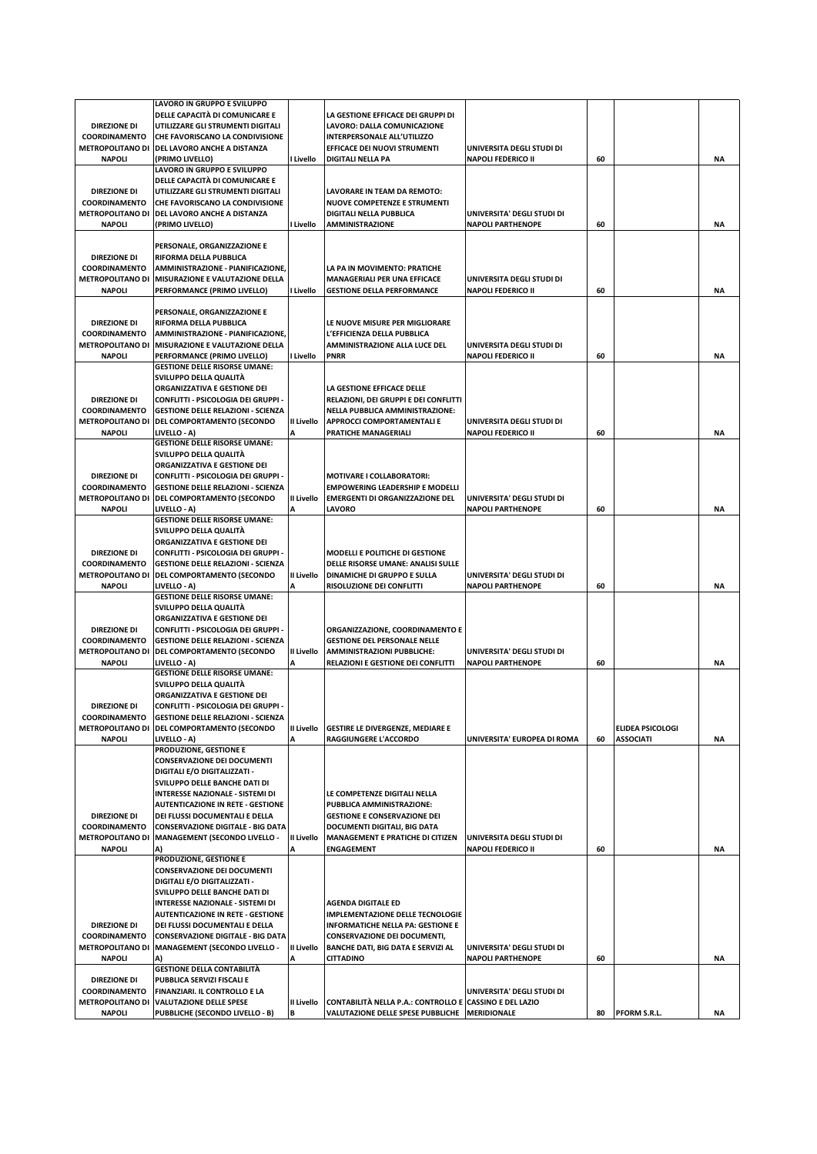|                                          | LAVORO IN GRUPPO E SVILUPPO                                       |                 |                                                                                                            |                             |    |                  |           |
|------------------------------------------|-------------------------------------------------------------------|-----------------|------------------------------------------------------------------------------------------------------------|-----------------------------|----|------------------|-----------|
|                                          | DELLE CAPACITÀ DI COMUNICARE E                                    |                 | LA GESTIONE EFFICACE DEI GRUPPI DI                                                                         |                             |    |                  |           |
| <b>DIREZIONE DI</b>                      | UTILIZZARE GLI STRUMENTI DIGITALI                                 |                 | LAVORO: DALLA COMUNICAZIONE                                                                                |                             |    |                  |           |
| <b>COORDINAMENTO</b>                     | CHE FAVORISCANO LA CONDIVISIONE                                   |                 | INTERPERSONALE ALL'UTILIZZO                                                                                |                             |    |                  |           |
|                                          | METROPOLITANO DI DEL LAVORO ANCHE A DISTANZA                      |                 | EFFICACE DEI NUOVI STRUMENTI                                                                               | UNIVERSITA DEGLI STUDI DI   |    |                  |           |
| <b>NAPOLI</b>                            | (PRIMO LIVELLO)                                                   | I Livello       | <b>DIGITALI NELLA PA</b>                                                                                   | <b>NAPOLI FEDERICO II</b>   | 60 |                  | ΝA        |
|                                          | LAVORO IN GRUPPO E SVILUPPO                                       |                 |                                                                                                            |                             |    |                  |           |
|                                          | DELLE CAPACITÀ DI COMUNICARE E                                    |                 |                                                                                                            |                             |    |                  |           |
| <b>DIREZIONE DI</b>                      | UTILIZZARE GLI STRUMENTI DIGITALI                                 |                 | LAVORARE IN TEAM DA REMOTO:                                                                                |                             |    |                  |           |
| <b>COORDINAMENTO</b>                     | CHE FAVORISCANO LA CONDIVISIONE                                   |                 | NUOVE COMPETENZE E STRUMENTI                                                                               |                             |    |                  |           |
|                                          | METROPOLITANO DI DEL LAVORO ANCHE A DISTANZA                      |                 | <b>DIGITALI NELLA PUBBLICA</b>                                                                             | UNIVERSITA' DEGLI STUDI DI  |    |                  |           |
| <b>NAPOLI</b>                            | (PRIMO LIVELLO)                                                   | I Livello       | <b>AMMINISTRAZIONE</b>                                                                                     | <b>NAPOLI PARTHENOPE</b>    | 60 |                  | ΝA        |
|                                          |                                                                   |                 |                                                                                                            |                             |    |                  |           |
|                                          |                                                                   |                 |                                                                                                            |                             |    |                  |           |
|                                          | PERSONALE, ORGANIZZAZIONE E                                       |                 |                                                                                                            |                             |    |                  |           |
| <b>DIREZIONE DI</b>                      | RIFORMA DELLA PUBBLICA                                            |                 |                                                                                                            |                             |    |                  |           |
| <b>COORDINAMENTO</b>                     | AMMINISTRAZIONE - PIANIFICAZIONE,                                 |                 | LA PA IN MOVIMENTO: PRATICHE                                                                               |                             |    |                  |           |
| <b>METROPOLITANO DI</b>                  | <b>MISURAZIONE E VALUTAZIONE DELLA</b>                            |                 | <b>MANAGERIALI PER UNA EFFICACE</b>                                                                        | UNIVERSITA DEGLI STUDI DI   |    |                  |           |
| <b>NAPOLI</b>                            | PERFORMANCE (PRIMO LIVELLO)                                       | I Livello       | <b>GESTIONE DELLA PERFORMANCE</b>                                                                          | <b>NAPOLI FEDERICO II</b>   | 60 |                  | ΝA        |
|                                          |                                                                   |                 |                                                                                                            |                             |    |                  |           |
|                                          | PERSONALE, ORGANIZZAZIONE E                                       |                 |                                                                                                            |                             |    |                  |           |
| <b>DIREZIONE DI</b>                      | RIFORMA DELLA PUBBLICA                                            |                 | LE NUOVE MISURE PER MIGLIORARE                                                                             |                             |    |                  |           |
| <b>COORDINAMENTO</b>                     | AMMINISTRAZIONE - PIANIFICAZIONE,                                 |                 | L'EFFICIENZA DELLA PUBBLICA                                                                                |                             |    |                  |           |
| <b>METROPOLITANO DI</b>                  | MISURAZIONE E VALUTAZIONE DELLA                                   |                 | AMMINISTRAZIONE ALLA LUCE DEL                                                                              | UNIVERSITA DEGLI STUDI DI   |    |                  |           |
| <b>NAPOLI</b>                            | PERFORMANCE (PRIMO LIVELLO)                                       | I Livello       | <b>PNRR</b>                                                                                                | <b>NAPOLI FEDERICO II</b>   | 60 |                  | ΝA        |
|                                          | <b>GESTIONE DELLE RISORSE UMANE:</b>                              |                 |                                                                                                            |                             |    |                  |           |
|                                          | SVILUPPO DELLA QUALITÀ                                            |                 |                                                                                                            |                             |    |                  |           |
|                                          |                                                                   |                 |                                                                                                            |                             |    |                  |           |
|                                          | ORGANIZZATIVA E GESTIONE DEI                                      |                 | LA GESTIONE EFFICACE DELLE                                                                                 |                             |    |                  |           |
| <b>DIREZIONE DI</b>                      | CONFLITTI - PSICOLOGIA DEI GRUPPI -                               |                 | RELAZIONI, DEI GRUPPI E DEI CONFLITTI                                                                      |                             |    |                  |           |
| <b>COORDINAMENTO</b>                     | <b>GESTIONE DELLE RELAZIONI - SCIENZA</b>                         |                 | NELLA PUBBLICA AMMINISTRAZIONE:                                                                            |                             |    |                  |           |
| <b>METROPOLITANO DI</b>                  | DEL COMPORTAMENTO (SECONDO                                        | II Livello      | <b>APPROCCI COMPORTAMENTALI E</b>                                                                          | UNIVERSITA DEGLI STUDI DI   |    |                  |           |
| <b>NAPOLI</b>                            | LIVELLO - A)                                                      |                 | PRATICHE MANAGERIALI                                                                                       | <b>NAPOLI FEDERICO II</b>   | 60 |                  | <b>NA</b> |
|                                          | <b>GESTIONE DELLE RISORSE UMANE:</b>                              |                 |                                                                                                            |                             |    |                  |           |
|                                          | SVILUPPO DELLA QUALITÀ                                            |                 |                                                                                                            |                             |    |                  |           |
|                                          | ORGANIZZATIVA E GESTIONE DEI                                      |                 |                                                                                                            |                             |    |                  |           |
| <b>DIREZIONE DI</b>                      | CONFLITTI - PSICOLOGIA DEI GRUPPI -                               |                 | MOTIVARE I COLLABORATORI:                                                                                  |                             |    |                  |           |
| <b>COORDINAMENTO</b>                     | <b>GESTIONE DELLE RELAZIONI - SCIENZA</b>                         |                 | <b>EMPOWERING LEADERSHIP E MODELLI</b>                                                                     |                             |    |                  |           |
| <b>METROPOLITANO DI</b>                  | DEL COMPORTAMENTO (SECONDO                                        | II Livello      | <b>EMERGENTI DI ORGANIZZAZIONE DEL</b>                                                                     | UNIVERSITA' DEGLI STUDI DI  |    |                  |           |
| <b>NAPOLI</b>                            | LIVELLO - A)                                                      |                 | <b>LAVORO</b>                                                                                              | <b>NAPOLI PARTHENOPE</b>    | 60 |                  | <b>NA</b> |
|                                          | <b>GESTIONE DELLE RISORSE UMANE:</b>                              |                 |                                                                                                            |                             |    |                  |           |
|                                          |                                                                   |                 |                                                                                                            |                             |    |                  |           |
|                                          | SVILUPPO DELLA QUALITÀ                                            |                 |                                                                                                            |                             |    |                  |           |
|                                          | ORGANIZZATIVA E GESTIONE DEI                                      |                 |                                                                                                            |                             |    |                  |           |
| <b>DIREZIONE DI</b>                      | CONFLITTI - PSICOLOGIA DEI GRUPPI -                               |                 | MODELLI E POLITICHE DI GESTIONE                                                                            |                             |    |                  |           |
| <b>COORDINAMENTO</b>                     | <b>GESTIONE DELLE RELAZIONI - SCIENZA</b>                         |                 | DELLE RISORSE UMANE: ANALISI SULLE                                                                         |                             |    |                  |           |
|                                          | METROPOLITANO DI DEL COMPORTAMENTO (SECONDO                       | II Livello      | <b>DINAMICHE DI GRUPPO E SULLA</b>                                                                         | UNIVERSITA' DEGLI STUDI DI  |    |                  |           |
| <b>NAPOLI</b>                            | LIVELLO - A)                                                      | Α               | <b>RISOLUZIONE DEI CONFLITTI</b>                                                                           | <b>NAPOLI PARTHENOPE</b>    | 60 |                  | ΝA        |
|                                          | <b>GESTIONE DELLE RISORSE UMANE:</b>                              |                 |                                                                                                            |                             |    |                  |           |
|                                          | SVILUPPO DELLA QUALITÀ                                            |                 |                                                                                                            |                             |    |                  |           |
|                                          | ORGANIZZATIVA E GESTIONE DEI                                      |                 |                                                                                                            |                             |    |                  |           |
| <b>DIREZIONE DI</b>                      | CONFLITTI - PSICOLOGIA DEI GRUPPI -                               |                 | ORGANIZZAZIONE, COORDINAMENTO E                                                                            |                             |    |                  |           |
| <b>COORDINAMENTO</b>                     | <b>GESTIONE DELLE RELAZIONI - SCIENZA</b>                         |                 | <b>GESTIONE DEL PERSONALE NELLE</b>                                                                        |                             |    |                  |           |
| <b>METROPOLITANO DI</b>                  | DEL COMPORTAMENTO (SECONDO                                        | II Livello      | AMMINISTRAZIONI PUBBLICHE:                                                                                 | UNIVERSITA' DEGLI STUDI DI  |    |                  |           |
| <b>NAPOLI</b>                            | LIVELLO - A)                                                      | Δ               | RELAZIONI E GESTIONE DEI CONFLITTI                                                                         | <b>NAPOLI PARTHENOPE</b>    | 60 |                  | <b>NA</b> |
|                                          | <b>GESTIONE DELLE RISORSE UMANE:</b>                              |                 |                                                                                                            |                             |    |                  |           |
|                                          |                                                                   |                 |                                                                                                            |                             |    |                  |           |
|                                          | SVILUPPO DELLA QUALITÀ                                            |                 |                                                                                                            |                             |    |                  |           |
|                                          | ORGANIZZATIVA E GESTIONE DEI                                      |                 |                                                                                                            |                             |    |                  |           |
| <b>DIREZIONE DI</b>                      | CONFLITTI - PSICOLOGIA DEI GRUPPI -                               |                 |                                                                                                            |                             |    |                  |           |
| <b>COORDINAMENTO</b>                     | <b>GESTIONE DELLE RELAZIONI - SCIENZA</b>                         |                 |                                                                                                            |                             |    |                  |           |
|                                          | METROPOLITANO DI DEL COMPORTAMENTO (SECONDO                       | II Livello      | <b>GESTIRE LE DIVERGENZE, MEDIARE E</b>                                                                    |                             |    | ELIDEA PSICOLOGI |           |
| <b>NAPOLI</b>                            | LIVELLO - A)                                                      |                 | RAGGIUNGERE L'ACCORDO                                                                                      | UNIVERSITA' EUROPEA DI ROMA | 60 | <b>ASSOCIATI</b> | ΝA        |
|                                          | PRODUZIONE, GESTIONE E                                            |                 |                                                                                                            |                             |    |                  |           |
|                                          | <b>CONSERVAZIONE DEI DOCUMENTI</b>                                |                 |                                                                                                            |                             |    |                  |           |
|                                          | DIGITALI E/O DIGITALIZZATI -                                      |                 |                                                                                                            |                             |    |                  |           |
|                                          | SVILUPPO DELLE BANCHE DATI DI                                     |                 |                                                                                                            |                             |    |                  |           |
|                                          | INTERESSE NAZIONALE - SISTEMI DI                                  |                 | LE COMPETENZE DIGITALI NELLA                                                                               |                             |    |                  |           |
|                                          | <b>AUTENTICAZIONE IN RETE - GESTIONE</b>                          |                 | PUBBLICA AMMINISTRAZIONE:                                                                                  |                             |    |                  |           |
| <b>DIREZIONE DI</b>                      | DEI FLUSSI DOCUMENTALI E DELLA                                    |                 | <b>GESTIONE E CONSERVAZIONE DEI</b>                                                                        |                             |    |                  |           |
| <b>COORDINAMENTO</b>                     | <b>CONSERVAZIONE DIGITALE - BIG DATA</b>                          |                 | DOCUMENTI DIGITALI, BIG DATA                                                                               |                             |    |                  |           |
| <b>METROPOLITANO DI</b>                  | <b>MANAGEMENT (SECONDO LIVELLO -</b>                              | II Livello      |                                                                                                            | UNIVERSITA DEGLI STUDI DI   |    |                  |           |
|                                          |                                                                   |                 | MANAGEMENT E PRATICHE DI CITIZEN<br><b>ENGAGEMENT</b>                                                      |                             |    |                  |           |
| <b>NAPOLI</b>                            | A)                                                                | A               |                                                                                                            | <b>NAPOLI FEDERICO II</b>   | 60 |                  | ΝA        |
|                                          | PRODUZIONE, GESTIONE E                                            |                 |                                                                                                            |                             |    |                  |           |
|                                          | <b>CONSERVAZIONE DEI DOCUMENTI</b>                                |                 |                                                                                                            |                             |    |                  |           |
|                                          | DIGITALI E/O DIGITALIZZATI -                                      |                 |                                                                                                            |                             |    |                  |           |
|                                          | SVILUPPO DELLE BANCHE DATI DI                                     |                 |                                                                                                            |                             |    |                  |           |
|                                          | INTERESSE NAZIONALE - SISTEMI DI                                  |                 | <b>AGENDA DIGITALE ED</b>                                                                                  |                             |    |                  |           |
|                                          |                                                                   |                 | <b>IMPLEMENTAZIONE DELLE TECNOLOGIE</b>                                                                    |                             |    |                  |           |
|                                          | <b>AUTENTICAZIONE IN RETE - GESTIONE</b>                          |                 |                                                                                                            |                             |    |                  |           |
| <b>DIREZIONE DI</b>                      | DEI FLUSSI DOCUMENTALI E DELLA                                    |                 | <b>INFORMATICHE NELLA PA: GESTIONE E</b>                                                                   |                             |    |                  |           |
| <b>COORDINAMENTO</b>                     | <b>CONSERVAZIONE DIGITALE - BIG DATA</b>                          |                 | <b>CONSERVAZIONE DEI DOCUMENTI,</b>                                                                        |                             |    |                  |           |
| <b>METROPOLITANO DI</b>                  | <b>MANAGEMENT (SECONDO LIVELLO -</b>                              | II Livello      | BANCHE DATI, BIG DATA E SERVIZI AL                                                                         | UNIVERSITA' DEGLI STUDI DI  |    |                  |           |
| <b>NAPOLI</b>                            | A)                                                                | Δ               | <b>CITTADINO</b>                                                                                           | <b>NAPOLI PARTHENOPE</b>    | 60 |                  | ΝA        |
|                                          | <b>GESTIONE DELLA CONTABILITÀ</b>                                 |                 |                                                                                                            |                             |    |                  |           |
| <b>DIREZIONE DI</b>                      | PUBBLICA SERVIZI FISCALI E                                        |                 |                                                                                                            |                             |    |                  |           |
|                                          |                                                                   |                 |                                                                                                            |                             |    |                  |           |
| <b>COORDINAMENTO</b>                     | FINANZIARI. IL CONTROLLO E LA                                     |                 |                                                                                                            | UNIVERSITA' DEGLI STUDI DI  |    |                  |           |
| <b>METROPOLITANO DI</b><br><b>NAPOLI</b> | <b>VALUTAZIONE DELLE SPESE</b><br>PUBBLICHE (SECONDO LIVELLO - B) | II Livello<br>в | CONTABILITÀ NELLA P.A.: CONTROLLO E CASSINO E DEL LAZIO<br>VALUTAZIONE DELLE SPESE PUBBLICHE   MERIDIONALE |                             | 80 | PFORM S.R.L.     | NA        |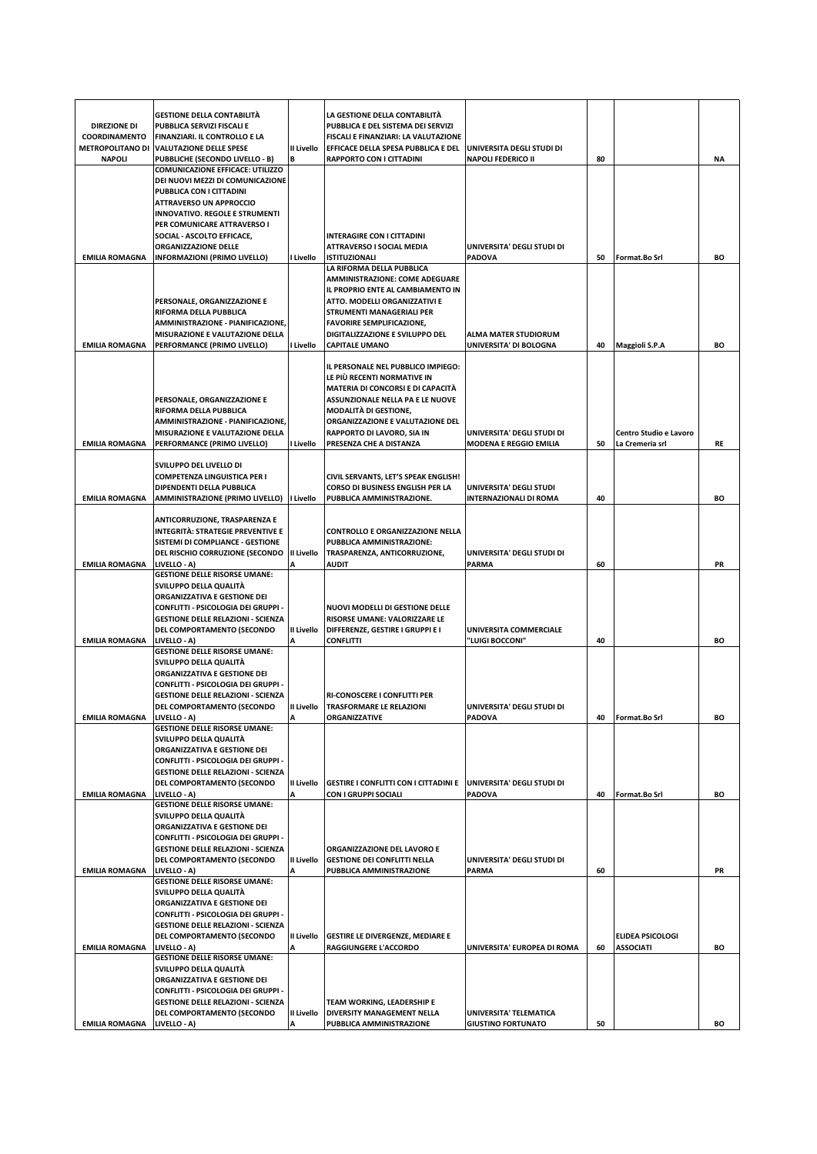|                                             | <b>GESTIONE DELLA CONTABILITÀ</b>                                                |                 | LA GESTIONE DELLA CONTABILITA                                               |                                                             |    |                                             |           |
|---------------------------------------------|----------------------------------------------------------------------------------|-----------------|-----------------------------------------------------------------------------|-------------------------------------------------------------|----|---------------------------------------------|-----------|
| <b>DIREZIONE DI</b><br><b>COORDINAMENTO</b> | PUBBLICA SERVIZI FISCALI E<br><b>FINANZIARI. IL CONTROLLO E LA</b>               |                 | PUBBLICA E DEL SISTEMA DEI SERVIZI<br>FISCALI E FINANZIARI: LA VALUTAZIONE  |                                                             |    |                                             |           |
| <b>METROPOLITANO DI</b>                     | <b>VALUTAZIONE DELLE SPESE</b>                                                   | II Livello      | EFFICACE DELLA SPESA PUBBLICA E DEL                                         | UNIVERSITA DEGLI STUDI DI                                   |    |                                             |           |
| <b>NAPOLI</b>                               | PUBBLICHE (SECONDO LIVELLO - B)                                                  | В               | RAPPORTO CON I CITTADINI                                                    | <b>NAPOLI FEDERICO II</b>                                   | 80 |                                             | <b>NA</b> |
|                                             | <b>COMUNICAZIONE EFFICACE: UTILIZZO</b>                                          |                 |                                                                             |                                                             |    |                                             |           |
|                                             | DEI NUOVI MEZZI DI COMUNICAZIONE<br>PUBBLICA CON I CITTADINI                     |                 |                                                                             |                                                             |    |                                             |           |
|                                             | <b>ATTRAVERSO UN APPROCCIO</b>                                                   |                 |                                                                             |                                                             |    |                                             |           |
|                                             | <b>INNOVATIVO. REGOLE E STRUMENTI</b>                                            |                 |                                                                             |                                                             |    |                                             |           |
|                                             | PER COMUNICARE ATTRAVERSO I<br>SOCIAL - ASCOLTO EFFICACE,                        |                 | <b>INTERAGIRE CON I CITTADINI</b>                                           |                                                             |    |                                             |           |
|                                             | ORGANIZZAZIONE DELLE                                                             |                 | ATTRAVERSO I SOCIAL MEDIA                                                   | UNIVERSITA' DEGLI STUDI DI                                  |    |                                             |           |
| <b>EMILIA ROMAGNA</b>                       | INFORMAZIONI (PRIMO LIVELLO)                                                     | I Livello       | <b>ISTITUZIONALI</b>                                                        | <b>PADOVA</b>                                               | 50 | Format.Bo Srl                               | BO        |
|                                             |                                                                                  |                 | LA RIFORMA DELLA PUBBLICA<br>AMMINISTRAZIONE: COME ADEGUARE                 |                                                             |    |                                             |           |
|                                             |                                                                                  |                 | IL PROPRIO ENTE AL CAMBIAMENTO IN                                           |                                                             |    |                                             |           |
|                                             | PERSONALE, ORGANIZZAZIONE E                                                      |                 | ATTO. MODELLI ORGANIZZATIVI E                                               |                                                             |    |                                             |           |
|                                             | RIFORMA DELLA PUBBLICA                                                           |                 | STRUMENTI MANAGERIALI PER                                                   |                                                             |    |                                             |           |
|                                             | AMMINISTRAZIONE - PIANIFICAZIONE,<br>MISURAZIONE E VALUTAZIONE DELLA             |                 | <b>FAVORIRE SEMPLIFICAZIONE,</b><br>DIGITALIZZAZIONE E SVILUPPO DEL         | <b>ALMA MATER STUDIORUM</b>                                 |    |                                             |           |
| <b>EMILIA ROMAGNA</b>                       | PERFORMANCE (PRIMO LIVELLO)                                                      | I Livello       | <b>CAPITALE UMANO</b>                                                       | UNIVERSITA' DI BOLOGNA                                      | 40 | Maggioli S.P.A                              | BO        |
|                                             |                                                                                  |                 |                                                                             |                                                             |    |                                             |           |
|                                             |                                                                                  |                 | IL PERSONALE NEL PUBBLICO IMPIEGO:                                          |                                                             |    |                                             |           |
|                                             |                                                                                  |                 | LE PIÙ RECENTI NORMATIVE IN<br>MATERIA DI CONCORSI E DI CAPACITÀ            |                                                             |    |                                             |           |
|                                             | PERSONALE, ORGANIZZAZIONE E                                                      |                 | ASSUNZIONALE NELLA PA E LE NUOVE                                            |                                                             |    |                                             |           |
|                                             | RIFORMA DELLA PUBBLICA                                                           |                 | <b>MODALITÀ DI GESTIONE,</b>                                                |                                                             |    |                                             |           |
|                                             | AMMINISTRAZIONE - PIANIFICAZIONE,                                                |                 | ORGANIZZAZIONE E VALUTAZIONE DEL                                            |                                                             |    |                                             |           |
| <b>EMILIA ROMAGNA</b>                       | MISURAZIONE E VALUTAZIONE DELLA<br>PERFORMANCE (PRIMO LIVELLO)                   | I Livello       | RAPPORTO DI LAVORO, SIA IN<br>PRESENZA CHE A DISTANZA                       | UNIVERSITA' DEGLI STUDI DI<br><b>MODENA E REGGIO EMILIA</b> | 50 | Centro Studio e Lavoro<br>La Cremeria srl   | RE        |
|                                             |                                                                                  |                 |                                                                             |                                                             |    |                                             |           |
|                                             | SVILUPPO DEL LIVELLO DI                                                          |                 |                                                                             |                                                             |    |                                             |           |
|                                             | <b>COMPETENZA LINGUISTICA PER I</b><br>DIPENDENTI DELLA PUBBLICA                 |                 | CIVIL SERVANTS, LET'S SPEAK ENGLISH!<br>CORSO DI BUSINESS ENGLISH PER LA    | UNIVERSITA' DEGLI STUDI                                     |    |                                             |           |
| <b>EMILIA ROMAGNA</b>                       | AMMINISTRAZIONE (PRIMO LIVELLO)                                                  | I Livello       | PUBBLICA AMMINISTRAZIONE.                                                   | <b>INTERNAZIONALI DI ROMA</b>                               | 40 |                                             | BO        |
|                                             |                                                                                  |                 |                                                                             |                                                             |    |                                             |           |
|                                             | ANTICORRUZIONE, TRASPARENZA E                                                    |                 |                                                                             |                                                             |    |                                             |           |
|                                             | INTEGRITÀ: STRATEGIE PREVENTIVE E<br>SISTEMI DI COMPLIANCE - GESTIONE            |                 | CONTROLLO E ORGANIZZAZIONE NELLA<br>PUBBLICA AMMINISTRAZIONE:               |                                                             |    |                                             |           |
|                                             | DEL RISCHIO CORRUZIONE (SECONDO                                                  | II Livello      | TRASPARENZA, ANTICORRUZIONE,                                                | UNIVERSITA' DEGLI STUDI DI                                  |    |                                             |           |
| <b>EMILIA ROMAGNA</b>                       | LIVELLO - A)                                                                     | Α               | <b>AUDIT</b>                                                                | <b>PARMA</b>                                                | 60 |                                             | PR        |
|                                             | <b>GESTIONE DELLE RISORSE UMANE:</b>                                             |                 |                                                                             |                                                             |    |                                             |           |
|                                             | SVILUPPO DELLA QUALITÀ<br>ORGANIZZATIVA E GESTIONE DEI                           |                 |                                                                             |                                                             |    |                                             |           |
|                                             |                                                                                  |                 |                                                                             |                                                             |    |                                             |           |
|                                             | CONFLITTI - PSICOLOGIA DEI GRUPPI -                                              |                 | NUOVI MODELLI DI GESTIONE DELLE                                             |                                                             |    |                                             |           |
|                                             | <b>GESTIONE DELLE RELAZIONI - SCIENZA</b>                                        |                 | RISORSE UMANE: VALORIZZARE LE                                               |                                                             |    |                                             |           |
|                                             | DEL COMPORTAMENTO (SECONDO                                                       | II Livello      | DIFFERENZE, GESTIRE I GRUPPI E I                                            | UNIVERSITA COMMERCIALE                                      |    |                                             |           |
| <b>EMILIA ROMAGNA</b>                       | LIVELLO - A)<br><b>GESTIONE DELLE RISORSE UMANE:</b>                             | A               | <b>CONFLITTI</b>                                                            | "LUIGI BOCCONI"                                             | 40 |                                             | BO        |
|                                             | SVILUPPO DELLA QUALITÀ                                                           |                 |                                                                             |                                                             |    |                                             |           |
|                                             | ORGANIZZATIVA E GESTIONE DEI                                                     |                 |                                                                             |                                                             |    |                                             |           |
|                                             | CONFLITTI - PSICOLOGIA DEI GRUPPI -                                              |                 |                                                                             |                                                             |    |                                             |           |
|                                             | <b>GESTIONE DELLE RELAZIONI - SCIENZA</b><br>DEL COMPORTAMENTO (SECONDO          | II Livello      | RI-CONOSCERE I CONFLITTI PER<br>TRASFORMARE LE RELAZIONI                    | UNIVERSITA' DEGLI STUDI DI                                  |    |                                             |           |
| <b>EMILIA ROMAGNA</b>                       | LIVELLO - A)                                                                     |                 | <b>ORGANIZZATIVE</b>                                                        | PADOVA                                                      | 40 | Format.Bo Srl                               | BO        |
|                                             | <b>GESTIONE DELLE RISORSE UMANE:</b>                                             |                 |                                                                             |                                                             |    |                                             |           |
|                                             | SVILUPPO DELLA QUALITÀ<br>ORGANIZZATIVA E GESTIONE DEI                           |                 |                                                                             |                                                             |    |                                             |           |
|                                             | CONFLITTI - PSICOLOGIA DEI GRUPPI -                                              |                 |                                                                             |                                                             |    |                                             |           |
|                                             | <b>GESTIONE DELLE RELAZIONI - SCIENZA</b>                                        |                 |                                                                             |                                                             |    |                                             |           |
| <b>EMILIA ROMAGNA</b>                       | DEL COMPORTAMENTO (SECONDO<br>LIVELLO - A)                                       | II Livello<br>А | <b>GESTIRE I CONFLITTI CON I CITTADINI E</b><br><b>CON I GRUPPI SOCIALI</b> | UNIVERSITA' DEGLI STUDI DI<br><b>PADOVA</b>                 | 40 | Format.Bo Srl                               | BO        |
|                                             | <b>GESTIONE DELLE RISORSE UMANE:</b>                                             |                 |                                                                             |                                                             |    |                                             |           |
|                                             | SVILUPPO DELLA QUALITÀ                                                           |                 |                                                                             |                                                             |    |                                             |           |
|                                             | ORGANIZZATIVA E GESTIONE DEI                                                     |                 |                                                                             |                                                             |    |                                             |           |
|                                             | CONFLITTI - PSICOLOGIA DEI GRUPPI -<br><b>GESTIONE DELLE RELAZIONI - SCIENZA</b> |                 | ORGANIZZAZIONE DEL LAVORO E                                                 |                                                             |    |                                             |           |
|                                             | DEL COMPORTAMENTO (SECONDO                                                       | II Livello      | <b>GESTIONE DEI CONFLITTI NELLA</b>                                         | UNIVERSITA' DEGLI STUDI DI                                  |    |                                             |           |
| <b>EMILIA ROMAGNA</b>                       | LIVELLO - A)                                                                     | A               | PUBBLICA AMMINISTRAZIONE                                                    | <b>PARMA</b>                                                | 60 |                                             | PR        |
|                                             | <b>GESTIONE DELLE RISORSE UMANE:</b><br>SVILUPPO DELLA QUALITÀ                   |                 |                                                                             |                                                             |    |                                             |           |
|                                             | ORGANIZZATIVA E GESTIONE DEI                                                     |                 |                                                                             |                                                             |    |                                             |           |
|                                             | CONFLITTI - PSICOLOGIA DEI GRUPPI -                                              |                 |                                                                             |                                                             |    |                                             |           |
|                                             | <b>GESTIONE DELLE RELAZIONI - SCIENZA</b>                                        |                 |                                                                             |                                                             |    |                                             |           |
| <b>EMILIA ROMAGNA</b>                       | DEL COMPORTAMENTO (SECONDO<br>LIVELLO - A)                                       | II Livello      | <b>GESTIRE LE DIVERGENZE, MEDIARE E</b><br>RAGGIUNGERE L'ACCORDO            | UNIVERSITA' EUROPEA DI ROMA                                 | 60 | <b>ELIDEA PSICOLOGI</b><br><b>ASSOCIATI</b> | BO        |
|                                             | <b>GESTIONE DELLE RISORSE UMANE:</b>                                             |                 |                                                                             |                                                             |    |                                             |           |
|                                             | SVILUPPO DELLA QUALITÀ                                                           |                 |                                                                             |                                                             |    |                                             |           |
|                                             | ORGANIZZATIVA E GESTIONE DEI                                                     |                 |                                                                             |                                                             |    |                                             |           |
|                                             | CONFLITTI - PSICOLOGIA DEI GRUPPI -<br><b>GESTIONE DELLE RELAZIONI - SCIENZA</b> |                 | TEAM WORKING, LEADERSHIP E                                                  |                                                             |    |                                             |           |
| <b>EMILIA ROMAGNA</b>                       | DEL COMPORTAMENTO (SECONDO<br>LIVELLO - A)                                       | II Livello<br>А | DIVERSITY MANAGEMENT NELLA<br>PUBBLICA AMMINISTRAZIONE                      | UNIVERSITA' TELEMATICA<br><b>GIUSTINO FORTUNATO</b>         | 50 |                                             | BO        |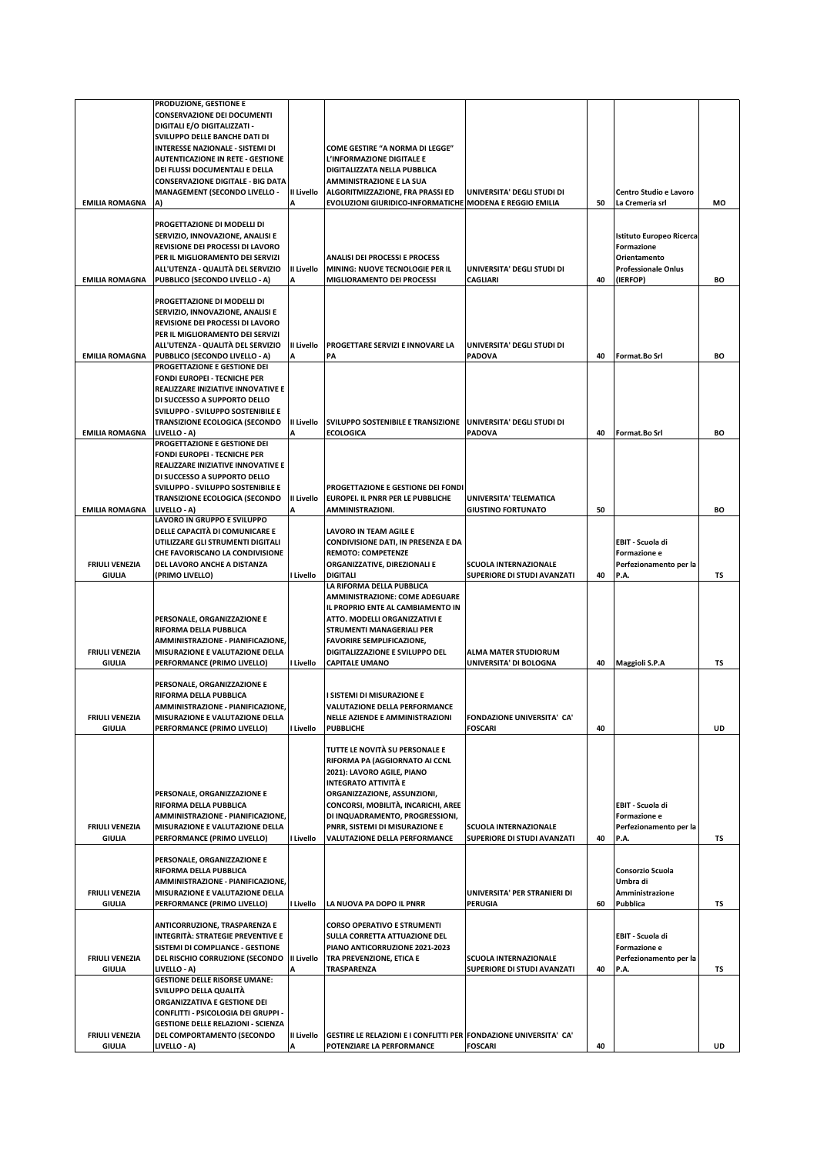|                                                  | PRODUZIONE, GESTIONE E<br><b>CONSERVAZIONE DEI DOCUMENTI</b><br>DIGITALI E/O DIGITALIZZATI -<br>SVILUPPO DELLE BANCHE DATI DI<br>INTERESSE NAZIONALE - SISTEMI DI<br><b>AUTENTICAZIONE IN RETE - GESTIONE</b><br>DEI FLUSSI DOCUMENTALI E DELLA<br><b>CONSERVAZIONE DIGITALE - BIG DATA</b><br><b>MANAGEMENT (SECONDO LIVELLO -</b> | II Livello      | <b>COME GESTIRE "A NORMA DI LEGGE"</b><br>L'INFORMAZIONE DIGITALE E<br>DIGITALIZZATA NELLA PUBBLICA<br><b>AMMINISTRAZIONE E LA SUA</b><br>ALGORITMIZZAZIONE, FRA PRASSI ED                                                                                                                                | UNIVERSITA' DEGLI STUDI DI                                                           |    | Centro Studio e Lavoro                                                                                         |    |
|--------------------------------------------------|-------------------------------------------------------------------------------------------------------------------------------------------------------------------------------------------------------------------------------------------------------------------------------------------------------------------------------------|-----------------|-----------------------------------------------------------------------------------------------------------------------------------------------------------------------------------------------------------------------------------------------------------------------------------------------------------|--------------------------------------------------------------------------------------|----|----------------------------------------------------------------------------------------------------------------|----|
| <b>EMILIA ROMAGNA</b>                            | A)                                                                                                                                                                                                                                                                                                                                  |                 | EVOLUZIONI GIURIDICO-INFORMATICHE MODENA E REGGIO EMILIA                                                                                                                                                                                                                                                  |                                                                                      | 50 | La Cremeria srl                                                                                                | МO |
| <b>EMILIA ROMAGNA</b>                            | PROGETTAZIONE DI MODELLI DI<br>SERVIZIO, INNOVAZIONE, ANALISI E<br>REVISIONE DEI PROCESSI DI LAVORO<br>PER IL MIGLIORAMENTO DEI SERVIZI<br>ALL'UTENZA - QUALITÀ DEL SERVIZIO<br>PUBBLICO (SECONDO LIVELLO - A)                                                                                                                      | II Livello<br>A | <b>ANALISI DEI PROCESSI E PROCESS</b><br>MINING: NUOVE TECNOLOGIE PER IL<br>MIGLIORAMENTO DEI PROCESSI                                                                                                                                                                                                    | UNIVERSITA' DEGLI STUDI DI<br><b>CAGLIARI</b>                                        | 40 | <b>Istituto Europeo Ricerca</b><br><b>Formazione</b><br>Orientamento<br><b>Professionale Onlus</b><br>(IERFOP) | BO |
| <b>EMILIA ROMAGNA</b>                            | PROGETTAZIONE DI MODELLI DI<br>SERVIZIO, INNOVAZIONE, ANALISI E<br>REVISIONE DEI PROCESSI DI LAVORO<br>PER IL MIGLIORAMENTO DEI SERVIZI<br>ALL'UTENZA - QUALITÀ DEL SERVIZIO<br>PUBBLICO (SECONDO LIVELLO - A)                                                                                                                      | II Livello<br>А | PROGETTARE SERVIZI E INNOVARE LA<br>PA                                                                                                                                                                                                                                                                    | UNIVERSITA' DEGLI STUDI DI<br><b>PADOVA</b>                                          | 40 | Format.Bo Srl                                                                                                  | BO |
| <b>EMILIA ROMAGNA</b>                            | PROGETTAZIONE E GESTIONE DEI<br><b>FONDI EUROPEI - TECNICHE PER</b><br>REALIZZARE INIZIATIVE INNOVATIVE E<br>DI SUCCESSO A SUPPORTO DELLO<br>SVILUPPO - SVILUPPO SOSTENIBILE E<br><b>TRANSIZIONE ECOLOGICA (SECONDO</b><br>LIVELLO - A)<br>PROGETTAZIONE E GESTIONE DEI                                                             | II Livello      | SVILUPPO SOSTENIBILE E TRANSIZIONE UNIVERSITA' DEGLI STUDI DI<br><b>ECOLOGICA</b>                                                                                                                                                                                                                         | <b>PADOVA</b>                                                                        | 40 | Format.Bo Srl                                                                                                  | BO |
| <b>EMILIA ROMAGNA</b>                            | <b>FONDI EUROPEI - TECNICHE PER</b><br>REALIZZARE INIZIATIVE INNOVATIVE E<br>DI SUCCESSO A SUPPORTO DELLO<br>SVILUPPO - SVILUPPO SOSTENIBILE E<br><b>TRANSIZIONE ECOLOGICA (SECONDO</b><br>LIVELLO - A)                                                                                                                             | II Livello      | PROGETTAZIONE E GESTIONE DEI FONDI<br>EUROPEI. IL PNRR PER LE PUBBLICHE<br>AMMINISTRAZIONI.                                                                                                                                                                                                               | UNIVERSITA' TELEMATICA<br><b>GIUSTINO FORTUNATO</b>                                  | 50 |                                                                                                                | BO |
| <b>FRIULI VENEZIA</b>                            | LAVORO IN GRUPPO E SVILUPPO<br>DELLE CAPACITÀ DI COMUNICARE E<br>UTILIZZARE GLI STRUMENTI DIGITALI<br>CHE FAVORISCANO LA CONDIVISIONE<br>DEL LAVORO ANCHE A DISTANZA                                                                                                                                                                | I Livello       | LAVORO IN TEAM AGILE E<br>CONDIVISIONE DATI, IN PRESENZA E DA<br><b>REMOTO: COMPETENZE</b><br>ORGANIZZATIVE, DIREZIONALI E<br><b>DIGITALI</b>                                                                                                                                                             | <b>SCUOLA INTERNAZIONALE</b>                                                         | 40 | EBIT - Scuola di<br>Formazione e<br>Perfezionamento per la<br>P.A.                                             | TS |
| GIULIA<br><b>FRIULI VENEZIA</b><br><b>GIULIA</b> | (PRIMO LIVELLO)<br>PERSONALE, ORGANIZZAZIONE E<br>RIFORMA DELLA PUBBLICA<br>AMMINISTRAZIONE - PIANIFICAZIONE,<br>MISURAZIONE E VALUTAZIONE DELLA<br>PERFORMANCE (PRIMO LIVELLO)                                                                                                                                                     | I Livello       | LA RIFORMA DELLA PUBBLICA<br>AMMINISTRAZIONE: COME ADEGUARE<br>IL PROPRIO ENTE AL CAMBIAMENTO IN<br>ATTO. MODELLI ORGANIZZATIVI E<br>STRUMENTI MANAGERIALI PER<br><b>FAVORIRE SEMPLIFICAZIONE,</b><br>DIGITALIZZAZIONE E SVILUPPO DEL<br><b>CAPITALE UMANO</b>                                            | SUPERIORE DI STUDI AVANZATI<br><b>ALMA MATER STUDIORUM</b><br>UNIVERSITA' DI BOLOGNA | 40 | Maggioli S.P.A                                                                                                 | TS |
| <b>FRIULI VENEZIA</b><br><b>GIULIA</b>           | PERSONALE, ORGANIZZAZIONE E<br>RIFORMA DELLA PUBBLICA<br>AMMINISTRAZIONE - PIANIFICAZIONE,<br>MISURAZIONE E VALUTAZIONE DELLA<br>PERFORMANCE (PRIMO LIVELLO)                                                                                                                                                                        | I Livello       | I SISTEMI DI MISURAZIONE E<br>VALUTAZIONE DELLA PERFORMANCE<br>NELLE AZIENDE E AMMINISTRAZIONI<br><b>PUBBLICHE</b>                                                                                                                                                                                        | <b>FONDAZIONE UNIVERSITA' CA'</b><br><b>FOSCARI</b>                                  | 40 |                                                                                                                | UD |
| <b>FRIULI VENEZIA</b><br><b>GIULIA</b>           | PERSONALE, ORGANIZZAZIONE E<br>RIFORMA DELLA PUBBLICA<br>AMMINISTRAZIONE - PIANIFICAZIONE.<br>MISURAZIONE E VALUTAZIONE DELLA<br>PERFORMANCE (PRIMO LIVELLO)                                                                                                                                                                        | I Livello       | TUTTE LE NOVITÀ SU PERSONALE E<br>RIFORMA PA (AGGIORNATO AI CCNL<br>2021): LAVORO AGILE, PIANO<br><b>INTEGRATO ATTIVITÀ E</b><br>ORGANIZZAZIONE, ASSUNZIONI,<br>CONCORSI, MOBILITÀ, INCARICHI, AREE<br>DI INQUADRAMENTO, PROGRESSIONI,<br>PNRR, SISTEMI DI MISURAZIONE E<br>VALUTAZIONE DELLA PERFORMANCE | <b>SCUOLA INTERNAZIONALE</b><br>SUPERIORE DI STUDI AVANZATI                          | 40 | EBIT - Scuola di<br>Formazione e<br>Perfezionamento per la<br>P.A.                                             | TS |
| <b>FRIULI VENEZIA</b>                            | PERSONALE, ORGANIZZAZIONE E<br>RIFORMA DELLA PUBBLICA<br>AMMINISTRAZIONE - PIANIFICAZIONE,<br>MISURAZIONE E VALUTAZIONE DELLA                                                                                                                                                                                                       |                 |                                                                                                                                                                                                                                                                                                           | UNIVERSITA' PER STRANIERI DI                                                         |    | Consorzio Scuola<br>Umbra di<br>Amministrazione                                                                |    |
| <b>GIULIA</b>                                    | PERFORMANCE (PRIMO LIVELLO)                                                                                                                                                                                                                                                                                                         | I Livello       | LA NUOVA PA DOPO IL PNRR                                                                                                                                                                                                                                                                                  | PERUGIA                                                                              | 60 | Pubblica                                                                                                       | TS |
| <b>FRIULI VENEZIA</b><br><b>GIULIA</b>           | ANTICORRUZIONE, TRASPARENZA E<br>INTEGRITÀ: STRATEGIE PREVENTIVE E<br>SISTEMI DI COMPLIANCE - GESTIONE<br>DEL RISCHIO CORRUZIONE (SECONDO   II Livello<br>LIVELLO - A)<br><b>GESTIONE DELLE RISORSE UMANE:</b>                                                                                                                      |                 | <b>CORSO OPERATIVO E STRUMENTI</b><br>SULLA CORRETTA ATTUAZIONE DEL<br>PIANO ANTICORRUZIONE 2021-2023<br>TRA PREVENZIONE, ETICA E<br>TRASPARENZA                                                                                                                                                          | <b>SCUOLA INTERNAZIONALE</b><br>SUPERIORE DI STUDI AVANZATI                          | 40 | EBIT - Scuola di<br>Formazione e<br>Perfezionamento per la<br>P.A.                                             | TS |
| <b>FRIULI VENEZIA</b><br><b>GIULIA</b>           | SVILUPPO DELLA QUALITÀ<br>ORGANIZZATIVA E GESTIONE DEI<br>CONFLITTI - PSICOLOGIA DEI GRUPPI -<br><b>GESTIONE DELLE RELAZIONI - SCIENZA</b><br>DEL COMPORTAMENTO (SECONDO<br>LIVELLO - A)                                                                                                                                            | II Livello<br>A | GESTIRE LE RELAZIONI E I CONFLITTI PER FONDAZIONE UNIVERSITA' CA'<br>POTENZIARE LA PERFORMANCE                                                                                                                                                                                                            | <b>FOSCARI</b>                                                                       | 40 |                                                                                                                | UD |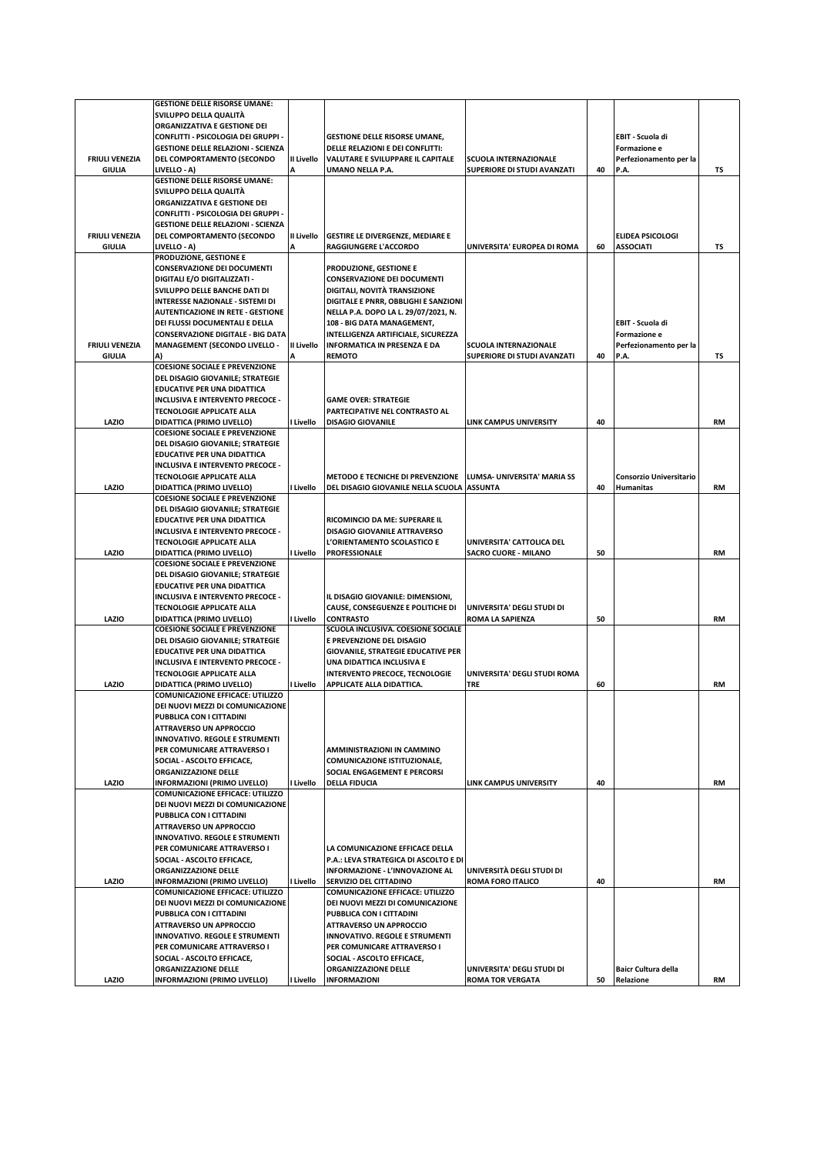|                       | <b>GESTIONE DELLE RISORSE UMANE:</b>                                           |            |                                                                       |                                                             |    |                                         |           |
|-----------------------|--------------------------------------------------------------------------------|------------|-----------------------------------------------------------------------|-------------------------------------------------------------|----|-----------------------------------------|-----------|
|                       | SVILUPPO DELLA QUALITÀ                                                         |            |                                                                       |                                                             |    |                                         |           |
|                       | ORGANIZZATIVA E GESTIONE DEI                                                   |            |                                                                       |                                                             |    |                                         |           |
|                       | CONFLITTI - PSICOLOGIA DEI GRUPPI -                                            |            | <b>GESTIONE DELLE RISORSE UMANE,</b>                                  |                                                             |    | EBIT - Scuola di                        |           |
| <b>FRIULI VENEZIA</b> | <b>GESTIONE DELLE RELAZIONI - SCIENZA</b>                                      | II Livello | DELLE RELAZIONI E DEI CONFLITTI:<br>VALUTARE E SVILUPPARE IL CAPITALE | <b>SCUOLA INTERNAZIONALE</b>                                |    | Formazione e                            |           |
| <b>GIULIA</b>         | DEL COMPORTAMENTO (SECONDO<br>LIVELLO - A)                                     |            | UMANO NELLA P.A.                                                      | SUPERIORE DI STUDI AVANZATI                                 | 40 | Perfezionamento per la<br>P.A.          | TS        |
|                       | <b>GESTIONE DELLE RISORSE UMANE:</b>                                           |            |                                                                       |                                                             |    |                                         |           |
|                       | SVILUPPO DELLA QUALITÀ                                                         |            |                                                                       |                                                             |    |                                         |           |
|                       | ORGANIZZATIVA E GESTIONE DEI                                                   |            |                                                                       |                                                             |    |                                         |           |
|                       | CONFLITTI - PSICOLOGIA DEI GRUPPI -                                            |            |                                                                       |                                                             |    |                                         |           |
|                       | <b>GESTIONE DELLE RELAZIONI - SCIENZA</b>                                      |            |                                                                       |                                                             |    |                                         |           |
| <b>FRIULI VENEZIA</b> | DEL COMPORTAMENTO (SECONDO                                                     | II Livello | GESTIRE LE DIVERGENZE, MEDIARE E                                      |                                                             |    | ELIDEA PSICOLOGI                        |           |
| <b>GIULIA</b>         | LIVELLO - A)                                                                   | А          | <b>RAGGIUNGERE L'ACCORDO</b>                                          | UNIVERSITA' EUROPEA DI ROMA                                 | 60 | <b>ASSOCIATI</b>                        | TS        |
|                       | PRODUZIONE, GESTIONE E                                                         |            |                                                                       |                                                             |    |                                         |           |
|                       | <b>CONSERVAZIONE DEI DOCUMENTI</b>                                             |            | PRODUZIONE, GESTIONE E                                                |                                                             |    |                                         |           |
|                       | DIGITALI E/O DIGITALIZZATI -                                                   |            | <b>CONSERVAZIONE DEI DOCUMENTI</b>                                    |                                                             |    |                                         |           |
|                       | SVILUPPO DELLE BANCHE DATI DI                                                  |            | DIGITALI, NOVITÀ TRANSIZIONE                                          |                                                             |    |                                         |           |
|                       | <b>INTERESSE NAZIONALE - SISTEMI DI</b>                                        |            | DIGITALE E PNRR, OBBLIGHI E SANZIONI                                  |                                                             |    |                                         |           |
|                       | <b>AUTENTICAZIONE IN RETE - GESTIONE</b>                                       |            | NELLA P.A. DOPO LA L. 29/07/2021, N.                                  |                                                             |    |                                         |           |
|                       | DEI FLUSSI DOCUMENTALI E DELLA                                                 |            | 108 - BIG DATA MANAGEMENT,                                            |                                                             |    | EBIT - Scuola di                        |           |
|                       | <b>CONSERVAZIONE DIGITALE - BIG DATA</b>                                       |            | INTELLIGENZA ARTIFICIALE, SICUREZZA                                   |                                                             |    | Formazione e                            |           |
| <b>FRIULI VENEZIA</b> | <b>MANAGEMENT (SECONDO LIVELLO -</b>                                           | II Livello | <b>INFORMATICA IN PRESENZA E DA</b>                                   | <b>SCUOLA INTERNAZIONALE</b><br>SUPERIORE DI STUDI AVANZATI | 40 | Perfezionamento per la                  |           |
| <b>GIULIA</b>         | A)<br><b>COESIONE SOCIALE E PREVENZIONE</b>                                    |            | <b>REMOTO</b>                                                         |                                                             |    | P.A.                                    | ΤS        |
|                       | <b>DEL DISAGIO GIOVANILE; STRATEGIE</b>                                        |            |                                                                       |                                                             |    |                                         |           |
|                       | <b>EDUCATIVE PER UNA DIDATTICA</b>                                             |            |                                                                       |                                                             |    |                                         |           |
|                       | INCLUSIVA E INTERVENTO PRECOCE -                                               |            | <b>GAME OVER: STRATEGIE</b>                                           |                                                             |    |                                         |           |
|                       | TECNOLOGIE APPLICATE ALLA                                                      |            | PARTECIPATIVE NEL CONTRASTO AL                                        |                                                             |    |                                         |           |
| LAZIO                 | DIDATTICA (PRIMO LIVELLO)                                                      | Livello    | <b>DISAGIO GIOVANILE</b>                                              | <b>LINK CAMPUS UNIVERSITY</b>                               | 40 |                                         | <b>RM</b> |
|                       | <b>COESIONE SOCIALE E PREVENZIONE</b>                                          |            |                                                                       |                                                             |    |                                         |           |
|                       | <b>DEL DISAGIO GIOVANILE; STRATEGIE</b>                                        |            |                                                                       |                                                             |    |                                         |           |
|                       | EDUCATIVE PER UNA DIDATTICA                                                    |            |                                                                       |                                                             |    |                                         |           |
|                       | INCLUSIVA E INTERVENTO PRECOCE -                                               |            |                                                                       |                                                             |    |                                         |           |
|                       | TECNOLOGIE APPLICATE ALLA                                                      |            | METODO E TECNICHE DI PREVENZIONE                                      | <b>LUMSA- UNIVERSITA' MARIA SS</b>                          |    | Consorzio Universitario                 |           |
| LAZIO                 | DIDATTICA (PRIMO LIVELLO)                                                      | Livello    | DEL DISAGIO GIOVANILE NELLA SCUOLA                                    | <b>ASSUNTA</b>                                              | 40 | <b>Humanitas</b>                        | RM        |
|                       | <b>COESIONE SOCIALE E PREVENZIONE</b>                                          |            |                                                                       |                                                             |    |                                         |           |
|                       | DEL DISAGIO GIOVANILE; STRATEGIE                                               |            |                                                                       |                                                             |    |                                         |           |
|                       | <b>EDUCATIVE PER UNA DIDATTICA</b>                                             |            | RICOMINCIO DA ME: SUPERARE IL                                         |                                                             |    |                                         |           |
|                       | INCLUSIVA E INTERVENTO PRECOCE -                                               |            | <b>DISAGIO GIOVANILE ATTRAVERSO</b>                                   |                                                             |    |                                         |           |
|                       | TECNOLOGIE APPLICATE ALLA                                                      |            | L'ORIENTAMENTO SCOLASTICO E                                           | UNIVERSITA' CATTOLICA DEL                                   |    |                                         |           |
| LAZIO                 | DIDATTICA (PRIMO LIVELLO)                                                      | I Livello  | <b>PROFESSIONALE</b>                                                  | <b>SACRO CUORE - MILANO</b>                                 | 50 |                                         | <b>RM</b> |
|                       | <b>COESIONE SOCIALE E PREVENZIONE</b>                                          |            |                                                                       |                                                             |    |                                         |           |
|                       | DEL DISAGIO GIOVANILE; STRATEGIE                                               |            |                                                                       |                                                             |    |                                         |           |
|                       | <b>EDUCATIVE PER UNA DIDATTICA</b><br>INCLUSIVA E INTERVENTO PRECOCE -         |            | IL DISAGIO GIOVANILE: DIMENSIONI,                                     |                                                             |    |                                         |           |
|                       | TECNOLOGIE APPLICATE ALLA                                                      |            | CAUSE, CONSEGUENZE E POLITICHE DI                                     | UNIVERSITA' DEGLI STUDI DI                                  |    |                                         |           |
| LAZIO                 | DIDATTICA (PRIMO LIVELLO)                                                      | I Livello  | <b>CONTRASTO</b>                                                      | <b>ROMA LA SAPIENZA</b>                                     | 50 |                                         | <b>RM</b> |
|                       | <b>COESIONE SOCIALE E PREVENZIONE</b>                                          |            | SCUOLA INCLUSIVA. COESIONE SOCIALE                                    |                                                             |    |                                         |           |
|                       | DEL DISAGIO GIOVANILE; STRATEGIE                                               |            | E PREVENZIONE DEL DISAGIO                                             |                                                             |    |                                         |           |
|                       | <b>EDUCATIVE PER UNA DIDATTICA</b>                                             |            | <b>GIOVANILE, STRATEGIE EDUCATIVE PER</b>                             |                                                             |    |                                         |           |
|                       | INCLUSIVA E INTERVENTO PRECOCE -                                               |            | UNA DIDATTICA INCLUSIVA E                                             |                                                             |    |                                         |           |
|                       | TECNOLOGIE APPLICATE ALLA                                                      |            | <b>INTERVENTO PRECOCE, TECNOLOGIE</b>                                 | UNIVERSITA' DEGLI STUDI ROMA                                |    |                                         |           |
| LAZIO                 | DIDATTICA (PRIMO LIVELLO)                                                      | l Livello  | APPLICATE ALLA DIDATTICA.                                             | <b>TRE</b>                                                  | 60 |                                         | <b>RM</b> |
|                       | <b>COMUNICAZIONE EFFICACE: UTILIZZO</b>                                        |            |                                                                       |                                                             |    |                                         |           |
|                       | DEI NUOVI MEZZI DI COMUNICAZIONE                                               |            |                                                                       |                                                             |    |                                         |           |
|                       | PUBBLICA CON I CITTADINI                                                       |            |                                                                       |                                                             |    |                                         |           |
|                       | <b>ATTRAVERSO UN APPROCCIO</b>                                                 |            |                                                                       |                                                             |    |                                         |           |
|                       | <b>INNOVATIVO. REGOLE E STRUMENTI</b>                                          |            |                                                                       |                                                             |    |                                         |           |
|                       | PER COMUNICARE ATTRAVERSO I                                                    |            | AMMINISTRAZIONI IN CAMMINO                                            |                                                             |    |                                         |           |
|                       | SOCIAL - ASCOLTO EFFICACE,                                                     |            | COMUNICAZIONE ISTITUZIONALE,                                          |                                                             |    |                                         |           |
|                       | ORGANIZZAZIONE DELLE                                                           |            | SOCIAL ENGAGEMENT E PERCORSI                                          |                                                             |    |                                         |           |
| LAZIO                 | <b>INFORMAZIONI (PRIMO LIVELLO)</b><br><b>COMUNICAZIONE EFFICACE: UTILIZZO</b> | I Livello  | <b>DELLA FIDUCIA</b>                                                  | <b>LINK CAMPUS UNIVERSITY</b>                               | 40 |                                         | RM        |
|                       | DEI NUOVI MEZZI DI COMUNICAZIONE                                               |            |                                                                       |                                                             |    |                                         |           |
|                       | PUBBLICA CON I CITTADINI                                                       |            |                                                                       |                                                             |    |                                         |           |
|                       | <b>ATTRAVERSO UN APPROCCIO</b>                                                 |            |                                                                       |                                                             |    |                                         |           |
|                       | <b>INNOVATIVO. REGOLE E STRUMENTI</b>                                          |            |                                                                       |                                                             |    |                                         |           |
|                       | PER COMUNICARE ATTRAVERSO I                                                    |            | LA COMUNICAZIONE EFFICACE DELLA                                       |                                                             |    |                                         |           |
|                       | SOCIAL - ASCOLTO EFFICACE,                                                     |            | P.A.: LEVA STRATEGICA DI ASCOLTO E DI                                 |                                                             |    |                                         |           |
|                       | ORGANIZZAZIONE DELLE                                                           |            | INFORMAZIONE - L'INNOVAZIONE AL                                       | UNIVERSITÀ DEGLI STUDI DI                                   |    |                                         |           |
| LAZIO                 |                                                                                | l Livello  | SERVIZIO DEL CITTADINO                                                | <b>ROMA FORO ITALICO</b>                                    | 40 |                                         | RM        |
|                       | <b>INFORMAZIONI (PRIMO LIVELLO)</b>                                            |            |                                                                       |                                                             |    |                                         |           |
|                       | <b>COMUNICAZIONE EFFICACE: UTILIZZO</b>                                        |            | <b>COMUNICAZIONE EFFICACE: UTILIZZO</b>                               |                                                             |    |                                         |           |
|                       | DEI NUOVI MEZZI DI COMUNICAZIONE                                               |            | DEI NUOVI MEZZI DI COMUNICAZIONE                                      |                                                             |    |                                         |           |
|                       | PUBBLICA CON I CITTADINI                                                       |            | PUBBLICA CON I CITTADINI                                              |                                                             |    |                                         |           |
|                       | <b>ATTRAVERSO UN APPROCCIO</b>                                                 |            | <b>ATTRAVERSO UN APPROCCIO</b>                                        |                                                             |    |                                         |           |
|                       | <b>INNOVATIVO. REGOLE E STRUMENTI</b>                                          |            | <b>INNOVATIVO. REGOLE E STRUMENTI</b>                                 |                                                             |    |                                         |           |
|                       | PER COMUNICARE ATTRAVERSO I                                                    |            | PER COMUNICARE ATTRAVERSO I                                           |                                                             |    |                                         |           |
|                       | SOCIAL - ASCOLTO EFFICACE,                                                     |            | SOCIAL - ASCOLTO EFFICACE,                                            |                                                             |    |                                         |           |
| LAZIO                 | <b>ORGANIZZAZIONE DELLE</b><br><b>INFORMAZIONI (PRIMO LIVELLO)</b>             | l Livello  | ORGANIZZAZIONE DELLE<br><b>INFORMAZIONI</b>                           | UNIVERSITA' DEGLI STUDI DI<br><b>ROMA TOR VERGATA</b>       | 50 | <b>Baicr Cultura della</b><br>Relazione | RM        |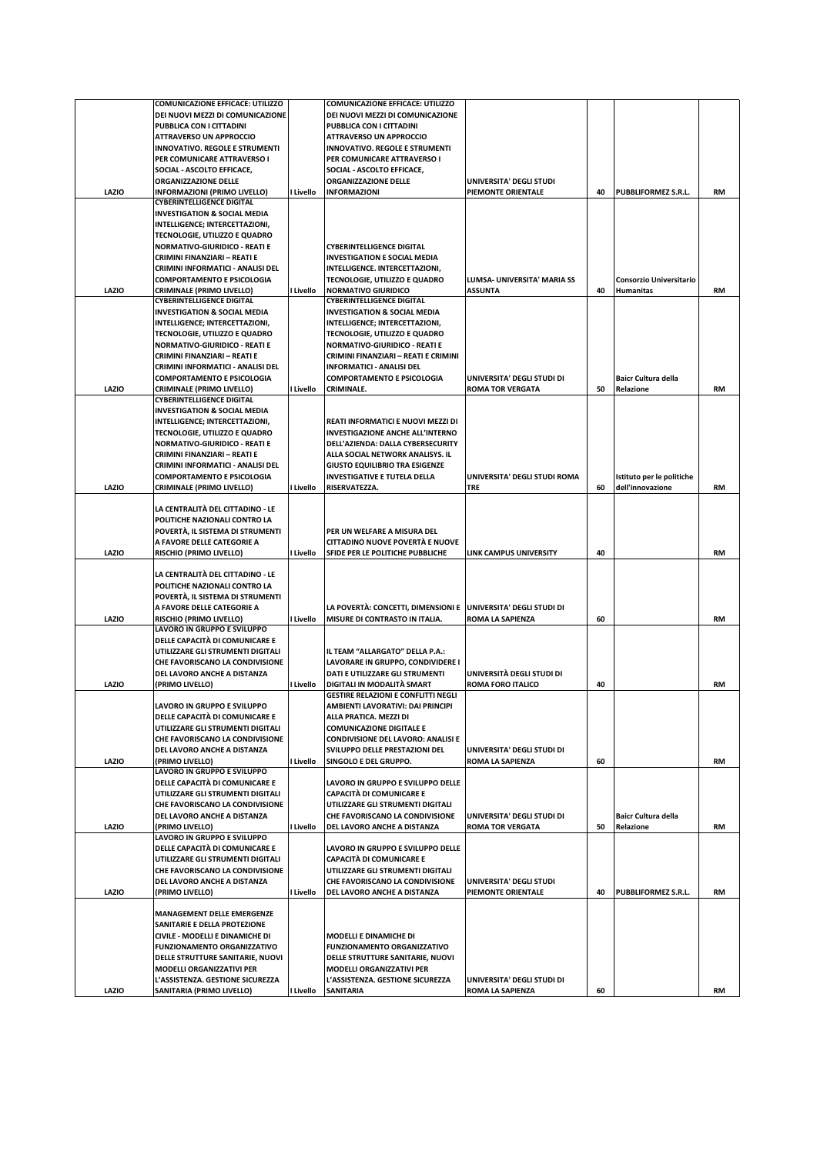|       | <b>COMUNICAZIONE EFFICACE: UTILIZZO</b>                              |           | <b>COMUNICAZIONE EFFICACE: UTILIZZO</b>                       |                               |    |                                |           |
|-------|----------------------------------------------------------------------|-----------|---------------------------------------------------------------|-------------------------------|----|--------------------------------|-----------|
|       | DEI NUOVI MEZZI DI COMUNICAZIONE                                     |           | DEI NUOVI MEZZI DI COMUNICAZIONE                              |                               |    |                                |           |
|       | PUBBLICA CON I CITTADINI                                             |           | PUBBLICA CON I CITTADINI                                      |                               |    |                                |           |
|       | <b>ATTRAVERSO UN APPROCCIO</b>                                       |           | <b>ATTRAVERSO UN APPROCCIO</b>                                |                               |    |                                |           |
|       | <b>INNOVATIVO. REGOLE E STRUMENTI</b>                                |           | <b>INNOVATIVO. REGOLE E STRUMENTI</b>                         |                               |    |                                |           |
|       | PER COMUNICARE ATTRAVERSO I                                          |           | PER COMUNICARE ATTRAVERSO I                                   |                               |    |                                |           |
|       | SOCIAL - ASCOLTO EFFICACE,                                           |           | SOCIAL - ASCOLTO EFFICACE,                                    |                               |    |                                |           |
|       | ORGANIZZAZIONE DELLE                                                 |           | ORGANIZZAZIONE DELLE                                          | UNIVERSITA' DEGLI STUDI       |    |                                |           |
| LAZIO | <b>INFORMAZIONI (PRIMO LIVELLO)</b>                                  | I Livello | <b>INFORMAZIONI</b>                                           | PIEMONTE ORIENTALE            | 40 | PUBBLIFORMEZ S.R.L.            | RM        |
|       | <b>CYBERINTELLIGENCE DIGITAL</b>                                     |           |                                                               |                               |    |                                |           |
|       | <b>INVESTIGATION &amp; SOCIAL MEDIA</b>                              |           |                                                               |                               |    |                                |           |
|       | INTELLIGENCE; INTERCETTAZIONI,                                       |           |                                                               |                               |    |                                |           |
|       | TECNOLOGIE, UTILIZZO E QUADRO                                        |           |                                                               |                               |    |                                |           |
|       | <b>NORMATIVO-GIURIDICO - REATI E</b>                                 |           | <b>CYBERINTELLIGENCE DIGITAL</b>                              |                               |    |                                |           |
|       | CRIMINI FINANZIARI - REATI E                                         |           | <b>INVESTIGATION E SOCIAL MEDIA</b>                           |                               |    |                                |           |
|       | CRIMINI INFORMATICI - ANALISI DEL                                    |           | INTELLIGENCE. INTERCETTAZIONI,                                |                               |    |                                |           |
|       | <b>COMPORTAMENTO E PSICOLOGIA</b>                                    |           | TECNOLOGIE, UTILIZZO E QUADRO                                 | LUMSA- UNIVERSITA' MARIA SS   |    | <b>Consorzio Universitario</b> |           |
| LAZIO | <b>CRIMINALE (PRIMO LIVELLO)</b>                                     | I Livello | <b>NORMATIVO GIURIDICO</b>                                    | <b>ASSUNTA</b>                | 40 | <b>Humanitas</b>               | RM        |
|       | <b>CYBERINTELLIGENCE DIGITAL</b>                                     |           | <b>CYBERINTELLIGENCE DIGITAL</b>                              |                               |    |                                |           |
|       | <b>INVESTIGATION &amp; SOCIAL MEDIA</b>                              |           | <b>INVESTIGATION &amp; SOCIAL MEDIA</b>                       |                               |    |                                |           |
|       | INTELLIGENCE; INTERCETTAZIONI,                                       |           | INTELLIGENCE; INTERCETTAZIONI,                                |                               |    |                                |           |
|       | TECNOLOGIE, UTILIZZO E QUADRO                                        |           | TECNOLOGIE, UTILIZZO E QUADRO                                 |                               |    |                                |           |
|       | <b>NORMATIVO-GIURIDICO - REATI E</b>                                 |           | <b>NORMATIVO-GIURIDICO - REATI E</b>                          |                               |    |                                |           |
|       | CRIMINI FINANZIARI - REATI E                                         |           | CRIMINI FINANZIARI - REATI E CRIMINI                          |                               |    |                                |           |
|       | CRIMINI INFORMATICI - ANALISI DEL                                    |           | <b>INFORMATICI - ANALISI DEL</b>                              |                               |    |                                |           |
|       | <b>COMPORTAMENTO E PSICOLOGIA</b>                                    |           | <b>COMPORTAMENTO E PSICOLOGIA</b>                             | UNIVERSITA' DEGLI STUDI DI    |    | <b>Baicr Cultura della</b>     |           |
| LAZIO | <b>CRIMINALE (PRIMO LIVELLO)</b><br><b>CYBERINTELLIGENCE DIGITAL</b> | I Livello | <b>CRIMINALE.</b>                                             | <b>ROMA TOR VERGATA</b>       | 50 | Relazione                      | RM        |
|       | <b>INVESTIGATION &amp; SOCIAL MEDIA</b>                              |           |                                                               |                               |    |                                |           |
|       | INTELLIGENCE; INTERCETTAZIONI,                                       |           | REATI INFORMATICI E NUOVI MEZZI DI                            |                               |    |                                |           |
|       | TECNOLOGIE, UTILIZZO E QUADRO                                        |           | <b>INVESTIGAZIONE ANCHE ALL'INTERNO</b>                       |                               |    |                                |           |
|       | <b>NORMATIVO-GIURIDICO - REATI E</b>                                 |           | DELL'AZIENDA: DALLA CYBERSECURITY                             |                               |    |                                |           |
|       | CRIMINI FINANZIARI - REATI E                                         |           | ALLA SOCIAL NETWORK ANALISYS. IL                              |                               |    |                                |           |
|       | CRIMINI INFORMATICI - ANALISI DEL                                    |           | <b>GIUSTO EQUILIBRIO TRA ESIGENZE</b>                         |                               |    |                                |           |
|       | <b>COMPORTAMENTO E PSICOLOGIA</b>                                    |           | <b>INVESTIGATIVE E TUTELA DELLA</b>                           | UNIVERSITA' DEGLI STUDI ROMA  |    | Istituto per le politiche      |           |
| LAZIO | <b>CRIMINALE (PRIMO LIVELLO)</b>                                     | I Livello | RISERVATEZZA.                                                 | TRE                           | 60 | dell'innovazione               | RM        |
|       |                                                                      |           |                                                               |                               |    |                                |           |
|       | LA CENTRALITÀ DEL CITTADINO - LE                                     |           |                                                               |                               |    |                                |           |
|       | POLITICHE NAZIONALI CONTRO LA                                        |           |                                                               |                               |    |                                |           |
|       | POVERTÀ, IL SISTEMA DI STRUMENTI                                     |           | PER UN WELFARE A MISURA DEL                                   |                               |    |                                |           |
|       | A FAVORE DELLE CATEGORIE A                                           |           | CITTADINO NUOVE POVERTÀ E NUOVE                               |                               |    |                                |           |
| LAZIO | <b>RISCHIO (PRIMO LIVELLO)</b>                                       | I Livello | SFIDE PER LE POLITICHE PUBBLICHE                              | <b>LINK CAMPUS UNIVERSITY</b> | 40 |                                | <b>RM</b> |
|       |                                                                      |           |                                                               |                               |    |                                |           |
|       | LA CENTRALITÀ DEL CITTADINO - LE                                     |           |                                                               |                               |    |                                |           |
|       | POLITICHE NAZIONALI CONTRO LA                                        |           |                                                               |                               |    |                                |           |
|       | POVERTÀ, IL SISTEMA DI STRUMENTI                                     |           |                                                               |                               |    |                                |           |
|       | A FAVORE DELLE CATEGORIE A                                           |           | LA POVERTÀ: CONCETTI, DIMENSIONI E UNIVERSITA' DEGLI STUDI DI |                               |    |                                |           |
|       |                                                                      |           |                                                               |                               |    |                                |           |
| LAZIO | <b>RISCHIO (PRIMO LIVELLO)</b>                                       | I Livello | MISURE DI CONTRASTO IN ITALIA.                                | ROMA LA SAPIENZA              | 60 |                                | <b>RM</b> |
|       | LAVORO IN GRUPPO E SVILUPPO                                          |           |                                                               |                               |    |                                |           |
|       | DELLE CAPACITÀ DI COMUNICARE E                                       |           |                                                               |                               |    |                                |           |
|       | UTILIZZARE GLI STRUMENTI DIGITALI                                    |           | IL TEAM "ALLARGATO" DELLA P.A.:                               |                               |    |                                |           |
|       | CHE FAVORISCANO LA CONDIVISIONE                                      |           | LAVORARE IN GRUPPO, CONDIVIDERE I                             |                               |    |                                |           |
|       | DEL LAVORO ANCHE A DISTANZA                                          |           | DATI E UTILIZZARE GLI STRUMENTI                               | UNIVERSITÀ DEGLI STUDI DI     |    |                                |           |
| LAZIO | (PRIMO LIVELLO)                                                      | I Livello | DIGITALI IN MODALITÀ SMART                                    | <b>ROMA FORO ITALICO</b>      | 40 |                                | <b>RM</b> |
|       |                                                                      |           | <b>GESTIRE RELAZIONI E CONFLITTI NEGLI</b>                    |                               |    |                                |           |
|       | LAVORO IN GRUPPO E SVILUPPO                                          |           | AMBIENTI LAVORATIVI: DAI PRINCIPI                             |                               |    |                                |           |
|       | DELLE CAPACITÀ DI COMUNICARE E                                       |           | ALLA PRATICA. MEZZI DI                                        |                               |    |                                |           |
|       | UTILIZZARE GLI STRUMENTI DIGITALI                                    |           | <b>COMUNICAZIONE DIGITALE E</b>                               |                               |    |                                |           |
|       | CHE FAVORISCANO LA CONDIVISIONE                                      |           | <b>CONDIVISIONE DEL LAVORO: ANALISI E</b>                     |                               |    |                                |           |
|       | DEL LAVORO ANCHE A DISTANZA                                          |           | SVILUPPO DELLE PRESTAZIONI DEL                                | UNIVERSITA' DEGLI STUDI DI    |    |                                |           |
| LAZIO | (PRIMO LIVELLO)                                                      | I Livello | SINGOLO E DEL GRUPPO.                                         | <b>ROMA LA SAPIENZA</b>       | 60 |                                | <b>RM</b> |
|       | LAVORO IN GRUPPO E SVILUPPO                                          |           |                                                               |                               |    |                                |           |
|       | DELLE CAPACITÀ DI COMUNICARE E                                       |           | LAVORO IN GRUPPO E SVILUPPO DELLE                             |                               |    |                                |           |
|       | UTILIZZARE GLI STRUMENTI DIGITALI                                    |           | <b>CAPACITÀ DI COMUNICARE E</b>                               |                               |    |                                |           |
|       | CHE FAVORISCANO LA CONDIVISIONE                                      |           | UTILIZZARE GLI STRUMENTI DIGITALI                             |                               |    |                                |           |
|       | DEL LAVORO ANCHE A DISTANZA                                          |           | CHE FAVORISCANO LA CONDIVISIONE                               | UNIVERSITA' DEGLI STUDI DI    |    | <b>Baicr Cultura della</b>     |           |
| LAZIO | (PRIMO LIVELLO)                                                      | I Livello | DEL LAVORO ANCHE A DISTANZA                                   | <b>ROMA TOR VERGATA</b>       | 50 | Relazione                      | <b>RM</b> |
|       | LAVORO IN GRUPPO E SVILUPPO                                          |           | LAVORO IN GRUPPO E SVILUPPO DELLE                             |                               |    |                                |           |
|       | DELLE CAPACITÀ DI COMUNICARE E<br>UTILIZZARE GLI STRUMENTI DIGITALI  |           | <b>CAPACITÀ DI COMUNICARE E</b>                               |                               |    |                                |           |
|       | CHE FAVORISCANO LA CONDIVISIONE                                      |           | UTILIZZARE GLI STRUMENTI DIGITALI                             |                               |    |                                |           |
|       | DEL LAVORO ANCHE A DISTANZA                                          |           | CHE FAVORISCANO LA CONDIVISIONE                               | UNIVERSITA' DEGLI STUDI       |    |                                |           |
| LAZIO | (PRIMO LIVELLO)                                                      | I Livello | DEL LAVORO ANCHE A DISTANZA                                   | PIEMONTE ORIENTALE            | 40 | PUBBLIFORMEZ S.R.L.            | <b>RM</b> |
|       |                                                                      |           |                                                               |                               |    |                                |           |
|       | <b>MANAGEMENT DELLE EMERGENZE</b>                                    |           |                                                               |                               |    |                                |           |
|       | SANITARIE E DELLA PROTEZIONE                                         |           |                                                               |                               |    |                                |           |
|       | CIVILE - MODELLI E DINAMICHE DI                                      |           | <b>MODELLI E DINAMICHE DI</b>                                 |                               |    |                                |           |
|       | <b>FUNZIONAMENTO ORGANIZZATIVO</b>                                   |           | <b>FUNZIONAMENTO ORGANIZZATIVO</b>                            |                               |    |                                |           |
|       | DELLE STRUTTURE SANITARIE, NUOVI                                     |           | DELLE STRUTTURE SANITARIE, NUOVI                              |                               |    |                                |           |
|       | <b>MODELLI ORGANIZZATIVI PER</b>                                     |           | <b>MODELLI ORGANIZZATIVI PER</b>                              |                               |    |                                |           |
| LAZIO | L'ASSISTENZA. GESTIONE SICUREZZA<br>SANITARIA (PRIMO LIVELLO)        | I Livello | L'ASSISTENZA. GESTIONE SICUREZZA                              | UNIVERSITA' DEGLI STUDI DI    | 60 |                                |           |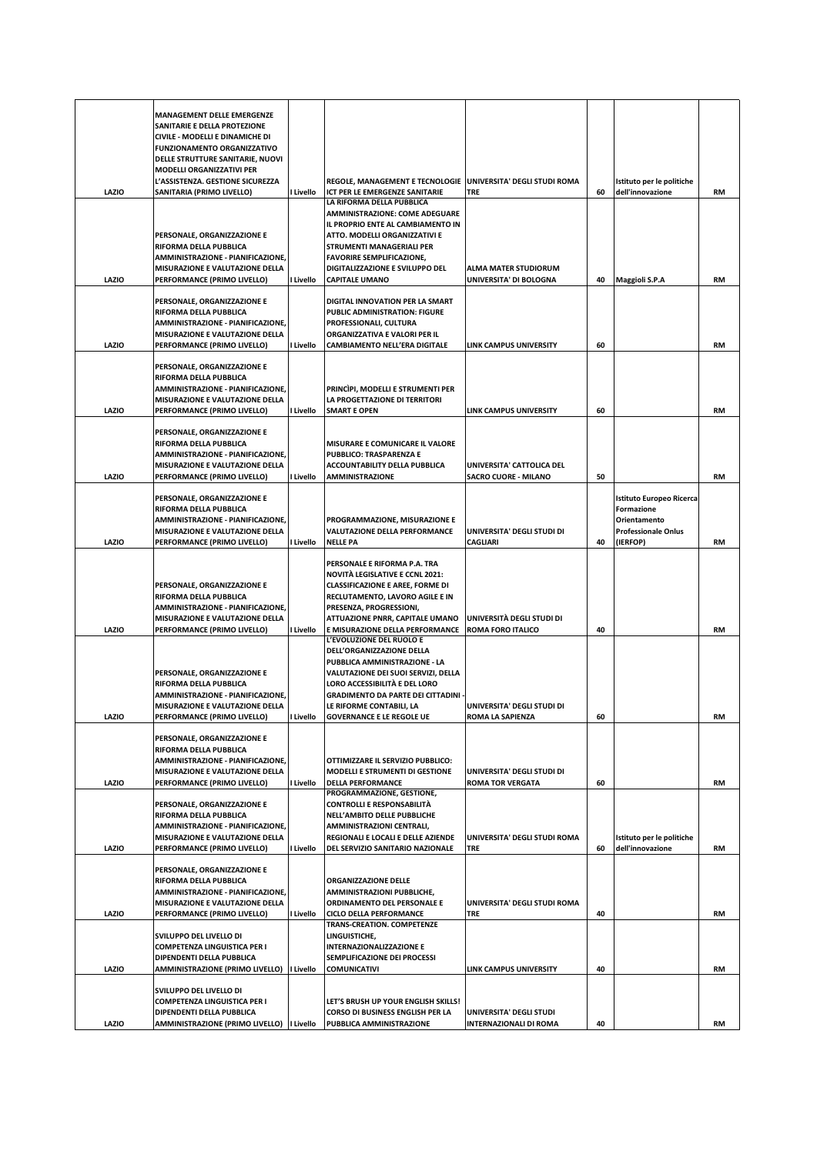|       | <b>MANAGEMENT DELLE EMERGENZE</b><br>SANITARIE E DELLA PROTEZIONE<br>CIVILE - MODELLI E DINAMICHE DI<br><b>FUNZIONAMENTO ORGANIZZATIVO</b><br>DELLE STRUTTURE SANITARIE, NUOVI |           |                                                                                                                                                                                                                                                |                                                         |    |                                                                                                  |           |
|-------|--------------------------------------------------------------------------------------------------------------------------------------------------------------------------------|-----------|------------------------------------------------------------------------------------------------------------------------------------------------------------------------------------------------------------------------------------------------|---------------------------------------------------------|----|--------------------------------------------------------------------------------------------------|-----------|
| LAZIO | <b>MODELLI ORGANIZZATIVI PER</b><br>L'ASSISTENZA. GESTIONE SICUREZZA<br>SANITARIA (PRIMO LIVELLO)                                                                              | I Livello | REGOLE, MANAGEMENT E TECNOLOGIE   UNIVERSITA' DEGLI STUDI ROMA<br>ICT PER LE EMERGENZE SANITARIE                                                                                                                                               | <b>TRE</b>                                              | 60 | Istituto per le politiche<br>dell'innovazione                                                    | RM        |
|       | PERSONALE, ORGANIZZAZIONE E<br>RIFORMA DELLA PUBBLICA<br>AMMINISTRAZIONE - PIANIFICAZIONE,<br>MISURAZIONE E VALUTAZIONE DELLA                                                  |           | LA RIFORMA DELLA PUBBLICA<br>AMMINISTRAZIONE: COME ADEGUARE<br>IL PROPRIO ENTE AL CAMBIAMENTO IN<br>ATTO. MODELLI ORGANIZZATIVI E<br>STRUMENTI MANAGERIALI PER<br><b>FAVORIRE SEMPLIFICAZIONE,</b><br>DIGITALIZZAZIONE E SVILUPPO DEL          | <b>ALMA MATER STUDIORUM</b>                             |    |                                                                                                  |           |
| LAZIO | PERFORMANCE (PRIMO LIVELLO)                                                                                                                                                    | Livello   | <b>CAPITALE UMANO</b>                                                                                                                                                                                                                          | UNIVERSITA' DI BOLOGNA                                  | 40 | Maggioli S.P.A                                                                                   | <b>RM</b> |
| LAZIO | PERSONALE, ORGANIZZAZIONE E<br>RIFORMA DELLA PUBBLICA<br>AMMINISTRAZIONE - PIANIFICAZIONE,<br>MISURAZIONE E VALUTAZIONE DELLA<br>PERFORMANCE (PRIMO LIVELLO)                   | l Livello | DIGITAL INNOVATION PER LA SMART<br>PUBLIC ADMINISTRATION: FIGURE<br>PROFESSIONALI, CULTURA<br>ORGANIZZATIVA E VALORI PER IL<br>CAMBIAMENTO NELL'ERA DIGITALE                                                                                   | <b>LINK CAMPUS UNIVERSITY</b>                           | 60 |                                                                                                  | <b>RM</b> |
| LAZIO | PERSONALE, ORGANIZZAZIONE E<br>RIFORMA DELLA PUBBLICA<br>AMMINISTRAZIONE - PIANIFICAZIONE,<br>MISURAZIONE E VALUTAZIONE DELLA<br>PERFORMANCE (PRIMO LIVELLO)                   | l Livello | PRINCIPI, MODELLI E STRUMENTI PER<br>LA PROGETTAZIONE DI TERRITORI<br><b>SMART E OPEN</b>                                                                                                                                                      | <b>LINK CAMPUS UNIVERSITY</b>                           | 60 |                                                                                                  | <b>RM</b> |
|       | PERSONALE, ORGANIZZAZIONE E<br>RIFORMA DELLA PUBBLICA<br>AMMINISTRAZIONE - PIANIFICAZIONE,<br>MISURAZIONE E VALUTAZIONE DELLA                                                  |           | MISURARE E COMUNICARE IL VALORE<br>PUBBLICO: TRASPARENZA E<br>ACCOUNTABILITY DELLA PUBBLICA                                                                                                                                                    | UNIVERSITA' CATTOLICA DEL                               |    |                                                                                                  |           |
| LAZIO | PERFORMANCE (PRIMO LIVELLO)                                                                                                                                                    | l Livello | <b>AMMINISTRAZIONE</b>                                                                                                                                                                                                                         | <b>SACRO CUORE - MILANO</b>                             | 50 |                                                                                                  | <b>RM</b> |
| LAZIO | PERSONALE, ORGANIZZAZIONE E<br>RIFORMA DELLA PUBBLICA<br>AMMINISTRAZIONE - PIANIFICAZIONE,<br>MISURAZIONE E VALUTAZIONE DELLA<br>PERFORMANCE (PRIMO LIVELLO)                   | Livello   | PROGRAMMAZIONE, MISURAZIONE E<br>VALUTAZIONE DELLA PERFORMANCE<br><b>NELLE PA</b>                                                                                                                                                              | UNIVERSITA' DEGLI STUDI DI<br><b>CAGLIARI</b>           | 40 | Istituto Europeo Ricerca<br>Formazione<br>Orientamento<br><b>Professionale Onlus</b><br>(IERFOP) | <b>RM</b> |
|       | PERSONALE, ORGANIZZAZIONE E<br>RIFORMA DELLA PUBBLICA<br>AMMINISTRAZIONE - PIANIFICAZIONE,<br>MISURAZIONE E VALUTAZIONE DELLA                                                  |           | PERSONALE E RIFORMA P.A. TRA<br><b>NOVITÀ LEGISLATIVE E CCNL 2021:</b><br><b>CLASSIFICAZIONE E AREE, FORME DI</b><br>RECLUTAMENTO, LAVORO AGILE E IN<br>PRESENZA, PROGRESSIONI,<br>ATTUAZIONE PNRR, CAPITALE UMANO                             | UNIVERSITÀ DEGLI STUDI DI                               |    |                                                                                                  |           |
| LAZIO | PERFORMANCE (PRIMO LIVELLO)                                                                                                                                                    | I Livello | E MISURAZIONE DELLA PERFORMANCE<br>L'EVOLUZIONE DEL RUOLO E                                                                                                                                                                                    | <b>ROMA FORO ITALICO</b>                                | 40 |                                                                                                  | <b>RM</b> |
| LAZIO | PERSONALE, ORGANIZZAZIONE E<br>RIFORMA DELLA PUBBLICA<br>AMMINISTRAZIONE - PIANIFICAZIONE.<br>MISURAZIONE E VALUTAZIONE DELLA<br>PERFORMANCE (PRIMO LIVELLO)                   | I Livello | DELL'ORGANIZZAZIONE DELLA<br>PUBBLICA AMMINISTRAZIONE - LA<br>VALUTAZIONE DEI SUOI SERVIZI, DELLA<br>LORO ACCESSIBILITÀ E DEL LORO<br><b>GRADIMENTO DA PARTE DEI CITTADINI</b><br>LE RIFORME CONTABILI, LA<br><b>GOVERNANCE E LE REGOLE UE</b> | UNIVERSITA' DEGLI STUDI DI<br><b>ROMA LA SAPIENZA</b>   | 60 |                                                                                                  | RM        |
|       | PERSONALE, ORGANIZZAZIONE E<br>RIFORMA DELLA PUBBLICA<br>AMMINISTRAZIONE - PIANIFICAZIONE,<br>MISURAZIONE E VALUTAZIONE DELLA                                                  |           | OTTIMIZZARE IL SERVIZIO PUBBLICO:<br>MODELLI E STRUMENTI DI GESTIONE                                                                                                                                                                           | UNIVERSITA' DEGLI STUDI DI                              |    |                                                                                                  |           |
| LAZIO | PERFORMANCE (PRIMO LIVELLO)<br>PERSONALE, ORGANIZZAZIONE E<br>RIFORMA DELLA PUBBLICA<br>AMMINISTRAZIONE - PIANIFICAZIONE,<br>MISURAZIONE E VALUTAZIONE DELLA                   | l Livello | <b>DELLA PERFORMANCE</b><br>PROGRAMMAZIONE, GESTIONE,<br><b>CONTROLLI E RESPONSABILITÀ</b><br>NELL'AMBITO DELLE PUBBLICHE<br>AMMINISTRAZIONI CENTRALI,<br>REGIONALI E LOCALI E DELLE AZIENDE                                                   | <b>ROMA TOR VERGATA</b><br>UNIVERSITA' DEGLI STUDI ROMA | 60 | Istituto per le politiche                                                                        | <b>RM</b> |
| LAZIO | PERFORMANCE (PRIMO LIVELLO)                                                                                                                                                    | l Livello | DEL SERVIZIO SANITARIO NAZIONALE                                                                                                                                                                                                               | <b>TRE</b>                                              | 60 | dell'innovazione                                                                                 | <b>RM</b> |
| LAZIO | PERSONALE, ORGANIZZAZIONE E<br>RIFORMA DELLA PUBBLICA<br>AMMINISTRAZIONE - PIANIFICAZIONE,<br>MISURAZIONE E VALUTAZIONE DELLA<br>PERFORMANCE (PRIMO LIVELLO)                   | l Livello | <b>ORGANIZZAZIONE DELLE</b><br>AMMINISTRAZIONI PUBBLICHE,<br>ORDINAMENTO DEL PERSONALE E<br>CICLO DELLA PERFORMANCE<br>TRANS-CREATION. COMPETENZE                                                                                              | UNIVERSITA' DEGLI STUDI ROMA<br><b>TRE</b>              | 40 |                                                                                                  | RM        |
| LAZIO | SVILUPPO DEL LIVELLO DI<br><b>COMPETENZA LINGUISTICA PER I</b><br>DIPENDENTI DELLA PUBBLICA<br>AMMINISTRAZIONE (PRIMO LIVELLO)                                                 | I Livello | LINGUISTICHE,<br><b>INTERNAZIONALIZZAZIONE E</b><br>SEMPLIFICAZIONE DEI PROCESSI<br><b>COMUNICATIVI</b>                                                                                                                                        | <b>LINK CAMPUS UNIVERSITY</b>                           | 40 |                                                                                                  | <b>RM</b> |
| LAZIO | SVILUPPO DEL LIVELLO DI<br><b>COMPETENZA LINGUISTICA PER I</b><br>DIPENDENTI DELLA PUBBLICA                                                                                    |           | LET'S BRUSH UP YOUR ENGLISH SKILLS!<br>CORSO DI BUSINESS ENGLISH PER LA                                                                                                                                                                        | UNIVERSITA' DEGLI STUDI                                 | 40 |                                                                                                  | RM        |
|       | AMMINISTRAZIONE (PRIMO LIVELLO)   Livello                                                                                                                                      |           | PUBBLICA AMMINISTRAZIONE                                                                                                                                                                                                                       | <b>INTERNAZIONALI DI ROMA</b>                           |    |                                                                                                  |           |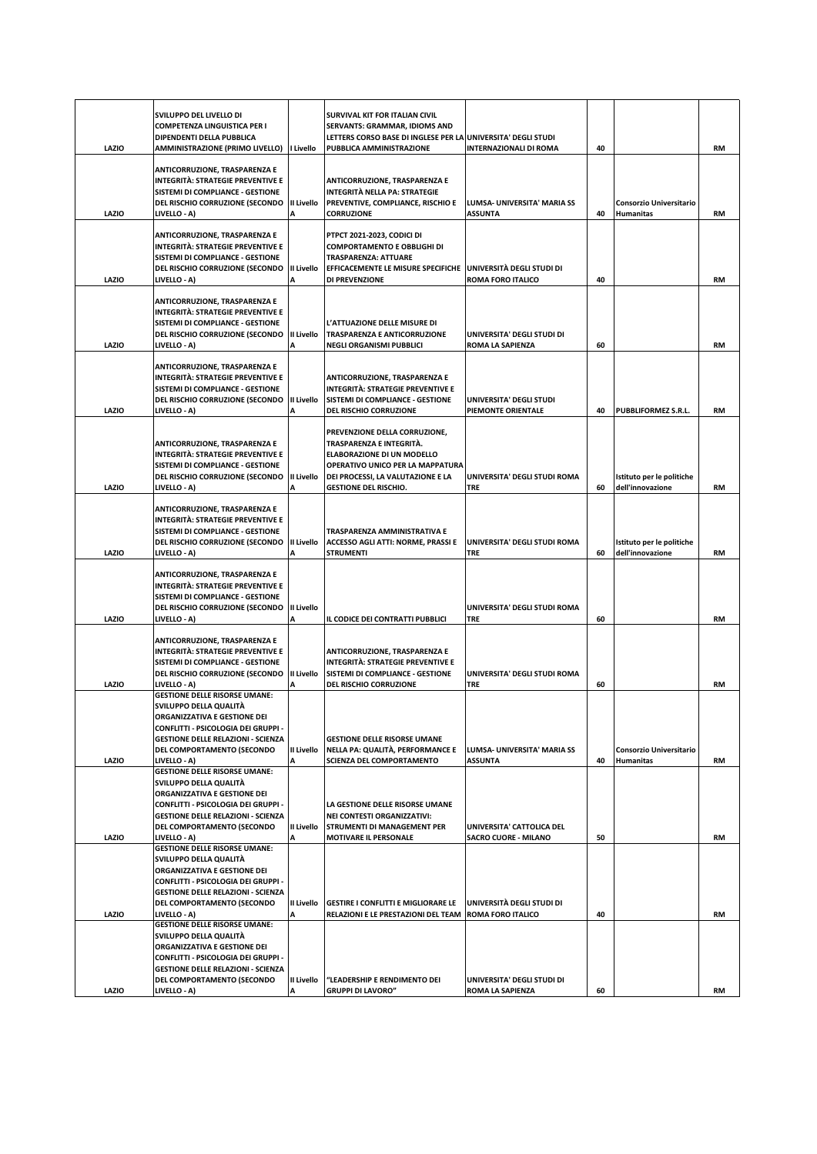|       | SVILUPPO DEL LIVELLO DI<br><b>COMPETENZA LINGUISTICA PER I</b><br>DIPENDENTI DELLA PUBBLICA                                                                                                                                      |                        | SURVIVAL KIT FOR ITALIAN CIVIL<br>SERVANTS: GRAMMAR, IDIOMS AND<br>LETTERS CORSO BASE DI INGLESE PER LA UNIVERSITA' DEGLI STUDI                                                                  |                                                          |    |                                               |           |
|-------|----------------------------------------------------------------------------------------------------------------------------------------------------------------------------------------------------------------------------------|------------------------|--------------------------------------------------------------------------------------------------------------------------------------------------------------------------------------------------|----------------------------------------------------------|----|-----------------------------------------------|-----------|
| LAZIO | AMMINISTRAZIONE (PRIMO LIVELLO)                                                                                                                                                                                                  | I Livello              | PUBBLICA AMMINISTRAZIONE                                                                                                                                                                         | <b>INTERNAZIONALI DI ROMA</b>                            | 40 |                                               | <b>RM</b> |
| LAZIO | <b>ANTICORRUZIONE, TRASPARENZA E</b><br><b>INTEGRITÀ: STRATEGIE PREVENTIVE E</b><br>SISTEMI DI COMPLIANCE - GESTIONE<br>DEL RISCHIO CORRUZIONE (SECONDO<br>LIVELLO - A)                                                          | II Livello             | <b>ANTICORRUZIONE, TRASPARENZA E</b><br>INTEGRITÀ NELLA PA: STRATEGIE<br>PREVENTIVE, COMPLIANCE, RISCHIO E<br><b>CORRUZIONE</b>                                                                  | LUMSA- UNIVERSITA' MARIA SS<br>ASSUNTA                   | 40 | Consorzio Universitario<br>Humanitas          | <b>RM</b> |
| LAZIO | ANTICORRUZIONE, TRASPARENZA E<br>INTEGRITÀ: STRATEGIE PREVENTIVE E<br>SISTEMI DI COMPLIANCE - GESTIONE<br>DEL RISCHIO CORRUZIONE (SECONDO<br>LIVELLO - A)                                                                        | <b>II Livello</b><br>A | PTPCT 2021-2023, CODICI DI<br>COMPORTAMENTO E OBBLIGHI DI<br>TRASPARENZA: ATTUARE<br>EFFICACEMENTE LE MISURE SPECIFICHE<br>DI PREVENZIONE                                                        | UNIVERSITÀ DEGLI STUDI DI<br>ROMA FORO ITALICO           | 40 |                                               | <b>RM</b> |
| LAZIO | ANTICORRUZIONE, TRASPARENZA E<br>INTEGRITÀ: STRATEGIE PREVENTIVE E<br>SISTEMI DI COMPLIANCE - GESTIONE<br>DEL RISCHIO CORRUZIONE (SECONDO<br>LIVELLO - A)                                                                        | <b>II Livello</b><br>A | L'ATTUAZIONE DELLE MISURE DI<br>TRASPARENZA E ANTICORRUZIONE<br>NEGLI ORGANISMI PUBBLICI                                                                                                         | UNIVERSITA' DEGLI STUDI DI<br>ROMA LA SAPIENZA           | 60 |                                               | RM        |
| LAZIO | ANTICORRUZIONE, TRASPARENZA E<br>INTEGRITÀ: STRATEGIE PREVENTIVE E<br>SISTEMI DI COMPLIANCE - GESTIONE<br>DEL RISCHIO CORRUZIONE (SECONDO<br>LIVELLO - A)                                                                        | <b>II Livello</b><br>Α | ANTICORRUZIONE, TRASPARENZA E<br>INTEGRITÀ: STRATEGIE PREVENTIVE E<br>SISTEMI DI COMPLIANCE - GESTIONE<br><b>DEL RISCHIO CORRUZIONE</b>                                                          | UNIVERSITA' DEGLI STUDI<br>PIEMONTE ORIENTALE            | 40 | <b>PUBBLIFORMEZ S.R.L.</b>                    | RM        |
| LAZIO | ANTICORRUZIONE, TRASPARENZA E<br><b>INTEGRITÀ: STRATEGIE PREVENTIVE E</b><br>SISTEMI DI COMPLIANCE - GESTIONE<br>DEL RISCHIO CORRUZIONE (SECONDO<br>LIVELLO - A)                                                                 | II Livello             | PREVENZIONE DELLA CORRUZIONE,<br>TRASPARENZA E INTEGRITÀ.<br>ELABORAZIONE DI UN MODELLO<br>OPERATIVO UNICO PER LA MAPPATURA<br>DEI PROCESSI, LA VALUTAZIONE E LA<br><b>GESTIONE DEL RISCHIO.</b> | UNIVERSITA' DEGLI STUDI ROMA<br>TRE                      | 60 | Istituto per le politiche<br>dell'innovazione | <b>RM</b> |
| LAZIO | ANTICORRUZIONE, TRASPARENZA E<br><b>INTEGRITÀ: STRATEGIE PREVENTIVE E</b><br>SISTEMI DI COMPLIANCE - GESTIONE<br>DEL RISCHIO CORRUZIONE (SECONDO<br>LIVELLO - A)                                                                 | II Livello<br>Δ        | TRASPARENZA AMMINISTRATIVA E<br>ACCESSO AGLI ATTI: NORME, PRASSI E<br><b>STRUMENTI</b>                                                                                                           | UNIVERSITA' DEGLI STUDI ROMA<br>TRE                      | 60 | Istituto per le politiche<br>dell'innovazione | <b>RM</b> |
| LAZIO | ANTICORRUZIONE, TRASPARENZA E<br><b>INTEGRITÀ: STRATEGIE PREVENTIVE E</b><br>SISTEMI DI COMPLIANCE - GESTIONE<br>DEL RISCHIO CORRUZIONE (SECONDO<br>LIVELLO - A)                                                                 | <b>II Livello</b><br>A | IL CODICE DEI CONTRATTI PUBBLICI                                                                                                                                                                 | UNIVERSITA' DEGLI STUDI ROMA<br>TRE                      | 60 |                                               | <b>RM</b> |
| LAZIO | ANTICORRUZIONE, TRASPARENZA E<br>INTEGRITÀ: STRATEGIE PREVENTIVE E<br>SISTEMI DI COMPLIANCE - GESTIONE<br>DEL RISCHIO CORRUZIONE (SECONDO<br>LIVELLO - A)                                                                        | II Livello             | ANTICORRUZIONE, TRASPARENZA E<br>INTEGRITÀ: STRATEGIE PREVENTIVE E<br>SISTEMI DI COMPLIANCE - GESTIONE<br><b>DEL RISCHIO CORRUZIONE</b>                                                          | UNIVERSITA' DEGLI STUDI ROMA<br>TRE                      | 60 |                                               | <b>RM</b> |
|       | <b>GESTIONE DELLE RISORSE UMANE:</b><br>SVILUPPO DELLA QUALITÀ<br>ORGANIZZATIVA E GESTIONE DEI<br>CONFLITTI - PSICOLOGIA DEI GRUPPI -<br><b>GESTIONE DELLE RELAZIONI - SCIENZA</b><br>DEL COMPORTAMENTO (SECONDO                 | II Livello             | <b>GESTIONE DELLE RISORSE UMANE</b><br>NELLA PA: QUALITÀ, PERFORMANCE E                                                                                                                          | LUMSA- UNIVERSITA' MARIA SS                              |    | Consorzio Universitario                       |           |
| LAZIO | LIVELLO - A)<br><b>GESTIONE DELLE RISORSE UMANE:</b><br>SVILUPPO DELLA QUALITÀ<br>ORGANIZZATIVA E GESTIONE DEI<br>CONFLITTI - PSICOLOGIA DEI GRUPPI -<br><b>GESTIONE DELLE RELAZIONI - SCIENZA</b>                               |                        | SCIENZA DEL COMPORTAMENTO<br>LA GESTIONE DELLE RISORSE UMANE<br><b>NEI CONTESTI ORGANIZZATIVI:</b>                                                                                               | <b>ASSUNTA</b>                                           | 40 | Humanitas                                     | RM        |
| LAZIO | DEL COMPORTAMENTO (SECONDO<br>LIVELLO - A)                                                                                                                                                                                       | II Livello             | STRUMENTI DI MANAGEMENT PER<br><b>MOTIVARE IL PERSONALE</b>                                                                                                                                      | UNIVERSITA' CATTOLICA DEL<br><b>SACRO CUORE - MILANO</b> | 50 |                                               | <b>RM</b> |
|       | <b>GESTIONE DELLE RISORSE UMANE:</b><br>SVILUPPO DELLA QUALITÀ<br>ORGANIZZATIVA E GESTIONE DEI<br>CONFLITTI - PSICOLOGIA DEI GRUPPI -<br><b>GESTIONE DELLE RELAZIONI - SCIENZA</b><br>DEL COMPORTAMENTO (SECONDO                 | II Livello             | <b>GESTIRE I CONFLITTI E MIGLIORARE LE</b>                                                                                                                                                       | UNIVERSITÀ DEGLI STUDI DI                                |    |                                               |           |
| LAZIO | LIVELLO - A)<br><b>GESTIONE DELLE RISORSE UMANE:</b><br>SVILUPPO DELLA QUALITÀ<br>ORGANIZZATIVA E GESTIONE DEI<br>CONFLITTI - PSICOLOGIA DEI GRUPPI -<br><b>GESTIONE DELLE RELAZIONI - SCIENZA</b><br>DEL COMPORTAMENTO (SECONDO | A<br>II Livello        | RELAZIONI E LE PRESTAZIONI DEL TEAM<br>"LEADERSHIP E RENDIMENTO DEI                                                                                                                              | <b>ROMA FORO ITALICO</b><br>UNIVERSITA' DEGLI STUDI DI   | 40 |                                               | RM        |
| LAZIO | LIVELLO - A)                                                                                                                                                                                                                     |                        | <b>GRUPPI DI LAVORO"</b>                                                                                                                                                                         | ROMA LA SAPIENZA                                         | 60 |                                               | RM        |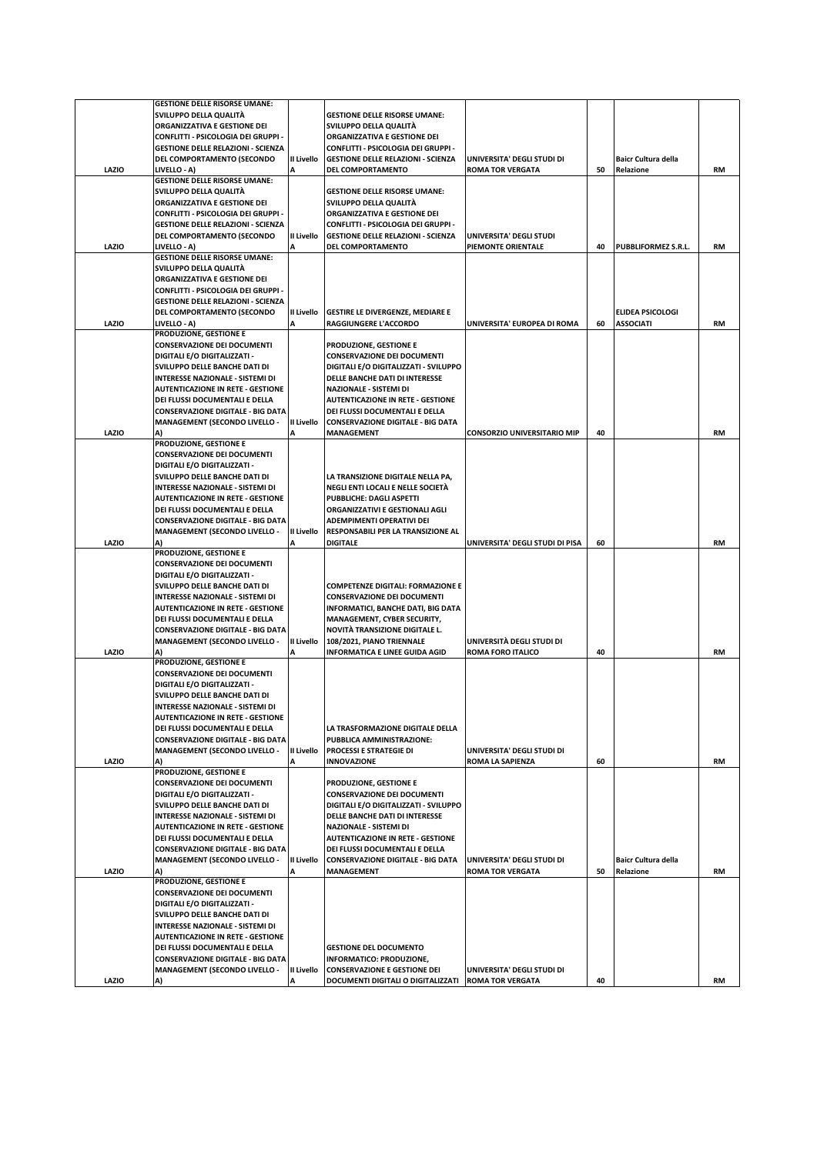|       | <b>GESTIONE DELLE RISORSE UMANE:</b>                                    |            |                                                                |                                    |    |                            |           |
|-------|-------------------------------------------------------------------------|------------|----------------------------------------------------------------|------------------------------------|----|----------------------------|-----------|
|       | SVILUPPO DELLA QUALITA                                                  |            | <b>GESTIONE DELLE RISORSE UMANE:</b>                           |                                    |    |                            |           |
|       | ORGANIZZATIVA E GESTIONE DEI                                            |            | SVILUPPO DELLA QUALITÀ                                         |                                    |    |                            |           |
|       | CONFLITTI - PSICOLOGIA DEI GRUPPI -                                     |            | ORGANIZZATIVA E GESTIONE DEI                                   |                                    |    |                            |           |
|       | <b>GESTIONE DELLE RELAZIONI - SCIENZA</b>                               |            | CONFLITTI - PSICOLOGIA DEI GRUPPI -                            |                                    |    |                            |           |
|       | DEL COMPORTAMENTO (SECONDO                                              | II Livello | <b>GESTIONE DELLE RELAZIONI - SCIENZA</b>                      | UNIVERSITA' DEGLI STUDI DI         |    | <b>Baicr Cultura della</b> |           |
| LAZIO | LIVELLO - A)                                                            |            | DEL COMPORTAMENTO                                              | <b>ROMA TOR VERGATA</b>            | 50 | Relazione                  | <b>RM</b> |
|       | <b>GESTIONE DELLE RISORSE UMANE:</b>                                    |            |                                                                |                                    |    |                            |           |
|       | SVILUPPO DELLA QUALITÀ                                                  |            | <b>GESTIONE DELLE RISORSE UMANE:</b>                           |                                    |    |                            |           |
|       | ORGANIZZATIVA E GESTIONE DEI                                            |            | SVILUPPO DELLA QUALITÀ                                         |                                    |    |                            |           |
|       | CONFLITTI - PSICOLOGIA DEI GRUPPI -                                     |            | ORGANIZZATIVA E GESTIONE DEI                                   |                                    |    |                            |           |
|       | <b>GESTIONE DELLE RELAZIONI - SCIENZA</b><br>DEL COMPORTAMENTO (SECONDO | Il Livello | CONFLITTI - PSICOLOGIA DEI GRUPPI -                            | UNIVERSITA' DEGLI STUDI            |    |                            |           |
| LAZIO | LIVELLO - A)                                                            |            | <b>GESTIONE DELLE RELAZIONI - SCIENZA</b><br>DEL COMPORTAMENTO | PIEMONTE ORIENTALE                 | 40 | PUBBLIFORMEZ S.R.L.        | <b>RM</b> |
|       | <b>GESTIONE DELLE RISORSE UMANE:</b>                                    |            |                                                                |                                    |    |                            |           |
|       | SVILUPPO DELLA QUALITÀ                                                  |            |                                                                |                                    |    |                            |           |
|       | ORGANIZZATIVA E GESTIONE DEI                                            |            |                                                                |                                    |    |                            |           |
|       | CONFLITTI - PSICOLOGIA DEI GRUPPI -                                     |            |                                                                |                                    |    |                            |           |
|       | <b>GESTIONE DELLE RELAZIONI - SCIENZA</b>                               |            |                                                                |                                    |    |                            |           |
|       | DEL COMPORTAMENTO (SECONDO                                              | II Livello | <b>GESTIRE LE DIVERGENZE, MEDIARE E</b>                        |                                    |    | <b>ELIDEA PSICOLOGI</b>    |           |
| LAZIO | LIVELLO - A)                                                            | А          | RAGGIUNGERE L'ACCORDO                                          | UNIVERSITA' EUROPEA DI ROMA        | 60 | <b>ASSOCIATI</b>           | <b>RM</b> |
|       | PRODUZIONE, GESTIONE E                                                  |            |                                                                |                                    |    |                            |           |
|       | <b>CONSERVAZIONE DEI DOCUMENTI</b>                                      |            | PRODUZIONE, GESTIONE E                                         |                                    |    |                            |           |
|       | DIGITALI E/O DIGITALIZZATI -                                            |            | <b>CONSERVAZIONE DEI DOCUMENTI</b>                             |                                    |    |                            |           |
|       | SVILUPPO DELLE BANCHE DATI DI                                           |            | DIGITALI E/O DIGITALIZZATI - SVILUPPO                          |                                    |    |                            |           |
|       | INTERESSE NAZIONALE - SISTEMI DI                                        |            | DELLE BANCHE DATI DI INTERESSE                                 |                                    |    |                            |           |
|       | <b>AUTENTICAZIONE IN RETE - GESTIONE</b>                                |            | <b>NAZIONALE - SISTEMI DI</b>                                  |                                    |    |                            |           |
|       | DEI FLUSSI DOCUMENTALI E DELLA                                          |            | <b>AUTENTICAZIONE IN RETE - GESTIONE</b>                       |                                    |    |                            |           |
|       | <b>CONSERVAZIONE DIGITALE - BIG DATA</b>                                |            | DEI FLUSSI DOCUMENTALI E DELLA                                 |                                    |    |                            |           |
|       | <b>MANAGEMENT (SECONDO LIVELLO -</b>                                    | II Livello | <b>CONSERVAZIONE DIGITALE - BIG DATA</b>                       |                                    |    |                            |           |
| LAZIO | A)                                                                      |            | <b>MANAGEMENT</b>                                              | <b>CONSORZIO UNIVERSITARIO MIP</b> | 40 |                            | <b>RM</b> |
|       | PRODUZIONE, GESTIONE E                                                  |            |                                                                |                                    |    |                            |           |
|       | <b>CONSERVAZIONE DEI DOCUMENTI</b>                                      |            |                                                                |                                    |    |                            |           |
|       | DIGITALI E/O DIGITALIZZATI -                                            |            |                                                                |                                    |    |                            |           |
|       | SVILUPPO DELLE BANCHE DATI DI                                           |            | LA TRANSIZIONE DIGITALE NELLA PA,                              |                                    |    |                            |           |
|       | INTERESSE NAZIONALE - SISTEMI DI                                        |            | NEGLI ENTI LOCALI E NELLE SOCIETÀ                              |                                    |    |                            |           |
|       | <b>AUTENTICAZIONE IN RETE - GESTIONE</b>                                |            | PUBBLICHE: DAGLI ASPETTI                                       |                                    |    |                            |           |
|       | DEI FLUSSI DOCUMENTALI E DELLA                                          |            | ORGANIZZATIVI E GESTIONALI AGLI                                |                                    |    |                            |           |
|       | <b>CONSERVAZIONE DIGITALE - BIG DATA</b>                                |            | ADEMPIMENTI OPERATIVI DEI                                      |                                    |    |                            |           |
|       | <b>MANAGEMENT (SECONDO LIVELLO -</b>                                    | II Livello | RESPONSABILI PER LA TRANSIZIONE AL                             |                                    |    |                            |           |
| LAZIO | A)                                                                      |            | <b>DIGITALE</b>                                                | UNIVERSITA' DEGLI STUDI DI PISA    | 60 |                            | <b>RM</b> |
|       | PRODUZIONE, GESTIONE E                                                  |            |                                                                |                                    |    |                            |           |
|       | <b>CONSERVAZIONE DEI DOCUMENTI</b>                                      |            |                                                                |                                    |    |                            |           |
|       | DIGITALI E/O DIGITALIZZATI -                                            |            |                                                                |                                    |    |                            |           |
|       | SVILUPPO DELLE BANCHE DATI DI                                           |            | <b>COMPETENZE DIGITALI: FORMAZIONE E</b>                       |                                    |    |                            |           |
|       | INTERESSE NAZIONALE - SISTEMI DI                                        |            | <b>CONSERVAZIONE DEI DOCUMENTI</b>                             |                                    |    |                            |           |
|       | <b>AUTENTICAZIONE IN RETE - GESTIONE</b>                                |            | INFORMATICI, BANCHE DATI, BIG DATA                             |                                    |    |                            |           |
|       | DEI FLUSSI DOCUMENTALI E DELLA                                          |            | MANAGEMENT, CYBER SECURITY,                                    |                                    |    |                            |           |
|       | <b>CONSERVAZIONE DIGITALE - BIG DATA</b>                                |            | NOVITÀ TRANSIZIONE DIGITALE L.                                 |                                    |    |                            |           |
|       | <b>MANAGEMENT (SECONDO LIVELLO -</b>                                    | II Livello | 108/2021, PIANO TRIENNALE                                      | UNIVERSITÀ DEGLI STUDI DI          |    |                            |           |
| LAZIO | A)                                                                      | A          | <b>INFORMATICA E LINEE GUIDA AGID</b>                          | <b>ROMA FORO ITALICO</b>           | 40 |                            | <b>RM</b> |
|       | PRODUZIONE, GESTIONE E                                                  |            |                                                                |                                    |    |                            |           |
|       | <b>CONSERVAZIONE DEI DOCUMENTI</b>                                      |            |                                                                |                                    |    |                            |           |
|       | DIGITALI E/O DIGITALIZZATI -                                            |            |                                                                |                                    |    |                            |           |
|       | SVILUPPO DELLE BANCHE DATI DI                                           |            |                                                                |                                    |    |                            |           |
|       | INTERESSE NAZIONALE - SISTEMI DI                                        |            |                                                                |                                    |    |                            |           |
|       | <b>AUTENTICAZIONE IN RETE - GESTIONE</b>                                |            |                                                                |                                    |    |                            |           |
|       | DEI FLUSSI DOCUMENTALI E DELLA                                          |            | LA TRASFORMAZIONE DIGITALE DELLA                               |                                    |    |                            |           |
|       | <b>CONSERVAZIONE DIGITALE - BIG DATA</b>                                |            | PUBBLICA AMMINISTRAZIONE:                                      |                                    |    |                            |           |
|       | <b>MANAGEMENT (SECONDO LIVELLO -</b>                                    | II Livello | <b>PROCESSI E STRATEGIE DI</b>                                 | UNIVERSITA' DEGLI STUDI DI         |    |                            |           |
| LAZIO | A)                                                                      |            | <b>INNOVAZIONE</b>                                             | <b>ROMA LA SAPIENZA</b>            | 60 |                            | <b>RM</b> |
|       | PRODUZIONE, GESTIONE E                                                  |            |                                                                |                                    |    |                            |           |
|       | <b>CONSERVAZIONE DEI DOCUMENTI</b>                                      |            | PRODUZIONE, GESTIONE E                                         |                                    |    |                            |           |
|       | DIGITALI E/O DIGITALIZZATI -                                            |            | <b>CONSERVAZIONE DEI DOCUMENTI</b>                             |                                    |    |                            |           |
|       | SVILUPPO DELLE BANCHE DATI DI                                           |            | DIGITALI E/O DIGITALIZZATI - SVILUPPO                          |                                    |    |                            |           |
|       | <b>INTERESSE NAZIONALE - SISTEMI DI</b>                                 |            | DELLE BANCHE DATI DI INTERESSE                                 |                                    |    |                            |           |
|       | <b>AUTENTICAZIONE IN RETE - GESTIONE</b>                                |            | <b>NAZIONALE - SISTEMI DI</b>                                  |                                    |    |                            |           |
|       | DEI FLUSSI DOCUMENTALI E DELLA                                          |            | <b>AUTENTICAZIONE IN RETE - GESTIONE</b>                       |                                    |    |                            |           |
|       | <b>CONSERVAZIONE DIGITALE - BIG DATA</b>                                |            | DEI FLUSSI DOCUMENTALI E DELLA                                 |                                    |    |                            |           |
|       | <b>MANAGEMENT (SECONDO LIVELLO -</b>                                    | II Livello | <b>CONSERVAZIONE DIGITALE - BIG DATA</b>                       | UNIVERSITA' DEGLI STUDI DI         |    | <b>Baicr Cultura della</b> |           |
| LAZIO | A)                                                                      |            | MANAGEMENT                                                     | <b>ROMA TOR VERGATA</b>            | 50 | Relazione                  | RM        |
|       | PRODUZIONE, GESTIONE E                                                  |            |                                                                |                                    |    |                            |           |
|       | <b>CONSERVAZIONE DEI DOCUMENTI</b>                                      |            |                                                                |                                    |    |                            |           |
|       | <b>DIGITALI E/O DIGITALIZZATI -</b>                                     |            |                                                                |                                    |    |                            |           |
|       | SVILUPPO DELLE BANCHE DATI DI                                           |            |                                                                |                                    |    |                            |           |
|       | INTERESSE NAZIONALE - SISTEMI DI                                        |            |                                                                |                                    |    |                            |           |
|       | <b>AUTENTICAZIONE IN RETE - GESTIONE</b>                                |            |                                                                |                                    |    |                            |           |
|       | DEI FLUSSI DOCUMENTALI E DELLA                                          |            | <b>GESTIONE DEL DOCUMENTO</b>                                  |                                    |    |                            |           |
|       | <b>CONSERVAZIONE DIGITALE - BIG DATA</b>                                |            | INFORMATICO: PRODUZIONE,                                       |                                    |    |                            |           |
|       |                                                                         | II Livello | <b>CONSERVAZIONE E GESTIONE DEI</b>                            | UNIVERSITA' DEGLI STUDI DI         |    |                            |           |
| LAZIO | <b>MANAGEMENT (SECONDO LIVELLO -</b><br>A)                              | А          | DOCUMENTI DIGITALI O DIGITALIZZATI                             | <b>ROMA TOR VERGATA</b>            | 40 |                            | RM        |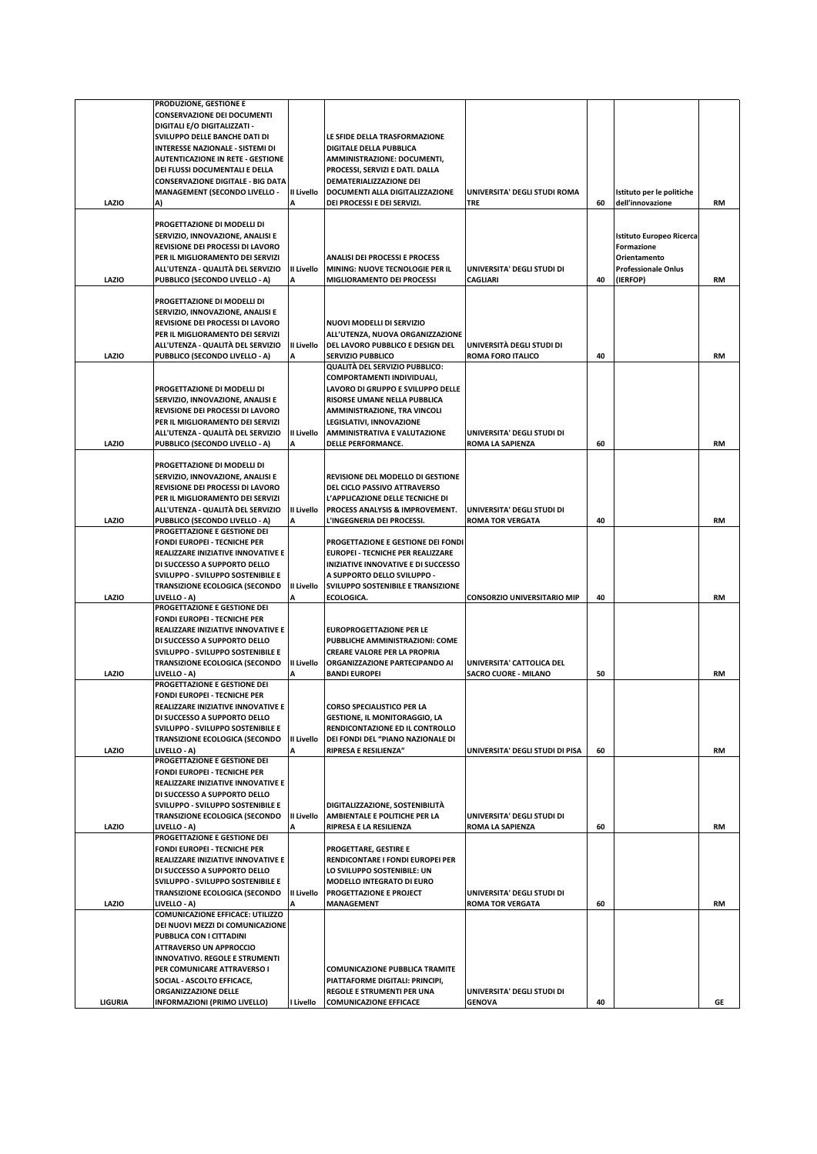|                | PRODUZIONE, GESTIONE E                                                |                        |                                                                           |                                            |    |                                               |           |
|----------------|-----------------------------------------------------------------------|------------------------|---------------------------------------------------------------------------|--------------------------------------------|----|-----------------------------------------------|-----------|
|                | <b>CONSERVAZIONE DEI DOCUMENTI</b>                                    |                        |                                                                           |                                            |    |                                               |           |
|                | DIGITALI E/O DIGITALIZZATI -<br>SVILUPPO DELLE BANCHE DATI DI         |                        | LE SFIDE DELLA TRASFORMAZIONE                                             |                                            |    |                                               |           |
|                | INTERESSE NAZIONALE - SISTEMI DI                                      |                        | <b>DIGITALE DELLA PUBBLICA</b>                                            |                                            |    |                                               |           |
|                | <b>AUTENTICAZIONE IN RETE - GESTIONE</b>                              |                        | AMMINISTRAZIONE: DOCUMENTI,                                               |                                            |    |                                               |           |
|                | DEI FLUSSI DOCUMENTALI E DELLA                                        |                        | PROCESSI, SERVIZI E DATI. DALLA                                           |                                            |    |                                               |           |
|                | <b>CONSERVAZIONE DIGITALE - BIG DATA</b>                              |                        | DEMATERIALIZZAZIONE DEI                                                   |                                            |    |                                               |           |
| LAZIO          | <b>MANAGEMENT (SECONDO LIVELLO -</b><br>A)                            | <b>II Livello</b><br>A | DOCUMENTI ALLA DIGITALIZZAZIONE<br>DEI PROCESSI E DEI SERVIZI.            | UNIVERSITA' DEGLI STUDI ROMA<br><b>TRE</b> | 60 | Istituto per le politiche<br>dell'innovazione | RM        |
|                |                                                                       |                        |                                                                           |                                            |    |                                               |           |
|                | PROGETTAZIONE DI MODELLI DI                                           |                        |                                                                           |                                            |    |                                               |           |
|                | SERVIZIO, INNOVAZIONE, ANALISI E                                      |                        |                                                                           |                                            |    | Istituto Europeo Ricerca                      |           |
|                | REVISIONE DEI PROCESSI DI LAVORO                                      |                        |                                                                           |                                            |    | Formazione                                    |           |
|                | PER IL MIGLIORAMENTO DEI SERVIZI<br>ALL'UTENZA - QUALITÀ DEL SERVIZIO | II Livello             | <b>ANALISI DEI PROCESSI E PROCESS</b><br>MINING: NUOVE TECNOLOGIE PER IL  | UNIVERSITA' DEGLI STUDI DI                 |    | Orientamento<br><b>Professionale Onlus</b>    |           |
| LAZIO          | PUBBLICO (SECONDO LIVELLO - A)                                        |                        | MIGLIORAMENTO DEI PROCESSI                                                | <b>CAGLIARI</b>                            | 40 | (IERFOP)                                      | <b>RM</b> |
|                |                                                                       |                        |                                                                           |                                            |    |                                               |           |
|                | PROGETTAZIONE DI MODELLI DI                                           |                        |                                                                           |                                            |    |                                               |           |
|                | SERVIZIO, INNOVAZIONE, ANALISI E                                      |                        |                                                                           |                                            |    |                                               |           |
|                | REVISIONE DEI PROCESSI DI LAVORO                                      |                        | NUOVI MODELLI DI SERVIZIO                                                 |                                            |    |                                               |           |
|                | PER IL MIGLIORAMENTO DEI SERVIZI<br>ALL'UTENZA - QUALITÀ DEL SERVIZIO | II Livello             | ALL'UTENZA, NUOVA ORGANIZZAZIONE<br>DEL LAVORO PUBBLICO E DESIGN DEL      | UNIVERSITÀ DEGLI STUDI DI                  |    |                                               |           |
| LAZIO          | PUBBLICO (SECONDO LIVELLO - A)                                        |                        | SERVIZIO PUBBLICO                                                         | <b>ROMA FORO ITALICO</b>                   | 40 |                                               | RM        |
|                |                                                                       |                        | QUALITÀ DEL SERVIZIO PUBBLICO:                                            |                                            |    |                                               |           |
|                |                                                                       |                        | COMPORTAMENTI INDIVIDUALI,                                                |                                            |    |                                               |           |
|                | PROGETTAZIONE DI MODELLI DI                                           |                        | LAVORO DI GRUPPO E SVILUPPO DELLE                                         |                                            |    |                                               |           |
|                | SERVIZIO, INNOVAZIONE, ANALISI E<br>REVISIONE DEI PROCESSI DI LAVORO  |                        | RISORSE UMANE NELLA PUBBLICA                                              |                                            |    |                                               |           |
|                | PER IL MIGLIORAMENTO DEI SERVIZI                                      |                        | AMMINISTRAZIONE, TRA VINCOLI<br>LEGISLATIVI, INNOVAZIONE                  |                                            |    |                                               |           |
|                | ALL'UTENZA - QUALITÀ DEL SERVIZIO                                     | II Livello             | AMMINISTRATIVA E VALUTAZIONE                                              | UNIVERSITA' DEGLI STUDI DI                 |    |                                               |           |
| LAZIO          | PUBBLICO (SECONDO LIVELLO - A)                                        | A                      | DELLE PERFORMANCE.                                                        | <b>ROMA LA SAPIENZA</b>                    | 60 |                                               | <b>RM</b> |
|                |                                                                       |                        |                                                                           |                                            |    |                                               |           |
|                | PROGETTAZIONE DI MODELLI DI                                           |                        |                                                                           |                                            |    |                                               |           |
|                | SERVIZIO, INNOVAZIONE, ANALISI E<br>REVISIONE DEI PROCESSI DI LAVORO  |                        | <b>REVISIONE DEL MODELLO DI GESTIONE</b><br>DEL CICLO PASSIVO ATTRAVERSO  |                                            |    |                                               |           |
|                | PER IL MIGLIORAMENTO DEI SERVIZI                                      |                        | L'APPLICAZIONE DELLE TECNICHE DI                                          |                                            |    |                                               |           |
|                | ALL'UTENZA - QUALITÀ DEL SERVIZIO                                     | II Livello             | PROCESS ANALYSIS & IMPROVEMENT.                                           | UNIVERSITA' DEGLI STUDI DI                 |    |                                               |           |
| LAZIO          | PUBBLICO (SECONDO LIVELLO - A)                                        |                        | L'INGEGNERIA DEI PROCESSI.                                                | <b>ROMA TOR VERGATA</b>                    | 40 |                                               | RM        |
|                | PROGETTAZIONE E GESTIONE DEI                                          |                        |                                                                           |                                            |    |                                               |           |
|                | <b>FONDI EUROPEI - TECNICHE PER</b>                                   |                        | PROGETTAZIONE E GESTIONE DEI FONDI                                        |                                            |    |                                               |           |
|                | REALIZZARE INIZIATIVE INNOVATIVE E                                    |                        | <b>EUROPEI - TECNICHE PER REALIZZARE</b>                                  |                                            |    |                                               |           |
|                | DI SUCCESSO A SUPPORTO DELLO<br>SVILUPPO - SVILUPPO SOSTENIBILE E     |                        | INIZIATIVE INNOVATIVE E DI SUCCESSO<br>A SUPPORTO DELLO SVILUPPO -        |                                            |    |                                               |           |
|                | <b>TRANSIZIONE ECOLOGICA (SECONDO</b>                                 | II Livello             | SVILUPPO SOSTENIBILE E TRANSIZIONE                                        |                                            |    |                                               |           |
| LAZIO          | LIVELLO - A)                                                          |                        | ECOLOGICA.                                                                | <b>CONSORZIO UNIVERSITARIO MIP</b>         | 40 |                                               | RM        |
|                | PROGETTAZIONE E GESTIONE DEI                                          |                        |                                                                           |                                            |    |                                               |           |
|                | <b>FONDI EUROPEI - TECNICHE PER</b>                                   |                        |                                                                           |                                            |    |                                               |           |
|                | REALIZZARE INIZIATIVE INNOVATIVE E<br>DI SUCCESSO A SUPPORTO DELLO    |                        | <b>EUROPROGETTAZIONE PER LE</b><br>PUBBLICHE AMMINISTRAZIONI: COME        |                                            |    |                                               |           |
|                | SVILUPPO - SVILUPPO SOSTENIBILE E                                     |                        | <b>CREARE VALORE PER LA PROPRIA</b>                                       |                                            |    |                                               |           |
|                | <b>TRANSIZIONE ECOLOGICA (SECONDO</b>                                 | II Livello             | ORGANIZZAZIONE PARTECIPANDO AI                                            | UNIVERSITA' CATTOLICA DEL                  |    |                                               |           |
| LAZIO          | <b>LIVELLO - A)</b>                                                   | A                      | <b>BANDI EUROPEI</b>                                                      | <b>SACRO CUORE - MILANO</b>                | 50 |                                               | RM        |
|                | PROGETTAZIONE E GESTIONE DEI                                          |                        |                                                                           |                                            |    |                                               |           |
|                | <b>FONDI EUROPEI - TECNICHE PER</b>                                   |                        |                                                                           |                                            |    |                                               |           |
|                | REALIZZARE INIZIATIVE INNOVATIVE E<br>DI SUCCESSO A SUPPORTO DELLO    |                        | <b>CORSO SPECIALISTICO PER LA</b><br><b>GESTIONE, IL MONITORAGGIO, LA</b> |                                            |    |                                               |           |
|                | SVILUPPO - SVILUPPO SOSTENIBILE E                                     |                        | RENDICONTAZIONE ED IL CONTROLLO                                           |                                            |    |                                               |           |
|                | TRANSIZIONE ECOLOGICA (SECONDO                                        | II Livello             | DEI FONDI DEL "PIANO NAZIONALE DI                                         |                                            |    |                                               |           |
| LAZIO          | LIVELLO - A)                                                          |                        | <b>RIPRESA E RESILIENZA"</b>                                              | UNIVERSITA' DEGLI STUDI DI PISA            | 60 |                                               | RM        |
|                | PROGETTAZIONE E GESTIONE DEI                                          |                        |                                                                           |                                            |    |                                               |           |
|                | FONDI EUROPEI - TECNICHE PER                                          |                        |                                                                           |                                            |    |                                               |           |
|                | REALIZZARE INIZIATIVE INNOVATIVE E<br>DI SUCCESSO A SUPPORTO DELLO    |                        |                                                                           |                                            |    |                                               |           |
|                | SVILUPPO - SVILUPPO SOSTENIBILE E                                     |                        | DIGITALIZZAZIONE, SOSTENIBILITÀ                                           |                                            |    |                                               |           |
|                | TRANSIZIONE ECOLOGICA (SECONDO                                        | II Livello             | AMBIENTALE E POLITICHE PER LA                                             | UNIVERSITA' DEGLI STUDI DI                 |    |                                               |           |
| LAZIO          | LIVELLO - A)                                                          |                        | RIPRESA E LA RESILIENZA                                                   | <b>ROMA LA SAPIENZA</b>                    | 60 |                                               | RM        |
|                | PROGETTAZIONE E GESTIONE DEI                                          |                        |                                                                           |                                            |    |                                               |           |
|                | FONDI EUROPEI - TECNICHE PER<br>REALIZZARE INIZIATIVE INNOVATIVE E    |                        | PROGETTARE, GESTIRE E<br>RENDICONTARE I FONDI EUROPEI PER                 |                                            |    |                                               |           |
|                | DI SUCCESSO A SUPPORTO DELLO                                          |                        | LO SVILUPPO SOSTENIBILE: UN                                               |                                            |    |                                               |           |
|                | SVILUPPO - SVILUPPO SOSTENIBILE E                                     |                        | MODELLO INTEGRATO DI EURO                                                 |                                            |    |                                               |           |
|                | TRANSIZIONE ECOLOGICA (SECONDO                                        | <b>II Livello</b>      | PROGETTAZIONE E PROJECT                                                   | UNIVERSITA' DEGLI STUDI DI                 |    |                                               |           |
| LAZIO          | LIVELLO - A)                                                          |                        | <b>MANAGEMENT</b>                                                         | <b>ROMA TOR VERGATA</b>                    | 60 |                                               | RM        |
|                | <b>COMUNICAZIONE EFFICACE: UTILIZZO</b>                               |                        |                                                                           |                                            |    |                                               |           |
|                | DEI NUOVI MEZZI DI COMUNICAZIONE<br>PUBBLICA CON I CITTADINI          |                        |                                                                           |                                            |    |                                               |           |
|                | <b>ATTRAVERSO UN APPROCCIO</b>                                        |                        |                                                                           |                                            |    |                                               |           |
|                | <b>INNOVATIVO. REGOLE E STRUMENTI</b>                                 |                        |                                                                           |                                            |    |                                               |           |
|                | PER COMUNICARE ATTRAVERSO I                                           |                        | <b>COMUNICAZIONE PUBBLICA TRAMITE</b>                                     |                                            |    |                                               |           |
|                | SOCIAL - ASCOLTO EFFICACE,                                            |                        | PIATTAFORME DIGITALI: PRINCIPI,                                           |                                            |    |                                               |           |
|                | ORGANIZZAZIONE DELLE                                                  |                        | REGOLE E STRUMENTI PER UNA                                                | UNIVERSITA' DEGLI STUDI DI                 |    |                                               |           |
| <b>LIGURIA</b> | <b>INFORMAZIONI (PRIMO LIVELLO)</b>                                   | I Livello              | <b>COMUNICAZIONE EFFICACE</b>                                             | <b>GENOVA</b>                              | 40 |                                               | GE        |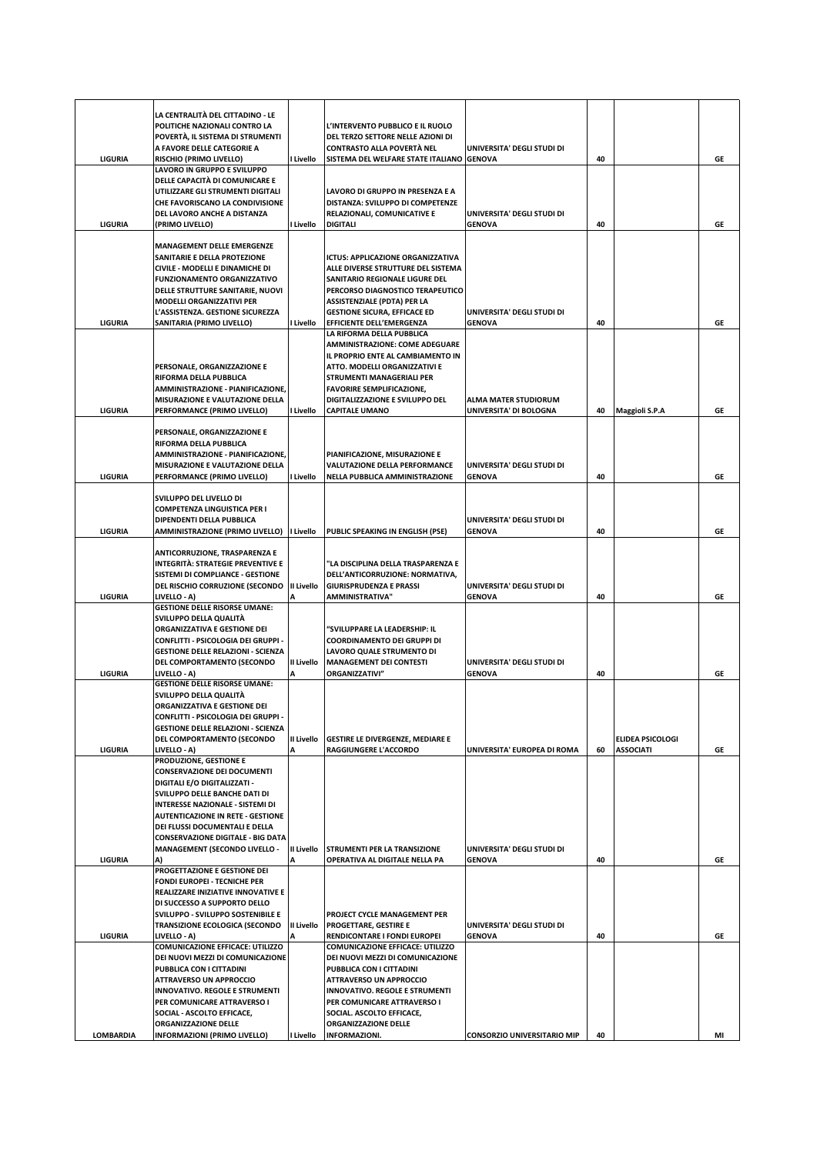|                  | LA CENTRALITÀ DEL CITTADINO - LE<br>POLITICHE NAZIONALI CONTRO LA<br>POVERTÀ, IL SISTEMA DI STRUMENTI<br>A FAVORE DELLE CATEGORIE A                                                                                                                                                                                                        |                 | L'INTERVENTO PUBBLICO E IL RUOLO<br>DEL TERZO SETTORE NELLE AZIONI DI<br>CONTRASTO ALLA POVERTÀ NEL                                                                                                                                                                                            | UNIVERSITA' DEGLI STUDI DI                            |    |                                             |    |
|------------------|--------------------------------------------------------------------------------------------------------------------------------------------------------------------------------------------------------------------------------------------------------------------------------------------------------------------------------------------|-----------------|------------------------------------------------------------------------------------------------------------------------------------------------------------------------------------------------------------------------------------------------------------------------------------------------|-------------------------------------------------------|----|---------------------------------------------|----|
| <b>LIGURIA</b>   | <b>RISCHIO (PRIMO LIVELLO)</b>                                                                                                                                                                                                                                                                                                             | I Livello       | SISTEMA DEL WELFARE STATE ITALIANO                                                                                                                                                                                                                                                             | <b>GENOVA</b>                                         | 40 |                                             | GE |
|                  | LAVORO IN GRUPPO E SVILUPPO<br>DELLE CAPACITÀ DI COMUNICARE E<br>UTILIZZARE GLI STRUMENTI DIGITALI<br>CHE FAVORISCANO LA CONDIVISIONE<br>DEL LAVORO ANCHE A DISTANZA                                                                                                                                                                       |                 | LAVORO DI GRUPPO IN PRESENZA E A<br>DISTANZA: SVILUPPO DI COMPETENZE<br>RELAZIONALI, COMUNICATIVE E                                                                                                                                                                                            | UNIVERSITA' DEGLI STUDI DI                            |    |                                             |    |
| <b>LIGURIA</b>   | (PRIMO LIVELLO)                                                                                                                                                                                                                                                                                                                            | I Livello       | <b>DIGITALI</b>                                                                                                                                                                                                                                                                                | <b>GENOVA</b>                                         | 40 |                                             | GE |
|                  | <b>MANAGEMENT DELLE EMERGENZE</b><br>SANITARIE E DELLA PROTEZIONE<br>CIVILE - MODELLI E DINAMICHE DI<br><b>FUNZIONAMENTO ORGANIZZATIVO</b><br>DELLE STRUTTURE SANITARIE. NUOVI<br><b>MODELLI ORGANIZZATIVI PER</b><br>L'ASSISTENZA. GESTIONE SICUREZZA                                                                                     |                 | <b>ICTUS: APPLICAZIONE ORGANIZZATIVA</b><br>ALLE DIVERSE STRUTTURE DEL SISTEMA<br>SANITARIO REGIONALE LIGURE DEL<br>PERCORSO DIAGNOSTICO TERAPEUTICO<br><b>ASSISTENZIALE (PDTA) PER LA</b><br><b>GESTIONE SICURA, EFFICACE ED</b>                                                              | UNIVERSITA' DEGLI STUDI DI                            |    |                                             |    |
| <b>LIGURIA</b>   | SANITARIA (PRIMO LIVELLO)                                                                                                                                                                                                                                                                                                                  | I Livello       | EFFICIENTE DELL'EMERGENZA                                                                                                                                                                                                                                                                      | <b>GENOVA</b>                                         | 40 |                                             | GE |
| <b>LIGURIA</b>   | PERSONALE, ORGANIZZAZIONE E<br>RIFORMA DELLA PUBBLICA<br>AMMINISTRAZIONE - PIANIFICAZIONE,<br><b>MISURAZIONE E VALUTAZIONE DELLA</b><br>PERFORMANCE (PRIMO LIVELLO)                                                                                                                                                                        | I Livello       | LA RIFORMA DELLA PUBBLICA<br>AMMINISTRAZIONE: COME ADEGUARE<br>IL PROPRIO ENTE AL CAMBIAMENTO IN<br>ATTO. MODELLI ORGANIZZATIVI E<br>STRUMENTI MANAGERIALI PER<br><b>FAVORIRE SEMPLIFICAZIONE,</b><br>DIGITALIZZAZIONE E SVILUPPO DEL<br><b>CAPITALE UMANO</b>                                 | <b>ALMA MATER STUDIORUM</b><br>UNIVERSITA' DI BOLOGNA | 40 | Maggioli S.P.A                              | GE |
|                  | PERSONALE, ORGANIZZAZIONE E<br><b>RIFORMA DELLA PUBBLICA</b><br>AMMINISTRAZIONE - PIANIFICAZIONE,<br><b>MISURAZIONE E VALUTAZIONE DELLA</b>                                                                                                                                                                                                |                 | PIANIFICAZIONE, MISURAZIONE E<br>VALUTAZIONE DELLA PERFORMANCE                                                                                                                                                                                                                                 | UNIVERSITA' DEGLI STUDI DI                            |    |                                             |    |
| <b>LIGURIA</b>   | PERFORMANCE (PRIMO LIVELLO)                                                                                                                                                                                                                                                                                                                | I Livello       | <b>NELLA PUBBLICA AMMINISTRAZIONE</b>                                                                                                                                                                                                                                                          | <b>GENOVA</b>                                         | 40 |                                             | GE |
| <b>LIGURIA</b>   | SVILUPPO DEL LIVELLO DI<br><b>COMPETENZA LINGUISTICA PER I</b><br>DIPENDENTI DELLA PUBBLICA<br><b>AMMINISTRAZIONE (PRIMO LIVELLO)</b>                                                                                                                                                                                                      | I Livello       | PUBLIC SPEAKING IN ENGLISH (PSE)                                                                                                                                                                                                                                                               | UNIVERSITA' DEGLI STUDI DI<br><b>GENOVA</b>           | 40 |                                             | GE |
|                  | ANTICORRUZIONE, TRASPARENZA E<br><b>INTEGRITÀ: STRATEGIE PREVENTIVE E</b><br>SISTEMI DI COMPLIANCE - GESTIONE<br>DEL RISCHIO CORRUZIONE (SECONDO                                                                                                                                                                                           | II Livello      | "LA DISCIPLINA DELLA TRASPARENZA E<br>DELL'ANTICORRUZIONE: NORMATIVA,<br><b>GIURISPRUDENZA E PRASSI</b>                                                                                                                                                                                        | UNIVERSITA' DEGLI STUDI DI                            |    |                                             |    |
| <b>LIGURIA</b>   | LIVELLO - A)<br><b>GESTIONE DELLE RISORSE UMANE:</b>                                                                                                                                                                                                                                                                                       | А               | AMMINISTRATIVA"                                                                                                                                                                                                                                                                                | <b>GENOVA</b>                                         | 40 |                                             | GE |
|                  | SVILUPPO DELLA QUALITÀ<br>ORGANIZZATIVA E GESTIONE DEI<br>CONFLITTI - PSICOLOGIA DEI GRUPPI -<br><b>GESTIONE DELLE RELAZIONI - SCIENZA</b><br>DEL COMPORTAMENTO (SECONDO<br>LIVELLO - A)                                                                                                                                                   | II Livello      | "SVILUPPARE LA LEADERSHIP: IL<br>COORDINAMENTO DEI GRUPPI DI<br>LAVORO QUALE STRUMENTO DI<br><b>MANAGEMENT DEI CONTESTI</b>                                                                                                                                                                    | UNIVERSITA' DEGLI STUDI DI                            |    |                                             |    |
| <b>LIGURIA</b>   | <b>GESTIONE DELLE RISORSE UMANE:</b>                                                                                                                                                                                                                                                                                                       | A               | ORGANIZZATIVI"                                                                                                                                                                                                                                                                                 | <b>GENOVA</b>                                         | 40 |                                             | GE |
| <b>LIGURIA</b>   | SVILUPPO DELLA QUALITÀ<br>ORGANIZZATIVA E GESTIONE DEI<br>CONFLITTI - PSICOLOGIA DEI GRUPPI -<br><b>GESTIONE DELLE RELAZIONI - SCIENZA</b><br>DEL COMPORTAMENTO (SECONDO<br>LIVELLO - A)                                                                                                                                                   | II Livello<br>Δ | <b>GESTIRE LE DIVERGENZE, MEDIARE E</b><br>RAGGIUNGERE L'ACCORDO                                                                                                                                                                                                                               | UNIVERSITA' EUROPEA DI ROMA                           | 60 | <b>ELIDEA PSICOLOGI</b><br><b>ASSOCIATI</b> | GE |
|                  | PRODUZIONE, GESTIONE E<br><b>CONSERVAZIONE DEI DOCUMENTI</b><br>DIGITALI E/O DIGITALIZZATI -<br>SVILUPPO DELLE BANCHE DATI DI<br><b>INTERESSE NAZIONALE - SISTEMI DI</b><br><b>AUTENTICAZIONE IN RETE - GESTIONE</b><br>DEI FLUSSI DOCUMENTALI E DELLA<br><b>CONSERVAZIONE DIGITALE - BIG DATA</b><br><b>MANAGEMENT (SECONDO LIVELLO -</b> | Il Livello      |                                                                                                                                                                                                                                                                                                | UNIVERSITA' DEGLI STUDI DI                            |    |                                             |    |
| <b>LIGURIA</b>   | A)                                                                                                                                                                                                                                                                                                                                         | А               | STRUMENTI PER LA TRANSIZIONE<br>OPERATIVA AL DIGITALE NELLA PA                                                                                                                                                                                                                                 | <b>GENOVA</b>                                         | 40 |                                             | GE |
|                  | PROGETTAZIONE E GESTIONE DEI<br><b>FONDI EUROPEI - TECNICHE PER</b><br>REALIZZARE INIZIATIVE INNOVATIVE E<br>DI SUCCESSO A SUPPORTO DELLO<br>SVILUPPO - SVILUPPO SOSTENIBILE E<br>TRANSIZIONE ECOLOGICA (SECONDO                                                                                                                           | II Livello      | PROJECT CYCLE MANAGEMENT PER<br><b>PROGETTARE, GESTIRE E</b>                                                                                                                                                                                                                                   | UNIVERSITA' DEGLI STUDI DI                            |    |                                             |    |
| <b>LIGURIA</b>   | LIVELLO - A)                                                                                                                                                                                                                                                                                                                               |                 | RENDICONTARE I FONDI EUROPEI                                                                                                                                                                                                                                                                   | <b>GENOVA</b>                                         | 40 |                                             | GE |
| <b>LOMBARDIA</b> | <b>COMUNICAZIONE EFFICACE: UTILIZZO</b><br>DEI NUOVI MEZZI DI COMUNICAZIONE<br>PUBBLICA CON I CITTADINI<br><b>ATTRAVERSO UN APPROCCIO</b><br>INNOVATIVO. REGOLE E STRUMENTI<br>PER COMUNICARE ATTRAVERSO I<br>SOCIAL - ASCOLTO EFFICACE,<br><b>ORGANIZZAZIONE DELLE</b><br>INFORMAZIONI (PRIMO LIVELLO)                                    | I Livello       | COMUNICAZIONE EFFICACE: UTILIZZO<br>DEI NUOVI MEZZI DI COMUNICAZIONE<br>PUBBLICA CON I CITTADINI<br><b>ATTRAVERSO UN APPROCCIO</b><br><b>INNOVATIVO. REGOLE E STRUMENTI</b><br>PER COMUNICARE ATTRAVERSO I<br>SOCIAL. ASCOLTO EFFICACE,<br><b>ORGANIZZAZIONE DELLE</b><br><b>INFORMAZIONI.</b> | <b>CONSORZIO UNIVERSITARIO MIP</b>                    | 40 |                                             | MI |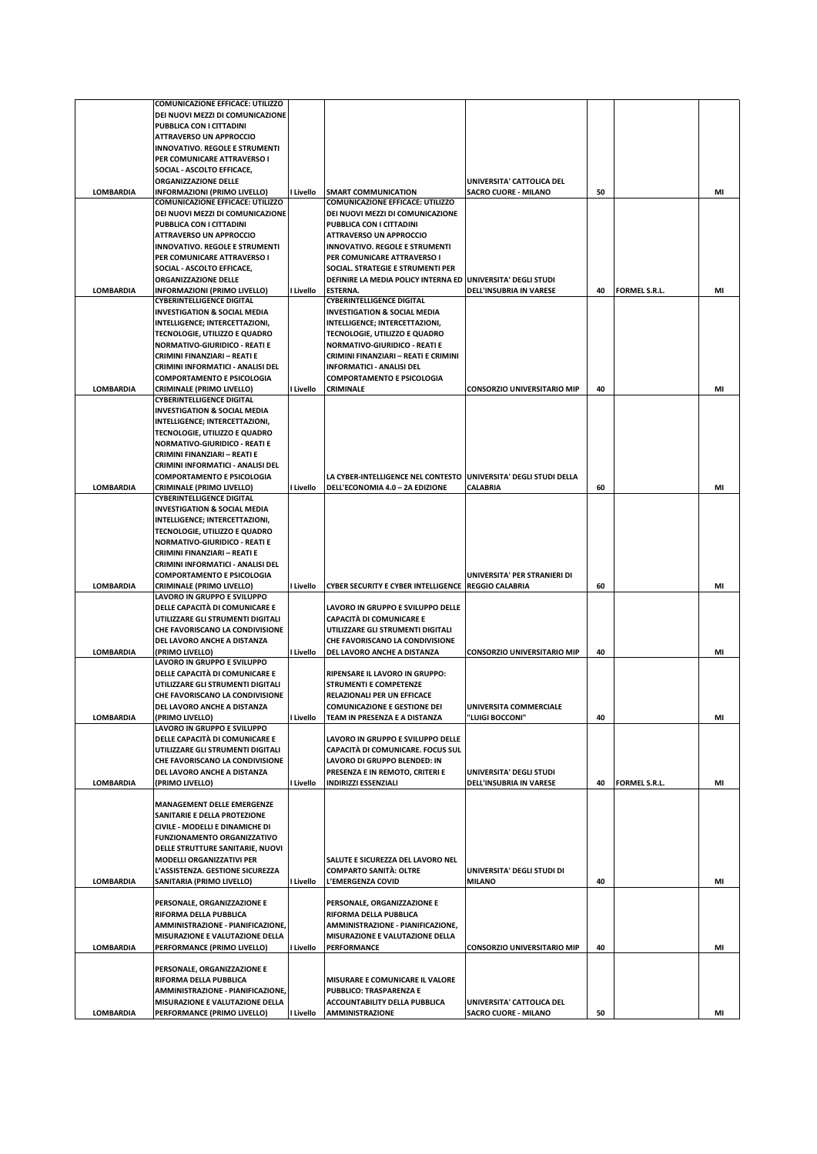|                  | <b>COMUNICAZIONE EFFICACE: UTILIZZO</b>                        |           |                                                                  |                                                          |    |                      |    |
|------------------|----------------------------------------------------------------|-----------|------------------------------------------------------------------|----------------------------------------------------------|----|----------------------|----|
|                  | DEI NUOVI MEZZI DI COMUNICAZIONE                               |           |                                                                  |                                                          |    |                      |    |
|                  | PUBBLICA CON I CITTADINI                                       |           |                                                                  |                                                          |    |                      |    |
|                  | <b>ATTRAVERSO UN APPROCCIO</b>                                 |           |                                                                  |                                                          |    |                      |    |
|                  |                                                                |           |                                                                  |                                                          |    |                      |    |
|                  | <b>INNOVATIVO. REGOLE E STRUMENTI</b>                          |           |                                                                  |                                                          |    |                      |    |
|                  | PER COMUNICARE ATTRAVERSO I                                    |           |                                                                  |                                                          |    |                      |    |
|                  | SOCIAL - ASCOLTO EFFICACE,                                     |           |                                                                  |                                                          |    |                      |    |
|                  | <b>ORGANIZZAZIONE DELLE</b>                                    |           |                                                                  | UNIVERSITA' CATTOLICA DEL                                |    |                      |    |
| <b>LOMBARDIA</b> | INFORMAZIONI (PRIMO LIVELLO)                                   | I Livello | <b>SMART COMMUNICATION</b>                                       | <b>SACRO CUORE - MILANO</b>                              | 50 |                      | MI |
|                  | COMUNICAZIONE EFFICACE: UTILIZZO                               |           | <b>COMUNICAZIONE EFFICACE: UTILIZZO</b>                          |                                                          |    |                      |    |
|                  |                                                                |           |                                                                  |                                                          |    |                      |    |
|                  | DEI NUOVI MEZZI DI COMUNICAZIONE                               |           | DEI NUOVI MEZZI DI COMUNICAZIONE                                 |                                                          |    |                      |    |
|                  | PUBBLICA CON I CITTADINI                                       |           | PUBBLICA CON I CITTADINI                                         |                                                          |    |                      |    |
|                  | <b>ATTRAVERSO UN APPROCCIO</b>                                 |           | <b>ATTRAVERSO UN APPROCCIO</b>                                   |                                                          |    |                      |    |
|                  | INNOVATIVO. REGOLE E STRUMENTI                                 |           | <b>INNOVATIVO. REGOLE E STRUMENTI</b>                            |                                                          |    |                      |    |
|                  | PER COMUNICARE ATTRAVERSO I                                    |           | PER COMUNICARE ATTRAVERSO I                                      |                                                          |    |                      |    |
|                  |                                                                |           |                                                                  |                                                          |    |                      |    |
|                  | SOCIAL - ASCOLTO EFFICACE,                                     |           | SOCIAL. STRATEGIE E STRUMENTI PER                                |                                                          |    |                      |    |
|                  | ORGANIZZAZIONE DELLE                                           |           | DEFINIRE LA MEDIA POLICY INTERNA ED UNIVERSITA' DEGLI STUDI      |                                                          |    |                      |    |
| <b>LOMBARDIA</b> | INFORMAZIONI (PRIMO LIVELLO)                                   | I Livello | ESTERNA.                                                         | DELL'INSUBRIA IN VARESE                                  | 40 | <b>FORMEL S.R.L.</b> | MI |
|                  | <b>CYBERINTELLIGENCE DIGITAL</b>                               |           | <b>CYBERINTELLIGENCE DIGITAL</b>                                 |                                                          |    |                      |    |
|                  | <b>INVESTIGATION &amp; SOCIAL MEDIA</b>                        |           | <b>INVESTIGATION &amp; SOCIAL MEDIA</b>                          |                                                          |    |                      |    |
|                  | INTELLIGENCE; INTERCETTAZIONI,                                 |           | INTELLIGENCE; INTERCETTAZIONI,                                   |                                                          |    |                      |    |
|                  |                                                                |           |                                                                  |                                                          |    |                      |    |
|                  | TECNOLOGIE, UTILIZZO E QUADRO                                  |           | TECNOLOGIE, UTILIZZO E QUADRO                                    |                                                          |    |                      |    |
|                  | <b>NORMATIVO-GIURIDICO - REATI E</b>                           |           | <b>NORMATIVO-GIURIDICO - REATI E</b>                             |                                                          |    |                      |    |
|                  | CRIMINI FINANZIARI - REATI E                                   |           | CRIMINI FINANZIARI - REATI E CRIMINI                             |                                                          |    |                      |    |
|                  | CRIMINI INFORMATICI - ANALISI DEL                              |           | <b>INFORMATICI - ANALISI DEL</b>                                 |                                                          |    |                      |    |
|                  | <b>COMPORTAMENTO E PSICOLOGIA</b>                              |           | <b>COMPORTAMENTO E PSICOLOGIA</b>                                |                                                          |    |                      |    |
|                  |                                                                |           |                                                                  | <b>CONSORZIO UNIVERSITARIO MIP</b>                       |    |                      |    |
| <b>LOMBARDIA</b> | <b>CRIMINALE (PRIMO LIVELLO)</b>                               | I Livello | <b>CRIMINALE</b>                                                 |                                                          | 40 |                      | MI |
|                  | <b>CYBERINTELLIGENCE DIGITAL</b>                               |           |                                                                  |                                                          |    |                      |    |
|                  | <b>INVESTIGATION &amp; SOCIAL MEDIA</b>                        |           |                                                                  |                                                          |    |                      |    |
|                  | INTELLIGENCE; INTERCETTAZIONI,                                 |           |                                                                  |                                                          |    |                      |    |
|                  | TECNOLOGIE, UTILIZZO E QUADRO                                  |           |                                                                  |                                                          |    |                      |    |
|                  | <b>NORMATIVO-GIURIDICO - REATI E</b>                           |           |                                                                  |                                                          |    |                      |    |
|                  |                                                                |           |                                                                  |                                                          |    |                      |    |
|                  | CRIMINI FINANZIARI - REATI E                                   |           |                                                                  |                                                          |    |                      |    |
|                  | CRIMINI INFORMATICI - ANALISI DEL                              |           |                                                                  |                                                          |    |                      |    |
|                  | <b>COMPORTAMENTO E PSICOLOGIA</b>                              |           | LA CYBER-INTELLIGENCE NEL CONTESTO UNIVERSITA' DEGLI STUDI DELLA |                                                          |    |                      |    |
| <b>LOMBARDIA</b> | <b>CRIMINALE (PRIMO LIVELLO)</b>                               | I Livello | DELL'ECONOMIA 4.0 - 2A EDIZIONE                                  | <b>CALABRIA</b>                                          | 60 |                      | MI |
|                  | <b>CYBERINTELLIGENCE DIGITAL</b>                               |           |                                                                  |                                                          |    |                      |    |
|                  |                                                                |           |                                                                  |                                                          |    |                      |    |
|                  | <b>INVESTIGATION &amp; SOCIAL MEDIA</b>                        |           |                                                                  |                                                          |    |                      |    |
|                  | INTELLIGENCE; INTERCETTAZIONI,                                 |           |                                                                  |                                                          |    |                      |    |
|                  | <b>TECNOLOGIE, UTILIZZO E QUADRO</b>                           |           |                                                                  |                                                          |    |                      |    |
|                  | <b>NORMATIVO-GIURIDICO - REATI E</b>                           |           |                                                                  |                                                          |    |                      |    |
|                  | CRIMINI FINANZIARI - REATI E                                   |           |                                                                  |                                                          |    |                      |    |
|                  |                                                                |           |                                                                  |                                                          |    |                      |    |
|                  |                                                                |           |                                                                  |                                                          |    |                      |    |
|                  | CRIMINI INFORMATICI - ANALISI DEL                              |           |                                                                  |                                                          |    |                      |    |
|                  | <b>COMPORTAMENTO E PSICOLOGIA</b>                              |           |                                                                  | UNIVERSITA' PER STRANIERI DI                             |    |                      |    |
| <b>LOMBARDIA</b> | <b>CRIMINALE (PRIMO LIVELLO)</b>                               | I Livello | CYBER SECURITY E CYBER INTELLIGENCE   REGGIO CALABRIA            |                                                          | 60 |                      | MI |
|                  | LAVORO IN GRUPPO E SVILUPPO                                    |           |                                                                  |                                                          |    |                      |    |
|                  |                                                                |           |                                                                  |                                                          |    |                      |    |
|                  | DELLE CAPACITÀ DI COMUNICARE E                                 |           | LAVORO IN GRUPPO E SVILUPPO DELLE                                |                                                          |    |                      |    |
|                  | UTILIZZARE GLI STRUMENTI DIGITALI                              |           | <b>CAPACITÀ DI COMUNICARE E</b>                                  |                                                          |    |                      |    |
|                  | CHE FAVORISCANO LA CONDIVISIONE                                |           | UTILIZZARE GLI STRUMENTI DIGITALI                                |                                                          |    |                      |    |
|                  | DEL LAVORO ANCHE A DISTANZA                                    |           | CHE FAVORISCANO LA CONDIVISIONE                                  |                                                          |    |                      |    |
| <b>LOMBARDIA</b> | (PRIMO LIVELLO)                                                | I Livello | DEL LAVORO ANCHE A DISTANZA                                      | <b>CONSORZIO UNIVERSITARIO MIP</b>                       | 40 |                      | MI |
|                  |                                                                |           |                                                                  |                                                          |    |                      |    |
|                  | LAVORO IN GRUPPO E SVILUPPO                                    |           |                                                                  |                                                          |    |                      |    |
|                  | DELLE CAPACITÀ DI COMUNICARE E                                 |           | RIPENSARE IL LAVORO IN GRUPPO:                                   |                                                          |    |                      |    |
|                  | UTILIZZARE GLI STRUMENTI DIGITALI                              |           | <b>STRUMENTI E COMPETENZE</b>                                    |                                                          |    |                      |    |
|                  | CHE FAVORISCANO LA CONDIVISIONE                                |           | RELAZIONALI PER UN EFFICACE                                      |                                                          |    |                      |    |
|                  | DEL LAVORO ANCHE A DISTANZA                                    |           | <b>COMUNICAZIONE E GESTIONE DEI</b>                              | UNIVERSITA COMMERCIALE                                   |    |                      |    |
| <b>LOMBARDIA</b> | (PRIMO LIVELLO)                                                |           | TEAM IN PRESENZA E A DISTANZA                                    | 'LUIGI BOCCONI"                                          | 40 |                      | MI |
|                  |                                                                | I Livello |                                                                  |                                                          |    |                      |    |
|                  | LAVORO IN GRUPPO E SVILUPPO                                    |           |                                                                  |                                                          |    |                      |    |
|                  | DELLE CAPACITÀ DI COMUNICARE E                                 |           | LAVORO IN GRUPPO E SVILUPPO DELLE                                |                                                          |    |                      |    |
|                  | UTILIZZARE GLI STRUMENTI DIGITALI                              |           | CAPACITÀ DI COMUNICARE. FOCUS SUL                                |                                                          |    |                      |    |
|                  | CHE FAVORISCANO LA CONDIVISIONE                                |           | LAVORO DI GRUPPO BLENDED: IN                                     |                                                          |    |                      |    |
|                  | DEL LAVORO ANCHE A DISTANZA                                    |           | PRESENZA E IN REMOTO, CRITERI E                                  | UNIVERSITA' DEGLI STUDI                                  |    |                      |    |
| <b>LOMBARDIA</b> | (PRIMO LIVELLO)                                                | I Livello | <b>INDIRIZZI ESSENZIALI</b>                                      | DELL'INSUBRIA IN VARESE                                  | 40 | <b>FORMEL S.R.L.</b> | MI |
|                  |                                                                |           |                                                                  |                                                          |    |                      |    |
|                  |                                                                |           |                                                                  |                                                          |    |                      |    |
|                  | <b>MANAGEMENT DELLE EMERGENZE</b>                              |           |                                                                  |                                                          |    |                      |    |
|                  | SANITARIE E DELLA PROTEZIONE                                   |           |                                                                  |                                                          |    |                      |    |
|                  | CIVILE - MODELLI E DINAMICHE DI                                |           |                                                                  |                                                          |    |                      |    |
|                  | <b>FUNZIONAMENTO ORGANIZZATIVO</b>                             |           |                                                                  |                                                          |    |                      |    |
|                  | DELLE STRUTTURE SANITARIE, NUOVI                               |           |                                                                  |                                                          |    |                      |    |
|                  | <b>MODELLI ORGANIZZATIVI PER</b>                               |           | SALUTE E SICUREZZA DEL LAVORO NEL                                |                                                          |    |                      |    |
|                  |                                                                |           |                                                                  |                                                          |    |                      |    |
|                  | L'ASSISTENZA. GESTIONE SICUREZZA                               |           | <b>COMPARTO SANITÀ: OLTRE</b>                                    | UNIVERSITA' DEGLI STUDI DI                               |    |                      |    |
| <b>LOMBARDIA</b> | SANITARIA (PRIMO LIVELLO)                                      | I Livello | L'EMERGENZA COVID                                                | <b>MILANO</b>                                            | 40 |                      | MI |
|                  |                                                                |           |                                                                  |                                                          |    |                      |    |
|                  | PERSONALE, ORGANIZZAZIONE E                                    |           | PERSONALE, ORGANIZZAZIONE E                                      |                                                          |    |                      |    |
|                  | RIFORMA DELLA PUBBLICA                                         |           | RIFORMA DELLA PUBBLICA                                           |                                                          |    |                      |    |
|                  | AMMINISTRAZIONE - PIANIFICAZIONE,                              |           | AMMINISTRAZIONE - PIANIFICAZIONE,                                |                                                          |    |                      |    |
|                  |                                                                |           |                                                                  |                                                          |    |                      |    |
|                  | MISURAZIONE E VALUTAZIONE DELLA                                |           | MISURAZIONE E VALUTAZIONE DELLA                                  |                                                          |    |                      |    |
| <b>LOMBARDIA</b> | PERFORMANCE (PRIMO LIVELLO)                                    | I Livello | PERFORMANCE                                                      | <b>CONSORZIO UNIVERSITARIO MIP</b>                       | 40 |                      | MI |
|                  |                                                                |           |                                                                  |                                                          |    |                      |    |
|                  | PERSONALE, ORGANIZZAZIONE E                                    |           |                                                                  |                                                          |    |                      |    |
|                  | RIFORMA DELLA PUBBLICA                                         |           | MISURARE E COMUNICARE IL VALORE                                  |                                                          |    |                      |    |
|                  |                                                                |           |                                                                  |                                                          |    |                      |    |
|                  | AMMINISTRAZIONE - PIANIFICAZIONE,                              |           | PUBBLICO: TRASPARENZA E                                          |                                                          |    |                      |    |
| <b>LOMBARDIA</b> | MISURAZIONE E VALUTAZIONE DELLA<br>PERFORMANCE (PRIMO LIVELLO) | I Livello | ACCOUNTABILITY DELLA PUBBLICA<br><b>AMMINISTRAZIONE</b>          | UNIVERSITA' CATTOLICA DEL<br><b>SACRO CUORE - MILANO</b> | 50 |                      | MI |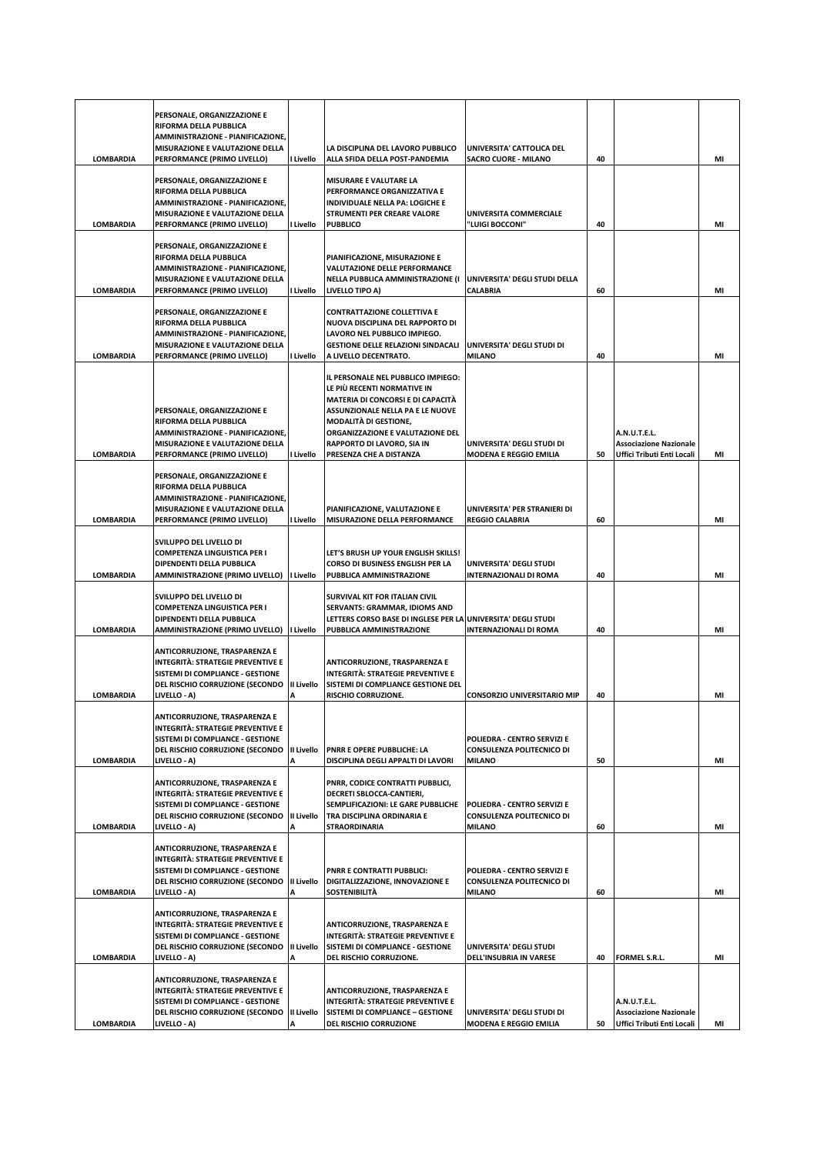|                  | PERSONALE, ORGANIZZAZIONE E<br>RIFORMA DELLA PUBBLICA<br>AMMINISTRAZIONE - PIANIFICAZIONE,<br>MISURAZIONE E VALUTAZIONE DELLA                                                                |                 | LA DISCIPLINA DEL LAVORO PUBBLICO                                                                                                                                                                                                                                       | UNIVERSITA' CATTOLICA DEL                                                 |    |                                                                                    |    |
|------------------|----------------------------------------------------------------------------------------------------------------------------------------------------------------------------------------------|-----------------|-------------------------------------------------------------------------------------------------------------------------------------------------------------------------------------------------------------------------------------------------------------------------|---------------------------------------------------------------------------|----|------------------------------------------------------------------------------------|----|
| <b>LOMBARDIA</b> | PERFORMANCE (PRIMO LIVELLO)<br>PERSONALE, ORGANIZZAZIONE E<br>RIFORMA DELLA PUBBLICA<br>AMMINISTRAZIONE - PIANIFICAZIONE,<br>MISURAZIONE E VALUTAZIONE DELLA                                 | I Livello       | ALLA SFIDA DELLA POST-PANDEMIA<br>MISURARE E VALUTARE LA<br>PERFORMANCE ORGANIZZATIVA E<br>INDIVIDUALE NELLA PA: LOGICHE E<br>STRUMENTI PER CREARE VALORE                                                                                                               | <b>SACRO CUORE - MILANO</b><br>UNIVERSITA COMMERCIALE                     | 40 |                                                                                    | MI |
| <b>LOMBARDIA</b> | PERFORMANCE (PRIMO LIVELLO)                                                                                                                                                                  | I Livello       | <b>PUBBLICO</b>                                                                                                                                                                                                                                                         | "LUIGI BOCCONI"                                                           | 40 |                                                                                    | MI |
| <b>LOMBARDIA</b> | PERSONALE, ORGANIZZAZIONE E<br>RIFORMA DELLA PUBBLICA<br>AMMINISTRAZIONE - PIANIFICAZIONE.<br>MISURAZIONE E VALUTAZIONE DELLA<br>PERFORMANCE (PRIMO LIVELLO)                                 | I Livello       | PIANIFICAZIONE, MISURAZIONE E<br><b>VALUTAZIONE DELLE PERFORMANCE</b><br>NELLA PUBBLICA AMMINISTRAZIONE (I<br>LIVELLO TIPO A)                                                                                                                                           | UNIVERSITA' DEGLI STUDI DELLA<br>CALABRIA                                 | 60 |                                                                                    | MI |
| <b>LOMBARDIA</b> | PERSONALE, ORGANIZZAZIONE E<br>RIFORMA DELLA PUBBLICA<br>AMMINISTRAZIONE - PIANIFICAZIONE,<br>MISURAZIONE E VALUTAZIONE DELLA<br>PERFORMANCE (PRIMO LIVELLO)                                 | I Livello       | <b>CONTRATTAZIONE COLLETTIVA E</b><br>NUOVA DISCIPLINA DEL RAPPORTO DI<br>LAVORO NEL PUBBLICO IMPIEGO.<br><b>GESTIONE DELLE RELAZIONI SINDACALI</b><br>A LIVELLO DECENTRATO.                                                                                            | UNIVERSITA' DEGLI STUDI DI<br><b>MILANO</b>                               | 40 |                                                                                    | MI |
| LOMBARDIA        | PERSONALE, ORGANIZZAZIONE E<br>RIFORMA DELLA PUBBLICA<br>AMMINISTRAZIONE - PIANIFICAZIONE,<br>MISURAZIONE E VALUTAZIONE DELLA<br>PERFORMANCE (PRIMO LIVELLO)                                 | I Livello       | IL PERSONALE NEL PUBBLICO IMPIEGO:<br>LE PIÙ RECENTI NORMATIVE IN<br>MATERIA DI CONCORSI E DI CAPACITÀ<br>ASSUNZIONALE NELLA PA E LE NUOVE<br><b>MODALITÀ DI GESTIONE,</b><br>ORGANIZZAZIONE E VALUTAZIONE DEL<br>RAPPORTO DI LAVORO, SIA IN<br>PRESENZA CHE A DISTANZA | UNIVERSITA' DEGLI STUDI DI<br><b>MODENA E REGGIO EMILIA</b>               | 50 | A.N.U.T.E.L.<br><b>Associazione Nazionale</b><br><b>Uffici Tributi Enti Locali</b> | MI |
| LOMBARDIA        | PERSONALE, ORGANIZZAZIONE E<br>RIFORMA DELLA PUBBLICA<br>AMMINISTRAZIONE - PIANIFICAZIONE,<br>MISURAZIONE E VALUTAZIONE DELLA<br>PERFORMANCE (PRIMO LIVELLO)                                 | I Livello       | PIANIFICAZIONE, VALUTAZIONE E<br>MISURAZIONE DELLA PERFORMANCE                                                                                                                                                                                                          | UNIVERSITA' PER STRANIERI DI<br><b>REGGIO CALABRIA</b>                    | 60 |                                                                                    | MI |
| <b>LOMBARDIA</b> | SVILUPPO DEL LIVELLO DI<br>COMPETENZA LINGUISTICA PER I<br>DIPENDENTI DELLA PUBBLICA<br>AMMINISTRAZIONE (PRIMO LIVELLO)                                                                      | I Livello       | LET'S BRUSH UP YOUR ENGLISH SKILLS!<br>CORSO DI BUSINESS ENGLISH PER LA<br>PUBBLICA AMMINISTRAZIONE                                                                                                                                                                     | UNIVERSITA' DEGLI STUDI<br><b>INTERNAZIONALI DI ROMA</b>                  | 40 |                                                                                    | MI |
| <b>LOMBARDIA</b> | SVILUPPO DEL LIVELLO DI<br><b>COMPETENZA LINGUISTICA PER I</b><br>DIPENDENTI DELLA PUBBLICA                                                                                                  | I Livello       | SURVIVAL KIT FOR ITALIAN CIVIL<br>SERVANTS: GRAMMAR, IDIOMS AND<br>LETTERS CORSO BASE DI INGLESE PER LA UNIVERSITA' DEGLI STUDI<br>PUBBLICA AMMINISTRAZIONE                                                                                                             | <b>INTERNAZIONALI DI ROMA</b>                                             | 40 |                                                                                    | MI |
| <b>LOMBARDIA</b> | AMMINISTRAZIONE (PRIMO LIVELLO)<br>ANTICORRUZIONE, TRASPARENZA E<br>INTEGRITÀ: STRATEGIE PREVENTIVE E<br>SISTEMI DI COMPLIANCE - GESTIONE<br>DEL RISCHIO CORRUZIONE (SECONDO<br>LIVELLO - A) | II Livello<br>А | ANTICORRUZIONE, TRASPARENZA E<br>INTEGRITÀ: STRATEGIE PREVENTIVE E<br>SISTEMI DI COMPLIANCE GESTIONE DEL<br>RISCHIO CORRUZIONE.                                                                                                                                         | <b>CONSORZIO UNIVERSITARIO MIP</b>                                        | 40 |                                                                                    | MI |
| <b>LOMBARDIA</b> | ANTICORRUZIONE, TRASPARENZA E<br>INTEGRITÀ: STRATEGIE PREVENTIVE E<br>SISTEMI DI COMPLIANCE - GESTIONE<br>DEL RISCHIO CORRUZIONE (SECONDO<br>LIVELLO - A)                                    | II Livello<br>Α | PNRR E OPERE PUBBLICHE: LA<br>DISCIPLINA DEGLI APPALTI DI LAVORI                                                                                                                                                                                                        | POLIEDRA - CENTRO SERVIZI E<br>CONSULENZA POLITECNICO DI<br><b>MILANO</b> | 50 |                                                                                    | MI |
| <b>LOMBARDIA</b> | <b>ANTICORRUZIONE, TRASPARENZA E</b><br>INTEGRITÀ: STRATEGIE PREVENTIVE E<br>SISTEMI DI COMPLIANCE - GESTIONE<br>DEL RISCHIO CORRUZIONE (SECONDO<br>LIVELLO - A)                             | II Livello<br>Α | PNRR, CODICE CONTRATTI PUBBLICI,<br>DECRETI SBLOCCA-CANTIERI,<br>SEMPLIFICAZIONI: LE GARE PUBBLICHE<br>TRA DISCIPLINA ORDINARIA E<br><b>STRAORDINARIA</b>                                                                                                               | POLIEDRA - CENTRO SERVIZI E<br>CONSULENZA POLITECNICO DI<br><b>MILANO</b> | 60 |                                                                                    | MI |
| <b>LOMBARDIA</b> | ANTICORRUZIONE, TRASPARENZA E<br>INTEGRITÀ: STRATEGIE PREVENTIVE E<br>SISTEMI DI COMPLIANCE - GESTIONE<br><b>DEL RISCHIO CORRUZIONE (SECONDO</b><br>LIVELLO - A)                             | II Livello<br>А | <b>PNRR E CONTRATTI PUBBLICI:</b><br>DIGITALIZZAZIONE, INNOVAZIONE E<br><b>SOSTENIBILITÀ</b>                                                                                                                                                                            | POLIEDRA - CENTRO SERVIZI E<br>CONSULENZA POLITECNICO DI<br><b>MILANO</b> | 60 |                                                                                    | MI |
| <b>LOMBARDIA</b> | <b>ANTICORRUZIONE, TRASPARENZA E</b><br>INTEGRITÀ: STRATEGIE PREVENTIVE E<br>SISTEMI DI COMPLIANCE - GESTIONE<br>DEL RISCHIO CORRUZIONE (SECONDO<br>LIVELLO - A)                             | II Livello<br>Α | ANTICORRUZIONE, TRASPARENZA E<br>INTEGRITÀ: STRATEGIE PREVENTIVE E<br>SISTEMI DI COMPLIANCE - GESTIONE<br>DEL RISCHIO CORRUZIONE.                                                                                                                                       | UNIVERSITA' DEGLI STUDI<br>DELL'INSUBRIA IN VARESE                        | 40 | FORMEL S.R.L.                                                                      | MI |
| <b>LOMBARDIA</b> | <b>ANTICORRUZIONE, TRASPARENZA E</b><br>INTEGRITÀ: STRATEGIE PREVENTIVE E<br>SISTEMI DI COMPLIANCE - GESTIONE<br><b>DEL RISCHIO CORRUZIONE (SECONDO</b><br>LIVELLO - A)                      | II Livello<br>A | ANTICORRUZIONE, TRASPARENZA E<br><b>INTEGRITÀ: STRATEGIE PREVENTIVE E</b><br>SISTEMI DI COMPLIANCE - GESTIONE<br>DEL RISCHIO CORRUZIONE                                                                                                                                 | UNIVERSITA' DEGLI STUDI DI<br><b>MODENA E REGGIO EMILIA</b>               | 50 | A.N.U.T.E.L.<br><b>Associazione Nazionale</b><br>Uffici Tributi Enti Locali        | MI |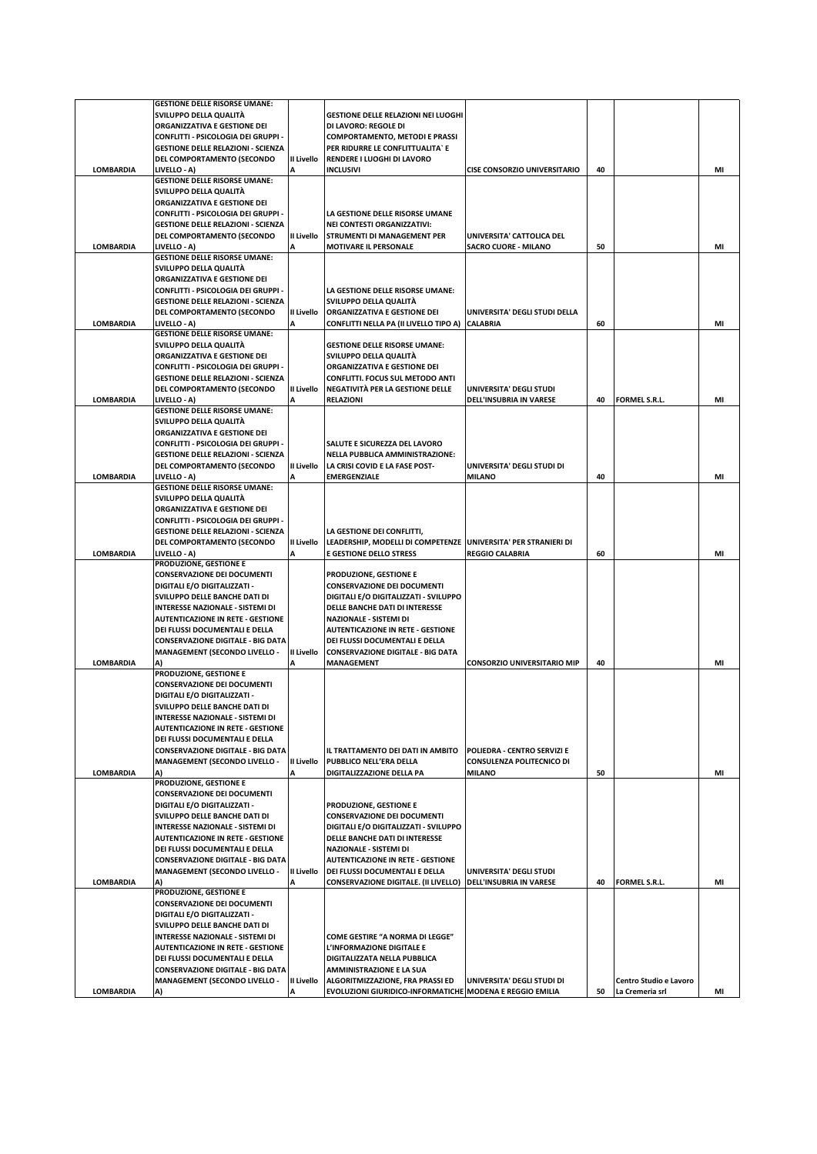|                  | <b>GESTIONE DELLE RISORSE UMANE:</b>                                |                   |                                                                             |                                     |    |                        |    |
|------------------|---------------------------------------------------------------------|-------------------|-----------------------------------------------------------------------------|-------------------------------------|----|------------------------|----|
|                  | SVILUPPO DELLA QUALITÀ                                              |                   | <b>GESTIONE DELLE RELAZIONI NEI LUOGHI</b>                                  |                                     |    |                        |    |
|                  | ORGANIZZATIVA E GESTIONE DEI                                        |                   | DI LAVORO: REGOLE DI                                                        |                                     |    |                        |    |
|                  | CONFLITTI - PSICOLOGIA DEI GRUPPI -                                 |                   | <b>COMPORTAMENTO, METODI E PRASSI</b>                                       |                                     |    |                        |    |
|                  | <b>GESTIONE DELLE RELAZIONI - SCIENZA</b>                           |                   | PER RIDURRE LE CONFLITTUALITA' E                                            |                                     |    |                        |    |
|                  | DEL COMPORTAMENTO (SECONDO                                          | II Livello        | RENDERE I LUOGHI DI LAVORO                                                  |                                     |    |                        |    |
| <b>LOMBARDIA</b> | LIVELLO - A)                                                        |                   | <b>INCLUSIVI</b>                                                            | <b>CISE CONSORZIO UNIVERSITARIO</b> | 40 |                        | MI |
|                  | <b>GESTIONE DELLE RISORSE UMANE:</b>                                |                   |                                                                             |                                     |    |                        |    |
|                  | SVILUPPO DELLA QUALITÀ                                              |                   |                                                                             |                                     |    |                        |    |
|                  | ORGANIZZATIVA E GESTIONE DEI                                        |                   |                                                                             |                                     |    |                        |    |
|                  | CONFLITTI - PSICOLOGIA DEI GRUPPI -                                 |                   | LA GESTIONE DELLE RISORSE UMANE                                             |                                     |    |                        |    |
|                  | <b>GESTIONE DELLE RELAZIONI - SCIENZA</b>                           |                   | <b>NEI CONTESTI ORGANIZZATIVI:</b>                                          |                                     |    |                        |    |
|                  | DEL COMPORTAMENTO (SECONDO                                          | II Livello        | STRUMENTI DI MANAGEMENT PER                                                 | UNIVERSITA' CATTOLICA DEL           |    |                        |    |
| <b>LOMBARDIA</b> | LIVELLO - A)                                                        |                   | <b>MOTIVARE IL PERSONALE</b>                                                | <b>SACRO CUORE - MILANO</b>         | 50 |                        | MI |
|                  | <b>GESTIONE DELLE RISORSE UMANE:</b>                                |                   |                                                                             |                                     |    |                        |    |
|                  | SVILUPPO DELLA QUALITÀ                                              |                   |                                                                             |                                     |    |                        |    |
|                  | ORGANIZZATIVA E GESTIONE DEI                                        |                   |                                                                             |                                     |    |                        |    |
|                  | CONFLITTI - PSICOLOGIA DEI GRUPPI -                                 |                   | LA GESTIONE DELLE RISORSE UMANE:                                            |                                     |    |                        |    |
|                  | <b>GESTIONE DELLE RELAZIONI - SCIENZA</b>                           |                   | SVILUPPO DELLA QUALITÀ                                                      |                                     |    |                        |    |
|                  | DEL COMPORTAMENTO (SECONDO                                          | II Livello        | ORGANIZZATIVA E GESTIONE DEI                                                | UNIVERSITA' DEGLI STUDI DELLA       |    |                        |    |
| <b>LOMBARDIA</b> | LIVELLO - A)                                                        | A                 | <b>CONFLITTI NELLA PA (II LIVELLO TIPO A)</b>                               | <b>CALABRIA</b>                     | 60 |                        | MI |
|                  | <b>GESTIONE DELLE RISORSE UMANE:</b>                                |                   |                                                                             |                                     |    |                        |    |
|                  | SVILUPPO DELLA QUALITÀ                                              |                   | <b>GESTIONE DELLE RISORSE UMANE:</b>                                        |                                     |    |                        |    |
|                  | ORGANIZZATIVA E GESTIONE DEI<br>CONFLITTI - PSICOLOGIA DEI GRUPPI - |                   | SVILUPPO DELLA QUALITÀ                                                      |                                     |    |                        |    |
|                  |                                                                     |                   | ORGANIZZATIVA E GESTIONE DEI                                                |                                     |    |                        |    |
|                  | <b>GESTIONE DELLE RELAZIONI - SCIENZA</b>                           | II Livello        | <b>CONFLITTI. FOCUS SUL METODO ANTI</b><br>NEGATIVITÀ PER LA GESTIONE DELLE | UNIVERSITA' DEGLI STUDI             |    |                        |    |
| <b>LOMBARDIA</b> | DEL COMPORTAMENTO (SECONDO<br>LIVELLO - A)                          |                   | <b>RELAZIONI</b>                                                            | DELL'INSUBRIA IN VARESE             | 40 | FORMEL S.R.L.          | MI |
|                  | <b>GESTIONE DELLE RISORSE UMANE:</b>                                |                   |                                                                             |                                     |    |                        |    |
|                  | SVILUPPO DELLA QUALITÀ                                              |                   |                                                                             |                                     |    |                        |    |
|                  | ORGANIZZATIVA E GESTIONE DEI                                        |                   |                                                                             |                                     |    |                        |    |
|                  | CONFLITTI - PSICOLOGIA DEI GRUPPI -                                 |                   | SALUTE E SICUREZZA DEL LAVORO                                               |                                     |    |                        |    |
|                  | <b>GESTIONE DELLE RELAZIONI - SCIENZA</b>                           |                   | NELLA PUBBLICA AMMINISTRAZIONE:                                             |                                     |    |                        |    |
|                  | DEL COMPORTAMENTO (SECONDO                                          | <b>II Livello</b> | LA CRISI COVID E LA FASE POST-                                              | UNIVERSITA' DEGLI STUDI DI          |    |                        |    |
| <b>LOMBARDIA</b> | LIVELLO - A)                                                        |                   | <b>EMERGENZIALE</b>                                                         | <b>MILANO</b>                       | 40 |                        | MI |
|                  | <b>GESTIONE DELLE RISORSE UMANE:</b>                                |                   |                                                                             |                                     |    |                        |    |
|                  | SVILUPPO DELLA QUALITÀ                                              |                   |                                                                             |                                     |    |                        |    |
|                  | ORGANIZZATIVA E GESTIONE DEI                                        |                   |                                                                             |                                     |    |                        |    |
|                  | CONFLITTI - PSICOLOGIA DEI GRUPPI -                                 |                   |                                                                             |                                     |    |                        |    |
|                  | <b>GESTIONE DELLE RELAZIONI - SCIENZA</b>                           |                   | LA GESTIONE DEI CONFLITTI,                                                  |                                     |    |                        |    |
|                  | DEL COMPORTAMENTO (SECONDO                                          | II Livello        | LEADERSHIP, MODELLI DI COMPETENZE UNIVERSITA' PER STRANIERI DI              |                                     |    |                        |    |
| <b>LOMBARDIA</b> | LIVELLO - A)                                                        | A                 | <b>E GESTIONE DELLO STRESS</b>                                              | <b>REGGIO CALABRIA</b>              | 60 |                        | MI |
|                  | PRODUZIONE, GESTIONE E                                              |                   |                                                                             |                                     |    |                        |    |
|                  | <b>CONSERVAZIONE DEI DOCUMENTI</b>                                  |                   | PRODUZIONE, GESTIONE E                                                      |                                     |    |                        |    |
|                  | DIGITALI E/O DIGITALIZZATI -                                        |                   | <b>CONSERVAZIONE DEI DOCUMENTI</b>                                          |                                     |    |                        |    |
|                  | SVILUPPO DELLE BANCHE DATI DI                                       |                   | DIGITALI E/O DIGITALIZZATI - SVILUPPO                                       |                                     |    |                        |    |
|                  | INTERESSE NAZIONALE - SISTEMI DI                                    |                   | DELLE BANCHE DATI DI INTERESSE                                              |                                     |    |                        |    |
|                  | <b>AUTENTICAZIONE IN RETE - GESTIONE</b>                            |                   | <b>NAZIONALE - SISTEMI DI</b>                                               |                                     |    |                        |    |
|                  | DEI FLUSSI DOCUMENTALI E DELLA                                      |                   | AUTENTICAZIONE IN RETE - GESTIONE                                           |                                     |    |                        |    |
|                  | <b>CONSERVAZIONE DIGITALE - BIG DATA</b>                            |                   | DEI FLUSSI DOCUMENTALI E DELLA                                              |                                     |    |                        |    |
|                  | <b>MANAGEMENT (SECONDO LIVELLO -</b>                                | II Livello        | <b>CONSERVAZIONE DIGITALE - BIG DATA</b>                                    |                                     |    |                        |    |
| <b>LOMBARDIA</b> | A)                                                                  |                   | <b>MANAGEMENT</b>                                                           | <b>CONSORZIO UNIVERSITARIO MIP</b>  | 40 |                        | MI |
|                  | PRODUZIONE, GESTIONE E                                              |                   |                                                                             |                                     |    |                        |    |
|                  | <b>CONSERVAZIONE DEI DOCUMENTI</b>                                  |                   |                                                                             |                                     |    |                        |    |
|                  | DIGITALI E/O DIGITALIZZATI -                                        |                   |                                                                             |                                     |    |                        |    |
|                  | SVILUPPO DELLE BANCHE DATI DI                                       |                   |                                                                             |                                     |    |                        |    |
|                  | INTERESSE NAZIONALE - SISTEMI DI                                    |                   |                                                                             |                                     |    |                        |    |
|                  | <b>AUTENTICAZIONE IN RETE - GESTIONE</b>                            |                   |                                                                             |                                     |    |                        |    |
|                  | DEI FLUSSI DOCUMENTALI E DELLA                                      |                   |                                                                             |                                     |    |                        |    |
|                  | <b>CONSERVAZIONE DIGITALE - BIG DATA</b>                            |                   | IL TRATTAMENTO DEI DATI IN AMBITO                                           | POLIEDRA - CENTRO SERVIZI E         |    |                        |    |
|                  | <b>MANAGEMENT (SECONDO LIVELLO -</b>                                | II Livello        | PUBBLICO NELL'ERA DELLA                                                     | CONSULENZA POLITECNICO DI           |    |                        |    |
| <b>LOMBARDIA</b> | A)<br>PRODUZIONE, GESTIONE E                                        |                   | DIGITALIZZAZIONE DELLA PA                                                   | <b>MILANO</b>                       | 50 |                        | MI |
|                  | <b>CONSERVAZIONE DEI DOCUMENTI</b>                                  |                   |                                                                             |                                     |    |                        |    |
|                  | DIGITALI E/O DIGITALIZZATI -                                        |                   | PRODUZIONE, GESTIONE E                                                      |                                     |    |                        |    |
|                  | SVILUPPO DELLE BANCHE DATI DI                                       |                   | <b>CONSERVAZIONE DEI DOCUMENTI</b>                                          |                                     |    |                        |    |
|                  | INTERESSE NAZIONALE - SISTEMI DI                                    |                   | DIGITALI E/O DIGITALIZZATI - SVILUPPO                                       |                                     |    |                        |    |
|                  | <b>AUTENTICAZIONE IN RETE - GESTIONE</b>                            |                   | DELLE BANCHE DATI DI INTERESSE                                              |                                     |    |                        |    |
|                  | DEI FLUSSI DOCUMENTALI E DELLA                                      |                   | <b>NAZIONALE - SISTEMI DI</b>                                               |                                     |    |                        |    |
|                  | <b>CONSERVAZIONE DIGITALE - BIG DATA</b>                            |                   | <b>AUTENTICAZIONE IN RETE - GESTIONE</b>                                    |                                     |    |                        |    |
|                  | <b>MANAGEMENT (SECONDO LIVELLO -</b>                                | <b>II Livello</b> | DEI FLUSSI DOCUMENTALI E DELLA                                              | UNIVERSITA' DEGLI STUDI             |    |                        |    |
| LOMBARDIA        | A)                                                                  | A                 | <b>CONSERVAZIONE DIGITALE. (II LIVELLO)</b>                                 | DELL'INSUBRIA IN VARESE             | 40 | FORMEL S.R.L.          | MI |
|                  | PRODUZIONE, GESTIONE E                                              |                   |                                                                             |                                     |    |                        |    |
|                  | <b>CONSERVAZIONE DEI DOCUMENTI</b>                                  |                   |                                                                             |                                     |    |                        |    |
|                  | DIGITALI E/O DIGITALIZZATI -                                        |                   |                                                                             |                                     |    |                        |    |
|                  | SVILUPPO DELLE BANCHE DATI DI                                       |                   |                                                                             |                                     |    |                        |    |
|                  | INTERESSE NAZIONALE - SISTEMI DI                                    |                   | COME GESTIRE "A NORMA DI LEGGE"                                             |                                     |    |                        |    |
|                  | <b>AUTENTICAZIONE IN RETE - GESTIONE</b>                            |                   | L'INFORMAZIONE DIGITALE E                                                   |                                     |    |                        |    |
|                  | DEI FLUSSI DOCUMENTALI E DELLA                                      |                   | DIGITALIZZATA NELLA PUBBLICA                                                |                                     |    |                        |    |
|                  | <b>CONSERVAZIONE DIGITALE - BIG DATA</b>                            |                   | <b>AMMINISTRAZIONE E LA SUA</b>                                             |                                     |    |                        |    |
|                  | <b>MANAGEMENT (SECONDO LIVELLO -</b>                                | II Livello        | ALGORITMIZZAZIONE, FRA PRASSI ED                                            | UNIVERSITA' DEGLI STUDI DI          |    | Centro Studio e Lavoro |    |
| <b>LOMBARDIA</b> | A)                                                                  |                   | EVOLUZIONI GIURIDICO-INFORMATICHE MODENA E REGGIO EMILIA                    |                                     | 50 | La Cremeria srl        | ΜI |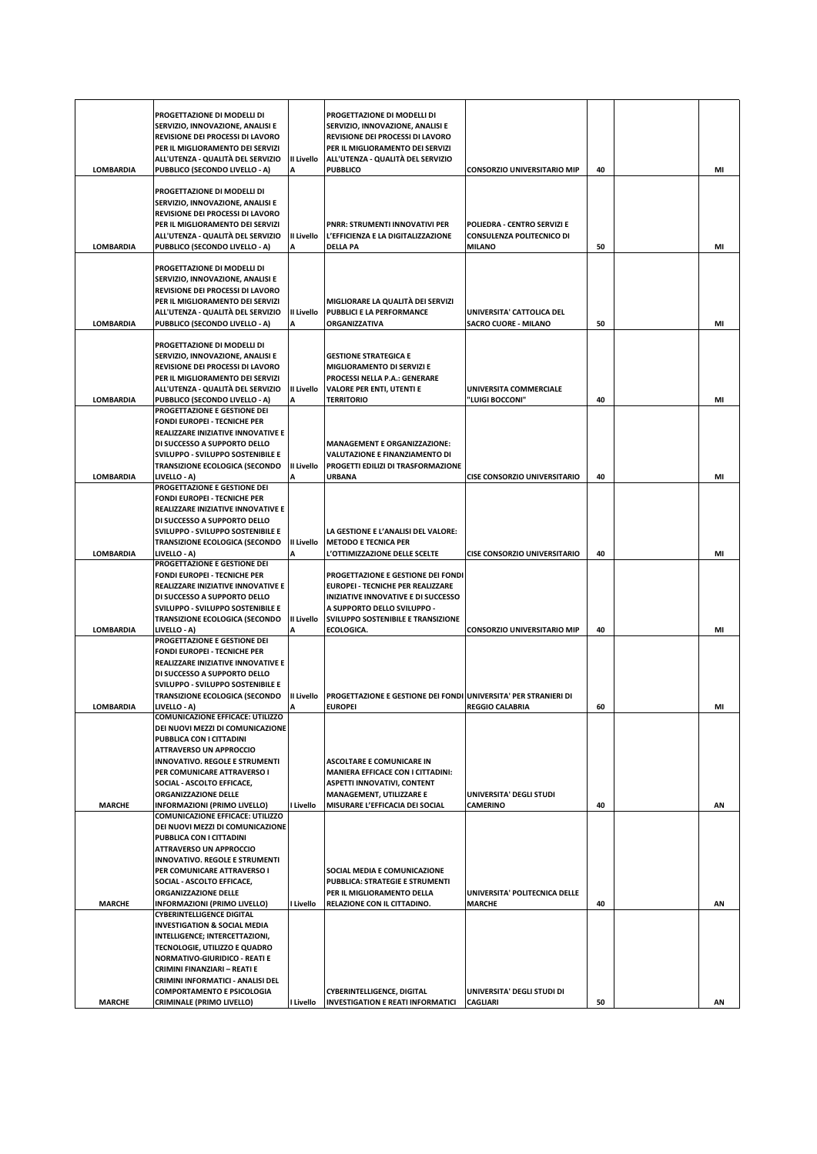|                  | PROGETTAZIONE DI MODELLI DI<br>SERVIZIO, INNOVAZIONE, ANALISI E                                                                                                                                                       |                 | PROGETTAZIONE DI MODELLI DI<br>SERVIZIO, INNOVAZIONE, ANALISI E                                                                 |                                                                 |    |    |
|------------------|-----------------------------------------------------------------------------------------------------------------------------------------------------------------------------------------------------------------------|-----------------|---------------------------------------------------------------------------------------------------------------------------------|-----------------------------------------------------------------|----|----|
|                  | REVISIONE DEI PROCESSI DI LAVORO<br>PER IL MIGLIORAMENTO DEI SERVIZI<br>ALL'UTENZA - QUALITÀ DEL SERVIZIO                                                                                                             | II Livello      | REVISIONE DEI PROCESSI DI LAVORO<br>PER IL MIGLIORAMENTO DEI SERVIZI<br>ALL'UTENZA - QUALITÀ DEL SERVIZIO                       |                                                                 |    |    |
| <b>LOMBARDIA</b> | PUBBLICO (SECONDO LIVELLO - A)                                                                                                                                                                                        | Α               | <b>PUBBLICO</b>                                                                                                                 | <b>CONSORZIO UNIVERSITARIO MIP</b>                              | 40 | MI |
|                  | PROGETTAZIONE DI MODELLI DI<br>SERVIZIO, INNOVAZIONE, ANALISI E<br>REVISIONE DEI PROCESSI DI LAVORO<br>PER IL MIGLIORAMENTO DEI SERVIZI<br>ALL'UTENZA - QUALITÀ DEL SERVIZIO                                          | II Livello      | <b>PNRR: STRUMENTI INNOVATIVI PER</b><br>L'EFFICIENZA E LA DIGITALIZZAZIONE                                                     | POLIEDRA - CENTRO SERVIZI E<br><b>CONSULENZA POLITECNICO DI</b> |    |    |
| <b>LOMBARDIA</b> | PUBBLICO (SECONDO LIVELLO - A)                                                                                                                                                                                        | А               | <b>DELLA PA</b>                                                                                                                 | <b>MILANO</b>                                                   | 50 | MI |
| <b>LOMBARDIA</b> | PROGETTAZIONE DI MODELLI DI<br>SERVIZIO, INNOVAZIONE, ANALISI E<br><b>REVISIONE DEI PROCESSI DI LAVORO</b><br>PER IL MIGLIORAMENTO DEI SERVIZI<br>ALL'UTENZA - QUALITÀ DEL SERVIZIO<br>PUBBLICO (SECONDO LIVELLO - A) | II Livello<br>А | MIGLIORARE LA QUALITÀ DEI SERVIZI<br>PUBBLICI E LA PERFORMANCE<br>ORGANIZZATIVA                                                 | UNIVERSITA' CATTOLICA DEL<br><b>SACRO CUORE - MILANO</b>        | 50 | MI |
|                  | PROGETTAZIONE DI MODELLI DI                                                                                                                                                                                           |                 |                                                                                                                                 |                                                                 |    |    |
|                  | SERVIZIO, INNOVAZIONE, ANALISI E<br>REVISIONE DEI PROCESSI DI LAVORO<br>PER IL MIGLIORAMENTO DEI SERVIZI<br>ALL'UTENZA - QUALITÀ DEL SERVIZIO                                                                         | II Livello      | <b>GESTIONE STRATEGICA E</b><br>MIGLIORAMENTO DI SERVIZI E<br>PROCESSI NELLA P.A.: GENERARE<br><b>VALORE PER ENTI, UTENTI E</b> | <b>UNIVERSITA COMMERCIALE</b>                                   |    |    |
| <b>LOMBARDIA</b> | PUBBLICO (SECONDO LIVELLO - A)<br>PROGETTAZIONE E GESTIONE DEI                                                                                                                                                        | A               | <b>TERRITORIO</b>                                                                                                               | <b>'LUIGI BOCCONI''</b>                                         | 40 | MI |
|                  | <b>FONDI EUROPEI - TECNICHE PER</b><br>REALIZZARE INIZIATIVE INNOVATIVE E<br>DI SUCCESSO A SUPPORTO DELLO                                                                                                             |                 | <b>MANAGEMENT E ORGANIZZAZIONE:</b>                                                                                             |                                                                 |    |    |
|                  | SVILUPPO - SVILUPPO SOSTENIBILE E<br><b>TRANSIZIONE ECOLOGICA (SECONDO</b>                                                                                                                                            | II Livello      | VALUTAZIONE E FINANZIAMENTO DI<br>PROGETTI EDILIZI DI TRASFORMAZIONE                                                            |                                                                 |    |    |
| <b>LOMBARDIA</b> | LIVELLO - A)<br>PROGETTAZIONE E GESTIONE DEI                                                                                                                                                                          | А               | <b>URBANA</b>                                                                                                                   | <b>CISE CONSORZIO UNIVERSITARIO</b>                             | 40 | MI |
|                  | <b>FONDI EUROPEI - TECNICHE PER</b>                                                                                                                                                                                   |                 |                                                                                                                                 |                                                                 |    |    |
|                  | REALIZZARE INIZIATIVE INNOVATIVE E<br>DI SUCCESSO A SUPPORTO DELLO                                                                                                                                                    |                 |                                                                                                                                 |                                                                 |    |    |
|                  | SVILUPPO - SVILUPPO SOSTENIBILE E                                                                                                                                                                                     |                 | LA GESTIONE E L'ANALISI DEL VALORE:                                                                                             |                                                                 |    |    |
| <b>LOMBARDIA</b> | <b>TRANSIZIONE ECOLOGICA (SECONDO</b><br>LIVELLO - A)                                                                                                                                                                 | II Livello<br>А | <b>METODO E TECNICA PER</b><br>L'OTTIMIZZAZIONE DELLE SCELTE                                                                    | <b>CISE CONSORZIO UNIVERSITARIO</b>                             | 40 | MI |
|                  | PROGETTAZIONE E GESTIONE DEI                                                                                                                                                                                          |                 |                                                                                                                                 |                                                                 |    |    |
|                  | FONDI EUROPEI - TECNICHE PER<br>REALIZZARE INIZIATIVE INNOVATIVE E                                                                                                                                                    |                 | PROGETTAZIONE E GESTIONE DEI FONDI<br><b>EUROPEI - TECNICHE PER REALIZZARE</b>                                                  |                                                                 |    |    |
|                  | DI SUCCESSO A SUPPORTO DELLO                                                                                                                                                                                          |                 | INIZIATIVE INNOVATIVE E DI SUCCESSO                                                                                             |                                                                 |    |    |
|                  | SVILUPPO - SVILUPPO SOSTENIBILE E<br><b>TRANSIZIONE ECOLOGICA (SECONDO</b>                                                                                                                                            | II Livello      | A SUPPORTO DELLO SVILUPPO -<br>SVILUPPO SOSTENIBILE E TRANSIZIONE                                                               |                                                                 |    |    |
| <b>LOMBARDIA</b> | LIVELLO - A)                                                                                                                                                                                                          | A               | ECOLOGICA.                                                                                                                      | <b>CONSORZIO UNIVERSITARIO MIP</b>                              | 40 | MI |
|                  | PROGETTAZIONE E GESTIONE DEI<br><b>FONDI EUROPEI - TECNICHE PER</b>                                                                                                                                                   |                 |                                                                                                                                 |                                                                 |    |    |
|                  | REALIZZARE INIZIATIVE INNOVATIVE E                                                                                                                                                                                    |                 |                                                                                                                                 |                                                                 |    |    |
|                  | DI SUCCESSO A SUPPORTO DELLO<br>SVILUPPO - SVILUPPO SOSTENIBILE E                                                                                                                                                     |                 |                                                                                                                                 |                                                                 |    |    |
|                  | <b>TRANSIZIONE ECOLOGICA (SECONDO</b>                                                                                                                                                                                 | II Livello      | <b>PROGETTAZIONE E GESTIONE DEI FONDI UNIVERSITA' PER STRANIERI DI</b>                                                          |                                                                 |    |    |
| <b>LOMBARDIA</b> | LIVELLO - A)<br>COMUNICAZIONE EFFICACE: UTILIZZO                                                                                                                                                                      | Α               | <b>EUROPEI</b>                                                                                                                  | <b>REGGIO CALABRIA</b>                                          | 60 | MI |
|                  | DEI NUOVI MEZZI DI COMUNICAZIONE                                                                                                                                                                                      |                 |                                                                                                                                 |                                                                 |    |    |
|                  | PUBBLICA CON I CITTADINI<br><b>ATTRAVERSO UN APPROCCIO</b>                                                                                                                                                            |                 |                                                                                                                                 |                                                                 |    |    |
|                  | <b>INNOVATIVO. REGOLE E STRUMENTI</b>                                                                                                                                                                                 |                 | <b>ASCOLTARE E COMUNICARE IN</b>                                                                                                |                                                                 |    |    |
|                  | PER COMUNICARE ATTRAVERSO I<br>SOCIAL - ASCOLTO EFFICACE,                                                                                                                                                             |                 | MANIERA EFFICACE CON I CITTADINI:<br><b>ASPETTI INNOVATIVI, CONTENT</b>                                                         |                                                                 |    |    |
|                  | <b>ORGANIZZAZIONE DELLE</b>                                                                                                                                                                                           |                 | MANAGEMENT, UTILIZZARE E                                                                                                        | UNIVERSITA' DEGLI STUDI                                         |    |    |
| <b>MARCHE</b>    | <b>INFORMAZIONI (PRIMO LIVELLO)</b><br><b>COMUNICAZIONE EFFICACE: UTILIZZO</b>                                                                                                                                        | I Livello       | MISURARE L'EFFICACIA DEI SOCIAL                                                                                                 | <b>CAMERINO</b>                                                 | 40 | AN |
|                  | DEI NUOVI MEZZI DI COMUNICAZIONE                                                                                                                                                                                      |                 |                                                                                                                                 |                                                                 |    |    |
|                  | PUBBLICA CON I CITTADINI<br><b>ATTRAVERSO UN APPROCCIO</b>                                                                                                                                                            |                 |                                                                                                                                 |                                                                 |    |    |
|                  | <b>INNOVATIVO. REGOLE E STRUMENTI</b><br>PER COMUNICARE ATTRAVERSO I                                                                                                                                                  |                 | SOCIAL MEDIA E COMUNICAZIONE                                                                                                    |                                                                 |    |    |
|                  | SOCIAL - ASCOLTO EFFICACE,                                                                                                                                                                                            |                 | PUBBLICA: STRATEGIE E STRUMENTI                                                                                                 |                                                                 |    |    |
|                  | <b>ORGANIZZAZIONE DELLE</b>                                                                                                                                                                                           |                 | PER IL MIGLIORAMENTO DELLA                                                                                                      | UNIVERSITA' POLITECNICA DELLE                                   |    |    |
| <b>MARCHE</b>    | INFORMAZIONI (PRIMO LIVELLO)<br><b>CYBERINTELLIGENCE DIGITAL</b>                                                                                                                                                      | I Livello       | RELAZIONE CON IL CITTADINO.                                                                                                     | <b>MARCHE</b>                                                   | 40 | AN |
|                  | <b>INVESTIGATION &amp; SOCIAL MEDIA</b><br>INTELLIGENCE; INTERCETTAZIONI,                                                                                                                                             |                 |                                                                                                                                 |                                                                 |    |    |
|                  | TECNOLOGIE, UTILIZZO E QUADRO                                                                                                                                                                                         |                 |                                                                                                                                 |                                                                 |    |    |
|                  | <b>NORMATIVO-GIURIDICO - REATI E</b><br>CRIMINI FINANZIARI - REATI E                                                                                                                                                  |                 |                                                                                                                                 |                                                                 |    |    |
|                  | CRIMINI INFORMATICI - ANALISI DEL                                                                                                                                                                                     |                 |                                                                                                                                 |                                                                 |    |    |
| <b>MARCHE</b>    | <b>COMPORTAMENTO E PSICOLOGIA</b><br><b>CRIMINALE (PRIMO LIVELLO)</b>                                                                                                                                                 | I Livello       | <b>CYBERINTELLIGENCE, DIGITAL</b><br><b>INVESTIGATION E REATI INFORMATICI</b>                                                   | UNIVERSITA' DEGLI STUDI DI<br><b>CAGLIARI</b>                   | 50 | ΑN |
|                  |                                                                                                                                                                                                                       |                 |                                                                                                                                 |                                                                 |    |    |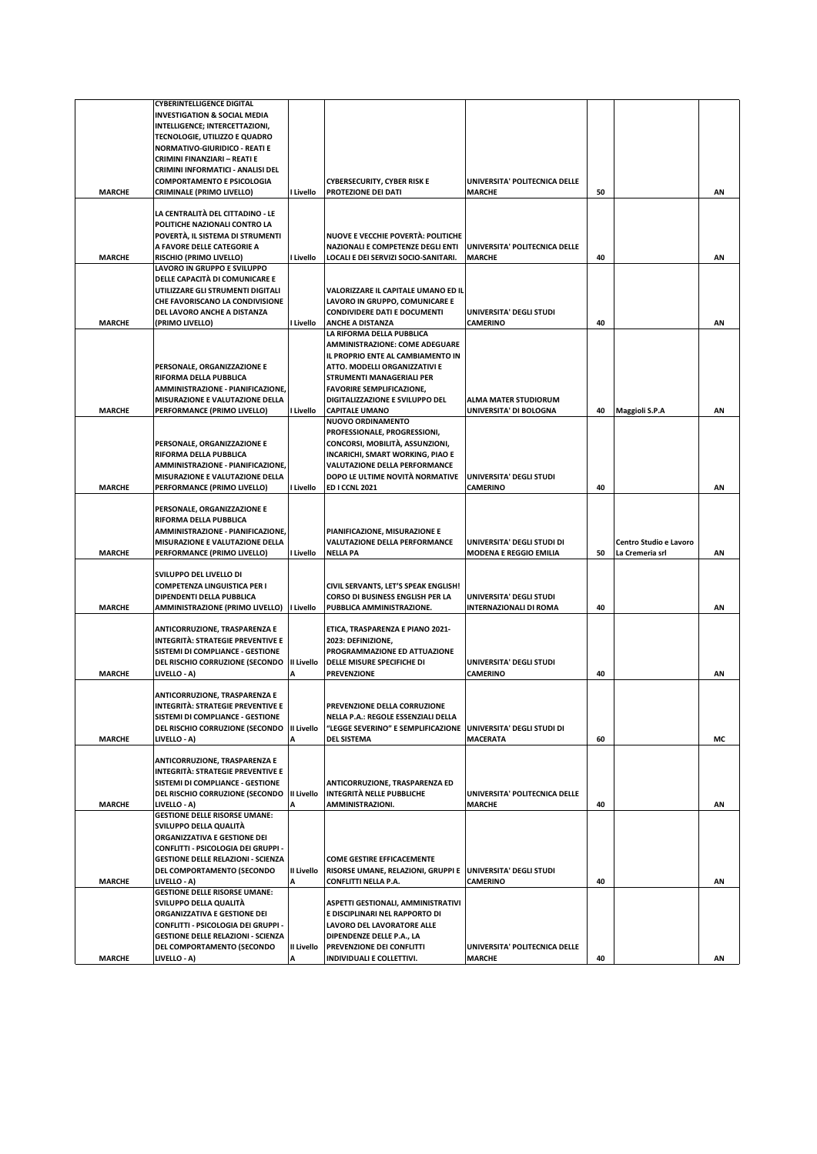|               | <b>CYBERINTELLIGENCE DIGITAL</b>                                             |            |                                                                                                        |                               |    |                        |    |
|---------------|------------------------------------------------------------------------------|------------|--------------------------------------------------------------------------------------------------------|-------------------------------|----|------------------------|----|
|               | <b>INVESTIGATION &amp; SOCIAL MEDIA</b>                                      |            |                                                                                                        |                               |    |                        |    |
|               | INTELLIGENCE; INTERCETTAZIONI,                                               |            |                                                                                                        |                               |    |                        |    |
|               | TECNOLOGIE, UTILIZZO E QUADRO                                                |            |                                                                                                        |                               |    |                        |    |
|               | <b>NORMATIVO-GIURIDICO - REATI E</b>                                         |            |                                                                                                        |                               |    |                        |    |
|               | CRIMINI FINANZIARI - REATI E                                                 |            |                                                                                                        |                               |    |                        |    |
|               | CRIMINI INFORMATICI - ANALISI DEL                                            |            |                                                                                                        |                               |    |                        |    |
|               | <b>COMPORTAMENTO E PSICOLOGIA</b>                                            |            | CYBERSECURITY, CYBER RISK E                                                                            | UNIVERSITA' POLITECNICA DELLE |    |                        |    |
| <b>MARCHE</b> | <b>CRIMINALE (PRIMO LIVELLO)</b>                                             | I Livello  | PROTEZIONE DEI DATI                                                                                    | <b>MARCHE</b>                 | 50 |                        | AN |
|               |                                                                              |            |                                                                                                        |                               |    |                        |    |
|               | LA CENTRALITA DEL CITTADINO - LE                                             |            |                                                                                                        |                               |    |                        |    |
|               | POLITICHE NAZIONALI CONTRO LA                                                |            |                                                                                                        |                               |    |                        |    |
|               | POVERTÀ, IL SISTEMA DI STRUMENTI                                             |            | NUOVE E VECCHIE POVERTÀ: POLITICHE                                                                     |                               |    |                        |    |
|               | A FAVORE DELLE CATEGORIE A                                                   |            | <b>NAZIONALI E COMPETENZE DEGLI ENTI</b>                                                               | UNIVERSITA' POLITECNICA DELLE |    |                        |    |
| <b>MARCHE</b> | RISCHIO (PRIMO LIVELLO)<br>LAVORO IN GRUPPO E SVILUPPO                       | I Livello  | LOCALI E DEI SERVIZI SOCIO-SANITARI.                                                                   | <b>MARCHE</b>                 | 40 |                        | AN |
|               | DELLE CAPACITÀ DI COMUNICARE E                                               |            |                                                                                                        |                               |    |                        |    |
|               | UTILIZZARE GLI STRUMENTI DIGITALI                                            |            | VALORIZZARE IL CAPITALE UMANO ED IL                                                                    |                               |    |                        |    |
|               | CHE FAVORISCANO LA CONDIVISIONE                                              |            | LAVORO IN GRUPPO, COMUNICARE E                                                                         |                               |    |                        |    |
|               | DEL LAVORO ANCHE A DISTANZA                                                  |            | <b>CONDIVIDERE DATI E DOCUMENTI</b>                                                                    | UNIVERSITA' DEGLI STUDI       |    |                        |    |
| <b>MARCHE</b> | (PRIMO LIVELLO)                                                              | I Livello  | <b>ANCHE A DISTANZA</b>                                                                                | <b>CAMERINO</b>               | 40 |                        | AN |
|               |                                                                              |            | LA RIFORMA DELLA PUBBLICA                                                                              |                               |    |                        |    |
|               |                                                                              |            | AMMINISTRAZIONE: COME ADEGUARE                                                                         |                               |    |                        |    |
|               |                                                                              |            | IL PROPRIO ENTE AL CAMBIAMENTO IN                                                                      |                               |    |                        |    |
|               | PERSONALE, ORGANIZZAZIONE E                                                  |            | ATTO. MODELLI ORGANIZZATIVI E                                                                          |                               |    |                        |    |
|               | RIFORMA DELLA PUBBLICA                                                       |            | STRUMENTI MANAGERIALI PER                                                                              |                               |    |                        |    |
|               | AMMINISTRAZIONE - PIANIFICAZIONE,                                            |            | <b>FAVORIRE SEMPLIFICAZIONE,</b>                                                                       |                               |    |                        |    |
|               | MISURAZIONE E VALUTAZIONE DELLA                                              |            | DIGITALIZZAZIONE E SVILUPPO DEL                                                                        | <b>ALMA MATER STUDIORUM</b>   |    |                        |    |
| <b>MARCHE</b> | PERFORMANCE (PRIMO LIVELLO)                                                  | I Livello  | <b>CAPITALE UMANO</b>                                                                                  | UNIVERSITA' DI BOLOGNA        | 40 | Maggioli S.P.A         | AN |
|               |                                                                              |            | <b>NUOVO ORDINAMENTO</b>                                                                               |                               |    |                        |    |
|               |                                                                              |            | PROFESSIONALE, PROGRESSIONI,                                                                           |                               |    |                        |    |
|               | PERSONALE, ORGANIZZAZIONE E                                                  |            | CONCORSI, MOBILITÀ, ASSUNZIONI,                                                                        |                               |    |                        |    |
|               | <b>RIFORMA DELLA PUBBLICA</b>                                                |            | INCARICHI, SMART WORKING, PIAO E                                                                       |                               |    |                        |    |
|               | AMMINISTRAZIONE - PIANIFICAZIONE,                                            |            | VALUTAZIONE DELLA PERFORMANCE                                                                          | UNIVERSITA' DEGLI STUDI       |    |                        |    |
| <b>MARCHE</b> | MISURAZIONE E VALUTAZIONE DELLA<br>PERFORMANCE (PRIMO LIVELLO)               | I Livello  | DOPO LE ULTIME NOVITÀ NORMATIVE<br><b>ED I CCNL 2021</b>                                               | <b>CAMERINO</b>               | 40 |                        | AN |
|               |                                                                              |            |                                                                                                        |                               |    |                        |    |
|               | PERSONALE, ORGANIZZAZIONE E                                                  |            |                                                                                                        |                               |    |                        |    |
|               | RIFORMA DELLA PUBBLICA                                                       |            |                                                                                                        |                               |    |                        |    |
|               | AMMINISTRAZIONE - PIANIFICAZIONE,                                            |            | PIANIFICAZIONE, MISURAZIONE E                                                                          |                               |    |                        |    |
|               |                                                                              |            |                                                                                                        |                               |    |                        |    |
|               | MISURAZIONE E VALUTAZIONE DELLA                                              |            | VALUTAZIONE DELLA PERFORMANCE                                                                          | UNIVERSITA' DEGLI STUDI DI    |    | Centro Studio e Lavoro |    |
| <b>MARCHE</b> | PERFORMANCE (PRIMO LIVELLO)                                                  | I Livello  | <b>NELLA PA</b>                                                                                        | <b>MODENA E REGGIO EMILIA</b> | 50 | La Cremeria srl        | AN |
|               |                                                                              |            |                                                                                                        |                               |    |                        |    |
|               | SVILUPPO DEL LIVELLO DI                                                      |            |                                                                                                        |                               |    |                        |    |
|               | <b>COMPETENZA LINGUISTICA PER I</b>                                          |            | CIVIL SERVANTS, LET'S SPEAK ENGLISH!                                                                   |                               |    |                        |    |
|               | DIPENDENTI DELLA PUBBLICA                                                    |            | CORSO DI BUSINESS ENGLISH PER LA                                                                       | UNIVERSITA' DEGLI STUDI       |    |                        |    |
| <b>MARCHE</b> | <b>AMMINISTRAZIONE (PRIMO LIVELLO)</b>                                       | I Livello  | PUBBLICA AMMINISTRAZIONE.                                                                              | <b>INTERNAZIONALI DI ROMA</b> | 40 |                        | ΑN |
|               |                                                                              |            |                                                                                                        |                               |    |                        |    |
|               | ANTICORRUZIONE, TRASPARENZA E                                                |            | ETICA, TRASPARENZA E PIANO 2021-                                                                       |                               |    |                        |    |
|               | <b>INTEGRITÀ: STRATEGIE PREVENTIVE E</b>                                     |            | 2023: DEFINIZIONE,                                                                                     |                               |    |                        |    |
|               | SISTEMI DI COMPLIANCE - GESTIONE                                             |            | PROGRAMMAZIONE ED ATTUAZIONE                                                                           |                               |    |                        |    |
|               | DEL RISCHIO CORRUZIONE (SECONDO II Livello                                   |            | DELLE MISURE SPECIFICHE DI                                                                             | UNIVERSITA' DEGLI STUDI       |    |                        |    |
| <b>MARCHE</b> | LIVELLO - A)                                                                 |            | <b>PREVENZIONE</b>                                                                                     | <b>CAMERINO</b>               | 40 |                        | ΑN |
|               |                                                                              |            |                                                                                                        |                               |    |                        |    |
|               | ANTICORRUZIONE, TRASPARENZA E                                                |            |                                                                                                        |                               |    |                        |    |
|               | <b>INTEGRITÀ: STRATEGIE PREVENTIVE E</b><br>SISTEMI DI COMPLIANCE - GESTIONE |            | PREVENZIONE DELLA CORRUZIONE                                                                           |                               |    |                        |    |
|               | DEL RISCHIO CORRUZIONE (SECONDO   II Livello                                 |            | NELLA P.A.: REGOLE ESSENZIALI DELLA<br>"LEGGE SEVERINO" E SEMPLIFICAZIONE   UNIVERSITA' DEGLI STUDI DI |                               |    |                        |    |
| <b>MARCHE</b> | LIVELLO - A)                                                                 |            | <b>DEL SISTEMA</b>                                                                                     | <b>MACERATA</b>               | 60 |                        | МC |
|               |                                                                              |            |                                                                                                        |                               |    |                        |    |
|               | ANTICORRUZIONE, TRASPARENZA E                                                |            |                                                                                                        |                               |    |                        |    |
|               | <b>INTEGRITÀ: STRATEGIE PREVENTIVE E</b>                                     |            |                                                                                                        |                               |    |                        |    |
|               | SISTEMI DI COMPLIANCE - GESTIONE                                             |            | ANTICORRUZIONE, TRASPARENZA ED                                                                         |                               |    |                        |    |
|               | DEL RISCHIO CORRUZIONE (SECONDO   II Livello                                 |            | <b>INTEGRITÀ NELLE PUBBLICHE</b>                                                                       | UNIVERSITA' POLITECNICA DELLE |    |                        |    |
| <b>MARCHE</b> | LIVELLO - A)                                                                 |            | AMMINISTRAZIONI.                                                                                       | <b>MARCHE</b>                 | 40 |                        | AN |
|               | <b>GESTIONE DELLE RISORSE UMANE:</b>                                         |            |                                                                                                        |                               |    |                        |    |
|               | SVILUPPO DELLA QUALITÀ                                                       |            |                                                                                                        |                               |    |                        |    |
|               | ORGANIZZATIVA E GESTIONE DEI                                                 |            |                                                                                                        |                               |    |                        |    |
|               | CONFLITTI - PSICOLOGIA DEI GRUPPI -                                          |            |                                                                                                        |                               |    |                        |    |
|               | <b>GESTIONE DELLE RELAZIONI - SCIENZA</b>                                    |            | <b>COME GESTIRE EFFICACEMENTE</b>                                                                      |                               |    |                        |    |
|               | DEL COMPORTAMENTO (SECONDO                                                   | II Livello | RISORSE UMANE, RELAZIONI, GRUPPI E UNIVERSITA' DEGLI STUDI                                             |                               |    |                        |    |
| <b>MARCHE</b> | LIVELLO - A)<br><b>GESTIONE DELLE RISORSE UMANE:</b>                         | А          | <b>CONFLITTI NELLA P.A.</b>                                                                            | <b>CAMERINO</b>               | 40 |                        | AN |
|               | SVILUPPO DELLA QUALITÀ                                                       |            | ASPETTI GESTIONALI, AMMINISTRATIVI                                                                     |                               |    |                        |    |
|               | ORGANIZZATIVA E GESTIONE DEI                                                 |            | E DISCIPLINARI NEL RAPPORTO DI                                                                         |                               |    |                        |    |
|               | CONFLITTI - PSICOLOGIA DEI GRUPPI -                                          |            | LAVORO DEL LAVORATORE ALLE                                                                             |                               |    |                        |    |
|               | <b>GESTIONE DELLE RELAZIONI - SCIENZA</b>                                    |            | DIPENDENZE DELLE P.A., LA                                                                              |                               |    |                        |    |
|               | DEL COMPORTAMENTO (SECONDO                                                   | II Livello | PREVENZIONE DEI CONFLITTI                                                                              | UNIVERSITA' POLITECNICA DELLE |    |                        |    |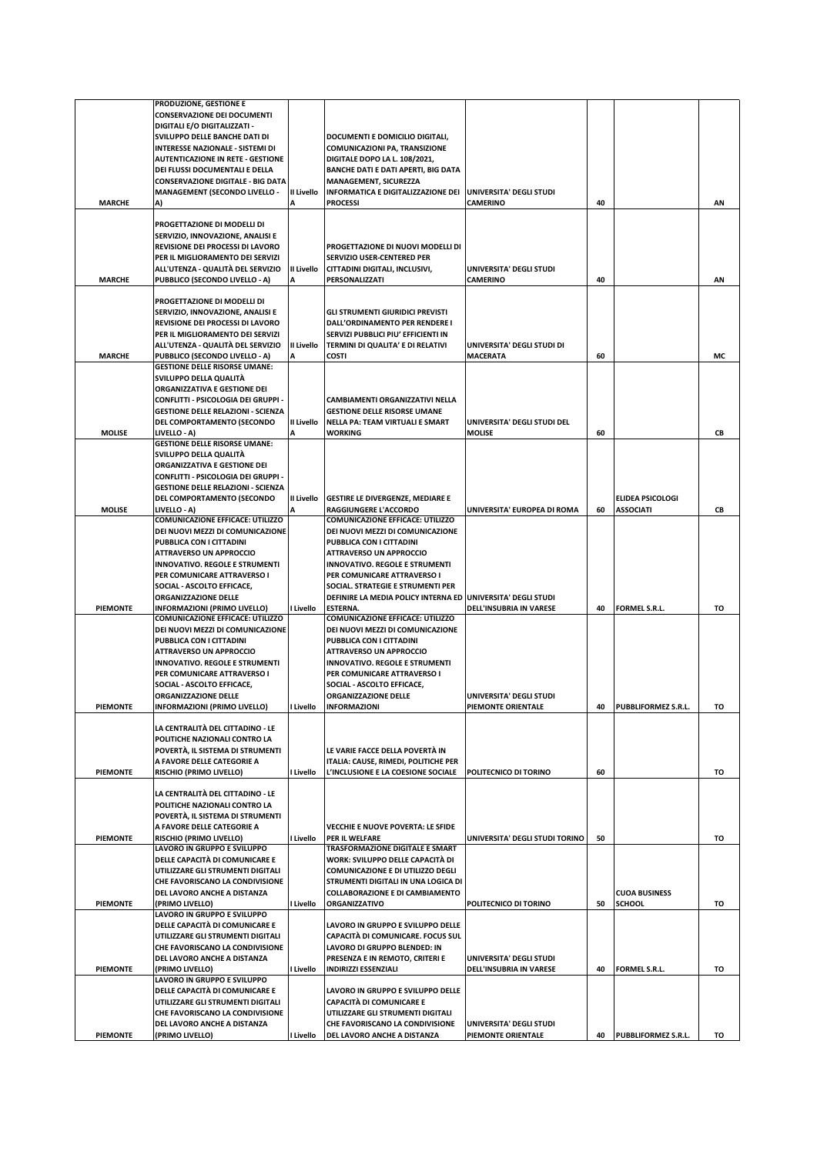|                 | PRODUZIONE, GESTIONE E                                              |            |                                                                       |                                               |    |                         |    |
|-----------------|---------------------------------------------------------------------|------------|-----------------------------------------------------------------------|-----------------------------------------------|----|-------------------------|----|
|                 | <b>CONSERVAZIONE DEI DOCUMENTI</b>                                  |            |                                                                       |                                               |    |                         |    |
|                 | DIGITALI E/O DIGITALIZZATI -                                        |            |                                                                       |                                               |    |                         |    |
|                 | SVILUPPO DELLE BANCHE DATI DI                                       |            | DOCUMENTI E DOMICILIO DIGITALI,                                       |                                               |    |                         |    |
|                 | INTERESSE NAZIONALE - SISTEMI DI                                    |            | COMUNICAZIONI PA, TRANSIZIONE                                         |                                               |    |                         |    |
|                 | <b>AUTENTICAZIONE IN RETE - GESTIONE</b>                            |            | DIGITALE DOPO LA L. 108/2021,                                         |                                               |    |                         |    |
|                 | DEI FLUSSI DOCUMENTALI E DELLA                                      |            | <b>BANCHE DATI E DATI APERTI, BIG DATA</b>                            |                                               |    |                         |    |
|                 | <b>CONSERVAZIONE DIGITALE - BIG DATA</b>                            |            | <b>MANAGEMENT, SICUREZZA</b>                                          |                                               |    |                         |    |
|                 | <b>MANAGEMENT (SECONDO LIVELLO -</b>                                | II Livello | INFORMATICA E DIGITALIZZAZIONE DEI UNIVERSITA' DEGLI STUDI            |                                               |    |                         |    |
| <b>MARCHE</b>   | A)                                                                  |            | <b>PROCESSI</b>                                                       | <b>CAMERINO</b>                               | 40 |                         | AN |
|                 | PROGETTAZIONE DI MODELLI DI                                         |            |                                                                       |                                               |    |                         |    |
|                 | SERVIZIO, INNOVAZIONE, ANALISI E                                    |            |                                                                       |                                               |    |                         |    |
|                 | REVISIONE DEI PROCESSI DI LAVORO                                    |            | PROGETTAZIONE DI NUOVI MODELLI DI                                     |                                               |    |                         |    |
|                 | PER IL MIGLIORAMENTO DEI SERVIZI                                    |            | SERVIZIO USER-CENTERED PER                                            |                                               |    |                         |    |
|                 | ALL'UTENZA - QUALITÀ DEL SERVIZIO                                   | II Livello | CITTADINI DIGITALI, INCLUSIVI,                                        | UNIVERSITA' DEGLI STUDI                       |    |                         |    |
| <b>MARCHE</b>   | PUBBLICO (SECONDO LIVELLO - A)                                      | Α          | PERSONALIZZATI                                                        | <b>CAMERINO</b>                               | 40 |                         | AN |
|                 |                                                                     |            |                                                                       |                                               |    |                         |    |
|                 | PROGETTAZIONE DI MODELLI DI                                         |            |                                                                       |                                               |    |                         |    |
|                 | SERVIZIO, INNOVAZIONE, ANALISI E                                    |            | <b>GLI STRUMENTI GIURIDICI PREVISTI</b>                               |                                               |    |                         |    |
|                 | REVISIONE DEI PROCESSI DI LAVORO                                    |            | DALL'ORDINAMENTO PER RENDERE I                                        |                                               |    |                         |    |
|                 | PER IL MIGLIORAMENTO DEI SERVIZI                                    |            | SERVIZI PUBBLICI PIU' EFFICIENTI IN                                   |                                               |    |                         |    |
|                 | ALL'UTENZA - QUALITÀ DEL SERVIZIO                                   | II Livello | TERMINI DI QUALITA' E DI RELATIVI                                     | UNIVERSITA' DEGLI STUDI DI                    |    |                         |    |
| <b>MARCHE</b>   | PUBBLICO (SECONDO LIVELLO - A)                                      | Δ          | <b>COSTI</b>                                                          | <b>MACERATA</b>                               | 60 |                         | MC |
|                 | <b>GESTIONE DELLE RISORSE UMANE:</b>                                |            |                                                                       |                                               |    |                         |    |
|                 | SVILUPPO DELLA QUALITÀ<br>ORGANIZZATIVA E GESTIONE DEI              |            |                                                                       |                                               |    |                         |    |
|                 | CONFLITTI - PSICOLOGIA DEI GRUPPI -                                 |            | CAMBIAMENTI ORGANIZZATIVI NELLA                                       |                                               |    |                         |    |
|                 | <b>GESTIONE DELLE RELAZIONI - SCIENZA</b>                           |            | <b>GESTIONE DELLE RISORSE UMANE</b>                                   |                                               |    |                         |    |
|                 | DEL COMPORTAMENTO (SECONDO                                          | II Livello | NELLA PA: TEAM VIRTUALI E SMART                                       | UNIVERSITA' DEGLI STUDI DEL                   |    |                         |    |
| <b>MOLISE</b>   | LIVELLO - A)                                                        |            | <b>WORKING</b>                                                        | <b>MOLISE</b>                                 | 60 |                         | CB |
|                 | <b>GESTIONE DELLE RISORSE UMANE:</b>                                |            |                                                                       |                                               |    |                         |    |
|                 | SVILUPPO DELLA QUALITÀ                                              |            |                                                                       |                                               |    |                         |    |
|                 | ORGANIZZATIVA E GESTIONE DEI                                        |            |                                                                       |                                               |    |                         |    |
|                 | CONFLITTI - PSICOLOGIA DEI GRUPPI -                                 |            |                                                                       |                                               |    |                         |    |
|                 | <b>GESTIONE DELLE RELAZIONI - SCIENZA</b>                           |            |                                                                       |                                               |    |                         |    |
|                 | DEL COMPORTAMENTO (SECONDO                                          | II Livello | <b>GESTIRE LE DIVERGENZE, MEDIARE E</b>                               |                                               |    | <b>ELIDEA PSICOLOGI</b> |    |
| <b>MOLISE</b>   | LIVELLO - A)                                                        |            | <b>RAGGIUNGERE L'ACCORDO</b>                                          | UNIVERSITA' EUROPEA DI ROMA                   | 60 | <b>ASSOCIATI</b>        | СB |
|                 | <b>COMUNICAZIONE EFFICACE: UTILIZZO</b>                             |            | <b>COMUNICAZIONE EFFICACE: UTILIZZO</b>                               |                                               |    |                         |    |
|                 | DEI NUOVI MEZZI DI COMUNICAZIONE                                    |            | DEI NUOVI MEZZI DI COMUNICAZIONE                                      |                                               |    |                         |    |
|                 | PUBBLICA CON I CITTADINI<br><b>ATTRAVERSO UN APPROCCIO</b>          |            | PUBBLICA CON I CITTADINI<br><b>ATTRAVERSO UN APPROCCIO</b>            |                                               |    |                         |    |
|                 | <b>INNOVATIVO. REGOLE E STRUMENTI</b>                               |            | <b>INNOVATIVO. REGOLE E STRUMENTI</b>                                 |                                               |    |                         |    |
|                 | PER COMUNICARE ATTRAVERSO I                                         |            | PER COMUNICARE ATTRAVERSO I                                           |                                               |    |                         |    |
|                 | SOCIAL - ASCOLTO EFFICACE,                                          |            | SOCIAL. STRATEGIE E STRUMENTI PER                                     |                                               |    |                         |    |
|                 | ORGANIZZAZIONE DELLE                                                |            | DEFINIRE LA MEDIA POLICY INTERNA ED UNIVERSITA' DEGLI STUDI           |                                               |    |                         |    |
| PIEMONTE        | <b>INFORMAZIONI (PRIMO LIVELLO)</b>                                 | l Livello  | <b>ESTERNA.</b>                                                       | DELL'INSUBRIA IN VARESE                       | 40 | FORMEL S.R.L.           | то |
|                 | <b>COMUNICAZIONE EFFICACE: UTILIZZO</b>                             |            | <b>COMUNICAZIONE EFFICACE: UTILIZZO</b>                               |                                               |    |                         |    |
|                 | DEI NUOVI MEZZI DI COMUNICAZIONE                                    |            | DEI NUOVI MEZZI DI COMUNICAZIONE                                      |                                               |    |                         |    |
|                 | PUBBLICA CON I CITTADINI                                            |            | PUBBLICA CON I CITTADINI                                              |                                               |    |                         |    |
|                 | <b>ATTRAVERSO UN APPROCCIO</b>                                      |            | <b>ATTRAVERSO UN APPROCCIO</b>                                        |                                               |    |                         |    |
|                 | <b>INNOVATIVO. REGOLE E STRUMENTI</b>                               |            | <b>INNOVATIVO. REGOLE E STRUMENTI</b>                                 |                                               |    |                         |    |
|                 | PER COMUNICARE ATTRAVERSO I                                         |            | PER COMUNICARE ATTRAVERSO I                                           |                                               |    |                         |    |
|                 | SOCIAL - ASCOLTO EFFICACE,                                          |            | SOCIAL - ASCOLTO EFFICACE,                                            |                                               |    |                         |    |
|                 | ORGANIZZAZIONE DELLE                                                |            | <b>ORGANIZZAZIONE DELLE</b>                                           | UNIVERSITA' DEGLI STUDI                       |    |                         |    |
| <b>PIEMONTE</b> | <b>INFORMAZIONI (PRIMO LIVELLO)</b>                                 | I Livello  | <b>INFORMAZIONI</b>                                                   | <b>PIEMONTE ORIENTALE</b>                     | 40 | PUBBLIFORMEZ S.R.L.     | то |
|                 | LA CENTRALITÀ DEL CITTADINO - LE                                    |            |                                                                       |                                               |    |                         |    |
|                 | POLITICHE NAZIONALI CONTRO LA                                       |            |                                                                       |                                               |    |                         |    |
|                 | POVERTÀ, IL SISTEMA DI STRUMENTI                                    |            | LE VARIE FACCE DELLA POVERTÀ IN                                       |                                               |    |                         |    |
|                 | A FAVORE DELLE CATEGORIE A                                          |            | ITALIA: CAUSE, RIMEDI, POLITICHE PER                                  |                                               |    |                         |    |
| <b>PIEMONTE</b> | RISCHIO (PRIMO LIVELLO)                                             | Livello    | L'INCLUSIONE E LA COESIONE SOCIALE                                    | POLITECNICO DI TORINO                         | 60 |                         | TO |
|                 |                                                                     |            |                                                                       |                                               |    |                         |    |
|                 | LA CENTRALITÀ DEL CITTADINO - LE                                    |            |                                                                       |                                               |    |                         |    |
|                 | POLITICHE NAZIONALI CONTRO LA                                       |            |                                                                       |                                               |    |                         |    |
|                 | POVERTÀ, IL SISTEMA DI STRUMENTI                                    |            |                                                                       |                                               |    |                         |    |
|                 | A FAVORE DELLE CATEGORIE A                                          |            | <b>VECCHIE E NUOVE POVERTA: LE SFIDE</b>                              |                                               |    |                         |    |
| <b>PIEMONTE</b> | RISCHIO (PRIMO LIVELLO)                                             | I Livello  | PER IL WELFARE                                                        | UNIVERSITA' DEGLI STUDI TORINO                | 50 |                         | TO |
|                 | LAVORO IN GRUPPO E SVILUPPO                                         |            | TRASFORMAZIONE DIGITALE E SMART                                       |                                               |    |                         |    |
|                 | DELLE CAPACITÀ DI COMUNICARE E<br>UTILIZZARE GLI STRUMENTI DIGITALI |            | WORK: SVILUPPO DELLE CAPACITÀ DI<br>COMUNICAZIONE E DI UTILIZZO DEGLI |                                               |    |                         |    |
|                 | CHE FAVORISCANO LA CONDIVISIONE                                     |            | STRUMENTI DIGITALI IN UNA LOGICA DI                                   |                                               |    |                         |    |
|                 | DEL LAVORO ANCHE A DISTANZA                                         |            | <b>COLLABORAZIONE E DI CAMBIAMENTO</b>                                |                                               |    | <b>CUOA BUSINESS</b>    |    |
| <b>PIEMONTE</b> | (PRIMO LIVELLO)                                                     | I Livello  | ORGANIZZATIVO                                                         | POLITECNICO DI TORINO                         | 50 | <b>SCHOOL</b>           | TO |
|                 | LAVORO IN GRUPPO E SVILUPPO                                         |            |                                                                       |                                               |    |                         |    |
|                 | DELLE CAPACITÀ DI COMUNICARE E                                      |            | LAVORO IN GRUPPO E SVILUPPO DELLE                                     |                                               |    |                         |    |
|                 | UTILIZZARE GLI STRUMENTI DIGITALI                                   |            | CAPACITÀ DI COMUNICARE. FOCUS SUL                                     |                                               |    |                         |    |
|                 | CHE FAVORISCANO LA CONDIVISIONE                                     |            | LAVORO DI GRUPPO BLENDED: IN                                          |                                               |    |                         |    |
|                 | DEL LAVORO ANCHE A DISTANZA                                         |            | PRESENZA E IN REMOTO, CRITERI E                                       | UNIVERSITA' DEGLI STUDI                       |    |                         |    |
| <b>PIEMONTE</b> | (PRIMO LIVELLO)                                                     | I Livello  | <b>INDIRIZZI ESSENZIALI</b>                                           | DELL'INSUBRIA IN VARESE                       | 40 | FORMEL S.R.L.           | TO |
|                 | LAVORO IN GRUPPO E SVILUPPO                                         |            |                                                                       |                                               |    |                         |    |
|                 | DELLE CAPACITÀ DI COMUNICARE E                                      |            | LAVORO IN GRUPPO E SVILUPPO DELLE                                     |                                               |    |                         |    |
|                 | UTILIZZARE GLI STRUMENTI DIGITALI                                   |            | CAPACITÀ DI COMUNICARE E                                              |                                               |    |                         |    |
|                 | CHE FAVORISCANO LA CONDIVISIONE                                     |            | UTILIZZARE GLI STRUMENTI DIGITALI                                     |                                               |    |                         |    |
| <b>PIEMONTE</b> | DEL LAVORO ANCHE A DISTANZA<br>(PRIMO LIVELLO)                      | I Livello  | CHE FAVORISCANO LA CONDIVISIONE<br>DEL LAVORO ANCHE A DISTANZA        | UNIVERSITA' DEGLI STUDI<br>PIEMONTE ORIENTALE | 40 | PUBBLIFORMEZ S.R.L.     | то |
|                 |                                                                     |            |                                                                       |                                               |    |                         |    |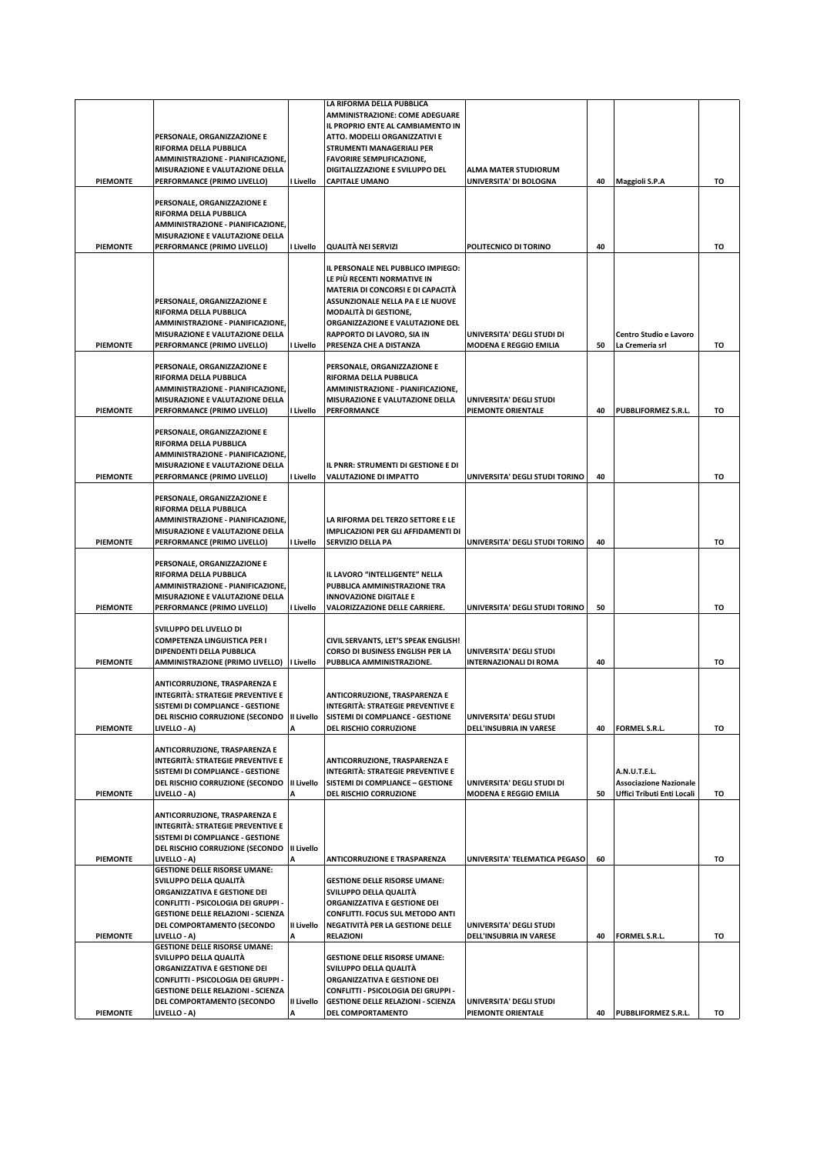|                 |                                                                                                 |                   | LA RIFORMA DELLA PUBBLICA<br>AMMINISTRAZIONE: COME ADEGUARE<br>IL PROPRIO ENTE AL CAMBIAMENTO IN |                                                             |    |                                               |    |
|-----------------|-------------------------------------------------------------------------------------------------|-------------------|--------------------------------------------------------------------------------------------------|-------------------------------------------------------------|----|-----------------------------------------------|----|
|                 | PERSONALE, ORGANIZZAZIONE E<br>RIFORMA DELLA PUBBLICA<br>AMMINISTRAZIONE - PIANIFICAZIONE,      |                   | ATTO. MODELLI ORGANIZZATIVI E<br>STRUMENTI MANAGERIALI PER<br><b>FAVORIRE SEMPLIFICAZIONE,</b>   |                                                             |    |                                               |    |
| <b>PIEMONTE</b> | MISURAZIONE E VALUTAZIONE DELLA                                                                 | I Livello         | DIGITALIZZAZIONE E SVILUPPO DEL                                                                  | <b>ALMA MATER STUDIORUM</b>                                 | 40 |                                               | то |
|                 | PERFORMANCE (PRIMO LIVELLO)                                                                     |                   | <b>CAPITALE UMANO</b>                                                                            | UNIVERSITA' DI BOLOGNA                                      |    | Maggioli S.P.A                                |    |
|                 | PERSONALE, ORGANIZZAZIONE E<br>RIFORMA DELLA PUBBLICA                                           |                   |                                                                                                  |                                                             |    |                                               |    |
|                 | AMMINISTRAZIONE - PIANIFICAZIONE,<br>MISURAZIONE E VALUTAZIONE DELLA                            |                   |                                                                                                  |                                                             |    |                                               |    |
| <b>PIEMONTE</b> | PERFORMANCE (PRIMO LIVELLO)                                                                     | I Livello         | QUALITÀ NEI SERVIZI                                                                              | POLITECNICO DI TORINO                                       | 40 |                                               | то |
|                 |                                                                                                 |                   | IL PERSONALE NEL PUBBLICO IMPIEGO:<br>LE PIÙ RECENTI NORMATIVE IN                                |                                                             |    |                                               |    |
|                 | PERSONALE, ORGANIZZAZIONE E                                                                     |                   | MATERIA DI CONCORSI E DI CAPACITÀ<br>ASSUNZIONALE NELLA PA E LE NUOVE                            |                                                             |    |                                               |    |
|                 | RIFORMA DELLA PUBBLICA<br>AMMINISTRAZIONE - PIANIFICAZIONE,                                     |                   | <b>MODALITÀ DI GESTIONE,</b><br>ORGANIZZAZIONE E VALUTAZIONE DEL                                 |                                                             |    |                                               |    |
| <b>PIEMONTE</b> | MISURAZIONE E VALUTAZIONE DELLA<br>PERFORMANCE (PRIMO LIVELLO)                                  | I Livello         | RAPPORTO DI LAVORO, SIA IN<br>PRESENZA CHE A DISTANZA                                            | UNIVERSITA' DEGLI STUDI DI<br><b>MODENA E REGGIO EMILIA</b> | 50 | Centro Studio e Lavoro<br>La Cremeria srl     | то |
|                 | PERSONALE, ORGANIZZAZIONE E                                                                     |                   | PERSONALE, ORGANIZZAZIONE E                                                                      |                                                             |    |                                               |    |
|                 | RIFORMA DELLA PUBBLICA<br>AMMINISTRAZIONE - PIANIFICAZIONE,                                     |                   | RIFORMA DELLA PUBBLICA<br>AMMINISTRAZIONE - PIANIFICAZIONE,                                      |                                                             |    |                                               |    |
| <b>PIEMONTE</b> | MISURAZIONE E VALUTAZIONE DELLA<br>PERFORMANCE (PRIMO LIVELLO)                                  | I Livello         | MISURAZIONE E VALUTAZIONE DELLA<br>PERFORMANCE                                                   | UNIVERSITA' DEGLI STUDI<br>PIEMONTE ORIENTALE               | 40 | <b>PUBBLIFORMEZ S.R.L.</b>                    | то |
|                 | PERSONALE, ORGANIZZAZIONE E                                                                     |                   |                                                                                                  |                                                             |    |                                               |    |
|                 | RIFORMA DELLA PUBBLICA<br>AMMINISTRAZIONE - PIANIFICAZIONE,                                     |                   |                                                                                                  |                                                             |    |                                               |    |
|                 | MISURAZIONE E VALUTAZIONE DELLA                                                                 |                   | IL PNRR: STRUMENTI DI GESTIONE E DI                                                              |                                                             |    |                                               |    |
| <b>PIEMONTE</b> | PERFORMANCE (PRIMO LIVELLO)                                                                     | I Livello         | VALUTAZIONE DI IMPATTO                                                                           | UNIVERSITA' DEGLI STUDI TORINO                              | 40 |                                               | то |
|                 | PERSONALE, ORGANIZZAZIONE E<br>RIFORMA DELLA PUBBLICA                                           |                   |                                                                                                  |                                                             |    |                                               |    |
|                 | AMMINISTRAZIONE - PIANIFICAZIONE,<br>MISURAZIONE E VALUTAZIONE DELLA                            |                   | LA RIFORMA DEL TERZO SETTORE E LE<br>IMPLICAZIONI PER GLI AFFIDAMENTI DI                         |                                                             |    |                                               |    |
| <b>PIEMONTE</b> | PERFORMANCE (PRIMO LIVELLO)                                                                     | I Livello         | SERVIZIO DELLA PA                                                                                | UNIVERSITA' DEGLI STUDI TORINO                              | 40 |                                               | то |
|                 | PERSONALE, ORGANIZZAZIONE E<br>RIFORMA DELLA PUBBLICA                                           |                   | IL LAVORO "INTELLIGENTE" NELLA                                                                   |                                                             |    |                                               |    |
|                 | AMMINISTRAZIONE - PIANIFICAZIONE,<br>MISURAZIONE E VALUTAZIONE DELLA                            |                   | PUBBLICA AMMINISTRAZIONE TRA<br><b>INNOVAZIONE DIGITALE E</b>                                    |                                                             |    |                                               |    |
| <b>PIEMONTE</b> | PERFORMANCE (PRIMO LIVELLO)                                                                     | I Livello         | VALORIZZAZIONE DELLE CARRIERE.                                                                   | UNIVERSITA' DEGLI STUDI TORINO                              | 50 |                                               | то |
|                 | SVILUPPO DEL LIVELLO DI<br><b>COMPETENZA LINGUISTICA PER I</b>                                  |                   | CIVIL SERVANTS, LET'S SPEAK ENGLISH!                                                             |                                                             |    |                                               |    |
| PIEMONTE        | DIPENDENTI DELLA PUBBLICA<br>AMMINISTRAZIONE (PRIMO LIVELLO)   Livello                          |                   | CORSO DI BUSINESS ENGLISH PER LA<br>PUBBLICA AMMINISTRAZIONE.                                    | UNIVERSITA' DEGLI STUDI<br><b>INTERNAZIONALI DI ROMA</b>    | 40 |                                               | TO |
|                 | ANTICORRUZIONE, TRASPARENZA E                                                                   |                   |                                                                                                  |                                                             |    |                                               |    |
|                 | INTEGRITÀ: STRATEGIE PREVENTIVE E<br>SISTEMI DI COMPLIANCE - GESTIONE                           |                   | ANTICORRUZIONE, TRASPARENZA E<br><b>INTEGRITÀ: STRATEGIE PREVENTIVE E</b>                        |                                                             |    |                                               |    |
|                 | DEL RISCHIO CORRUZIONE (SECONDO   II Livello   SISTEMI DI COMPLIANCE - GESTIONE<br>LIVELLO - A) |                   |                                                                                                  | UNIVERSITA' DEGLI STUDI<br>DELL'INSUBRIA IN VARESE          | 40 |                                               |    |
| <b>PIEMONTE</b> | ANTICORRUZIONE, TRASPARENZA E                                                                   | А                 | DEL RISCHIO CORRUZIONE                                                                           |                                                             |    | FORMEL S.R.L.                                 | TO |
|                 | <b>INTEGRITÀ: STRATEGIE PREVENTIVE E</b>                                                        |                   | ANTICORRUZIONE, TRASPARENZA E                                                                    |                                                             |    |                                               |    |
|                 | SISTEMI DI COMPLIANCE - GESTIONE<br>DEL RISCHIO CORRUZIONE (SECONDO                             | II Livello        | <b>INTEGRITÀ: STRATEGIE PREVENTIVE E</b><br>SISTEMI DI COMPLIANCE - GESTIONE                     | UNIVERSITA' DEGLI STUDI DI                                  |    | A.N.U.T.E.L.<br><b>Associazione Nazionale</b> |    |
| <b>PIEMONTE</b> | LIVELLO - A)                                                                                    | A                 | DEL RISCHIO CORRUZIONE                                                                           | <b>MODENA E REGGIO EMILIA</b>                               | 50 | Uffici Tributi Enti Locali                    | то |
|                 | ANTICORRUZIONE, TRASPARENZA E<br><b>INTEGRITÀ: STRATEGIE PREVENTIVE E</b>                       |                   |                                                                                                  |                                                             |    |                                               |    |
|                 | SISTEMI DI COMPLIANCE - GESTIONE<br>DEL RISCHIO CORRUZIONE (SECONDO   II Livello                |                   |                                                                                                  |                                                             |    |                                               |    |
| <b>PIEMONTE</b> | LIVELLO - A)<br><b>GESTIONE DELLE RISORSE UMANE:</b>                                            | Α                 | <b>ANTICORRUZIONE E TRASPARENZA</b>                                                              | UNIVERSITA' TELEMATICA PEGASO                               | 60 |                                               | то |
|                 | SVILUPPO DELLA QUALITÀ<br>ORGANIZZATIVA E GESTIONE DEI                                          |                   | <b>GESTIONE DELLE RISORSE UMANE:</b><br>SVILUPPO DELLA QUALITÀ                                   |                                                             |    |                                               |    |
|                 | CONFLITTI - PSICOLOGIA DEI GRUPPI -<br><b>GESTIONE DELLE RELAZIONI - SCIENZA</b>                |                   | ORGANIZZATIVA E GESTIONE DEI<br>CONFLITTI. FOCUS SUL METODO ANTI                                 |                                                             |    |                                               |    |
| <b>PIEMONTE</b> | DEL COMPORTAMENTO (SECONDO<br>LIVELLO - A)                                                      | <b>II Livello</b> | NEGATIVITÀ PER LA GESTIONE DELLE<br>RELAZIONI                                                    | UNIVERSITA' DEGLI STUDI<br>DELL'INSUBRIA IN VARESE          | 40 | FORMEL S.R.L.                                 | TO |
|                 | <b>GESTIONE DELLE RISORSE UMANE:</b><br>SVILUPPO DELLA QUALITÀ                                  |                   | <b>GESTIONE DELLE RISORSE UMANE:</b>                                                             |                                                             |    |                                               |    |
|                 | ORGANIZZATIVA E GESTIONE DEI<br>CONFLITTI - PSICOLOGIA DEI GRUPPI -                             |                   | SVILUPPO DELLA QUALITÀ<br>ORGANIZZATIVA E GESTIONE DEI                                           |                                                             |    |                                               |    |
|                 | <b>GESTIONE DELLE RELAZIONI - SCIENZA</b>                                                       |                   | CONFLITTI - PSICOLOGIA DEI GRUPPI -                                                              |                                                             |    |                                               |    |
| <b>PIEMONTE</b> | DEL COMPORTAMENTO (SECONDO<br>LIVELLO - A)                                                      | II Livello        | <b>GESTIONE DELLE RELAZIONI - SCIENZA</b><br>DEL COMPORTAMENTO                                   | UNIVERSITA' DEGLI STUDI<br>PIEMONTE ORIENTALE               | 40 | PUBBLIFORMEZ S.R.L.                           | то |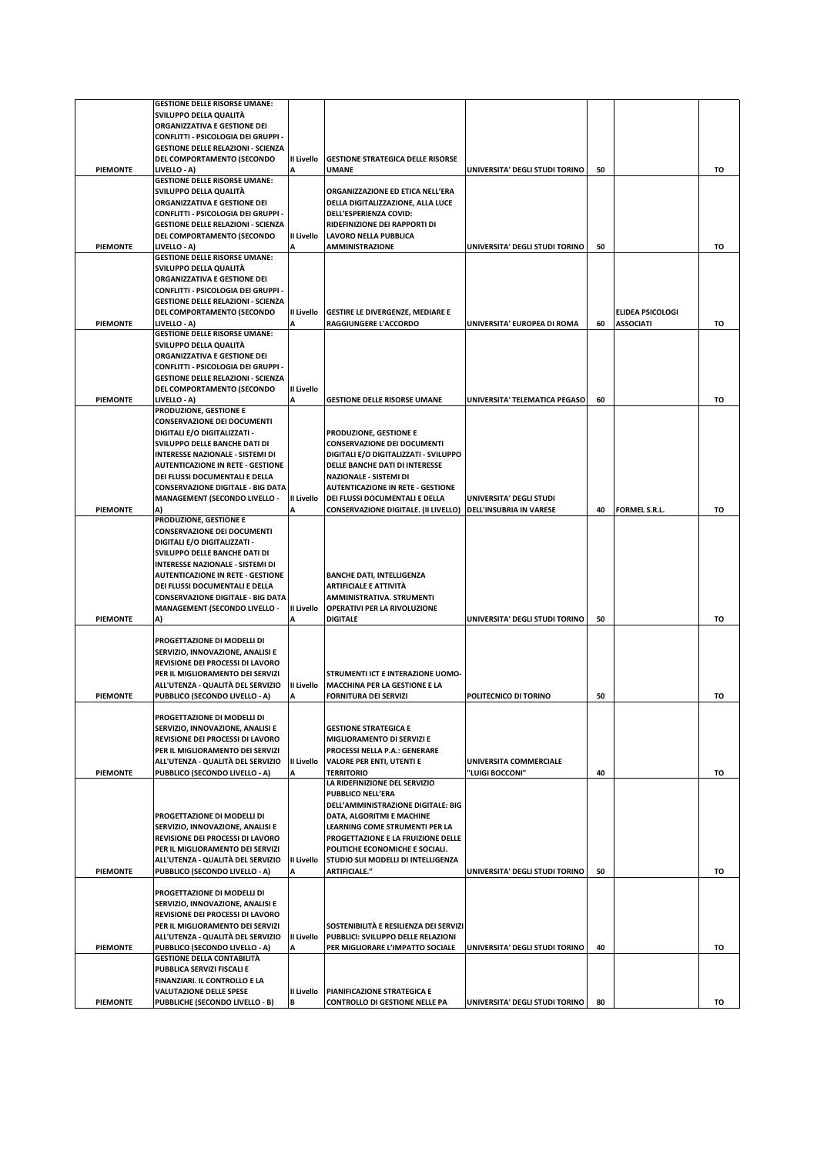|                 | <b>GESTIONE DELLE RISORSE UMANE:</b>                                  |                 |                                                                |                                |    |                  |    |
|-----------------|-----------------------------------------------------------------------|-----------------|----------------------------------------------------------------|--------------------------------|----|------------------|----|
|                 | SVILUPPO DELLA QUALITÀ                                                |                 |                                                                |                                |    |                  |    |
|                 | ORGANIZZATIVA E GESTIONE DEI                                          |                 |                                                                |                                |    |                  |    |
|                 | CONFLITTI - PSICOLOGIA DEI GRUPPI -                                   |                 |                                                                |                                |    |                  |    |
|                 | <b>GESTIONE DELLE RELAZIONI - SCIENZA</b>                             |                 |                                                                |                                |    |                  |    |
|                 | DEL COMPORTAMENTO (SECONDO                                            | II Livello      | <b>GESTIONE STRATEGICA DELLE RISORSE</b>                       |                                |    |                  |    |
| <b>PIEMONTE</b> | LIVELLO - A)<br><b>GESTIONE DELLE RISORSE UMANE:</b>                  |                 | <b>UMANE</b>                                                   | UNIVERSITA' DEGLI STUDI TORINO | 50 |                  | то |
|                 | SVILUPPO DELLA QUALITÀ                                                |                 | ORGANIZZAZIONE ED ETICA NELL'ERA                               |                                |    |                  |    |
|                 | ORGANIZZATIVA E GESTIONE DEI                                          |                 | DELLA DIGITALIZZAZIONE, ALLA LUCE                              |                                |    |                  |    |
|                 | CONFLITTI - PSICOLOGIA DEI GRUPPI -                                   |                 | DELL'ESPERIENZA COVID:                                         |                                |    |                  |    |
|                 | <b>GESTIONE DELLE RELAZIONI - SCIENZA</b>                             |                 | RIDEFINIZIONE DEI RAPPORTI DI                                  |                                |    |                  |    |
|                 | DEL COMPORTAMENTO (SECONDO                                            | II Livello      | LAVORO NELLA PUBBLICA                                          |                                |    |                  |    |
| <b>PIEMONTE</b> | LIVELLO - A)                                                          |                 | <b>AMMINISTRAZIONE</b>                                         | UNIVERSITA' DEGLI STUDI TORINO | 50 |                  | то |
|                 | <b>GESTIONE DELLE RISORSE UMANE:</b>                                  |                 |                                                                |                                |    |                  |    |
|                 | SVILUPPO DELLA QUALITÀ                                                |                 |                                                                |                                |    |                  |    |
|                 | ORGANIZZATIVA E GESTIONE DEI                                          |                 |                                                                |                                |    |                  |    |
|                 | CONFLITTI - PSICOLOGIA DEI GRUPPI -                                   |                 |                                                                |                                |    |                  |    |
|                 | <b>GESTIONE DELLE RELAZIONI - SCIENZA</b>                             |                 |                                                                |                                |    |                  |    |
|                 | DEL COMPORTAMENTO (SECONDO                                            | II Livello      | <b>GESTIRE LE DIVERGENZE, MEDIARE E</b>                        |                                |    | ELIDEA PSICOLOGI |    |
| <b>PIEMONTE</b> | LIVELLO - A)                                                          | A               | RAGGIUNGERE L'ACCORDO                                          | UNIVERSITA' EUROPEA DI ROMA    | 60 | <b>ASSOCIATI</b> | то |
|                 | <b>GESTIONE DELLE RISORSE UMANE:</b>                                  |                 |                                                                |                                |    |                  |    |
|                 | SVILUPPO DELLA QUALITÀ                                                |                 |                                                                |                                |    |                  |    |
|                 | ORGANIZZATIVA E GESTIONE DEI                                          |                 |                                                                |                                |    |                  |    |
|                 | CONFLITTI - PSICOLOGIA DEI GRUPPI -                                   |                 |                                                                |                                |    |                  |    |
|                 | <b>GESTIONE DELLE RELAZIONI - SCIENZA</b>                             |                 |                                                                |                                |    |                  |    |
| <b>PIEMONTE</b> | DEL COMPORTAMENTO (SECONDO<br>LIVELLO - A)                            | II Livello<br>A | <b>GESTIONE DELLE RISORSE UMANE</b>                            | UNIVERSITA' TELEMATICA PEGASO  | 60 |                  | то |
|                 | PRODUZIONE, GESTIONE E                                                |                 |                                                                |                                |    |                  |    |
|                 | <b>CONSERVAZIONE DEI DOCUMENTI</b>                                    |                 |                                                                |                                |    |                  |    |
|                 | DIGITALI E/O DIGITALIZZATI -                                          |                 | PRODUZIONE, GESTIONE E                                         |                                |    |                  |    |
|                 | SVILUPPO DELLE BANCHE DATI DI                                         |                 | <b>CONSERVAZIONE DEI DOCUMENTI</b>                             |                                |    |                  |    |
|                 | INTERESSE NAZIONALE - SISTEMI DI                                      |                 | DIGITALI E/O DIGITALIZZATI - SVILUPPO                          |                                |    |                  |    |
|                 | <b>AUTENTICAZIONE IN RETE - GESTIONE</b>                              |                 | DELLE BANCHE DATI DI INTERESSE                                 |                                |    |                  |    |
|                 | DEI FLUSSI DOCUMENTALI E DELLA                                        |                 | NAZIONALE - SISTEMI DI                                         |                                |    |                  |    |
|                 | <b>CONSERVAZIONE DIGITALE - BIG DATA</b>                              |                 | <b>AUTENTICAZIONE IN RETE - GESTIONE</b>                       |                                |    |                  |    |
|                 | <b>MANAGEMENT (SECONDO LIVELLO -</b>                                  | II Livello      | DEI FLUSSI DOCUMENTALI E DELLA                                 | UNIVERSITA' DEGLI STUDI        |    |                  |    |
| <b>PIEMONTE</b> |                                                                       |                 | CONSERVAZIONE DIGITALE. (II LIVELLO)   DELL'INSUBRIA IN VARESE |                                | 40 | FORMEL S.R.L.    | то |
|                 | PRODUZIONE, GESTIONE E                                                |                 |                                                                |                                |    |                  |    |
|                 | <b>CONSERVAZIONE DEI DOCUMENTI</b>                                    |                 |                                                                |                                |    |                  |    |
|                 | DIGITALI E/O DIGITALIZZATI -                                          |                 |                                                                |                                |    |                  |    |
|                 | SVILUPPO DELLE BANCHE DATI DI                                         |                 |                                                                |                                |    |                  |    |
|                 | <b>INTERESSE NAZIONALE - SISTEMI DI</b>                               |                 |                                                                |                                |    |                  |    |
|                 | <b>AUTENTICAZIONE IN RETE - GESTIONE</b>                              |                 | <b>BANCHE DATI, INTELLIGENZA</b>                               |                                |    |                  |    |
|                 | DEI FLUSSI DOCUMENTALI E DELLA                                        |                 | <b>ARTIFICIALE E ATTIVITÀ</b>                                  |                                |    |                  |    |
|                 | <b>CONSERVAZIONE DIGITALE - BIG DATA</b>                              |                 | AMMINISTRATIVA. STRUMENTI                                      |                                |    |                  |    |
|                 | <b>MANAGEMENT (SECONDO LIVELLO -</b>                                  | II Livello      | OPERATIVI PER LA RIVOLUZIONE                                   |                                |    |                  |    |
| <b>PIEMONTE</b> | A)                                                                    | A               | <b>DIGITALE</b>                                                | UNIVERSITA' DEGLI STUDI TORINO | 50 |                  | то |
|                 | PROGETTAZIONE DI MODELLI DI                                           |                 |                                                                |                                |    |                  |    |
|                 | SERVIZIO, INNOVAZIONE, ANALISI E                                      |                 |                                                                |                                |    |                  |    |
|                 | REVISIONE DEI PROCESSI DI LAVORO                                      |                 |                                                                |                                |    |                  |    |
|                 | PER IL MIGLIORAMENTO DEI SERVIZI                                      |                 | STRUMENTI ICT E INTERAZIONE UOMO-                              |                                |    |                  |    |
|                 | ALL'UTENZA - QUALITÀ DEL SERVIZIO                                     | II Livello      | <b>MACCHINA PER LA GESTIONE E LA</b>                           |                                |    |                  |    |
| <b>PIEMONTE</b> | PUBBLICO (SECONDO LIVELLO - A)                                        | А               | <b>FORNITURA DEI SERVIZI</b>                                   | POLITECNICO DI TORINO          | 50 |                  | то |
|                 |                                                                       |                 |                                                                |                                |    |                  |    |
|                 | PROGETTAZIONE DI MODELLI DI                                           |                 |                                                                |                                |    |                  |    |
|                 | SERVIZIO, INNOVAZIONE, ANALISI E                                      |                 | <b>GESTIONE STRATEGICA E</b>                                   |                                |    |                  |    |
|                 | REVISIONE DEI PROCESSI DI LAVORO                                      |                 | MIGLIORAMENTO DI SERVIZI E                                     |                                |    |                  |    |
|                 | PER IL MIGLIORAMENTO DEI SERVIZI                                      |                 | PROCESSI NELLA P.A.: GENERARE                                  |                                |    |                  |    |
|                 | ALL'UTENZA - QUALITÀ DEL SERVIZIO                                     | II Livello      | VALORE PER ENTI, UTENTI E                                      | <b>UNIVERSITA COMMERCIALE</b>  |    |                  |    |
| <b>PIEMONTE</b> | PUBBLICO (SECONDO LIVELLO - A)                                        |                 | <b>TERRITORIO</b>                                              | "LUIGI BOCCONI"                | 40 |                  | TO |
|                 |                                                                       |                 | LA RIDEFINIZIONE DEL SERVIZIO                                  |                                |    |                  |    |
|                 |                                                                       |                 | <b>PUBBLICO NELL'ERA</b>                                       |                                |    |                  |    |
|                 |                                                                       |                 | DELL'AMMINISTRAZIONE DIGITALE: BIG                             |                                |    |                  |    |
|                 | PROGETTAZIONE DI MODELLI DI                                           |                 | DATA, ALGORITMI E MACHINE                                      |                                |    |                  |    |
|                 | SERVIZIO, INNOVAZIONE, ANALISI E                                      |                 | LEARNING COME STRUMENTI PER LA                                 |                                |    |                  |    |
|                 |                                                                       |                 |                                                                |                                |    |                  |    |
|                 | REVISIONE DEI PROCESSI DI LAVORO                                      |                 | PROGETTAZIONE E LA FRUIZIONE DELLE                             |                                |    |                  |    |
|                 | PER IL MIGLIORAMENTO DEI SERVIZI                                      |                 | POLITICHE ECONOMICHE E SOCIALI.                                |                                |    |                  |    |
|                 | ALL'UTENZA - QUALITÀ DEL SERVIZIO                                     | II Livello      | STUDIO SUI MODELLI DI INTELLIGENZA                             |                                |    |                  |    |
| <b>PIEMONTE</b> | PUBBLICO (SECONDO LIVELLO - A)                                        | A               | ARTIFICIALE."                                                  | UNIVERSITA' DEGLI STUDI TORINO | 50 |                  | TO |
|                 |                                                                       |                 |                                                                |                                |    |                  |    |
|                 | PROGETTAZIONE DI MODELLI DI                                           |                 |                                                                |                                |    |                  |    |
|                 | SERVIZIO, INNOVAZIONE, ANALISI E                                      |                 |                                                                |                                |    |                  |    |
|                 | REVISIONE DEI PROCESSI DI LAVORO                                      |                 | SOSTENIBILITÀ E RESILIENZA DEI SERVIZI                         |                                |    |                  |    |
|                 | PER IL MIGLIORAMENTO DEI SERVIZI<br>ALL'UTENZA - QUALITÀ DEL SERVIZIO | II Livello      | PUBBLICI: SVILUPPO DELLE RELAZIONI                             |                                |    |                  |    |
| <b>PIEMONTE</b> | PUBBLICO (SECONDO LIVELLO - A)                                        | А               | PER MIGLIORARE L'IMPATTO SOCIALE                               | UNIVERSITA' DEGLI STUDI TORINO | 40 |                  | то |
|                 | <b>GESTIONE DELLA CONTABILITÀ</b>                                     |                 |                                                                |                                |    |                  |    |
|                 | PUBBLICA SERVIZI FISCALI E                                            |                 |                                                                |                                |    |                  |    |
|                 | FINANZIARI. IL CONTROLLO E LA                                         |                 |                                                                |                                |    |                  |    |
|                 | <b>VALUTAZIONE DELLE SPESE</b><br>PUBBLICHE (SECONDO LIVELLO - B)     | II Livello      | PIANIFICAZIONE STRATEGICA E                                    |                                |    |                  |    |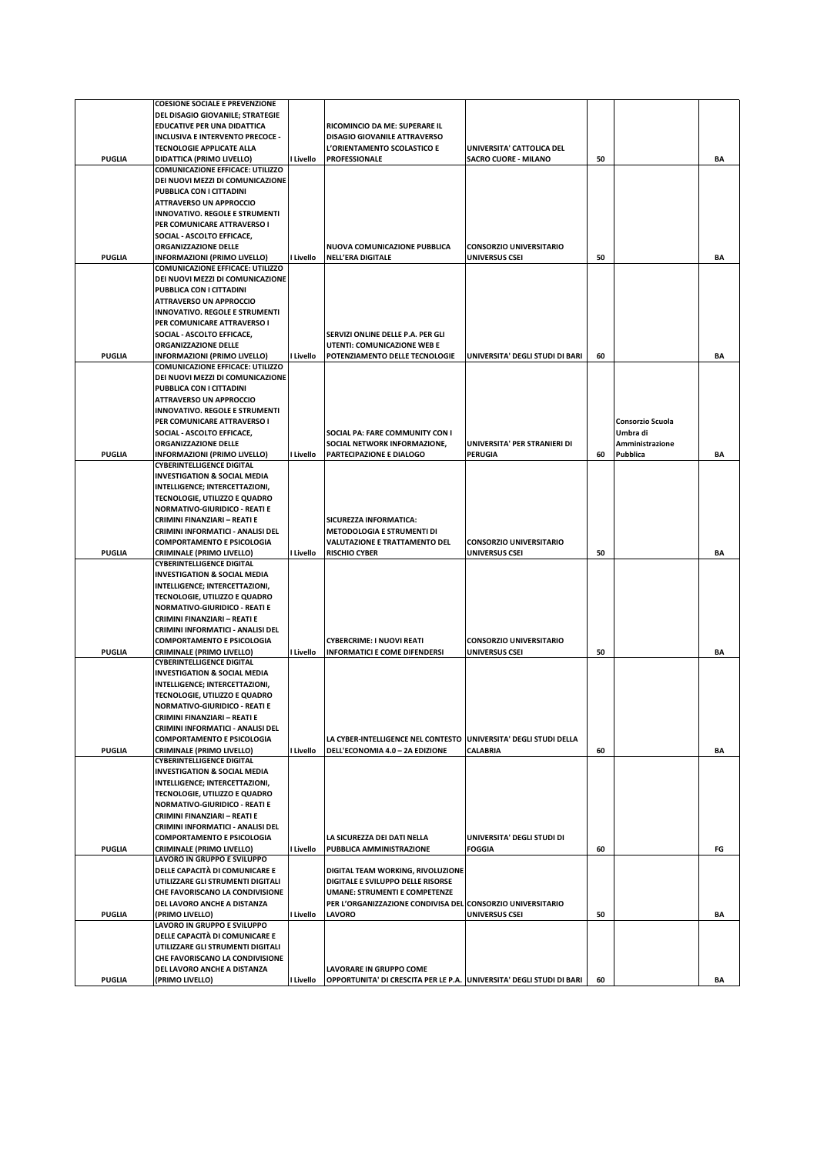|               | <b>COESIONE SOCIALE E PREVENZIONE</b>                                       |           |                                                                   |                                 |    |                  |    |
|---------------|-----------------------------------------------------------------------------|-----------|-------------------------------------------------------------------|---------------------------------|----|------------------|----|
|               | DEL DISAGIO GIOVANILE; STRATEGIE                                            |           |                                                                   |                                 |    |                  |    |
|               | EDUCATIVE PER UNA DIDATTICA                                                 |           | RICOMINCIO DA ME: SUPERARE IL                                     |                                 |    |                  |    |
|               | INCLUSIVA E INTERVENTO PRECOCE -                                            |           | <b>DISAGIO GIOVANILE ATTRAVERSO</b>                               |                                 |    |                  |    |
|               | <b>TECNOLOGIE APPLICATE ALLA</b>                                            |           | L'ORIENTAMENTO SCOLASTICO E                                       | UNIVERSITA' CATTOLICA DEL       |    |                  |    |
| <b>PUGLIA</b> | DIDATTICA (PRIMO LIVELLO)                                                   | I Livello | PROFESSIONALE                                                     | <b>SACRO CUORE - MILANO</b>     | 50 |                  | ΒA |
|               | <b>COMUNICAZIONE EFFICACE: UTILIZZO</b>                                     |           |                                                                   |                                 |    |                  |    |
|               | DEI NUOVI MEZZI DI COMUNICAZIONE                                            |           |                                                                   |                                 |    |                  |    |
|               | PUBBLICA CON I CITTADINI                                                    |           |                                                                   |                                 |    |                  |    |
|               | <b>ATTRAVERSO UN APPROCCIO</b>                                              |           |                                                                   |                                 |    |                  |    |
|               | <b>INNOVATIVO. REGOLE E STRUMENTI</b>                                       |           |                                                                   |                                 |    |                  |    |
|               | PER COMUNICARE ATTRAVERSO I                                                 |           |                                                                   |                                 |    |                  |    |
|               | SOCIAL - ASCOLTO EFFICACE,                                                  |           |                                                                   |                                 |    |                  |    |
|               | ORGANIZZAZIONE DELLE                                                        |           | NUOVA COMUNICAZIONE PUBBLICA                                      | <b>CONSORZIO UNIVERSITARIO</b>  |    |                  |    |
| <b>PUGLIA</b> | INFORMAZIONI (PRIMO LIVELLO)                                                | I Livello | <b>NELL'ERA DIGITALE</b>                                          | <b>UNIVERSUS CSEI</b>           | 50 |                  | ΒA |
|               | <b>COMUNICAZIONE EFFICACE: UTILIZZO</b>                                     |           |                                                                   |                                 |    |                  |    |
|               | DEI NUOVI MEZZI DI COMUNICAZIONE                                            |           |                                                                   |                                 |    |                  |    |
|               | PUBBLICA CON I CITTADINI                                                    |           |                                                                   |                                 |    |                  |    |
|               | <b>ATTRAVERSO UN APPROCCIO</b>                                              |           |                                                                   |                                 |    |                  |    |
|               | <b>INNOVATIVO. REGOLE E STRUMENTI</b>                                       |           |                                                                   |                                 |    |                  |    |
|               | PER COMUNICARE ATTRAVERSO I                                                 |           |                                                                   |                                 |    |                  |    |
|               | SOCIAL - ASCOLTO EFFICACE,                                                  |           | SERVIZI ONLINE DELLE P.A. PER GLI                                 |                                 |    |                  |    |
|               | ORGANIZZAZIONE DELLE                                                        |           | UTENTI: COMUNICAZIONE WEB E                                       |                                 |    |                  |    |
| <b>PUGLIA</b> | INFORMAZIONI (PRIMO LIVELLO)                                                | I Livello | POTENZIAMENTO DELLE TECNOLOGIE                                    | UNIVERSITA' DEGLI STUDI DI BARI | 60 |                  | ΒA |
|               | <b>COMUNICAZIONE EFFICACE: UTILIZZO</b>                                     |           |                                                                   |                                 |    |                  |    |
|               | DEI NUOVI MEZZI DI COMUNICAZIONE                                            |           |                                                                   |                                 |    |                  |    |
|               | PUBBLICA CON I CITTADINI                                                    |           |                                                                   |                                 |    |                  |    |
|               | <b>ATTRAVERSO UN APPROCCIO</b>                                              |           |                                                                   |                                 |    |                  |    |
|               | <b>INNOVATIVO. REGOLE E STRUMENTI</b>                                       |           |                                                                   |                                 |    |                  |    |
|               | PER COMUNICARE ATTRAVERSO I                                                 |           |                                                                   |                                 |    | Consorzio Scuola |    |
|               | SOCIAL - ASCOLTO EFFICACE,                                                  |           | SOCIAL PA: FARE COMMUNITY CON I                                   |                                 |    | Umbra di         |    |
|               | <b>ORGANIZZAZIONE DELLE</b>                                                 |           | SOCIAL NETWORK INFORMAZIONE,                                      | UNIVERSITA' PER STRANIERI DI    |    | Amministrazione  |    |
| <b>PUGLIA</b> | INFORMAZIONI (PRIMO LIVELLO)                                                | I Livello | PARTECIPAZIONE E DIALOGO                                          | PERUGIA                         | 60 | Pubblica         | ΒA |
|               | <b>CYBERINTELLIGENCE DIGITAL</b>                                            |           |                                                                   |                                 |    |                  |    |
|               | <b>INVESTIGATION &amp; SOCIAL MEDIA</b>                                     |           |                                                                   |                                 |    |                  |    |
|               | INTELLIGENCE; INTERCETTAZIONI,                                              |           |                                                                   |                                 |    |                  |    |
|               | TECNOLOGIE, UTILIZZO E QUADRO                                               |           |                                                                   |                                 |    |                  |    |
|               | <b>NORMATIVO-GIURIDICO - REATI E</b>                                        |           |                                                                   |                                 |    |                  |    |
|               | CRIMINI FINANZIARI - REATI E                                                |           | SICUREZZA INFORMATICA:                                            |                                 |    |                  |    |
|               | CRIMINI INFORMATICI - ANALISI DEL                                           |           | <b>METODOLOGIA E STRUMENTI DI</b>                                 |                                 |    |                  |    |
|               | <b>COMPORTAMENTO E PSICOLOGIA</b>                                           |           | <b>VALUTAZIONE E TRATTAMENTO DEL</b>                              |                                 |    |                  |    |
|               |                                                                             |           |                                                                   |                                 |    |                  |    |
|               |                                                                             |           |                                                                   | <b>CONSORZIO UNIVERSITARIO</b>  |    |                  | BA |
| <b>PUGLIA</b> | <b>CRIMINALE (PRIMO LIVELLO)</b>                                            | I Livello | <b>RISCHIO CYBER</b>                                              | UNIVERSUS CSEI                  | 50 |                  |    |
|               | <b>CYBERINTELLIGENCE DIGITAL</b><br><b>INVESTIGATION &amp; SOCIAL MEDIA</b> |           |                                                                   |                                 |    |                  |    |
|               |                                                                             |           |                                                                   |                                 |    |                  |    |
|               | INTELLIGENCE; INTERCETTAZIONI,<br>TECNOLOGIE, UTILIZZO E QUADRO             |           |                                                                   |                                 |    |                  |    |
|               | <b>NORMATIVO-GIURIDICO - REATI E</b>                                        |           |                                                                   |                                 |    |                  |    |
|               | CRIMINI FINANZIARI - REATI E                                                |           |                                                                   |                                 |    |                  |    |
|               | CRIMINI INFORMATICI - ANALISI DEL                                           |           |                                                                   |                                 |    |                  |    |
|               |                                                                             |           |                                                                   |                                 |    |                  |    |
|               | <b>COMPORTAMENTO E PSICOLOGIA</b>                                           |           | CYBERCRIME: I NUOVI REATI                                         | <b>CONSORZIO UNIVERSITARIO</b>  |    |                  | BA |
| <b>PUGLIA</b> | <b>CRIMINALE (PRIMO LIVELLO)</b><br><b>CYBERINTELLIGENCE DIGITAL</b>        | I Livello | <b>INFORMATICI E COME DIFENDERSI</b>                              | UNIVERSUS CSEI                  | 50 |                  |    |
|               |                                                                             |           |                                                                   |                                 |    |                  |    |
|               | <b>INVESTIGATION &amp; SOCIAL MEDIA</b><br>INTELLIGENCE; INTERCETTAZIONI,   |           |                                                                   |                                 |    |                  |    |
|               | TECNOLOGIE, UTILIZZO E QUADRO                                               |           |                                                                   |                                 |    |                  |    |
|               | <b>NORMATIVO-GIURIDICO - REATI E</b>                                        |           |                                                                   |                                 |    |                  |    |
|               | CRIMINI FINANZIARI - REATI E                                                |           |                                                                   |                                 |    |                  |    |
|               | CRIMINI INFORMATICI - ANALISI DEL                                           |           |                                                                   |                                 |    |                  |    |
|               | <b>COMPORTAMENTO E PSICOLOGIA</b>                                           |           | LA CYBER-INTELLIGENCE NEL CONTESTO  UNIVERSITA' DEGLI STUDI DELLA |                                 |    |                  |    |
| <b>PUGLIA</b> | <b>CRIMINALE (PRIMO LIVELLO)</b>                                            | Livello   | DELL'ECONOMIA 4.0 - 2A EDIZIONE                                   | <b>CALABRIA</b>                 | 60 |                  | BA |
|               | <b>CYBERINTELLIGENCE DIGITAL</b>                                            |           |                                                                   |                                 |    |                  |    |
|               | <b>INVESTIGATION &amp; SOCIAL MEDIA</b>                                     |           |                                                                   |                                 |    |                  |    |
|               | INTELLIGENCE; INTERCETTAZIONI,                                              |           |                                                                   |                                 |    |                  |    |
|               | TECNOLOGIE, UTILIZZO E QUADRO                                               |           |                                                                   |                                 |    |                  |    |
|               | <b>NORMATIVO-GIURIDICO - REATI E</b>                                        |           |                                                                   |                                 |    |                  |    |
|               | CRIMINI FINANZIARI - REATI E                                                |           |                                                                   |                                 |    |                  |    |
|               | CRIMINI INFORMATICI - ANALISI DEL                                           |           |                                                                   |                                 |    |                  |    |
|               | <b>COMPORTAMENTO E PSICOLOGIA</b>                                           |           | LA SICUREZZA DEI DATI NELLA                                       | UNIVERSITA' DEGLI STUDI DI      |    |                  |    |
| <b>PUGLIA</b> |                                                                             | Livello   | PUBBLICA AMMINISTRAZIONE                                          | <b>FOGGIA</b>                   | 60 |                  | FG |
|               | <b>CRIMINALE (PRIMO LIVELLO)</b><br><b>LAVORO IN GRUPPO E SVILUPPO</b>      |           |                                                                   |                                 |    |                  |    |
|               | DELLE CAPACITÀ DI COMUNICARE E                                              |           | DIGITAL TEAM WORKING, RIVOLUZIONE                                 |                                 |    |                  |    |
|               | UTILIZZARE GLI STRUMENTI DIGITALI                                           |           | DIGITALE E SVILUPPO DELLE RISORSE                                 |                                 |    |                  |    |
|               | CHE FAVORISCANO LA CONDIVISIONE                                             |           | UMANE: STRUMENTI E COMPETENZE                                     |                                 |    |                  |    |
|               | DEL LAVORO ANCHE A DISTANZA                                                 |           | PER L'ORGANIZZAZIONE CONDIVISA DEL CONSORZIO UNIVERSITARIO        |                                 |    |                  |    |
| <b>PUGLIA</b> | (PRIMO LIVELLO)                                                             | Livello   | LAVORO                                                            | UNIVERSUS CSEI                  | 50 |                  | BA |
|               | LAVORO IN GRUPPO E SVILUPPO                                                 |           |                                                                   |                                 |    |                  |    |
|               | DELLE CAPACITÀ DI COMUNICARE E                                              |           |                                                                   |                                 |    |                  |    |
|               | UTILIZZARE GLI STRUMENTI DIGITALI                                           |           |                                                                   |                                 |    |                  |    |
|               | CHE FAVORISCANO LA CONDIVISIONE                                             |           |                                                                   |                                 |    |                  |    |
|               | DEL LAVORO ANCHE A DISTANZA                                                 |           | <b>LAVORARE IN GRUPPO COME</b>                                    |                                 |    |                  |    |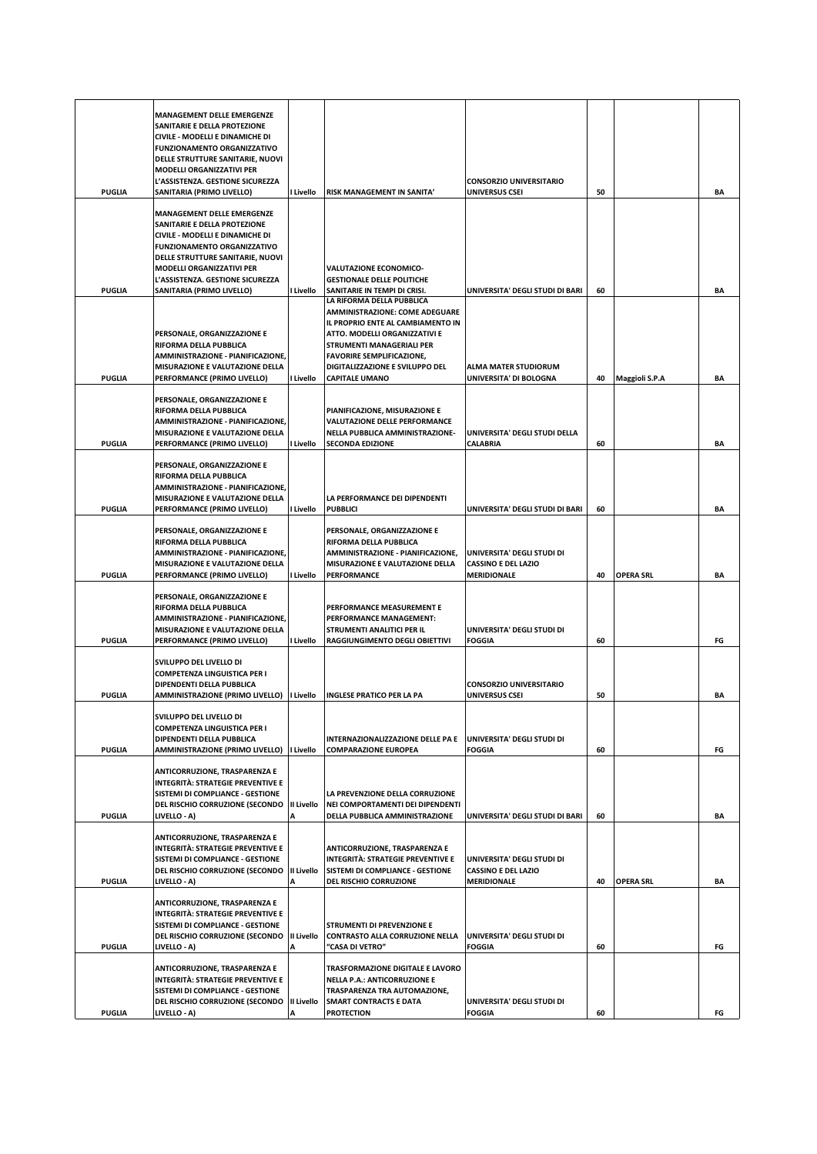| <b>PUGLIA</b> | <b>MANAGEMENT DELLE EMERGENZE</b><br>SANITARIE E DELLA PROTEZIONE<br>CIVILE - MODELLI E DINAMICHE DI<br><b>FUNZIONAMENTO ORGANIZZATIVO</b><br>DELLE STRUTTURE SANITARIE, NUOVI<br><b>MODELLI ORGANIZZATIVI PER</b><br>L'ASSISTENZA. GESTIONE SICUREZZA<br>SANITARIA (PRIMO LIVELLO) | I Livello       | RISK MANAGEMENT IN SANITA'                                                                                                                                                                                                                                            | <b>CONSORZIO UNIVERSITARIO</b><br>UNIVERSUS CSEI                               | 50 |                       | BA |
|---------------|-------------------------------------------------------------------------------------------------------------------------------------------------------------------------------------------------------------------------------------------------------------------------------------|-----------------|-----------------------------------------------------------------------------------------------------------------------------------------------------------------------------------------------------------------------------------------------------------------------|--------------------------------------------------------------------------------|----|-----------------------|----|
| <b>PUGLIA</b> | <b>MANAGEMENT DELLE EMERGENZE</b><br>SANITARIE E DELLA PROTEZIONE<br>CIVILE - MODELLI E DINAMICHE DI<br><b>FUNZIONAMENTO ORGANIZZATIVO</b><br>DELLE STRUTTURE SANITARIE, NUOVI<br><b>MODELLI ORGANIZZATIVI PER</b><br>L'ASSISTENZA. GESTIONE SICUREZZA<br>SANITARIA (PRIMO LIVELLO) | I Livello       | <b>VALUTAZIONE ECONOMICO-</b><br><b>GESTIONALE DELLE POLITICHE</b><br>SANITARIE IN TEMPI DI CRISI.                                                                                                                                                                    | UNIVERSITA' DEGLI STUDI DI BARI                                                | 60 |                       | BA |
| <b>PUGLIA</b> | PERSONALE, ORGANIZZAZIONE E<br>RIFORMA DELLA PUBBLICA<br>AMMINISTRAZIONE - PIANIFICAZIONE,<br>MISURAZIONE E VALUTAZIONE DELLA<br>PERFORMANCE (PRIMO LIVELLO)                                                                                                                        | I Livello       | LA RIFORMA DELLA PUBBLICA<br>AMMINISTRAZIONE: COME ADEGUARE<br>IL PROPRIO ENTE AL CAMBIAMENTO IN<br>ATTO. MODELLI ORGANIZZATIVI E<br><b>STRUMENTI MANAGERIALI PER</b><br><b>FAVORIRE SEMPLIFICAZIONE,</b><br>DIGITALIZZAZIONE E SVILUPPO DEL<br><b>CAPITALE UMANO</b> | <b>ALMA MATER STUDIORUM</b><br>UNIVERSITA' DI BOLOGNA                          | 40 | <b>Maggioli S.P.A</b> | BA |
| <b>PUGLIA</b> | PERSONALE, ORGANIZZAZIONE E<br>RIFORMA DELLA PUBBLICA<br>AMMINISTRAZIONE - PIANIFICAZIONE.<br><b>MISURAZIONE E VALUTAZIONE DELLA</b><br>PERFORMANCE (PRIMO LIVELLO)                                                                                                                 | I Livello       | PIANIFICAZIONE, MISURAZIONE E<br><b>VALUTAZIONE DELLE PERFORMANCE</b><br>NELLA PUBBLICA AMMINISTRAZIONE-<br><b>SECONDA EDIZIONE</b>                                                                                                                                   | UNIVERSITA' DEGLI STUDI DELLA<br><b>CALABRIA</b>                               | 60 |                       | BA |
| <b>PUGLIA</b> | PERSONALE, ORGANIZZAZIONE E<br>RIFORMA DELLA PUBBLICA<br>AMMINISTRAZIONE - PIANIFICAZIONE,<br>MISURAZIONE E VALUTAZIONE DELLA<br>PERFORMANCE (PRIMO LIVELLO)                                                                                                                        | I Livello       | LA PERFORMANCE DEI DIPENDENTI<br><b>PUBBLICI</b>                                                                                                                                                                                                                      | UNIVERSITA' DEGLI STUDI DI BARI                                                | 60 |                       | BA |
| <b>PUGLIA</b> | PERSONALE, ORGANIZZAZIONE E<br>RIFORMA DELLA PUBBLICA<br>AMMINISTRAZIONE - PIANIFICAZIONE,<br>MISURAZIONE E VALUTAZIONE DELLA<br>PERFORMANCE (PRIMO LIVELLO)                                                                                                                        | I Livello       | PERSONALE, ORGANIZZAZIONE E<br>RIFORMA DELLA PUBBLICA<br>AMMINISTRAZIONE - PIANIFICAZIONE,<br>MISURAZIONE E VALUTAZIONE DELLA<br>PERFORMANCE                                                                                                                          | UNIVERSITA' DEGLI STUDI DI<br><b>CASSINO E DEL LAZIO</b><br><b>MERIDIONALE</b> | 40 | <b>OPERA SRL</b>      | BA |
| <b>PUGLIA</b> | PERSONALE, ORGANIZZAZIONE E<br>RIFORMA DELLA PUBBLICA<br>AMMINISTRAZIONE - PIANIFICAZIONE,<br>MISURAZIONE E VALUTAZIONE DELLA<br>PERFORMANCE (PRIMO LIVELLO)                                                                                                                        | l Livello       | PERFORMANCE MEASUREMENT E<br>PERFORMANCE MANAGEMENT:<br>STRUMENTI ANALITICI PER IL<br>RAGGIUNGIMENTO DEGLI OBIETTIVI                                                                                                                                                  | UNIVERSITA' DEGLI STUDI DI<br><b>FOGGIA</b>                                    | 60 |                       | FG |
| <b>PUGLIA</b> | SVILUPPO DEL LIVELLO DI<br><b>COMPETENZA LINGUISTICA PER I</b><br>DIPENDENTI DELLA PUBBLICA<br>AMMINISTRAZIONE (PRIMO LIVELLO)   Livello                                                                                                                                            |                 | <b>INGLESE PRATICO PER LA PA</b>                                                                                                                                                                                                                                      | <b>CONSORZIO UNIVERSITARIO</b><br>UNIVERSUS CSEI                               | 50 |                       | ΒA |
| PUGLIA        | SVILUPPO DEL LIVELLO DI<br><b>COMPETENZA LINGUISTICA PER I</b><br>DIPENDENTI DELLA PUBBLICA<br>AMMINISTRAZIONE (PRIMO LIVELLO)   Livello                                                                                                                                            |                 | INTERNAZIONALIZZAZIONE DELLE PA E<br><b>COMPARAZIONE EUROPEA</b>                                                                                                                                                                                                      | UNIVERSITA' DEGLI STUDI DI<br><b>FOGGIA</b>                                    | 60 |                       | FG |
| <b>PUGLIA</b> | ANTICORRUZIONE, TRASPARENZA E<br><b>INTEGRITÀ: STRATEGIE PREVENTIVE E</b><br>SISTEMI DI COMPLIANCE - GESTIONE<br>DEL RISCHIO CORRUZIONE (SECONDO<br>LIVELLO - A)                                                                                                                    | II Livello<br>A | LA PREVENZIONE DELLA CORRUZIONE<br>NEI COMPORTAMENTI DEI DIPENDENTI<br>DELLA PUBBLICA AMMINISTRAZIONE                                                                                                                                                                 | UNIVERSITA' DEGLI STUDI DI BARI                                                | 60 |                       | BA |
| <b>PUGLIA</b> | ANTICORRUZIONE, TRASPARENZA E<br>INTEGRITÀ: STRATEGIE PREVENTIVE E<br>SISTEMI DI COMPLIANCE - GESTIONE<br>DEL RISCHIO CORRUZIONE (SECONDO<br>LIVELLO - A)                                                                                                                           | II Livello<br>Α | ANTICORRUZIONE, TRASPARENZA E<br><b>INTEGRITÀ: STRATEGIE PREVENTIVE E</b><br>SISTEMI DI COMPLIANCE - GESTIONE<br><b>DEL RISCHIO CORRUZIONE</b>                                                                                                                        | UNIVERSITA' DEGLI STUDI DI<br><b>CASSINO E DEL LAZIO</b><br><b>MERIDIONALE</b> | 40 | <b>OPERA SRL</b>      | BA |
| <b>PUGLIA</b> | ANTICORRUZIONE, TRASPARENZA E<br>INTEGRITÀ: STRATEGIE PREVENTIVE E<br>SISTEMI DI COMPLIANCE - GESTIONE<br>DEL RISCHIO CORRUZIONE (SECONDO<br>LIVELLO - A)                                                                                                                           | II Livello<br>Α | <b>STRUMENTI DI PREVENZIONE E</b><br>CONTRASTO ALLA CORRUZIONE NELLA<br>"CASA DI VETRO"                                                                                                                                                                               | UNIVERSITA' DEGLI STUDI DI<br><b>FOGGIA</b>                                    | 60 |                       | FG |
| <b>PUGLIA</b> | ANTICORRUZIONE, TRASPARENZA E<br><b>INTEGRITÀ: STRATEGIE PREVENTIVE E</b><br>SISTEMI DI COMPLIANCE - GESTIONE<br>DEL RISCHIO CORRUZIONE (SECONDO<br>LIVELLO - A)                                                                                                                    | II Livello<br>А | TRASFORMAZIONE DIGITALE E LAVORO<br><b>NELLA P.A.: ANTICORRUZIONE E</b><br>TRASPARENZA TRA AUTOMAZIONE,<br><b>SMART CONTRACTS E DATA</b><br><b>PROTECTION</b>                                                                                                         | UNIVERSITA' DEGLI STUDI DI<br><b>FOGGIA</b>                                    | 60 |                       | FG |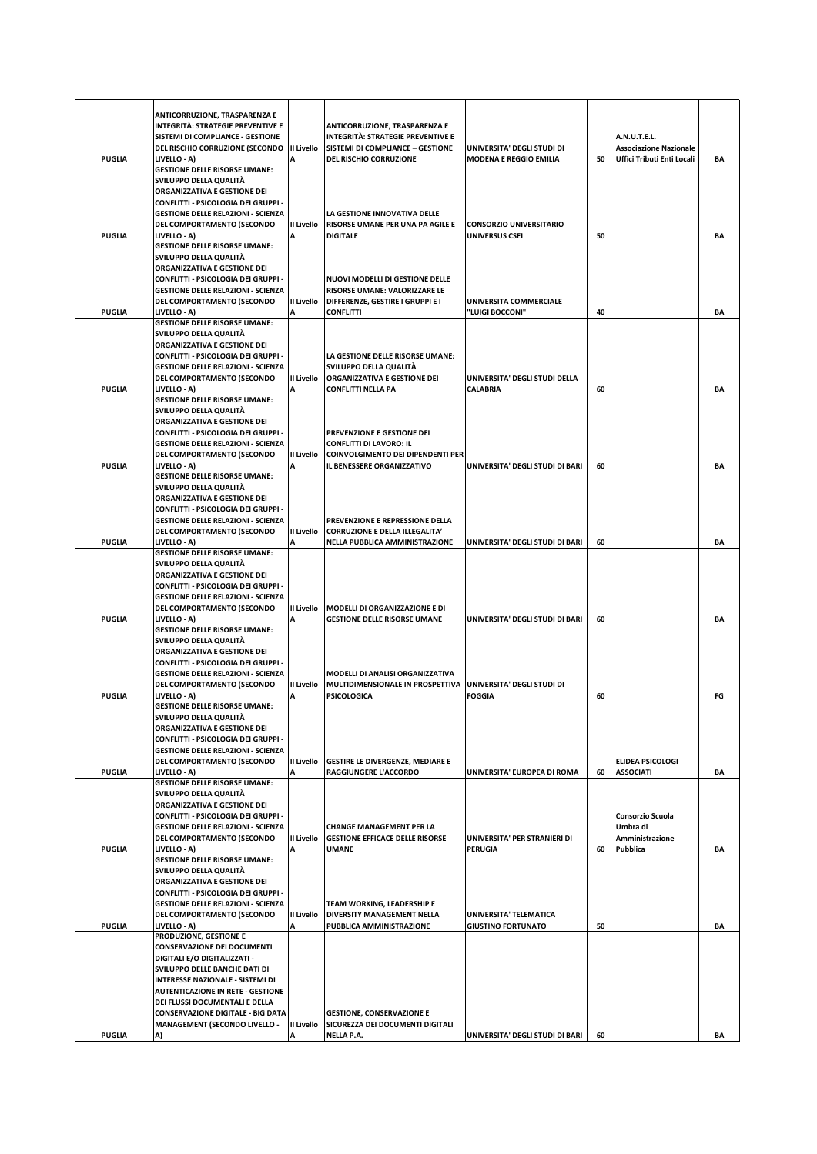|               | ANTICORRUZIONE, TRASPARENZA E<br>INTEGRITÀ: STRATEGIE PREVENTIVE E<br>SISTEMI DI COMPLIANCE - GESTIONE |                        | ANTICORRUZIONE, TRASPARENZA E<br>INTEGRITÀ: STRATEGIE PREVENTIVE E |                                                             |    | A.N.U.T.E.L.                                                |    |
|---------------|--------------------------------------------------------------------------------------------------------|------------------------|--------------------------------------------------------------------|-------------------------------------------------------------|----|-------------------------------------------------------------|----|
| <b>PUGLIA</b> | DEL RISCHIO CORRUZIONE (SECONDO<br>LIVELLO - A)                                                        | II Livello             | SISTEMI DI COMPLIANCE - GESTIONE<br>DEL RISCHIO CORRUZIONE         | UNIVERSITA' DEGLI STUDI DI<br><b>MODENA E REGGIO EMILIA</b> | 50 | <b>Associazione Nazionale</b><br>Uffici Tributi Enti Locali | BA |
|               | <b>GESTIONE DELLE RISORSE UMANE:</b>                                                                   |                        |                                                                    |                                                             |    |                                                             |    |
|               | SVILUPPO DELLA QUALITÀ<br>ORGANIZZATIVA E GESTIONE DEI                                                 |                        |                                                                    |                                                             |    |                                                             |    |
|               | CONFLITTI - PSICOLOGIA DEI GRUPPI -                                                                    |                        |                                                                    |                                                             |    |                                                             |    |
|               | <b>GESTIONE DELLE RELAZIONI - SCIENZA</b>                                                              |                        | LA GESTIONE INNOVATIVA DELLE                                       |                                                             |    |                                                             |    |
| <b>PUGLIA</b> | DEL COMPORTAMENTO (SECONDO<br>LIVELLO - A)                                                             | II Livello             | RISORSE UMANE PER UNA PA AGILE E<br><b>DIGITALE</b>                | <b>CONSORZIO UNIVERSITARIO</b><br>UNIVERSUS CSEI            | 50 |                                                             | BA |
|               | <b>GESTIONE DELLE RISORSE UMANE:</b>                                                                   |                        |                                                                    |                                                             |    |                                                             |    |
|               | SVILUPPO DELLA QUALITÀ<br>ORGANIZZATIVA E GESTIONE DEI                                                 |                        |                                                                    |                                                             |    |                                                             |    |
|               | CONFLITTI - PSICOLOGIA DEI GRUPPI -                                                                    |                        | NUOVI MODELLI DI GESTIONE DELLE                                    |                                                             |    |                                                             |    |
|               | <b>GESTIONE DELLE RELAZIONI - SCIENZA</b>                                                              |                        | RISORSE UMANE: VALORIZZARE LE                                      |                                                             |    |                                                             |    |
| <b>PUGLIA</b> | DEL COMPORTAMENTO (SECONDO<br>LIVELLO - A)                                                             | <b>II Livello</b><br>A | DIFFERENZE, GESTIRE I GRUPPI E I<br><b>CONFLITTI</b>               | UNIVERSITA COMMERCIALE<br>"LUIGI BOCCONI"                   | 40 |                                                             | ΒA |
|               | <b>GESTIONE DELLE RISORSE UMANE:</b>                                                                   |                        |                                                                    |                                                             |    |                                                             |    |
|               | SVILUPPO DELLA QUALITÀ                                                                                 |                        |                                                                    |                                                             |    |                                                             |    |
|               | <b>ORGANIZZATIVA E GESTIONE DEI</b><br>CONFLITTI - PSICOLOGIA DEI GRUPPI -                             |                        | LA GESTIONE DELLE RISORSE UMANE:                                   |                                                             |    |                                                             |    |
|               | <b>GESTIONE DELLE RELAZIONI - SCIENZA</b>                                                              |                        | SVILUPPO DELLA QUALITÀ                                             |                                                             |    |                                                             |    |
| <b>PUGLIA</b> | DEL COMPORTAMENTO (SECONDO<br>LIVELLO - A)                                                             | II Livello             | ORGANIZZATIVA E GESTIONE DEI<br>CONFLITTI NELLA PA                 | UNIVERSITA' DEGLI STUDI DELLA<br>CALABRIA                   | 60 |                                                             | ΒA |
|               | <b>GESTIONE DELLE RISORSE UMANE:</b>                                                                   |                        |                                                                    |                                                             |    |                                                             |    |
|               | SVILUPPO DELLA QUALITÀ                                                                                 |                        |                                                                    |                                                             |    |                                                             |    |
|               | ORGANIZZATIVA E GESTIONE DEI<br>CONFLITTI - PSICOLOGIA DEI GRUPPI -                                    |                        | PREVENZIONE E GESTIONE DEI                                         |                                                             |    |                                                             |    |
|               | <b>GESTIONE DELLE RELAZIONI - SCIENZA</b>                                                              |                        | <b>CONFLITTI DI LAVORO: IL</b>                                     |                                                             |    |                                                             |    |
| <b>PUGLIA</b> | DEL COMPORTAMENTO (SECONDO<br>LIVELLO - A)                                                             | II Livello<br>Δ        | COINVOLGIMENTO DEI DIPENDENTI PER<br>IL BENESSERE ORGANIZZATIVO    | UNIVERSITA' DEGLI STUDI DI BARI                             | 60 |                                                             | BA |
|               | <b>GESTIONE DELLE RISORSE UMANE:</b>                                                                   |                        |                                                                    |                                                             |    |                                                             |    |
|               | SVILUPPO DELLA QUALITÀ                                                                                 |                        |                                                                    |                                                             |    |                                                             |    |
|               | ORGANIZZATIVA E GESTIONE DEI<br>CONFLITTI - PSICOLOGIA DEI GRUPPI -                                    |                        |                                                                    |                                                             |    |                                                             |    |
|               | <b>GESTIONE DELLE RELAZIONI - SCIENZA</b>                                                              |                        | PREVENZIONE E REPRESSIONE DELLA                                    |                                                             |    |                                                             |    |
|               | DEL COMPORTAMENTO (SECONDO                                                                             | II Livello             | <b>CORRUZIONE E DELLA ILLEGALITA'</b>                              |                                                             |    |                                                             |    |
| <b>PUGLIA</b> | LIVELLO - A)<br><b>GESTIONE DELLE RISORSE UMANE:</b>                                                   |                        | NELLA PUBBLICA AMMINISTRAZIONE                                     | UNIVERSITA' DEGLI STUDI DI BARI                             | 60 |                                                             | ΒA |
|               | SVILUPPO DELLA QUALITÀ                                                                                 |                        |                                                                    |                                                             |    |                                                             |    |
|               | ORGANIZZATIVA E GESTIONE DEI<br>CONFLITTI - PSICOLOGIA DEI GRUPPI -                                    |                        |                                                                    |                                                             |    |                                                             |    |
|               | <b>GESTIONE DELLE RELAZIONI - SCIENZA</b>                                                              |                        |                                                                    |                                                             |    |                                                             |    |
|               | DEL COMPORTAMENTO (SECONDO                                                                             | II Livello             | MODELLI DI ORGANIZZAZIONE E DI                                     |                                                             |    |                                                             |    |
| <b>PUGLIA</b> | LIVELLO - A)<br><b>GESTIONE DELLE RISORSE UMANE:</b>                                                   | А                      | <b>GESTIONE DELLE RISORSE UMANE</b>                                | UNIVERSITA' DEGLI STUDI DI BARI                             | 60 |                                                             | ΒA |
|               | SVILUPPO DELLA QUALITÀ                                                                                 |                        |                                                                    |                                                             |    |                                                             |    |
|               | ORGANIZZATIVA E GESTIONE DEI<br>CONFLITTI - PSICOLOGIA DEI GRUPPI -                                    |                        |                                                                    |                                                             |    |                                                             |    |
|               | <b>GESTIONE DELLE RELAZIONI - SCIENZA</b>                                                              |                        | MODELLI DI ANALISI ORGANIZZATIVA                                   |                                                             |    |                                                             |    |
| PUGLIA        | DEL COMPORTAMENTO (SECONDO                                                                             | II Livello             | MULTIDIMENSIONALE IN PROSPETTIVA                                   | UNIVERSITA' DEGLI STUDI DI<br><b>FOGGIA</b>                 |    |                                                             |    |
|               | LIVELLO - A)<br><b>GESTIONE DELLE RISORSE UMANE:</b>                                                   |                        | <b>PSICOLOGICA</b>                                                 |                                                             | 60 |                                                             | FG |
|               | SVILUPPO DELLA QUALITÀ                                                                                 |                        |                                                                    |                                                             |    |                                                             |    |
|               | ORGANIZZATIVA E GESTIONE DEI<br>CONFLITTI - PSICOLOGIA DEI GRUPPI -                                    |                        |                                                                    |                                                             |    |                                                             |    |
|               | <b>GESTIONE DELLE RELAZIONI - SCIENZA</b>                                                              |                        |                                                                    |                                                             |    |                                                             |    |
| <b>PUGLIA</b> | DEL COMPORTAMENTO (SECONDO<br>LIVELLO - A)                                                             | <b>II Livello</b>      | <b>GESTIRE LE DIVERGENZE, MEDIARE E</b><br>RAGGIUNGERE L'ACCORDO   | UNIVERSITA' EUROPEA DI ROMA                                 | 60 | <b>ELIDEA PSICOLOGI</b><br><b>ASSOCIATI</b>                 | BA |
|               | <b>GESTIONE DELLE RISORSE UMANE:</b>                                                                   |                        |                                                                    |                                                             |    |                                                             |    |
|               | SVILUPPO DELLA QUALITÀ<br>ORGANIZZATIVA E GESTIONE DEI                                                 |                        |                                                                    |                                                             |    |                                                             |    |
|               | CONFLITTI - PSICOLOGIA DEI GRUPPI -                                                                    |                        |                                                                    |                                                             |    | Consorzio Scuola                                            |    |
|               | <b>GESTIONE DELLE RELAZIONI - SCIENZA</b>                                                              |                        | <b>CHANGE MANAGEMENT PER LA</b>                                    |                                                             |    | Umbra di                                                    |    |
| PUGLIA        | DEL COMPORTAMENTO (SECONDO<br>LIVELLO - A)                                                             | <b>II Livello</b><br>А | <b>GESTIONE EFFICACE DELLE RISORSE</b><br><b>UMANE</b>             | UNIVERSITA' PER STRANIERI DI<br><b>PERUGIA</b>              | 60 | Amministrazione<br>Pubblica                                 | BA |
|               | <b>GESTIONE DELLE RISORSE UMANE:</b>                                                                   |                        |                                                                    |                                                             |    |                                                             |    |
|               | SVILUPPO DELLA QUALITÀ                                                                                 |                        |                                                                    |                                                             |    |                                                             |    |
|               | ORGANIZZATIVA E GESTIONE DEI<br>CONFLITTI - PSICOLOGIA DEI GRUPPI -                                    |                        |                                                                    |                                                             |    |                                                             |    |
|               | <b>GESTIONE DELLE RELAZIONI - SCIENZA</b>                                                              |                        | TEAM WORKING, LEADERSHIP E                                         |                                                             |    |                                                             |    |
| PUGLIA        | DEL COMPORTAMENTO (SECONDO<br>LIVELLO - A)                                                             | II Livello             | DIVERSITY MANAGEMENT NELLA<br>PUBBLICA AMMINISTRAZIONE             | UNIVERSITA' TELEMATICA<br><b>GIUSTINO FORTUNATO</b>         | 50 |                                                             | BA |
|               | PRODUZIONE, GESTIONE E                                                                                 |                        |                                                                    |                                                             |    |                                                             |    |
|               | <b>CONSERVAZIONE DEI DOCUMENTI</b>                                                                     |                        |                                                                    |                                                             |    |                                                             |    |
|               | <b>DIGITALI E/O DIGITALIZZATI -</b><br>SVILUPPO DELLE BANCHE DATI DI                                   |                        |                                                                    |                                                             |    |                                                             |    |
|               | INTERESSE NAZIONALE - SISTEMI DI                                                                       |                        |                                                                    |                                                             |    |                                                             |    |
|               | <b>AUTENTICAZIONE IN RETE - GESTIONE</b><br>DEI FLUSSI DOCUMENTALI E DELLA                             |                        |                                                                    |                                                             |    |                                                             |    |
|               | <b>CONSERVAZIONE DIGITALE - BIG DATA</b>                                                               |                        | <b>GESTIONE, CONSERVAZIONE E</b>                                   |                                                             |    |                                                             |    |
| <b>PUGLIA</b> | <b>MANAGEMENT (SECONDO LIVELLO -</b>                                                                   | II Livello<br>А        | SICUREZZA DEI DOCUMENTI DIGITALI                                   |                                                             | 60 |                                                             |    |
|               | A)                                                                                                     |                        | NELLA P.A.                                                         | UNIVERSITA' DEGLI STUDI DI BARI                             |    |                                                             | ΒA |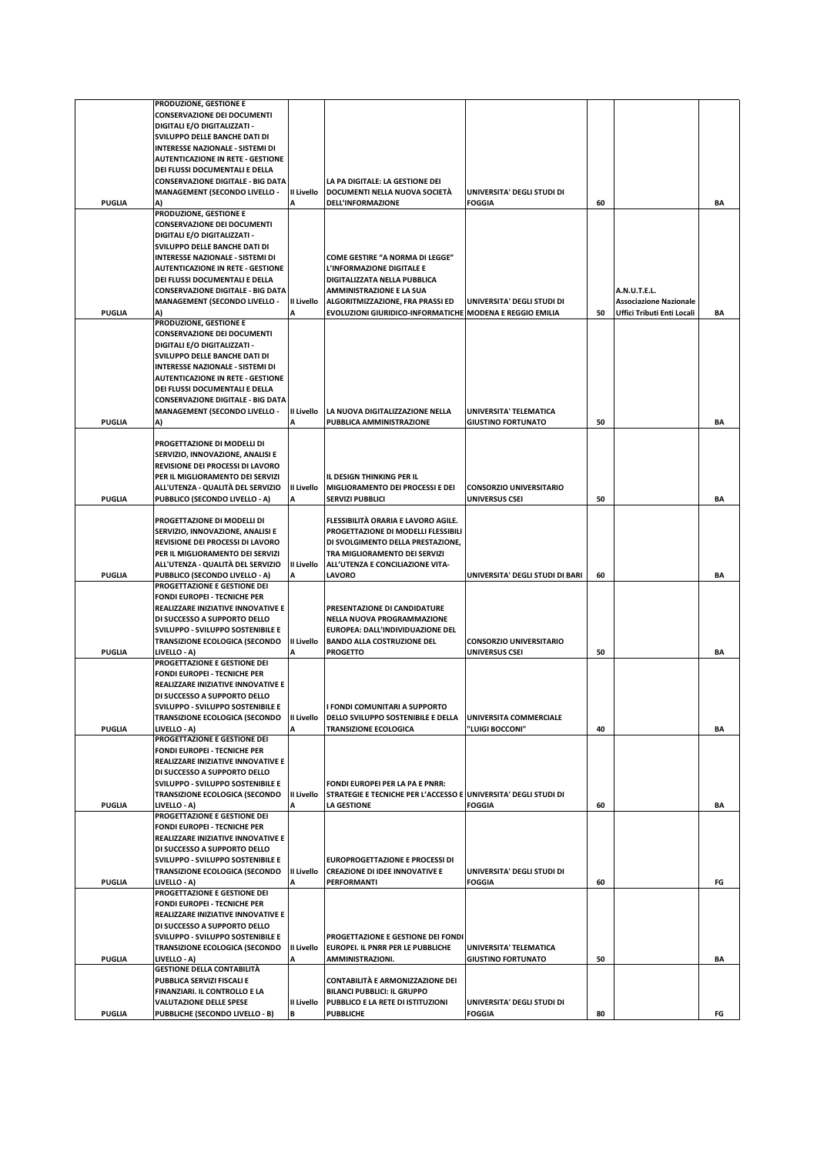|               | PRODUZIONE, GESTIONE E                   |            |                                                                 |                                 |    |                               |    |
|---------------|------------------------------------------|------------|-----------------------------------------------------------------|---------------------------------|----|-------------------------------|----|
|               | <b>CONSERVAZIONE DEI DOCUMENTI</b>       |            |                                                                 |                                 |    |                               |    |
|               |                                          |            |                                                                 |                                 |    |                               |    |
|               | DIGITALI E/O DIGITALIZZATI -             |            |                                                                 |                                 |    |                               |    |
|               | SVILUPPO DELLE BANCHE DATI DI            |            |                                                                 |                                 |    |                               |    |
|               | <b>INTERESSE NAZIONALE - SISTEMI DI</b>  |            |                                                                 |                                 |    |                               |    |
|               | <b>AUTENTICAZIONE IN RETE - GESTIONE</b> |            |                                                                 |                                 |    |                               |    |
|               | DEI FLUSSI DOCUMENTALI E DELLA           |            |                                                                 |                                 |    |                               |    |
|               | <b>CONSERVAZIONE DIGITALE - BIG DATA</b> |            | LA PA DIGITALE: LA GESTIONE DEI                                 |                                 |    |                               |    |
|               | <b>MANAGEMENT (SECONDO LIVELLO -</b>     | II Livello | DOCUMENTI NELLA NUOVA SOCIETÀ                                   | UNIVERSITA' DEGLI STUDI DI      |    |                               |    |
| <b>PUGLIA</b> |                                          | A          | DELL'INFORMAZIONE                                               | <b>FOGGIA</b>                   | 60 |                               | ΒA |
|               | PRODUZIONE, GESTIONE E                   |            |                                                                 |                                 |    |                               |    |
|               | <b>CONSERVAZIONE DEI DOCUMENTI</b>       |            |                                                                 |                                 |    |                               |    |
|               |                                          |            |                                                                 |                                 |    |                               |    |
|               | DIGITALI E/O DIGITALIZZATI -             |            |                                                                 |                                 |    |                               |    |
|               | SVILUPPO DELLE BANCHE DATI DI            |            |                                                                 |                                 |    |                               |    |
|               | <b>INTERESSE NAZIONALE - SISTEMI DI</b>  |            | <b>COME GESTIRE "A NORMA DI LEGGE"</b>                          |                                 |    |                               |    |
|               | <b>AUTENTICAZIONE IN RETE - GESTIONE</b> |            | L'INFORMAZIONE DIGITALE E                                       |                                 |    |                               |    |
|               | DEI FLUSSI DOCUMENTALI E DELLA           |            | DIGITALIZZATA NELLA PUBBLICA                                    |                                 |    |                               |    |
|               | <b>CONSERVAZIONE DIGITALE - BIG DATA</b> |            | <b>AMMINISTRAZIONE E LA SUA</b>                                 |                                 |    | A.N.U.T.E.L.                  |    |
|               | <b>MANAGEMENT (SECONDO LIVELLO -</b>     | II Livello | ALGORITMIZZAZIONE, FRA PRASSI ED                                | UNIVERSITA' DEGLI STUDI DI      |    | <b>Associazione Nazionale</b> |    |
| <b>PUGLIA</b> | A)                                       |            | EVOLUZIONI GIURIDICO-INFORMATICHE MODENA E REGGIO EMILIA        |                                 | 50 | Uffici Tributi Enti Locali    | BA |
|               | PRODUZIONE, GESTIONE E                   |            |                                                                 |                                 |    |                               |    |
|               |                                          |            |                                                                 |                                 |    |                               |    |
|               | <b>CONSERVAZIONE DEI DOCUMENTI</b>       |            |                                                                 |                                 |    |                               |    |
|               | DIGITALI E/O DIGITALIZZATI -             |            |                                                                 |                                 |    |                               |    |
|               | SVILUPPO DELLE BANCHE DATI DI            |            |                                                                 |                                 |    |                               |    |
|               | INTERESSE NAZIONALE - SISTEMI DI         |            |                                                                 |                                 |    |                               |    |
|               | <b>AUTENTICAZIONE IN RETE - GESTIONE</b> |            |                                                                 |                                 |    |                               |    |
|               | DEI FLUSSI DOCUMENTALI E DELLA           |            |                                                                 |                                 |    |                               |    |
|               |                                          |            |                                                                 |                                 |    |                               |    |
|               | <b>CONSERVAZIONE DIGITALE - BIG DATA</b> |            |                                                                 |                                 |    |                               |    |
|               | <b>MANAGEMENT (SECONDO LIVELLO -</b>     | II Livello | LA NUOVA DIGITALIZZAZIONE NELLA                                 | UNIVERSITA' TELEMATICA          |    |                               |    |
| <b>PUGLIA</b> | A)                                       |            | PUBBLICA AMMINISTRAZIONE                                        | <b>GIUSTINO FORTUNATO</b>       | 50 |                               | BA |
|               |                                          |            |                                                                 |                                 |    |                               |    |
|               | PROGETTAZIONE DI MODELLI DI              |            |                                                                 |                                 |    |                               |    |
|               | SERVIZIO, INNOVAZIONE, ANALISI E         |            |                                                                 |                                 |    |                               |    |
|               | REVISIONE DEI PROCESSI DI LAVORO         |            |                                                                 |                                 |    |                               |    |
|               |                                          |            |                                                                 |                                 |    |                               |    |
|               | PER IL MIGLIORAMENTO DEI SERVIZI         |            | IL DESIGN THINKING PER IL                                       |                                 |    |                               |    |
|               | ALL'UTENZA - QUALITÀ DEL SERVIZIO        | II Livello | MIGLIORAMENTO DEI PROCESSI E DEI                                | <b>CONSORZIO UNIVERSITARIO</b>  |    |                               |    |
| <b>PUGLIA</b> | PUBBLICO (SECONDO LIVELLO - A)           |            | <b>SERVIZI PUBBLICI</b>                                         | UNIVERSUS CSEI                  | 50 |                               | ΒA |
|               |                                          |            |                                                                 |                                 |    |                               |    |
|               | PROGETTAZIONE DI MODELLI DI              |            | FLESSIBILITÀ ORARIA E LAVORO AGILE.                             |                                 |    |                               |    |
|               | SERVIZIO, INNOVAZIONE, ANALISI E         |            | PROGETTAZIONE DI MODELLI FLESSIBILI                             |                                 |    |                               |    |
|               |                                          |            |                                                                 |                                 |    |                               |    |
|               | REVISIONE DEI PROCESSI DI LAVORO         |            | DI SVOLGIMENTO DELLA PRESTAZIONE,                               |                                 |    |                               |    |
|               | PER IL MIGLIORAMENTO DEI SERVIZI         |            | TRA MIGLIORAMENTO DEI SERVIZI                                   |                                 |    |                               |    |
|               | ALL'UTENZA - QUALITÀ DEL SERVIZIO        | II Livello | ALL'UTENZA E CONCILIAZIONE VITA-                                |                                 |    |                               |    |
| <b>PUGLIA</b> | PUBBLICO (SECONDO LIVELLO - A)           |            | LAVORO                                                          | UNIVERSITA' DEGLI STUDI DI BARI | 60 |                               | BA |
|               | PROGETTAZIONE E GESTIONE DEI             |            |                                                                 |                                 |    |                               |    |
|               | <b>FONDI EUROPEI - TECNICHE PER</b>      |            |                                                                 |                                 |    |                               |    |
|               | REALIZZARE INIZIATIVE INNOVATIVE E       |            | PRESENTAZIONE DI CANDIDATURE                                    |                                 |    |                               |    |
|               |                                          |            |                                                                 |                                 |    |                               |    |
|               | DI SUCCESSO A SUPPORTO DELLO             |            | NELLA NUOVA PROGRAMMAZIONE                                      |                                 |    |                               |    |
|               | SVILUPPO - SVILUPPO SOSTENIBILE E        |            | EUROPEA: DALL'INDIVIDUAZIONE DEL                                |                                 |    |                               |    |
|               | <b>TRANSIZIONE ECOLOGICA (SECONDO</b>    | II Livello | <b>BANDO ALLA COSTRUZIONE DEL</b>                               | <b>CONSORZIO UNIVERSITARIO</b>  |    |                               |    |
| <b>PUGLIA</b> | LIVELLO - A)                             |            | <b>PROGETTO</b>                                                 | <b>UNIVERSUS CSEI</b>           | 50 |                               | ΒA |
|               | PROGETTAZIONE E GESTIONE DEI             |            |                                                                 |                                 |    |                               |    |
|               | <b>FONDI EUROPEI - TECNICHE PER</b>      |            |                                                                 |                                 |    |                               |    |
|               | REALIZZARE INIZIATIVE INNOVATIVE E       |            |                                                                 |                                 |    |                               |    |
|               |                                          |            |                                                                 |                                 |    |                               |    |
|               | DI SUCCESSO A SUPPORTO DELLO             |            |                                                                 |                                 |    |                               |    |
|               | SVILUPPO - SVILUPPO SOSTENIBILE E        |            | I FONDI COMUNITARI A SUPPORTO                                   |                                 |    |                               |    |
|               | <b>TRANSIZIONE ECOLOGICA (SECONDO</b>    | II Livello | DELLO SVILUPPO SOSTENIBILE E DELLA                              | UNIVERSITA COMMERCIALE          |    |                               |    |
| <b>PUGLIA</b> | LIVELLO - A)                             | A          | <b>TRANSIZIONE ECOLOGICA</b>                                    | "LUIGI BOCCONI"                 | 40 |                               | BA |
|               | PROGETTAZIONE E GESTIONE DEI             |            |                                                                 |                                 |    |                               |    |
|               | FONDI EUROPEI - TECNICHE PER             |            |                                                                 |                                 |    |                               |    |
|               | REALIZZARE INIZIATIVE INNOVATIVE E       |            |                                                                 |                                 |    |                               |    |
|               | DI SUCCESSO A SUPPORTO DELLO             |            |                                                                 |                                 |    |                               |    |
|               |                                          |            |                                                                 |                                 |    |                               |    |
|               | SVILUPPO - SVILUPPO SOSTENIBILE E        |            | FONDI EUROPEI PER LA PA E PNRR:                                 |                                 |    |                               |    |
|               | <b>TRANSIZIONE ECOLOGICA (SECONDO</b>    | Il Livello | STRATEGIE E TECNICHE PER L'ACCESSO E UNIVERSITA' DEGLI STUDI DI |                                 |    |                               |    |
| <b>PUGLIA</b> | LIVELLO - A)                             |            | <b>LA GESTIONE</b>                                              | <b>FOGGIA</b>                   | 60 |                               | BA |
|               | PROGETTAZIONE E GESTIONE DEI             |            |                                                                 |                                 |    |                               |    |
|               | <b>FONDI EUROPEI - TECNICHE PER</b>      |            |                                                                 |                                 |    |                               |    |
|               | REALIZZARE INIZIATIVE INNOVATIVE E       |            |                                                                 |                                 |    |                               |    |
|               | DI SUCCESSO A SUPPORTO DELLO             |            |                                                                 |                                 |    |                               |    |
|               |                                          |            |                                                                 |                                 |    |                               |    |
|               | SVILUPPO - SVILUPPO SOSTENIBILE E        |            | <b>EUROPROGETTAZIONE E PROCESSI DI</b>                          |                                 |    |                               |    |
|               | TRANSIZIONE ECOLOGICA (SECONDO           | II Livello | <b>CREAZIONE DI IDEE INNOVATIVE E</b>                           | UNIVERSITA' DEGLI STUDI DI      |    |                               |    |
| <b>PUGLIA</b> | LIVELLO - A)                             | А          | PERFORMANTI                                                     | <b>FOGGIA</b>                   | 60 |                               | FG |
|               | PROGETTAZIONE E GESTIONE DEI             |            |                                                                 |                                 |    |                               |    |
|               | FONDI EUROPEI - TECNICHE PER             |            |                                                                 |                                 |    |                               |    |
|               | REALIZZARE INIZIATIVE INNOVATIVE E       |            |                                                                 |                                 |    |                               |    |
|               | DI SUCCESSO A SUPPORTO DELLO             |            |                                                                 |                                 |    |                               |    |
|               | SVILUPPO - SVILUPPO SOSTENIBILE E        |            | PROGETTAZIONE E GESTIONE DEI FONDI                              |                                 |    |                               |    |
|               |                                          | II Livello |                                                                 |                                 |    |                               |    |
|               | <b>TRANSIZIONE ECOLOGICA (SECONDO</b>    |            | EUROPEI. IL PNRR PER LE PUBBLICHE                               | UNIVERSITA' TELEMATICA          |    |                               |    |
| <b>PUGLIA</b> | LIVELLO - A)                             | А          | AMMINISTRAZIONI.                                                | <b>GIUSTINO FORTUNATO</b>       | 50 |                               | BA |
|               | <b>GESTIONE DELLA CONTABILITÀ</b>        |            |                                                                 |                                 |    |                               |    |
|               | PUBBLICA SERVIZI FISCALI E               |            | CONTABILITÀ E ARMONIZZAZIONE DEI                                |                                 |    |                               |    |
|               | FINANZIARI. IL CONTROLLO E LA            |            | <b>BILANCI PUBBLICI: IL GRUPPO</b>                              |                                 |    |                               |    |
|               | <b>VALUTAZIONE DELLE SPESE</b>           | II Livello | PUBBLICO E LA RETE DI ISTITUZIONI                               | UNIVERSITA' DEGLI STUDI DI      |    |                               |    |
| <b>PUGLIA</b> | PUBBLICHE (SECONDO LIVELLO - B)          | В          | <b>PUBBLICHE</b>                                                | <b>FOGGIA</b>                   | 80 |                               | FG |
|               |                                          |            |                                                                 |                                 |    |                               |    |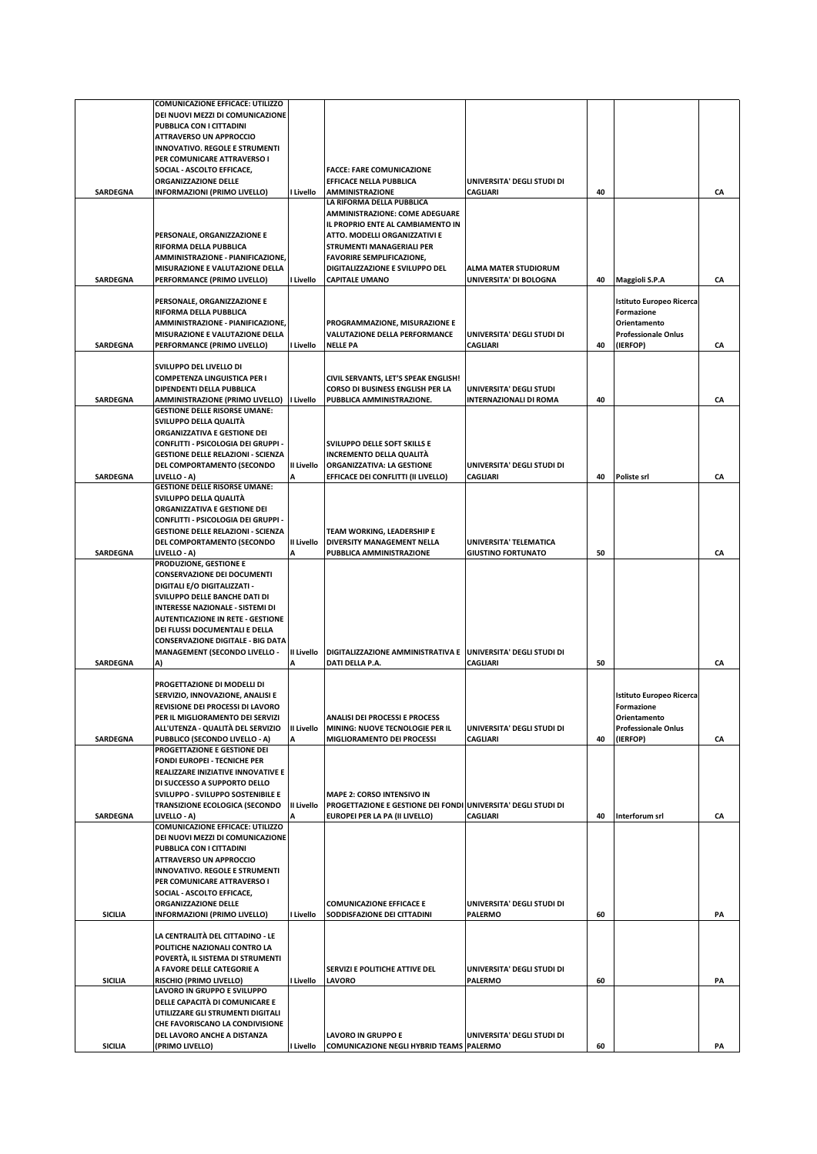|                 | <b>COMUNICAZIONE EFFICACE: UTILIZZO</b>                              |                   |                                                                |                               |    |                                               |    |
|-----------------|----------------------------------------------------------------------|-------------------|----------------------------------------------------------------|-------------------------------|----|-----------------------------------------------|----|
|                 | DEI NUOVI MEZZI DI COMUNICAZIONE                                     |                   |                                                                |                               |    |                                               |    |
|                 | PUBBLICA CON I CITTADINI                                             |                   |                                                                |                               |    |                                               |    |
|                 | <b>ATTRAVERSO UN APPROCCIO</b>                                       |                   |                                                                |                               |    |                                               |    |
|                 | <b>INNOVATIVO. REGOLE E STRUMENTI</b>                                |                   |                                                                |                               |    |                                               |    |
|                 | PER COMUNICARE ATTRAVERSO I<br>SOCIAL - ASCOLTO EFFICACE,            |                   | <b>FACCE: FARE COMUNICAZIONE</b>                               |                               |    |                                               |    |
|                 | ORGANIZZAZIONE DELLE                                                 |                   | EFFICACE NELLA PUBBLICA                                        | UNIVERSITA' DEGLI STUDI DI    |    |                                               |    |
| <b>SARDEGNA</b> | INFORMAZIONI (PRIMO LIVELLO)                                         | I Livello         | <b>AMMINISTRAZIONE</b>                                         | <b>CAGLIARI</b>               | 40 |                                               | CA |
|                 |                                                                      |                   | LA RIFORMA DELLA PUBBLICA                                      |                               |    |                                               |    |
|                 |                                                                      |                   | AMMINISTRAZIONE: COME ADEGUARE                                 |                               |    |                                               |    |
|                 |                                                                      |                   | IL PROPRIO ENTE AL CAMBIAMENTO IN                              |                               |    |                                               |    |
|                 | PERSONALE, ORGANIZZAZIONE E                                          |                   | ATTO. MODELLI ORGANIZZATIVI E                                  |                               |    |                                               |    |
|                 | RIFORMA DELLA PUBBLICA                                               |                   | STRUMENTI MANAGERIALI PER<br><b>FAVORIRE SEMPLIFICAZIONE,</b>  |                               |    |                                               |    |
|                 | AMMINISTRAZIONE - PIANIFICAZIONE,<br>MISURAZIONE E VALUTAZIONE DELLA |                   | DIGITALIZZAZIONE E SVILUPPO DEL                                | <b>ALMA MATER STUDIORUM</b>   |    |                                               |    |
| <b>SARDEGNA</b> | PERFORMANCE (PRIMO LIVELLO)                                          | I Livello         | <b>CAPITALE UMANO</b>                                          | UNIVERSITA' DI BOLOGNA        | 40 | Maggioli S.P.A                                | CA |
|                 |                                                                      |                   |                                                                |                               |    |                                               |    |
|                 | PERSONALE, ORGANIZZAZIONE E                                          |                   |                                                                |                               |    | Istituto Europeo Ricerca                      |    |
|                 | RIFORMA DELLA PUBBLICA                                               |                   |                                                                |                               |    | Formazione                                    |    |
|                 | AMMINISTRAZIONE - PIANIFICAZIONE,<br>MISURAZIONE E VALUTAZIONE DELLA |                   | PROGRAMMAZIONE, MISURAZIONE E<br>VALUTAZIONE DELLA PERFORMANCE | UNIVERSITA' DEGLI STUDI DI    |    | Orientamento                                  |    |
| SARDEGNA        | PERFORMANCE (PRIMO LIVELLO)                                          | I Livello         | <b>NELLE PA</b>                                                | <b>CAGLIARI</b>               | 40 | <b>Professionale Onlus</b><br>(IERFOP)        | CA |
|                 |                                                                      |                   |                                                                |                               |    |                                               |    |
|                 | SVILUPPO DEL LIVELLO DI                                              |                   |                                                                |                               |    |                                               |    |
|                 | COMPETENZA LINGUISTICA PER I                                         |                   | CIVIL SERVANTS, LET'S SPEAK ENGLISH!                           |                               |    |                                               |    |
|                 | DIPENDENTI DELLA PUBBLICA                                            |                   | CORSO DI BUSINESS ENGLISH PER LA                               | UNIVERSITA' DEGLI STUDI       |    |                                               |    |
| <b>SARDEGNA</b> | AMMINISTRAZIONE (PRIMO LIVELLO)  I Livello                           |                   | PUBBLICA AMMINISTRAZIONE.                                      | <b>INTERNAZIONALI DI ROMA</b> | 40 |                                               | CA |
|                 | <b>GESTIONE DELLE RISORSE UMANE:</b>                                 |                   |                                                                |                               |    |                                               |    |
|                 | SVILUPPO DELLA QUALITÀ                                               |                   |                                                                |                               |    |                                               |    |
|                 | ORGANIZZATIVA E GESTIONE DEI<br>CONFLITTI - PSICOLOGIA DEI GRUPPI -  |                   | SVILUPPO DELLE SOFT SKILLS E                                   |                               |    |                                               |    |
|                 | <b>GESTIONE DELLE RELAZIONI - SCIENZA</b>                            |                   | <b>INCREMENTO DELLA QUALITÀ</b>                                |                               |    |                                               |    |
|                 | DEL COMPORTAMENTO (SECONDO                                           | <b>II Livello</b> | ORGANIZZATIVA: LA GESTIONE                                     | UNIVERSITA' DEGLI STUDI DI    |    |                                               |    |
| <b>SARDEGNA</b> | LIVELLO - A)                                                         | A                 | EFFICACE DEI CONFLITTI (II LIVELLO)                            | <b>CAGLIARI</b>               | 40 | Poliste srl                                   | CA |
|                 | <b>GESTIONE DELLE RISORSE UMANE:</b>                                 |                   |                                                                |                               |    |                                               |    |
|                 | SVILUPPO DELLA QUALITÀ                                               |                   |                                                                |                               |    |                                               |    |
|                 | ORGANIZZATIVA E GESTIONE DEI<br>CONFLITTI - PSICOLOGIA DEI GRUPPI -  |                   |                                                                |                               |    |                                               |    |
|                 | <b>GESTIONE DELLE RELAZIONI - SCIENZA</b>                            |                   | TEAM WORKING, LEADERSHIP E                                     |                               |    |                                               |    |
|                 | DEL COMPORTAMENTO (SECONDO                                           | II Livello        | DIVERSITY MANAGEMENT NELLA                                     | UNIVERSITA' TELEMATICA        |    |                                               |    |
| <b>SARDEGNA</b> | LIVELLO - A)                                                         | A                 | PUBBLICA AMMINISTRAZIONE                                       | <b>GIUSTINO FORTUNATO</b>     | 50 |                                               | CA |
|                 | PRODUZIONE, GESTIONE E                                               |                   |                                                                |                               |    |                                               |    |
|                 | <b>CONSERVAZIONE DEI DOCUMENTI</b>                                   |                   |                                                                |                               |    |                                               |    |
|                 | DIGITALI E/O DIGITALIZZATI -                                         |                   |                                                                |                               |    |                                               |    |
|                 | SVILUPPO DELLE BANCHE DATI DI<br>INTERESSE NAZIONALE - SISTEMI DI    |                   |                                                                |                               |    |                                               |    |
|                 | <b>AUTENTICAZIONE IN RETE - GESTIONE</b>                             |                   |                                                                |                               |    |                                               |    |
|                 | DEI FLUSSI DOCUMENTALI E DELLA                                       |                   |                                                                |                               |    |                                               |    |
|                 | <b>CONSERVAZIONE DIGITALE - BIG DATA</b>                             |                   |                                                                |                               |    |                                               |    |
|                 | <b>MANAGEMENT (SECONDO LIVELLO -</b>                                 | II Livello        | DIGITALIZZAZIONE AMMINISTRATIVA E                              | UNIVERSITA' DEGLI STUDI DI    |    |                                               |    |
| SARDEGNA        | A)                                                                   | Δ                 | DATI DELLA P.A.                                                | CAGLIARI                      | 50 |                                               | CA |
|                 |                                                                      |                   |                                                                |                               |    |                                               |    |
|                 | PROGETTAZIONE DI MODELLI DI                                          |                   |                                                                |                               |    |                                               |    |
|                 | SERVIZIO, INNOVAZIONE, ANALISI E<br>REVISIONE DEI PROCESSI DI LAVORO |                   |                                                                |                               |    | <b>Istituto Europeo Ricerca</b><br>Formazione |    |
|                 | PER IL MIGLIORAMENTO DEI SERVIZI                                     |                   | <b>ANALISI DEI PROCESSI E PROCESS</b>                          |                               |    | Orientamento                                  |    |
|                 | ALL'UTENZA - QUALITÀ DEL SERVIZIO                                    | II Livello        | MINING: NUOVE TECNOLOGIE PER IL                                | UNIVERSITA' DEGLI STUDI DI    |    | <b>Professionale Onlus</b>                    |    |
| SARDEGNA        | PUBBLICO (SECONDO LIVELLO - A)                                       | A                 | MIGLIORAMENTO DEI PROCESSI                                     | <b>CAGLIARI</b>               | 40 | (IERFOP)                                      | CA |
|                 | PROGETTAZIONE E GESTIONE DEI                                         |                   |                                                                |                               |    |                                               |    |
|                 | <b>FONDI EUROPEI - TECNICHE PER</b>                                  |                   |                                                                |                               |    |                                               |    |
|                 | REALIZZARE INIZIATIVE INNOVATIVE E                                   |                   |                                                                |                               |    |                                               |    |
|                 | DI SUCCESSO A SUPPORTO DELLO<br>SVILUPPO - SVILUPPO SOSTENIBILE E    |                   | <b>MAPE 2: CORSO INTENSIVO IN</b>                              |                               |    |                                               |    |
|                 | <b>TRANSIZIONE ECOLOGICA (SECONDO</b>                                | <b>II Livello</b> | PROGETTAZIONE E GESTIONE DEI FONDI UNIVERSITA' DEGLI STUDI DI  |                               |    |                                               |    |
| <b>SARDEGNA</b> | LIVELLO - A)                                                         | A                 | EUROPEI PER LA PA (II LIVELLO)                                 | <b>CAGLIARI</b>               | 40 | Interforum srl                                | CA |
|                 | COMUNICAZIONE EFFICACE: UTILIZZO                                     |                   |                                                                |                               |    |                                               |    |
|                 | DEI NUOVI MEZZI DI COMUNICAZIONE                                     |                   |                                                                |                               |    |                                               |    |
|                 | PUBBLICA CON I CITTADINI                                             |                   |                                                                |                               |    |                                               |    |
|                 | ATTRAVERSO UN APPROCCIO<br>INNOVATIVO. REGOLE E STRUMENTI            |                   |                                                                |                               |    |                                               |    |
|                 | PER COMUNICARE ATTRAVERSO I                                          |                   |                                                                |                               |    |                                               |    |
|                 | SOCIAL - ASCOLTO EFFICACE,                                           |                   |                                                                |                               |    |                                               |    |
|                 | <b>ORGANIZZAZIONE DELLE</b>                                          |                   | <b>COMUNICAZIONE EFFICACE E</b>                                | UNIVERSITA' DEGLI STUDI DI    |    |                                               |    |
| <b>SICILIA</b>  | INFORMAZIONI (PRIMO LIVELLO)                                         | I Livello         | SODDISFAZIONE DEI CITTADINI                                    | <b>PALERMO</b>                | 60 |                                               | PA |
|                 |                                                                      |                   |                                                                |                               |    |                                               |    |
|                 | LA CENTRALITÀ DEL CITTADINO - LE                                     |                   |                                                                |                               |    |                                               |    |
|                 | POLITICHE NAZIONALI CONTRO LA<br>POVERTÀ, IL SISTEMA DI STRUMENTI    |                   |                                                                |                               |    |                                               |    |
|                 | A FAVORE DELLE CATEGORIE A                                           |                   | SERVIZI E POLITICHE ATTIVE DEL                                 | UNIVERSITA' DEGLI STUDI DI    |    |                                               |    |
| <b>SICILIA</b>  | RISCHIO (PRIMO LIVELLO)                                              | I Livello         | <b>LAVORO</b>                                                  | <b>PALERMO</b>                | 60 |                                               | PA |
|                 | LAVORO IN GRUPPO E SVILUPPO                                          |                   |                                                                |                               |    |                                               |    |
|                 | DELLE CAPACITÀ DI COMUNICARE E                                       |                   |                                                                |                               |    |                                               |    |
|                 | UTILIZZARE GLI STRUMENTI DIGITALI                                    |                   |                                                                |                               |    |                                               |    |
|                 | CHE FAVORISCANO LA CONDIVISIONE<br>DEL LAVORO ANCHE A DISTANZA       |                   | LAVORO IN GRUPPO E                                             | UNIVERSITA' DEGLI STUDI DI    |    |                                               |    |
| <b>SICILIA</b>  | (PRIMO LIVELLO)                                                      | I Livello         | COMUNICAZIONE NEGLI HYBRID TEAMS PALERMO                       |                               | 60 |                                               | PA |
|                 |                                                                      |                   |                                                                |                               |    |                                               |    |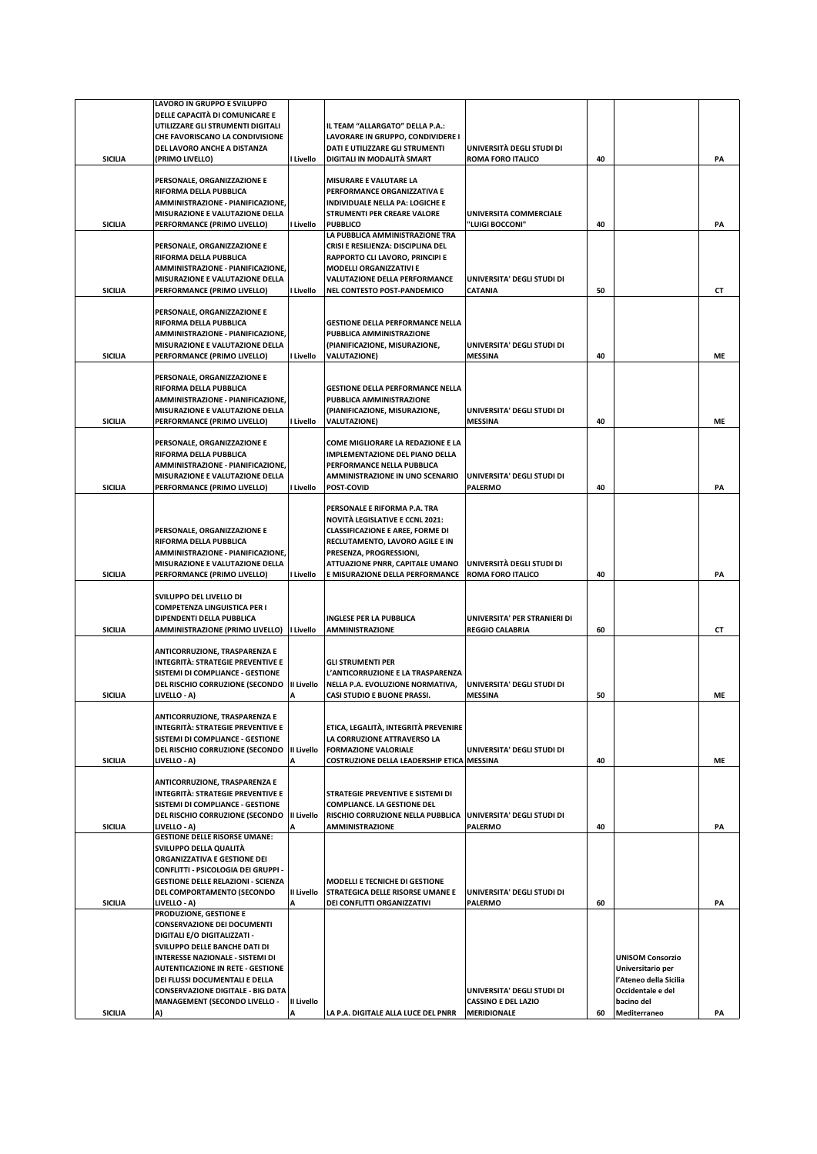|                | LAVORO IN GRUPPO E SVILUPPO                                                  |            |                                                                            |                              |    |                         |    |
|----------------|------------------------------------------------------------------------------|------------|----------------------------------------------------------------------------|------------------------------|----|-------------------------|----|
|                | DELLE CAPACITÀ DI COMUNICARE E                                               |            |                                                                            |                              |    |                         |    |
|                | UTILIZZARE GLI STRUMENTI DIGITALI                                            |            | IL TEAM "ALLARGATO" DELLA P.A.:                                            |                              |    |                         |    |
|                | CHE FAVORISCANO LA CONDIVISIONE<br>DEL LAVORO ANCHE A DISTANZA               |            | LAVORARE IN GRUPPO, CONDIVIDERE I<br>DATI E UTILIZZARE GLI STRUMENTI       | UNIVERSITÀ DEGLI STUDI DI    |    |                         |    |
| <b>SICILIA</b> | (PRIMO LIVELLO)                                                              | l Livello  | DIGITALI IN MODALITÀ SMART                                                 | <b>ROMA FORO ITALICO</b>     | 40 |                         | PA |
|                |                                                                              |            |                                                                            |                              |    |                         |    |
|                | PERSONALE, ORGANIZZAZIONE E                                                  |            | MISURARE E VALUTARE LA                                                     |                              |    |                         |    |
|                | RIFORMA DELLA PUBBLICA                                                       |            | PERFORMANCE ORGANIZZATIVA E                                                |                              |    |                         |    |
|                | AMMINISTRAZIONE - PIANIFICAZIONE,                                            |            | INDIVIDUALE NELLA PA: LOGICHE E                                            |                              |    |                         |    |
|                | MISURAZIONE E VALUTAZIONE DELLA                                              |            | <b>STRUMENTI PER CREARE VALORE</b>                                         | UNIVERSITA COMMERCIALE       |    |                         |    |
| <b>SICILIA</b> | PERFORMANCE (PRIMO LIVELLO)                                                  | I Livello  | <b>PUBBLICO</b>                                                            | "LUIGI BOCCONI"              | 40 |                         | PA |
|                | PERSONALE, ORGANIZZAZIONE E                                                  |            | LA PUBBLICA AMMINISTRAZIONE TRA<br>CRISI E RESILIENZA: DISCIPLINA DEL      |                              |    |                         |    |
|                | RIFORMA DELLA PUBBLICA                                                       |            | RAPPORTO CLI LAVORO, PRINCIPI E                                            |                              |    |                         |    |
|                | AMMINISTRAZIONE - PIANIFICAZIONE.                                            |            | <b>MODELLI ORGANIZZATIVI E</b>                                             |                              |    |                         |    |
|                | MISURAZIONE E VALUTAZIONE DELLA                                              |            | <b>VALUTAZIONE DELLA PERFORMANCE</b>                                       | UNIVERSITA' DEGLI STUDI DI   |    |                         |    |
| <b>SICILIA</b> | PERFORMANCE (PRIMO LIVELLO)                                                  | I Livello  | NEL CONTESTO POST-PANDEMICO                                                | <b>CATANIA</b>               | 50 |                         | СT |
|                |                                                                              |            |                                                                            |                              |    |                         |    |
|                | PERSONALE, ORGANIZZAZIONE E                                                  |            |                                                                            |                              |    |                         |    |
|                | RIFORMA DELLA PUBBLICA                                                       |            | <b>GESTIONE DELLA PERFORMANCE NELLA</b>                                    |                              |    |                         |    |
|                | AMMINISTRAZIONE - PIANIFICAZIONE,<br>MISURAZIONE E VALUTAZIONE DELLA         |            | PUBBLICA AMMINISTRAZIONE<br>(PIANIFICAZIONE, MISURAZIONE,                  | UNIVERSITA' DEGLI STUDI DI   |    |                         |    |
| <b>SICILIA</b> | PERFORMANCE (PRIMO LIVELLO)                                                  | I Livello  | <b>VALUTAZIONE)</b>                                                        | <b>MESSINA</b>               | 40 |                         | ME |
|                |                                                                              |            |                                                                            |                              |    |                         |    |
|                | PERSONALE, ORGANIZZAZIONE E                                                  |            |                                                                            |                              |    |                         |    |
|                | RIFORMA DELLA PUBBLICA                                                       |            | <b>GESTIONE DELLA PERFORMANCE NELLA</b>                                    |                              |    |                         |    |
|                | AMMINISTRAZIONE - PIANIFICAZIONE,                                            |            | PUBBLICA AMMINISTRAZIONE                                                   |                              |    |                         |    |
|                | MISURAZIONE E VALUTAZIONE DELLA                                              |            | (PIANIFICAZIONE, MISURAZIONE,                                              | UNIVERSITA' DEGLI STUDI DI   |    |                         |    |
| <b>SICILIA</b> | PERFORMANCE (PRIMO LIVELLO)                                                  | I Livello  | <b>VALUTAZIONE)</b>                                                        | <b>MESSINA</b>               | 40 |                         | ME |
|                | PERSONALE, ORGANIZZAZIONE E                                                  |            | COME MIGLIORARE LA REDAZIONE E LA                                          |                              |    |                         |    |
|                | RIFORMA DELLA PUBBLICA                                                       |            | <b>IMPLEMENTAZIONE DEL PIANO DELLA</b>                                     |                              |    |                         |    |
|                | AMMINISTRAZIONE - PIANIFICAZIONE,                                            |            | PERFORMANCE NELLA PUBBLICA                                                 |                              |    |                         |    |
|                | MISURAZIONE E VALUTAZIONE DELLA                                              |            | AMMINISTRAZIONE IN UNO SCENARIO                                            | UNIVERSITA' DEGLI STUDI DI   |    |                         |    |
| <b>SICILIA</b> | PERFORMANCE (PRIMO LIVELLO)                                                  | I Livello  | POST-COVID                                                                 | <b>PALERMO</b>               | 40 |                         | PA |
|                |                                                                              |            |                                                                            |                              |    |                         |    |
|                |                                                                              |            | PERSONALE E RIFORMA P.A. TRA                                               |                              |    |                         |    |
|                |                                                                              |            | <b>NOVITÀ LEGISLATIVE E CCNL 2021:</b>                                     |                              |    |                         |    |
|                | PERSONALE, ORGANIZZAZIONE E<br>RIFORMA DELLA PUBBLICA                        |            | <b>CLASSIFICAZIONE E AREE, FORME DI</b><br>RECLUTAMENTO, LAVORO AGILE E IN |                              |    |                         |    |
|                | AMMINISTRAZIONE - PIANIFICAZIONE,                                            |            | PRESENZA, PROGRESSIONI,                                                    |                              |    |                         |    |
|                | MISURAZIONE E VALUTAZIONE DELLA                                              |            | ATTUAZIONE PNRR, CAPITALE UMANO                                            | UNIVERSITÀ DEGLI STUDI DI    |    |                         |    |
| <b>SICILIA</b> | PERFORMANCE (PRIMO LIVELLO)                                                  | I Livello  | E MISURAZIONE DELLA PERFORMANCE                                            | <b>ROMA FORO ITALICO</b>     | 40 |                         | PA |
|                |                                                                              |            |                                                                            |                              |    |                         |    |
|                | SVILUPPO DEL LIVELLO DI                                                      |            |                                                                            |                              |    |                         |    |
|                | <b>COMPETENZA LINGUISTICA PER I</b>                                          |            |                                                                            |                              |    |                         |    |
|                | DIPENDENTI DELLA PUBBLICA                                                    |            | INGLESE PER LA PUBBLICA                                                    | UNIVERSITA' PER STRANIERI DI |    |                         |    |
| <b>SICILIA</b> | AMMINISTRAZIONE (PRIMO LIVELLO)   Livello                                    |            | <b>AMMINISTRAZIONE</b>                                                     | <b>REGGIO CALABRIA</b>       | 60 |                         | CT |
|                | ANTICORRUZIONE, TRASPARENZA E                                                |            |                                                                            |                              |    |                         |    |
|                | <b>INTEGRITÀ: STRATEGIE PREVENTIVE E</b>                                     |            | <b>GLI STRUMENTI PER</b>                                                   |                              |    |                         |    |
|                | SISTEMI DI COMPLIANCE - GESTIONE                                             |            | L'ANTICORRUZIONE E LA TRASPARENZA                                          |                              |    |                         |    |
|                | DEL RISCHIO CORRUZIONE (SECONDO                                              | II Livello | NELLA P.A. EVOLUZIONE NORMATIVA,                                           | UNIVERSITA' DEGLI STUDI DI   |    |                         |    |
| SICILIA        | LIVELLO - A)                                                                 |            | <b>CASI STUDIO E BUONE PRASSI.</b>                                         | <b>MESSINA</b>               | 50 |                         | ME |
|                |                                                                              |            |                                                                            |                              |    |                         |    |
|                | ANTICORRUZIONE, TRASPARENZA E                                                |            |                                                                            |                              |    |                         |    |
|                | <b>INTEGRITÀ: STRATEGIE PREVENTIVE E</b>                                     |            | ETICA, LEGALITÀ, INTEGRITÀ PREVENIRE                                       |                              |    |                         |    |
|                | SISTEMI DI COMPLIANCE - GESTIONE                                             | II Livello | LA CORRUZIONE ATTRAVERSO LA                                                | UNIVERSITA' DEGLI STUDI DI   |    |                         |    |
| <b>SICILIA</b> | DEL RISCHIO CORRUZIONE (SECONDO<br>LIVELLO - A)                              |            | <b>FORMAZIONE VALORIALE</b><br>COSTRUZIONE DELLA LEADERSHIP ETICA MESSINA  |                              | 40 |                         | ME |
|                |                                                                              |            |                                                                            |                              |    |                         |    |
|                | ANTICORRUZIONE, TRASPARENZA E                                                |            |                                                                            |                              |    |                         |    |
|                | <b>INTEGRITÀ: STRATEGIE PREVENTIVE E</b>                                     |            | STRATEGIE PREVENTIVE E SISTEMI DI                                          |                              |    |                         |    |
|                | SISTEMI DI COMPLIANCE - GESTIONE                                             |            | <b>COMPLIANCE. LA GESTIONE DEL</b>                                         |                              |    |                         |    |
|                | DEL RISCHIO CORRUZIONE (SECONDO                                              | II Livello | RISCHIO CORRUZIONE NELLA PUBBLICA                                          | UNIVERSITA' DEGLI STUDI DI   |    |                         |    |
| <b>SICILIA</b> | LIVELLO - A)                                                                 |            | <b>AMMINISTRAZIONE</b>                                                     | <b>PALERMO</b>               | 40 |                         | PA |
|                | <b>GESTIONE DELLE RISORSE UMANE:</b>                                         |            |                                                                            |                              |    |                         |    |
|                | SVILUPPO DELLA QUALITÀ<br>ORGANIZZATIVA E GESTIONE DEI                       |            |                                                                            |                              |    |                         |    |
|                | CONFLITTI - PSICOLOGIA DEI GRUPPI -                                          |            |                                                                            |                              |    |                         |    |
|                | <b>GESTIONE DELLE RELAZIONI - SCIENZA</b>                                    |            | MODELLI E TECNICHE DI GESTIONE                                             |                              |    |                         |    |
|                | DEL COMPORTAMENTO (SECONDO                                                   | II Livello | STRATEGICA DELLE RISORSE UMANE E                                           | UNIVERSITA' DEGLI STUDI DI   |    |                         |    |
| <b>SICILIA</b> | LIVELLO - A)                                                                 |            | DEI CONFLITTI ORGANIZZATIVI                                                | <b>PALERMO</b>               | 60 |                         | PA |
|                | PRODUZIONE, GESTIONE E                                                       |            |                                                                            |                              |    |                         |    |
|                | <b>CONSERVAZIONE DEI DOCUMENTI</b>                                           |            |                                                                            |                              |    |                         |    |
|                | DIGITALI E/O DIGITALIZZATI -                                                 |            |                                                                            |                              |    |                         |    |
|                | SVILUPPO DELLE BANCHE DATI DI                                                |            |                                                                            |                              |    | <b>UNISOM Consorzio</b> |    |
|                | INTERESSE NAZIONALE - SISTEMI DI<br><b>AUTENTICAZIONE IN RETE - GESTIONE</b> |            |                                                                            |                              |    | Universitario per       |    |
|                | DEI FLUSSI DOCUMENTALI E DELLA                                               |            |                                                                            |                              |    | l'Ateneo della Sicilia  |    |
|                | <b>CONSERVAZIONE DIGITALE - BIG DATA</b>                                     |            |                                                                            | UNIVERSITA' DEGLI STUDI DI   |    | Occidentale e del       |    |
|                | <b>MANAGEMENT (SECONDO LIVELLO -</b>                                         | II Livello |                                                                            | <b>CASSINO E DEL LAZIO</b>   |    | bacino del              |    |
| <b>SICILIA</b> | A)                                                                           |            | LA P.A. DIGITALE ALLA LUCE DEL PNRR                                        | <b>MERIDIONALE</b>           | 60 | Mediterraneo            | PA |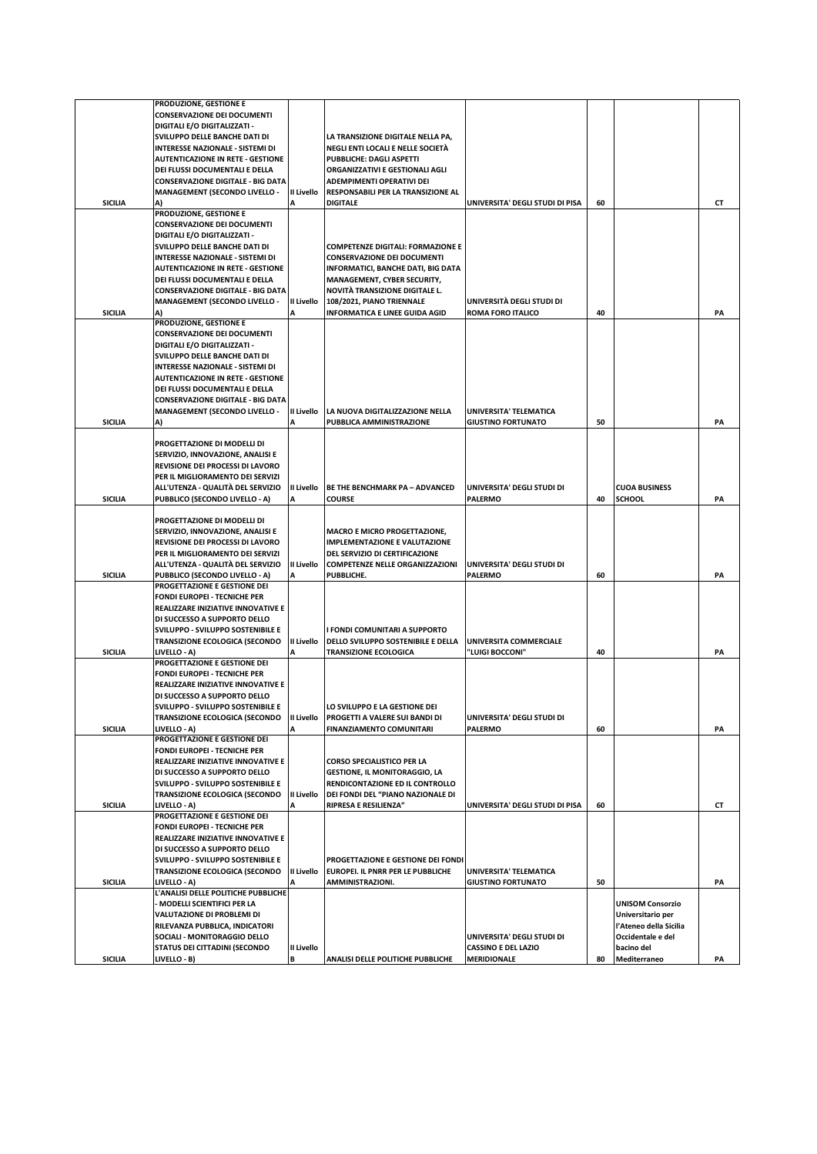|                | PRODUZIONE, GESTIONE E                   |            |                                          |                                 |    |                         |    |
|----------------|------------------------------------------|------------|------------------------------------------|---------------------------------|----|-------------------------|----|
|                | <b>CONSERVAZIONE DEI DOCUMENTI</b>       |            |                                          |                                 |    |                         |    |
|                |                                          |            |                                          |                                 |    |                         |    |
|                | DIGITALI E/O DIGITALIZZATI -             |            |                                          |                                 |    |                         |    |
|                | SVILUPPO DELLE BANCHE DATI DI            |            | LA TRANSIZIONE DIGITALE NELLA PA,        |                                 |    |                         |    |
|                | INTERESSE NAZIONALE - SISTEMI DI         |            | NEGLI ENTI LOCALI E NELLE SOCIETÀ        |                                 |    |                         |    |
|                | <b>AUTENTICAZIONE IN RETE - GESTIONE</b> |            | PUBBLICHE: DAGLI ASPETTI                 |                                 |    |                         |    |
|                | DEI FLUSSI DOCUMENTALI E DELLA           |            | ORGANIZZATIVI E GESTIONALI AGLI          |                                 |    |                         |    |
|                | <b>CONSERVAZIONE DIGITALE - BIG DATA</b> |            | ADEMPIMENTI OPERATIVI DEI                |                                 |    |                         |    |
|                | <b>MANAGEMENT (SECONDO LIVELLO -</b>     | II Livello | RESPONSABILI PER LA TRANSIZIONE AL       |                                 |    |                         |    |
| <b>SICILIA</b> |                                          |            | <b>DIGITALE</b>                          | UNIVERSITA' DEGLI STUDI DI PISA | 60 |                         | СT |
|                | PRODUZIONE, GESTIONE E                   |            |                                          |                                 |    |                         |    |
|                | <b>CONSERVAZIONE DEI DOCUMENTI</b>       |            |                                          |                                 |    |                         |    |
|                | DIGITALI E/O DIGITALIZZATI -             |            |                                          |                                 |    |                         |    |
|                | SVILUPPO DELLE BANCHE DATI DI            |            | <b>COMPETENZE DIGITALI: FORMAZIONE E</b> |                                 |    |                         |    |
|                |                                          |            |                                          |                                 |    |                         |    |
|                | <b>INTERESSE NAZIONALE - SISTEMI DI</b>  |            | <b>CONSERVAZIONE DEI DOCUMENTI</b>       |                                 |    |                         |    |
|                | <b>AUTENTICAZIONE IN RETE - GESTIONE</b> |            | INFORMATICI, BANCHE DATI, BIG DATA       |                                 |    |                         |    |
|                | DEI FLUSSI DOCUMENTALI E DELLA           |            | MANAGEMENT, CYBER SECURITY,              |                                 |    |                         |    |
|                | <b>CONSERVAZIONE DIGITALE - BIG DATA</b> |            | <b>NOVITÀ TRANSIZIONE DIGITALE L.</b>    |                                 |    |                         |    |
|                | <b>MANAGEMENT (SECONDO LIVELLO -</b>     | II Livello | 108/2021, PIANO TRIENNALE                | UNIVERSITÀ DEGLI STUDI DI       |    |                         |    |
| <b>SICILIA</b> | A)                                       | А          | <b>INFORMATICA E LINEE GUIDA AGID</b>    | <b>ROMA FORO ITALICO</b>        | 40 |                         | PA |
|                | PRODUZIONE, GESTIONE E                   |            |                                          |                                 |    |                         |    |
|                | <b>CONSERVAZIONE DEI DOCUMENTI</b>       |            |                                          |                                 |    |                         |    |
|                | DIGITALI E/O DIGITALIZZATI -             |            |                                          |                                 |    |                         |    |
|                | SVILUPPO DELLE BANCHE DATI DI            |            |                                          |                                 |    |                         |    |
|                | INTERESSE NAZIONALE - SISTEMI DI         |            |                                          |                                 |    |                         |    |
|                | <b>AUTENTICAZIONE IN RETE - GESTIONE</b> |            |                                          |                                 |    |                         |    |
|                | DEI FLUSSI DOCUMENTALI E DELLA           |            |                                          |                                 |    |                         |    |
|                | <b>CONSERVAZIONE DIGITALE - BIG DATA</b> |            |                                          |                                 |    |                         |    |
|                |                                          |            |                                          |                                 |    |                         |    |
|                | <b>MANAGEMENT (SECONDO LIVELLO -</b>     | II Livello | LA NUOVA DIGITALIZZAZIONE NELLA          | UNIVERSITA' TELEMATICA          |    |                         |    |
| <b>SICILIA</b> | A)                                       | A          | PUBBLICA AMMINISTRAZIONE                 | <b>GIUSTINO FORTUNATO</b>       | 50 |                         | PA |
|                |                                          |            |                                          |                                 |    |                         |    |
|                | PROGETTAZIONE DI MODELLI DI              |            |                                          |                                 |    |                         |    |
|                | SERVIZIO, INNOVAZIONE, ANALISI E         |            |                                          |                                 |    |                         |    |
|                | REVISIONE DEI PROCESSI DI LAVORO         |            |                                          |                                 |    |                         |    |
|                | PER IL MIGLIORAMENTO DEI SERVIZI         |            |                                          |                                 |    |                         |    |
|                | ALL'UTENZA - QUALITÀ DEL SERVIZIO        | II Livello | <b>BE THE BENCHMARK PA - ADVANCED</b>    | UNIVERSITA' DEGLI STUDI DI      |    | <b>CUOA BUSINESS</b>    |    |
| <b>SICILIA</b> | PUBBLICO (SECONDO LIVELLO - A)           |            | <b>COURSE</b>                            | <b>PALERMO</b>                  | 40 | SCHOOL                  | PА |
|                |                                          |            |                                          |                                 |    |                         |    |
|                | PROGETTAZIONE DI MODELLI DI              |            |                                          |                                 |    |                         |    |
|                | SERVIZIO, INNOVAZIONE, ANALISI E         |            | <b>MACRO E MICRO PROGETTAZIONE,</b>      |                                 |    |                         |    |
|                | REVISIONE DEI PROCESSI DI LAVORO         |            |                                          |                                 |    |                         |    |
|                |                                          |            | <b>IMPLEMENTAZIONE E VALUTAZIONE</b>     |                                 |    |                         |    |
|                | PER IL MIGLIORAMENTO DEI SERVIZI         |            | DEL SERVIZIO DI CERTIFICAZIONE           |                                 |    |                         |    |
|                | ALL'UTENZA - QUALITÀ DEL SERVIZIO        | II Livello | <b>COMPETENZE NELLE ORGANIZZAZIONI</b>   | UNIVERSITA' DEGLI STUDI DI      |    |                         |    |
| <b>SICILIA</b> | PUBBLICO (SECONDO LIVELLO - A)           | Α          | PUBBLICHE.                               | <b>PALERMO</b>                  | 60 |                         | PA |
|                | PROGETTAZIONE E GESTIONE DEI             |            |                                          |                                 |    |                         |    |
|                | <b>FONDI EUROPEI - TECNICHE PER</b>      |            |                                          |                                 |    |                         |    |
|                | REALIZZARE INIZIATIVE INNOVATIVE E       |            |                                          |                                 |    |                         |    |
|                | DI SUCCESSO A SUPPORTO DELLO             |            |                                          |                                 |    |                         |    |
|                | SVILUPPO - SVILUPPO SOSTENIBILE E        |            | <b>FONDI COMUNITARI A SUPPORTO</b>       |                                 |    |                         |    |
|                | <b>TRANSIZIONE ECOLOGICA (SECONDO</b>    | II Livello | DELLO SVILUPPO SOSTENIBILE E DELLA       | UNIVERSITA COMMERCIALE          |    |                         |    |
| <b>SICILIA</b> | LIVELLO - A)                             | A          | <b>TRANSIZIONE ECOLOGICA</b>             | <b>'LUIGI BOCCONI''</b>         | 40 |                         | PA |
|                | PROGETTAZIONE E GESTIONE DEI             |            |                                          |                                 |    |                         |    |
|                | <b>FONDI EUROPEI - TECNICHE PER</b>      |            |                                          |                                 |    |                         |    |
|                | REALIZZARE INIZIATIVE INNOVATIVE E       |            |                                          |                                 |    |                         |    |
|                | DI SUCCESSO A SUPPORTO DELLO             |            |                                          |                                 |    |                         |    |
|                |                                          |            | LO SVILUPPO E LA GESTIONE DEI            |                                 |    |                         |    |
|                | SVILUPPO - SVILUPPO SOSTENIBILE E        |            |                                          |                                 |    |                         |    |
|                | TRANSIZIONE ECOLOGICA (SECONDO           | II Livello | PROGETTI A VALERE SUI BANDI DI           | UNIVERSITA' DEGLI STUDI DI      |    |                         |    |
| <b>SICILIA</b> | LIVELLO - A)                             | A          | <b>FINANZIAMENTO COMUNITARI</b>          | PALERMO                         | 60 |                         | PA |
|                | PROGETTAZIONE E GESTIONE DEI             |            |                                          |                                 |    |                         |    |
|                | <b>FONDI EUROPEI - TECNICHE PER</b>      |            |                                          |                                 |    |                         |    |
|                | REALIZZARE INIZIATIVE INNOVATIVE E       |            | <b>CORSO SPECIALISTICO PER LA</b>        |                                 |    |                         |    |
|                | DI SUCCESSO A SUPPORTO DELLO             |            | <b>GESTIONE, IL MONITORAGGIO, LA</b>     |                                 |    |                         |    |
|                | SVILUPPO - SVILUPPO SOSTENIBILE E        |            | RENDICONTAZIONE ED IL CONTROLLO          |                                 |    |                         |    |
|                | TRANSIZIONE ECOLOGICA (SECONDO           | II Livello | DEI FONDI DEL "PIANO NAZIONALE DI        |                                 |    |                         |    |
| <b>SICILIA</b> | LIVELLO - A)                             |            | RIPRESA E RESILIENZA"                    | UNIVERSITA' DEGLI STUDI DI PISA | 60 |                         | CT |
|                | PROGETTAZIONE E GESTIONE DEI             |            |                                          |                                 |    |                         |    |
|                | FONDI EUROPEI - TECNICHE PER             |            |                                          |                                 |    |                         |    |
|                | REALIZZARE INIZIATIVE INNOVATIVE E       |            |                                          |                                 |    |                         |    |
|                | DI SUCCESSO A SUPPORTO DELLO             |            |                                          |                                 |    |                         |    |
|                | SVILUPPO - SVILUPPO SOSTENIBILE E        |            | PROGETTAZIONE E GESTIONE DEI FONDI       |                                 |    |                         |    |
|                | TRANSIZIONE ECOLOGICA (SECONDO           | II Livello | EUROPEI. IL PNRR PER LE PUBBLICHE        | UNIVERSITA' TELEMATICA          |    |                         |    |
| <b>SICILIA</b> | LIVELLO - A)                             | A          | AMMINISTRAZIONI.                         | <b>GIUSTINO FORTUNATO</b>       | 50 |                         | PA |
|                | L'ANALISI DELLE POLITICHE PUBBLICHE      |            |                                          |                                 |    |                         |    |
|                | - MODELLI SCIENTIFICI PER LA             |            |                                          |                                 |    | <b>UNISOM Consorzio</b> |    |
|                |                                          |            |                                          |                                 |    |                         |    |
|                | VALUTAZIONE DI PROBLEMI DI               |            |                                          |                                 |    | Universitario per       |    |
|                | RILEVANZA PUBBLICA, INDICATORI           |            |                                          |                                 |    | l'Ateneo della Sicilia  |    |
|                | SOCIALI - MONITORAGGIO DELLO             |            |                                          | UNIVERSITA' DEGLI STUDI DI      |    | Occidentale e del       |    |
|                | <b>STATUS DEI CITTADINI (SECONDO</b>     | II Livello |                                          | <b>CASSINO E DEL LAZIO</b>      |    | bacino del              |    |
| SICILIA        | LIVELLO - B)                             | В          | ANALISI DELLE POLITICHE PUBBLICHE        | <b>MERIDIONALE</b>              | 80 | Mediterraneo            | PА |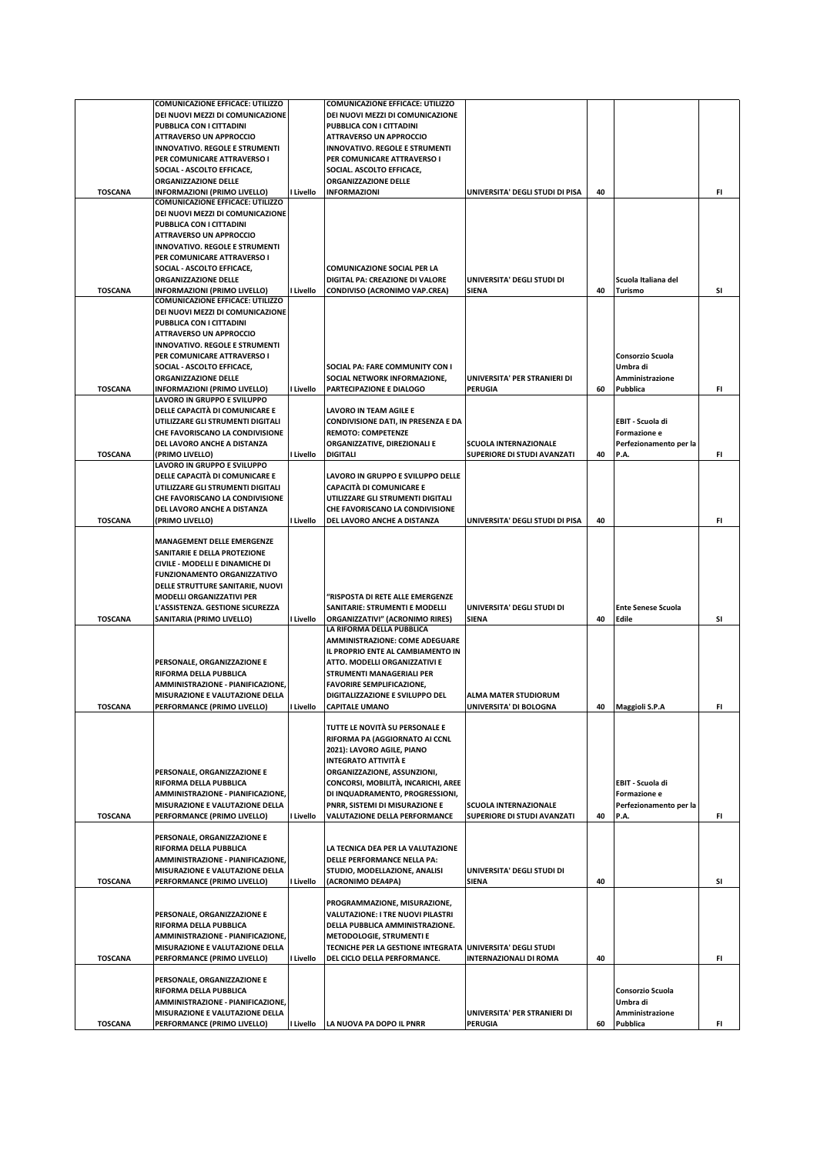|                | <b>COMUNICAZIONE EFFICACE: UTILIZZO</b>                                |           | <b>COMUNICAZIONE EFFICACE: UTILIZZO</b>                              |                                 |    |                           |     |
|----------------|------------------------------------------------------------------------|-----------|----------------------------------------------------------------------|---------------------------------|----|---------------------------|-----|
|                | DEI NUOVI MEZZI DI COMUNICAZIONE                                       |           | DEI NUOVI MEZZI DI COMUNICAZIONE                                     |                                 |    |                           |     |
|                | PUBBLICA CON I CITTADINI                                               |           | PUBBLICA CON I CITTADINI                                             |                                 |    |                           |     |
|                | <b>ATTRAVERSO UN APPROCCIO</b>                                         |           | <b>ATTRAVERSO UN APPROCCIO</b>                                       |                                 |    |                           |     |
|                | <b>INNOVATIVO. REGOLE E STRUMENTI</b><br>PER COMUNICARE ATTRAVERSO I   |           | <b>INNOVATIVO. REGOLE E STRUMENTI</b><br>PER COMUNICARE ATTRAVERSO I |                                 |    |                           |     |
|                | SOCIAL - ASCOLTO EFFICACE,                                             |           | SOCIAL. ASCOLTO EFFICACE,                                            |                                 |    |                           |     |
|                | <b>ORGANIZZAZIONE DELLE</b>                                            |           | ORGANIZZAZIONE DELLE                                                 |                                 |    |                           |     |
| <b>TOSCANA</b> | <b>INFORMAZIONI (PRIMO LIVELLO)</b>                                    | I Livello | <b>INFORMAZIONI</b>                                                  | UNIVERSITA' DEGLI STUDI DI PISA | 40 |                           | FI. |
|                | <b>COMUNICAZIONE EFFICACE: UTILIZZO</b>                                |           |                                                                      |                                 |    |                           |     |
|                | DEI NUOVI MEZZI DI COMUNICAZIONE                                       |           |                                                                      |                                 |    |                           |     |
|                | PUBBLICA CON I CITTADINI                                               |           |                                                                      |                                 |    |                           |     |
|                | <b>ATTRAVERSO UN APPROCCIO</b>                                         |           |                                                                      |                                 |    |                           |     |
|                | <b>INNOVATIVO. REGOLE E STRUMENTI</b>                                  |           |                                                                      |                                 |    |                           |     |
|                | PER COMUNICARE ATTRAVERSO I<br>SOCIAL - ASCOLTO EFFICACE,              |           | COMUNICAZIONE SOCIAL PER LA                                          |                                 |    |                           |     |
|                | <b>ORGANIZZAZIONE DELLE</b>                                            |           | DIGITAL PA: CREAZIONE DI VALORE                                      | UNIVERSITA' DEGLI STUDI DI      |    | Scuola Italiana del       |     |
| <b>TOSCANA</b> | <b>INFORMAZIONI (PRIMO LIVELLO)</b>                                    | I Livello | CONDIVISO (ACRONIMO VAP.CREA)                                        | SIENA                           | 40 | Turismo                   | SI  |
|                | <b>COMUNICAZIONE EFFICACE: UTILIZZO</b>                                |           |                                                                      |                                 |    |                           |     |
|                | DEI NUOVI MEZZI DI COMUNICAZIONE                                       |           |                                                                      |                                 |    |                           |     |
|                | PUBBLICA CON I CITTADINI                                               |           |                                                                      |                                 |    |                           |     |
|                | <b>ATTRAVERSO UN APPROCCIO</b>                                         |           |                                                                      |                                 |    |                           |     |
|                | <b>INNOVATIVO. REGOLE E STRUMENTI</b>                                  |           |                                                                      |                                 |    |                           |     |
|                | PER COMUNICARE ATTRAVERSO I                                            |           |                                                                      |                                 |    | Consorzio Scuola          |     |
|                | SOCIAL - ASCOLTO EFFICACE,                                             |           | SOCIAL PA: FARE COMMUNITY CON I                                      |                                 |    | Umbra di                  |     |
|                | <b>ORGANIZZAZIONE DELLE</b>                                            |           | SOCIAL NETWORK INFORMAZIONE.                                         | UNIVERSITA' PER STRANIERI DI    |    | Amministrazione           |     |
| <b>TOSCANA</b> | <b>INFORMAZIONI (PRIMO LIVELLO)</b>                                    | I Livello | PARTECIPAZIONE E DIALOGO                                             | PERUGIA                         | 60 | Pubblica                  | FI. |
|                | LAVORO IN GRUPPO E SVILUPPO<br>DELLE CAPACITÀ DI COMUNICARE E          |           | LAVORO IN TEAM AGILE E                                               |                                 |    |                           |     |
|                | UTILIZZARE GLI STRUMENTI DIGITALI                                      |           | CONDIVISIONE DATI, IN PRESENZA E DA                                  |                                 |    | EBIT - Scuola di          |     |
|                | CHE FAVORISCANO LA CONDIVISIONE                                        |           | <b>REMOTO: COMPETENZE</b>                                            |                                 |    | Formazione e              |     |
|                | DEL LAVORO ANCHE A DISTANZA                                            |           | ORGANIZZATIVE, DIREZIONALI E                                         | <b>SCUOLA INTERNAZIONALE</b>    |    | Perfezionamento per la    |     |
| <b>TOSCANA</b> | (PRIMO LIVELLO)                                                        | I Livello | <b>DIGITALI</b>                                                      | SUPERIORE DI STUDI AVANZATI     | 40 | P.A.                      | FI. |
|                | LAVORO IN GRUPPO E SVILUPPO                                            |           |                                                                      |                                 |    |                           |     |
|                | DELLE CAPACITÀ DI COMUNICARE E                                         |           | LAVORO IN GRUPPO E SVILUPPO DELLE                                    |                                 |    |                           |     |
|                | UTILIZZARE GLI STRUMENTI DIGITALI                                      |           | <b>CAPACITÀ DI COMUNICARE E</b>                                      |                                 |    |                           |     |
|                | CHE FAVORISCANO LA CONDIVISIONE                                        |           | UTILIZZARE GLI STRUMENTI DIGITALI                                    |                                 |    |                           |     |
|                | DEL LAVORO ANCHE A DISTANZA                                            |           | CHE FAVORISCANO LA CONDIVISIONE                                      |                                 |    |                           |     |
| <b>TOSCANA</b> | (PRIMO LIVELLO)                                                        | I Livello | DEL LAVORO ANCHE A DISTANZA                                          | UNIVERSITA' DEGLI STUDI DI PISA | 40 |                           | FI. |
|                |                                                                        |           |                                                                      |                                 |    |                           |     |
|                | <b>MANAGEMENT DELLE EMERGENZE</b>                                      |           |                                                                      |                                 |    |                           |     |
|                | SANITARIE E DELLA PROTEZIONE                                           |           |                                                                      |                                 |    |                           |     |
|                | CIVILE - MODELLI E DINAMICHE DI                                        |           |                                                                      |                                 |    |                           |     |
|                | <b>FUNZIONAMENTO ORGANIZZATIVO</b><br>DELLE STRUTTURE SANITARIE, NUOVI |           |                                                                      |                                 |    |                           |     |
|                | <b>MODELLI ORGANIZZATIVI PER</b>                                       |           | "RISPOSTA DI RETE ALLE EMERGENZE                                     |                                 |    |                           |     |
|                | L'ASSISTENZA. GESTIONE SICUREZZA                                       |           | SANITARIE: STRUMENTI E MODELLI                                       | UNIVERSITA' DEGLI STUDI DI      |    | <b>Ente Senese Scuola</b> |     |
| <b>TOSCANA</b> | SANITARIA (PRIMO LIVELLO)                                              | I Livello | ORGANIZZATIVI" (ACRONIMO RIRES)                                      | SIENA                           | 40 | Edile                     | SI  |
|                |                                                                        |           | LA RIFORMA DELLA PUBBLICA                                            |                                 |    |                           |     |
|                |                                                                        |           | AMMINISTRAZIONE: COME ADEGUARE                                       |                                 |    |                           |     |
|                |                                                                        |           | IL PROPRIO ENTE AL CAMBIAMENTO IN                                    |                                 |    |                           |     |
|                | PERSONALE, ORGANIZZAZIONE E                                            |           | ATTO. MODELLI ORGANIZZATIVI E                                        |                                 |    |                           |     |
|                | RIFORMA DELLA PUBBLICA                                                 |           | STRUMENTI MANAGERIALI PER                                            |                                 |    |                           |     |
|                | AMMINISTRAZIONE - PIANIFICAZIONE,                                      |           | <b>FAVORIRE SEMPLIFICAZIONE,</b>                                     |                                 |    |                           |     |
|                | MISURAZIONE E VALUTAZIONE DELLA                                        |           | DIGITALIZZAZIONE E SVILUPPO DEL                                      | <b>ALMA MATER STUDIORUM</b>     |    |                           |     |
| <b>TOSCANA</b> | PERFORMANCE (PRIMO LIVELLO)                                            | I Livello | <b>CAPITALE UMANO</b>                                                | UNIVERSITA' DI BOLOGNA          | 40 | <b>Maggioli S.P.A</b>     | FI  |
|                |                                                                        |           | TUTTE LE NOVITÀ SU PERSONALE E                                       |                                 |    |                           |     |
|                |                                                                        |           | RIFORMA PA (AGGIORNATO AI CCNL                                       |                                 |    |                           |     |
|                |                                                                        |           | 2021): LAVORO AGILE, PIANO                                           |                                 |    |                           |     |
|                |                                                                        |           | <b>INTEGRATO ATTIVITÀ E</b>                                          |                                 |    |                           |     |
|                | PERSONALE, ORGANIZZAZIONE E                                            |           | ORGANIZZAZIONE, ASSUNZIONI,                                          |                                 |    |                           |     |
|                | RIFORMA DELLA PUBBLICA                                                 |           | CONCORSI, MOBILITÀ, INCARICHI, AREE                                  |                                 |    | EBIT - Scuola di          |     |
|                | AMMINISTRAZIONE - PIANIFICAZIONE,                                      |           | DI INQUADRAMENTO, PROGRESSIONI,                                      |                                 |    | <b>Formazione e</b>       |     |
|                | MISURAZIONE E VALUTAZIONE DELLA                                        |           | PNRR, SISTEMI DI MISURAZIONE E                                       | <b>SCUOLA INTERNAZIONALE</b>    |    | Perfezionamento per la    |     |
| <b>TOSCANA</b> | PERFORMANCE (PRIMO LIVELLO)                                            | I Livello | VALUTAZIONE DELLA PERFORMANCE                                        | SUPERIORE DI STUDI AVANZATI     | 40 | P.A.                      | FI. |
|                |                                                                        |           |                                                                      |                                 |    |                           |     |
|                | PERSONALE, ORGANIZZAZIONE E                                            |           |                                                                      |                                 |    |                           |     |
|                | RIFORMA DELLA PUBBLICA                                                 |           | LA TECNICA DEA PER LA VALUTAZIONE                                    |                                 |    |                           |     |
|                | AMMINISTRAZIONE - PIANIFICAZIONE.                                      |           | <b>DELLE PERFORMANCE NELLA PA:</b>                                   |                                 |    |                           |     |
|                | MISURAZIONE E VALUTAZIONE DELLA                                        |           | STUDIO, MODELLAZIONE, ANALISI                                        | UNIVERSITA' DEGLI STUDI DI      |    |                           |     |
| <b>TOSCANA</b> | PERFORMANCE (PRIMO LIVELLO)                                            | I Livello | (ACRONIMO DEA4PA)                                                    | SIENA                           | 40 |                           | SI  |
|                |                                                                        |           | PROGRAMMAZIONE, MISURAZIONE,                                         |                                 |    |                           |     |
|                | PERSONALE, ORGANIZZAZIONE E                                            |           | <b>VALUTAZIONE: I TRE NUOVI PILASTRI</b>                             |                                 |    |                           |     |
|                | RIFORMA DELLA PUBBLICA                                                 |           | DELLA PUBBLICA AMMINISTRAZIONE.                                      |                                 |    |                           |     |
|                | AMMINISTRAZIONE - PIANIFICAZIONE,                                      |           | METODOLOGIE, STRUMENTI E                                             |                                 |    |                           |     |
|                | MISURAZIONE E VALUTAZIONE DELLA                                        |           | TECNICHE PER LA GESTIONE INTEGRATA UNIVERSITA' DEGLI STUDI           |                                 |    |                           |     |
| <b>TOSCANA</b> | PERFORMANCE (PRIMO LIVELLO)                                            | I Livello | DEL CICLO DELLA PERFORMANCE.                                         | <b>INTERNAZIONALI DI ROMA</b>   | 40 |                           | FI. |
|                |                                                                        |           |                                                                      |                                 |    |                           |     |
|                | PERSONALE, ORGANIZZAZIONE E                                            |           |                                                                      |                                 |    |                           |     |
|                | RIFORMA DELLA PUBBLICA                                                 |           |                                                                      |                                 |    | Consorzio Scuola          |     |
|                | AMMINISTRAZIONE - PIANIFICAZIONE,                                      |           |                                                                      |                                 |    | Umbra di                  |     |
|                | MISURAZIONE E VALUTAZIONE DELLA                                        |           |                                                                      | UNIVERSITA' PER STRANIERI DI    |    | Amministrazione           |     |
| <b>TOSCANA</b> | PERFORMANCE (PRIMO LIVELLO)                                            | I Livello | LA NUOVA PA DOPO IL PNRR                                             | <b>PERUGIA</b>                  | 60 | Pubblica                  | FI. |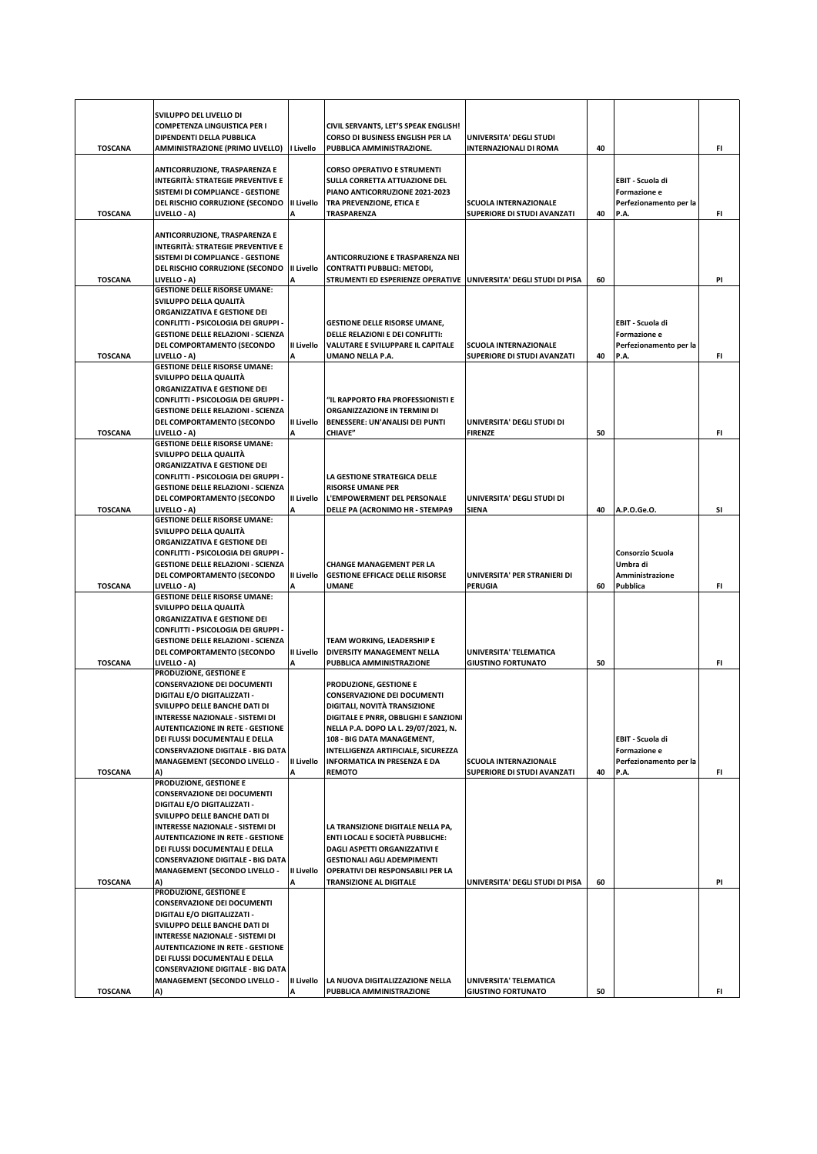| <b>TOSCANA</b> | SVILUPPO DEL LIVELLO DI<br><b>COMPETENZA LINGUISTICA PER I</b><br>DIPENDENTI DELLA PUBBLICA<br><b>AMMINISTRAZIONE (PRIMO LIVELLO)</b>                                                                                                                                                                                                             | I Livello       | CIVIL SERVANTS, LET'S SPEAK ENGLISH!<br>CORSO DI BUSINESS ENGLISH PER LA<br>PUBBLICA AMMINISTRAZIONE.                                                                                                                                                                                           | UNIVERSITA' DEGLI STUDI<br><b>INTERNAZIONALI DI ROMA</b>    | 40 |                                                                    | FI  |
|----------------|---------------------------------------------------------------------------------------------------------------------------------------------------------------------------------------------------------------------------------------------------------------------------------------------------------------------------------------------------|-----------------|-------------------------------------------------------------------------------------------------------------------------------------------------------------------------------------------------------------------------------------------------------------------------------------------------|-------------------------------------------------------------|----|--------------------------------------------------------------------|-----|
|                | ANTICORRUZIONE, TRASPARENZA E<br><b>INTEGRITÀ: STRATEGIE PREVENTIVE E</b><br>SISTEMI DI COMPLIANCE - GESTIONE<br>DEL RISCHIO CORRUZIONE (SECONDO                                                                                                                                                                                                  | II Livello      | <b>CORSO OPERATIVO E STRUMENTI</b><br><b>SULLA CORRETTA ATTUAZIONE DEL</b><br>PIANO ANTICORRUZIONE 2021-2023<br>TRA PREVENZIONE, ETICA E                                                                                                                                                        | <b>SCUOLA INTERNAZIONALE</b>                                |    | EBIT - Scuola di<br>Formazione e<br>Perfezionamento per la         |     |
| <b>TOSCANA</b> | LIVELLO - A)                                                                                                                                                                                                                                                                                                                                      | A               | TRASPARENZA                                                                                                                                                                                                                                                                                     | SUPERIORE DI STUDI AVANZATI                                 | 40 | P.A.                                                               | FI  |
| <b>TOSCANA</b> | ANTICORRUZIONE, TRASPARENZA E<br><b>INTEGRITÀ: STRATEGIE PREVENTIVE E</b><br>SISTEMI DI COMPLIANCE - GESTIONE<br>DEL RISCHIO CORRUZIONE (SECONDO<br>LIVELLO - A)                                                                                                                                                                                  | II Livello      | <b>ANTICORRUZIONE E TRASPARENZA NEI</b><br><b>CONTRATTI PUBBLICI: METODI,</b><br>STRUMENTI ED ESPERIENZE OPERATIVE UNIVERSITA' DEGLI STUDI DI PISA                                                                                                                                              |                                                             | 60 |                                                                    | PI  |
| <b>TOSCANA</b> | <b>GESTIONE DELLE RISORSE UMANE:</b><br>SVILUPPO DELLA QUALITÀ<br>ORGANIZZATIVA E GESTIONE DEI<br>CONFLITTI - PSICOLOGIA DEI GRUPPI -<br><b>GESTIONE DELLE RELAZIONI - SCIENZA</b><br>DEL COMPORTAMENTO (SECONDO<br>LIVELLO - A)                                                                                                                  | II Livello      | <b>GESTIONE DELLE RISORSE UMANE,</b><br>DELLE RELAZIONI E DEI CONFLITTI:<br>VALUTARE E SVILUPPARE IL CAPITALE<br>UMANO NELLA P.A.                                                                                                                                                               | <b>SCUOLA INTERNAZIONALE</b><br>SUPERIORE DI STUDI AVANZATI | 40 | EBIT - Scuola di<br>Formazione e<br>Perfezionamento per la<br>P.A. | FI. |
|                | <b>GESTIONE DELLE RISORSE UMANE:</b><br>SVILUPPO DELLA QUALITÀ                                                                                                                                                                                                                                                                                    |                 |                                                                                                                                                                                                                                                                                                 |                                                             |    |                                                                    |     |
|                | ORGANIZZATIVA E GESTIONE DEI<br>CONFLITTI - PSICOLOGIA DEI GRUPPI -<br><b>GESTIONE DELLE RELAZIONI - SCIENZA</b><br>DEL COMPORTAMENTO (SECONDO                                                                                                                                                                                                    | II Livello      | "IL RAPPORTO FRA PROFESSIONISTI E<br>ORGANIZZAZIONE IN TERMINI DI<br>BENESSERE: UN'ANALISI DEI PUNTI                                                                                                                                                                                            | UNIVERSITA' DEGLI STUDI DI                                  |    |                                                                    |     |
| <b>TOSCANA</b> | LIVELLO - A)<br><b>GESTIONE DELLE RISORSE UMANE:</b>                                                                                                                                                                                                                                                                                              |                 | <b>CHIAVE"</b>                                                                                                                                                                                                                                                                                  | <b>FIRENZE</b>                                              | 50 |                                                                    | FI  |
|                | SVILUPPO DELLA QUALITÀ<br>ORGANIZZATIVA E GESTIONE DEI<br>CONFLITTI - PSICOLOGIA DEI GRUPPI -<br><b>GESTIONE DELLE RELAZIONI - SCIENZA</b><br>DEL COMPORTAMENTO (SECONDO                                                                                                                                                                          | II Livello      | LA GESTIONE STRATEGICA DELLE<br><b>RISORSE UMANE PER</b><br>L'EMPOWERMENT DEL PERSONALE                                                                                                                                                                                                         | UNIVERSITA' DEGLI STUDI DI                                  |    |                                                                    |     |
| <b>TOSCANA</b> | LIVELLO - A)<br><b>GESTIONE DELLE RISORSE UMANE:</b>                                                                                                                                                                                                                                                                                              | А               | <b>DELLE PA (ACRONIMO HR - STEMPA9</b>                                                                                                                                                                                                                                                          | SIENA                                                       | 40 | A.P.O.Ge.O.                                                        | SI  |
| <b>TOSCANA</b> | SVILUPPO DELLA QUALITÀ<br>ORGANIZZATIVA E GESTIONE DEI<br>CONFLITTI - PSICOLOGIA DEI GRUPPI -<br><b>GESTIONE DELLE RELAZIONI - SCIENZA</b><br>DEL COMPORTAMENTO (SECONDO<br>LIVELLO - A)                                                                                                                                                          | II Livello<br>A | CHANGE MANAGEMENT PER LA<br><b>GESTIONE EFFICACE DELLE RISORSE</b><br>UMANE                                                                                                                                                                                                                     | UNIVERSITA' PER STRANIERI DI<br><b>PERUGIA</b>              | 60 | Consorzio Scuola<br>Umbra di<br>Amministrazione<br>Pubblica        | FI. |
| <b>TOSCANA</b> | <b>GESTIONE DELLE RISORSE UMANE:</b><br>SVILUPPO DELLA QUALITÀ<br>ORGANIZZATIVA E GESTIONE DEI<br>CONFLITTI - PSICOLOGIA DEI GRUPPI -<br><b>GESTIONE DELLE RELAZIONI - SCIENZA</b><br>DEL COMPORTAMENTO (SECONDO<br>LIVELLO - A)                                                                                                                  | II Livello      | TEAM WORKING, LEADERSHIP E<br>DIVERSITY MANAGEMENT NELLA<br>PUBBLICA AMMINISTRAZIONE                                                                                                                                                                                                            | UNIVERSITA' TELEMATICA<br><b>GIUSTINO FORTUNATO</b>         | 50 |                                                                    | FI  |
|                | PRODUZIONE, GESTIONE E<br><b>CONSERVAZIONE DEI DOCUMENTI</b><br><b>DIGITALI E/O DIGITALIZZATI -</b><br>SVILUPPO DELLE BANCHE DATI DI<br>INTERESSE NAZIONALE - SISTEMI DI<br><b>AUTENTICAZIONE IN RETE - GESTIONE</b><br>DEI FLUSSI DOCUMENTALI E DELLA<br><b>CONSERVAZIONE DIGITALE - BIG DATA</b><br><b>MANAGEMENT (SECONDO LIVELLO -</b>        | II Livello      | <b>PRODUZIONE, GESTIONE E</b><br><b>CONSERVAZIONE DEI DOCUMENTI</b><br>DIGITALI, NOVITÀ TRANSIZIONE<br>DIGITALE E PNRR, OBBLIGHI E SANZIONI<br>NELLA P.A. DOPO LA L. 29/07/2021, N.<br>108 - BIG DATA MANAGEMENT,<br>INTELLIGENZA ARTIFICIALE, SICUREZZA<br><b>INFORMATICA IN PRESENZA E DA</b> | <b>SCUOLA INTERNAZIONALE</b>                                |    | EBIT - Scuola di<br>Formazione e<br>Perfezionamento per la         |     |
| <b>TOSCANA</b> | A)                                                                                                                                                                                                                                                                                                                                                | А               | <b>REMOTO</b>                                                                                                                                                                                                                                                                                   | SUPERIORE DI STUDI AVANZATI                                 | 40 | P.A.                                                               | FI. |
|                | PRODUZIONE, GESTIONE E<br><b>CONSERVAZIONE DEI DOCUMENTI</b><br><b>DIGITALI E/O DIGITALIZZATI -</b><br>SVILUPPO DELLE BANCHE DATI DI<br><b>INTERESSE NAZIONALE - SISTEMI DI</b><br><b>AUTENTICAZIONE IN RETE - GESTIONE</b><br>DEI FLUSSI DOCUMENTALI E DELLA<br><b>CONSERVAZIONE DIGITALE - BIG DATA</b><br><b>MANAGEMENT (SECONDO LIVELLO -</b> | II Livello      | LA TRANSIZIONE DIGITALE NELLA PA,<br>ENTI LOCALI E SOCIETÀ PUBBLICHE:<br><b>DAGLI ASPETTI ORGANIZZATIVI E</b><br><b>GESTIONALI AGLI ADEMPIMENTI</b><br>OPERATIVI DEI RESPONSABILI PER LA                                                                                                        |                                                             |    |                                                                    |     |
| <b>TOSCANA</b> | A)<br>PRODUZIONE, GESTIONE E                                                                                                                                                                                                                                                                                                                      | A               | <b>TRANSIZIONE AL DIGITALE</b>                                                                                                                                                                                                                                                                  | UNIVERSITA' DEGLI STUDI DI PISA                             | 60 |                                                                    | PI  |
| <b>TOSCANA</b> | <b>CONSERVAZIONE DEI DOCUMENTI</b><br>DIGITALI E/O DIGITALIZZATI -<br>SVILUPPO DELLE BANCHE DATI DI<br><b>INTERESSE NAZIONALE - SISTEMI DI</b><br><b>AUTENTICAZIONE IN RETE - GESTIONE</b><br>DEI FLUSSI DOCUMENTALI E DELLA<br><b>CONSERVAZIONE DIGITALE - BIG DATA</b><br><b>MANAGEMENT (SECONDO LIVELLO -</b><br>A)                            | II Livello      | LA NUOVA DIGITALIZZAZIONE NELLA<br>PUBBLICA AMMINISTRAZIONE                                                                                                                                                                                                                                     | UNIVERSITA' TELEMATICA<br><b>GIUSTINO FORTUNATO</b>         | 50 |                                                                    | FI. |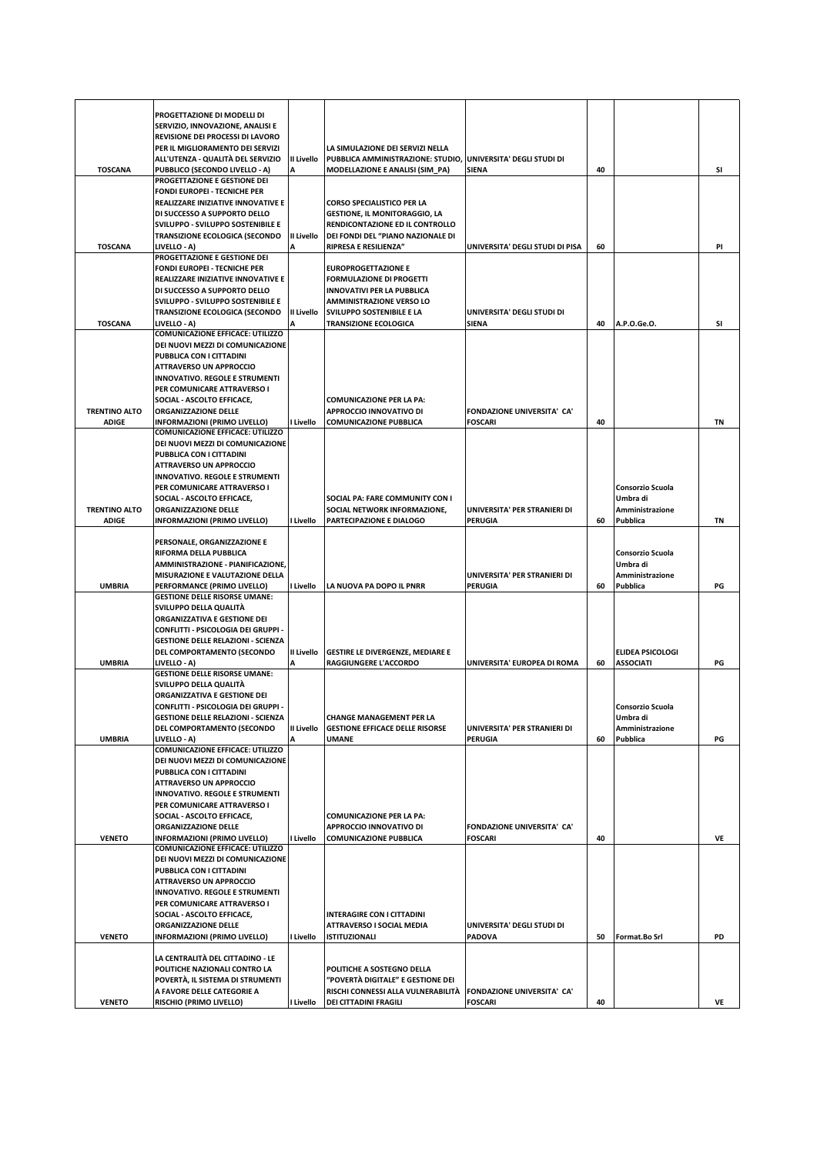|                      | PROGETTAZIONE DI MODELLI DI<br>SERVIZIO, INNOVAZIONE, ANALISI E             |                 |                                                                         |                                                |    |                                      |    |
|----------------------|-----------------------------------------------------------------------------|-----------------|-------------------------------------------------------------------------|------------------------------------------------|----|--------------------------------------|----|
|                      | REVISIONE DEI PROCESSI DI LAVORO                                            |                 |                                                                         |                                                |    |                                      |    |
|                      | PER IL MIGLIORAMENTO DEI SERVIZI<br>ALL'UTENZA - QUALITÀ DEL SERVIZIO       | II Livello      | LA SIMULAZIONE DEI SERVIZI NELLA<br>PUBBLICA AMMINISTRAZIONE: STUDIO,   | UNIVERSITA' DEGLI STUDI DI                     |    |                                      |    |
| <b>TOSCANA</b>       | PUBBLICO (SECONDO LIVELLO - A)                                              |                 | MODELLAZIONE E ANALISI (SIM_PA)                                         | SIENA                                          | 40 |                                      | SI |
|                      | PROGETTAZIONE E GESTIONE DEI                                                |                 |                                                                         |                                                |    |                                      |    |
|                      | <b>FONDI EUROPEI - TECNICHE PER</b><br>REALIZZARE INIZIATIVE INNOVATIVE E   |                 | <b>CORSO SPECIALISTICO PER LA</b>                                       |                                                |    |                                      |    |
|                      | DI SUCCESSO A SUPPORTO DELLO                                                |                 | <b>GESTIONE, IL MONITORAGGIO, LA</b>                                    |                                                |    |                                      |    |
|                      | SVILUPPO - SVILUPPO SOSTENIBILE E                                           |                 | RENDICONTAZIONE ED IL CONTROLLO                                         |                                                |    |                                      |    |
| <b>TOSCANA</b>       | <b>TRANSIZIONE ECOLOGICA (SECONDO</b><br>LIVELLO - A)                       | II Livello<br>A | DEI FONDI DEL "PIANO NAZIONALE DI<br>RIPRESA E RESILIENZA"              | UNIVERSITA' DEGLI STUDI DI PISA                | 60 |                                      | PI |
|                      | PROGETTAZIONE E GESTIONE DEI                                                |                 |                                                                         |                                                |    |                                      |    |
|                      | <b>FONDI EUROPEI - TECNICHE PER</b><br>REALIZZARE INIZIATIVE INNOVATIVE E   |                 | <b>EUROPROGETTAZIONE E</b><br><b>FORMULAZIONE DI PROGETTI</b>           |                                                |    |                                      |    |
|                      | DI SUCCESSO A SUPPORTO DELLO                                                |                 | <b>INNOVATIVI PER LA PUBBLICA</b>                                       |                                                |    |                                      |    |
|                      | SVILUPPO - SVILUPPO SOSTENIBILE E                                           |                 | <b>AMMINISTRAZIONE VERSO LO</b>                                         |                                                |    |                                      |    |
| <b>TOSCANA</b>       | <b>TRANSIZIONE ECOLOGICA (SECONDO</b><br>LIVELLO - A)                       | II Livello      | SVILUPPO SOSTENIBILE E LA<br><b>TRANSIZIONE ECOLOGICA</b>               | UNIVERSITA' DEGLI STUDI DI<br><b>SIENA</b>     | 40 | A.P.O.Ge.O.                          | SI |
|                      | <b>COMUNICAZIONE EFFICACE: UTILIZZO</b>                                     |                 |                                                                         |                                                |    |                                      |    |
|                      | DEI NUOVI MEZZI DI COMUNICAZIONE                                            |                 |                                                                         |                                                |    |                                      |    |
|                      | PUBBLICA CON I CITTADINI<br><b>ATTRAVERSO UN APPROCCIO</b>                  |                 |                                                                         |                                                |    |                                      |    |
|                      | <b>INNOVATIVO. REGOLE E STRUMENTI</b>                                       |                 |                                                                         |                                                |    |                                      |    |
|                      | PER COMUNICARE ATTRAVERSO I                                                 |                 |                                                                         |                                                |    |                                      |    |
| <b>TRENTINO ALTO</b> | SOCIAL - ASCOLTO EFFICACE,<br><b>ORGANIZZAZIONE DELLE</b>                   |                 | <b>COMUNICAZIONE PER LA PA:</b><br>APPROCCIO INNOVATIVO DI              | FONDAZIONE UNIVERSITA' CA'                     |    |                                      |    |
| <b>ADIGE</b>         | <b>INFORMAZIONI (PRIMO LIVELLO)</b>                                         | I Livello       | COMUNICAZIONE PUBBLICA                                                  | <b>FOSCARI</b>                                 | 40 |                                      | TN |
|                      | <b>COMUNICAZIONE EFFICACE: UTILIZZO</b><br>DEI NUOVI MEZZI DI COMUNICAZIONE |                 |                                                                         |                                                |    |                                      |    |
|                      | PUBBLICA CON I CITTADINI                                                    |                 |                                                                         |                                                |    |                                      |    |
|                      | <b>ATTRAVERSO UN APPROCCIO</b>                                              |                 |                                                                         |                                                |    |                                      |    |
|                      | <b>INNOVATIVO. REGOLE E STRUMENTI</b>                                       |                 |                                                                         |                                                |    |                                      |    |
|                      | PER COMUNICARE ATTRAVERSO I<br>SOCIAL - ASCOLTO EFFICACE,                   |                 | SOCIAL PA: FARE COMMUNITY CON I                                         |                                                |    | Consorzio Scuola<br>Umbra di         |    |
| <b>TRENTINO ALTO</b> | ORGANIZZAZIONE DELLE                                                        |                 | SOCIAL NETWORK INFORMAZIONE,                                            | UNIVERSITA' PER STRANIERI DI                   |    | Amministrazione                      |    |
| <b>ADIGE</b>         | <b>INFORMAZIONI (PRIMO LIVELLO)</b>                                         | I Livello       | PARTECIPAZIONE E DIALOGO                                                | <b>PERUGIA</b>                                 | 60 | Pubblica                             | TN |
|                      | PERSONALE, ORGANIZZAZIONE E                                                 |                 |                                                                         |                                                |    |                                      |    |
|                      | RIFORMA DELLA PUBBLICA                                                      |                 |                                                                         |                                                |    | Consorzio Scuola                     |    |
|                      | AMMINISTRAZIONE - PIANIFICAZIONE,                                           |                 |                                                                         |                                                |    | Umbra di                             |    |
| <b>UMBRIA</b>        | MISURAZIONE E VALUTAZIONE DELLA<br>PERFORMANCE (PRIMO LIVELLO)              | I Livello       | LA NUOVA PA DOPO IL PNRR                                                | UNIVERSITA' PER STRANIERI DI<br><b>PERUGIA</b> | 60 | Amministrazione<br>Pubblica          | PG |
|                      | <b>GESTIONE DELLE RISORSE UMANE:</b>                                        |                 |                                                                         |                                                |    |                                      |    |
|                      | SVILUPPO DELLA QUALITÀ<br>ORGANIZZATIVA E GESTIONE DEI                      |                 |                                                                         |                                                |    |                                      |    |
|                      | CONFLITTI - PSICOLOGIA DEI GRUPPI -                                         |                 |                                                                         |                                                |    |                                      |    |
|                      | <b>GESTIONE DELLE RELAZIONI - SCIENZA</b>                                   |                 |                                                                         |                                                |    |                                      |    |
| <b>UMBRIA</b>        | DEL COMPORTAMENTO (SECONDO<br>LIVELLO - A)                                  | II Livello      | <b>GESTIRE LE DIVERGENZE, MEDIARE E</b><br><b>RAGGIUNGERE L'ACCORDO</b> | UNIVERSITA' EUROPEA DI ROMA                    | 60 | ELIDEA PSICOLOGI<br><b>ASSOCIATI</b> | PG |
|                      | <b>GESTIONE DELLE RISORSE UMANE:</b>                                        |                 |                                                                         |                                                |    |                                      |    |
|                      | SVILUPPO DELLA QUALITÀ                                                      |                 |                                                                         |                                                |    |                                      |    |
|                      | ORGANIZZATIVA E GESTIONE DEI<br>CONFLITTI - PSICOLOGIA DEI GRUPPI -         |                 |                                                                         |                                                |    | Consorzio Scuola                     |    |
|                      | <b>GESTIONE DELLE RELAZIONI - SCIENZA</b>                                   |                 | <b>CHANGE MANAGEMENT PER LA</b>                                         |                                                |    | Umbra di                             |    |
|                      | DEL COMPORTAMENTO (SECONDO                                                  | II Livello      | <b>GESTIONE EFFICACE DELLE RISORSE</b>                                  | UNIVERSITA' PER STRANIERI DI                   |    | Amministrazione                      |    |
| <b>UMBRIA</b>        | LIVELLO - A)<br><b>COMUNICAZIONE EFFICACE: UTILIZZO</b>                     |                 | <b>UMANE</b>                                                            | PERUGIA                                        | 60 | Pubblica                             | PG |
|                      | DEI NUOVI MEZZI DI COMUNICAZIONE                                            |                 |                                                                         |                                                |    |                                      |    |
|                      | PUBBLICA CON I CITTADINI                                                    |                 |                                                                         |                                                |    |                                      |    |
|                      | <b>ATTRAVERSO UN APPROCCIO</b><br><b>INNOVATIVO. REGOLE E STRUMENTI</b>     |                 |                                                                         |                                                |    |                                      |    |
|                      | PER COMUNICARE ATTRAVERSO I                                                 |                 |                                                                         |                                                |    |                                      |    |
|                      | SOCIAL - ASCOLTO EFFICACE,<br><b>ORGANIZZAZIONE DELLE</b>                   |                 | <b>COMUNICAZIONE PER LA PA:</b><br>APPROCCIO INNOVATIVO DI              | FONDAZIONE UNIVERSITA' CA'                     |    |                                      |    |
| <b>VENETO</b>        | INFORMAZIONI (PRIMO LIVELLO)                                                | I Livello       | <b>COMUNICAZIONE PUBBLICA</b>                                           | <b>FOSCARI</b>                                 | 40 |                                      | VE |
|                      | <b>COMUNICAZIONE EFFICACE: UTILIZZO</b>                                     |                 |                                                                         |                                                |    |                                      |    |
|                      | DEI NUOVI MEZZI DI COMUNICAZIONE<br>PUBBLICA CON I CITTADINI                |                 |                                                                         |                                                |    |                                      |    |
|                      | <b>ATTRAVERSO UN APPROCCIO</b>                                              |                 |                                                                         |                                                |    |                                      |    |
|                      | <b>INNOVATIVO. REGOLE E STRUMENTI</b>                                       |                 |                                                                         |                                                |    |                                      |    |
|                      | PER COMUNICARE ATTRAVERSO I<br>SOCIAL - ASCOLTO EFFICACE,                   |                 | <b>INTERAGIRE CON I CITTADINI</b>                                       |                                                |    |                                      |    |
|                      | <b>ORGANIZZAZIONE DELLE</b>                                                 |                 | ATTRAVERSO I SOCIAL MEDIA                                               | UNIVERSITA' DEGLI STUDI DI                     |    |                                      |    |
| <b>VENETO</b>        | INFORMAZIONI (PRIMO LIVELLO)                                                | I Livello       | <b>ISTITUZIONALI</b>                                                    | <b>PADOVA</b>                                  | 50 | Format.Bo Srl                        | PD |
|                      | LA CENTRALITÀ DEL CITTADINO - LE                                            |                 |                                                                         |                                                |    |                                      |    |
|                      | POLITICHE NAZIONALI CONTRO LA                                               |                 | POLITICHE A SOSTEGNO DELLA                                              |                                                |    |                                      |    |
|                      | POVERTÀ, IL SISTEMA DI STRUMENTI<br>A FAVORE DELLE CATEGORIE A              |                 | "POVERTÀ DIGITALE" E GESTIONE DEI<br>RISCHI CONNESSI ALLA VULNERABILITÀ | FONDAZIONE UNIVERSITA' CA'                     |    |                                      |    |
| <b>VENETO</b>        | RISCHIO (PRIMO LIVELLO)                                                     | I Livello       | DEI CITTADINI FRAGILI                                                   | <b>FOSCARI</b>                                 | 40 |                                      | VE |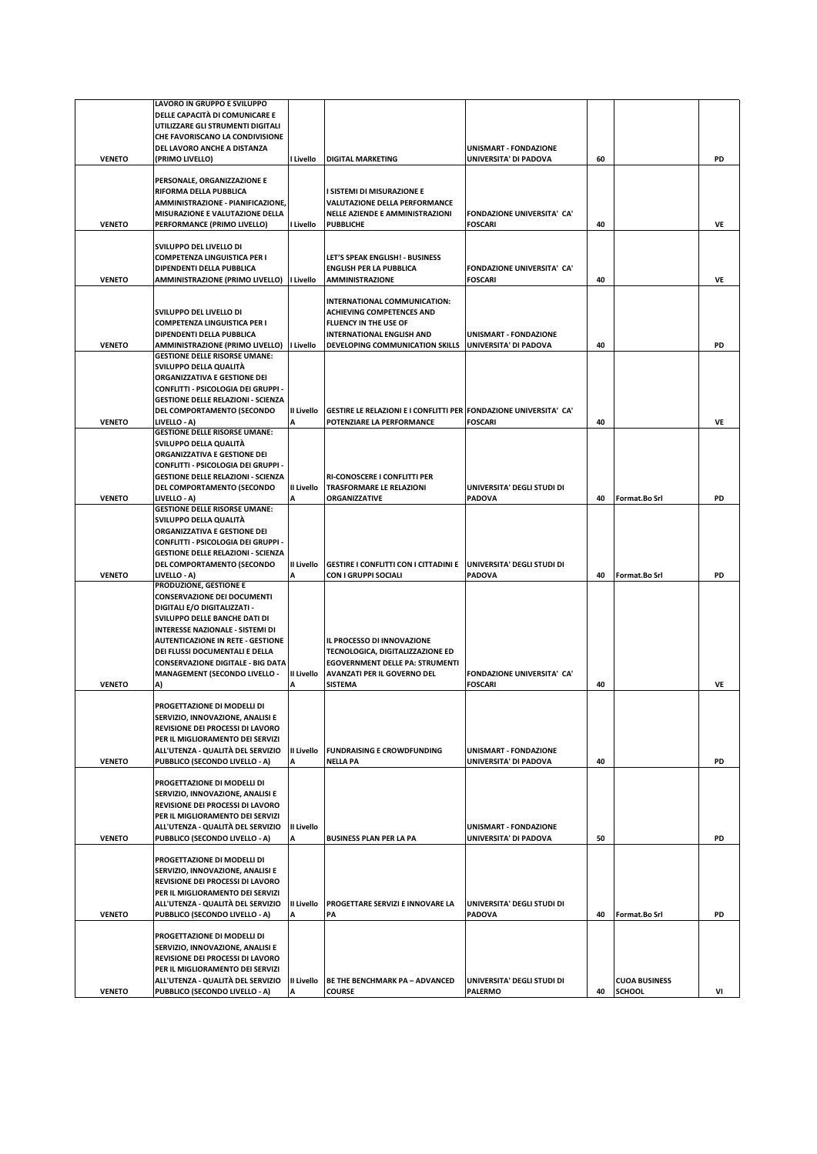|               | LAVORO IN GRUPPO E SVILUPPO                                          |                   |                                                                             |                                                     |    |                      |    |
|---------------|----------------------------------------------------------------------|-------------------|-----------------------------------------------------------------------------|-----------------------------------------------------|----|----------------------|----|
|               | DELLE CAPACITÀ DI COMUNICARE E                                       |                   |                                                                             |                                                     |    |                      |    |
|               | UTILIZZARE GLI STRUMENTI DIGITALI                                    |                   |                                                                             |                                                     |    |                      |    |
|               | CHE FAVORISCANO LA CONDIVISIONE                                      |                   |                                                                             |                                                     |    |                      |    |
|               | DEL LAVORO ANCHE A DISTANZA                                          |                   |                                                                             | <b>UNISMART - FONDAZIONE</b>                        |    |                      |    |
| <b>VENETO</b> | (PRIMO LIVELLO)                                                      | I Livello         | <b>DIGITAL MARKETING</b>                                                    | UNIVERSITA' DI PADOVA                               | 60 |                      | PD |
|               | PERSONALE, ORGANIZZAZIONE E                                          |                   |                                                                             |                                                     |    |                      |    |
|               | RIFORMA DELLA PUBBLICA                                               |                   | I SISTEMI DI MISURAZIONE E                                                  |                                                     |    |                      |    |
|               | AMMINISTRAZIONE - PIANIFICAZIONE,                                    |                   | VALUTAZIONE DELLA PERFORMANCE                                               |                                                     |    |                      |    |
|               | MISURAZIONE E VALUTAZIONE DELLA                                      |                   | NELLE AZIENDE E AMMINISTRAZIONI                                             | <b>FONDAZIONE UNIVERSITA' CA'</b>                   |    |                      |    |
| <b>VENETO</b> | PERFORMANCE (PRIMO LIVELLO)                                          | I Livello         | <b>PUBBLICHE</b>                                                            | <b>FOSCARI</b>                                      | 40 |                      | VE |
|               |                                                                      |                   |                                                                             |                                                     |    |                      |    |
|               | SVILUPPO DEL LIVELLO DI                                              |                   |                                                                             |                                                     |    |                      |    |
|               | COMPETENZA LINGUISTICA PER I                                         |                   | LET'S SPEAK ENGLISH! - BUSINESS                                             |                                                     |    |                      |    |
|               | DIPENDENTI DELLA PUBBLICA                                            |                   | <b>ENGLISH PER LA PUBBLICA</b>                                              | FONDAZIONE UNIVERSITA' CA'                          |    |                      |    |
| <b>VENETO</b> | AMMINISTRAZIONE (PRIMO LIVELLO) I Livello                            |                   | <b>AMMINISTRAZIONE</b>                                                      | <b>FOSCARI</b>                                      | 40 |                      | VE |
|               |                                                                      |                   | INTERNATIONAL COMMUNICATION:                                                |                                                     |    |                      |    |
|               | SVILUPPO DEL LIVELLO DI                                              |                   | <b>ACHIEVING COMPETENCES AND</b>                                            |                                                     |    |                      |    |
|               | COMPETENZA LINGUISTICA PER I                                         |                   | FLUENCY IN THE USE OF                                                       |                                                     |    |                      |    |
|               | DIPENDENTI DELLA PUBBLICA                                            |                   | <b>INTERNATIONAL ENGLISH AND</b>                                            | <b>UNISMART - FONDAZIONE</b>                        |    |                      |    |
| <b>VENETO</b> | <b>AMMINISTRAZIONE (PRIMO LIVELLO)</b>                               | I Livello         | DEVELOPING COMMUNICATION SKILLS                                             | UNIVERSITA' DI PADOVA                               | 40 |                      | PD |
|               | <b>GESTIONE DELLE RISORSE UMANE:</b>                                 |                   |                                                                             |                                                     |    |                      |    |
|               | SVILUPPO DELLA QUALITÀ                                               |                   |                                                                             |                                                     |    |                      |    |
|               | ORGANIZZATIVA E GESTIONE DEI                                         |                   |                                                                             |                                                     |    |                      |    |
|               | CONFLITTI - PSICOLOGIA DEI GRUPPI -                                  |                   |                                                                             |                                                     |    |                      |    |
|               | <b>GESTIONE DELLE RELAZIONI - SCIENZA</b>                            |                   |                                                                             |                                                     |    |                      |    |
|               | DEL COMPORTAMENTO (SECONDO                                           | II Livello        | GESTIRE LE RELAZIONI E I CONFLITTI PER FONDAZIONE UNIVERSITA' CA'           |                                                     |    |                      |    |
| <b>VENETO</b> | <b>LIVELLO - A)</b><br><b>GESTIONE DELLE RISORSE UMANE:</b>          | A                 | POTENZIARE LA PERFORMANCE                                                   | <b>FOSCARI</b>                                      | 40 |                      | VE |
|               | SVILUPPO DELLA QUALITÀ                                               |                   |                                                                             |                                                     |    |                      |    |
|               | ORGANIZZATIVA E GESTIONE DEI                                         |                   |                                                                             |                                                     |    |                      |    |
|               | CONFLITTI - PSICOLOGIA DEI GRUPPI -                                  |                   |                                                                             |                                                     |    |                      |    |
|               | <b>GESTIONE DELLE RELAZIONI - SCIENZA</b>                            |                   | <b>RI-CONOSCERE I CONFLITTI PER</b>                                         |                                                     |    |                      |    |
|               | DEL COMPORTAMENTO (SECONDO                                           | II Livello        | TRASFORMARE LE RELAZIONI                                                    | UNIVERSITA' DEGLI STUDI DI                          |    |                      |    |
| <b>VENETO</b> | LIVELLO - A)                                                         |                   | ORGANIZZATIVE                                                               | <b>PADOVA</b>                                       | 40 | Format.Bo Srl        | PD |
|               | <b>GESTIONE DELLE RISORSE UMANE:</b>                                 |                   |                                                                             |                                                     |    |                      |    |
|               | SVILUPPO DELLA QUALITÀ                                               |                   |                                                                             |                                                     |    |                      |    |
|               | ORGANIZZATIVA E GESTIONE DEI                                         |                   |                                                                             |                                                     |    |                      |    |
|               | CONFLITTI - PSICOLOGIA DEI GRUPPI -                                  |                   |                                                                             |                                                     |    |                      |    |
|               | <b>GESTIONE DELLE RELAZIONI - SCIENZA</b>                            |                   |                                                                             | UNIVERSITA' DEGLI STUDI DI                          |    |                      |    |
| <b>VENETO</b> | DEL COMPORTAMENTO (SECONDO<br>LIVELLO - A)                           | II Livello<br>A   | <b>GESTIRE I CONFLITTI CON I CITTADINI E</b><br><b>CON I GRUPPI SOCIALI</b> | <b>PADOVA</b>                                       | 40 | Format.Bo Srl        | PD |
|               | PRODUZIONE, GESTIONE E                                               |                   |                                                                             |                                                     |    |                      |    |
|               | <b>CONSERVAZIONE DEI DOCUMENTI</b>                                   |                   |                                                                             |                                                     |    |                      |    |
|               | DIGITALI E/O DIGITALIZZATI -                                         |                   |                                                                             |                                                     |    |                      |    |
|               | SVILUPPO DELLE BANCHE DATI DI                                        |                   |                                                                             |                                                     |    |                      |    |
|               | INTERESSE NAZIONALE - SISTEMI DI                                     |                   |                                                                             |                                                     |    |                      |    |
|               | <b>AUTENTICAZIONE IN RETE - GESTIONE</b>                             |                   | IL PROCESSO DI INNOVAZIONE                                                  |                                                     |    |                      |    |
|               | DEI FLUSSI DOCUMENTALI E DELLA                                       |                   | TECNOLOGICA, DIGITALIZZAZIONE ED                                            |                                                     |    |                      |    |
|               | <b>CONSERVAZIONE DIGITALE - BIG DATA</b>                             |                   | <b>EGOVERNMENT DELLE PA: STRUMENTI</b>                                      |                                                     |    |                      |    |
| <b>VENETO</b> | <b>MANAGEMENT (SECONDO LIVELLO -</b>                                 | II Livello<br>A   | <b>AVANZATI PER IL GOVERNO DEL</b><br><b>SISTEMA</b>                        | <b>FONDAZIONE UNIVERSITA' CA'</b><br><b>FOSCARI</b> | 40 |                      | VE |
|               | A)                                                                   |                   |                                                                             |                                                     |    |                      |    |
|               | PROGETTAZIONE DI MODELLI DI                                          |                   |                                                                             |                                                     |    |                      |    |
|               | SERVIZIO, INNOVAZIONE, ANALISI E                                     |                   |                                                                             |                                                     |    |                      |    |
|               | REVISIONE DEI PROCESSI DI LAVORO                                     |                   |                                                                             |                                                     |    |                      |    |
|               | PER IL MIGLIORAMENTO DEI SERVIZI                                     |                   |                                                                             |                                                     |    |                      |    |
|               | ALL'UTENZA - QUALITÀ DEL SERVIZIO                                    | <b>II Livello</b> | <b>FUNDRAISING E CROWDFUNDING</b>                                           | <b>UNISMART - FONDAZIONE</b>                        |    |                      |    |
| <b>VENETO</b> | PUBBLICO (SECONDO LIVELLO - A)                                       | Δ                 | <b>NELLA PA</b>                                                             | UNIVERSITA' DI PADOVA                               | 40 |                      | PD |
|               |                                                                      |                   |                                                                             |                                                     |    |                      |    |
|               | PROGETTAZIONE DI MODELLI DI                                          |                   |                                                                             |                                                     |    |                      |    |
|               | SERVIZIO, INNOVAZIONE, ANALISI E<br>REVISIONE DEI PROCESSI DI LAVORO |                   |                                                                             |                                                     |    |                      |    |
|               | PER IL MIGLIORAMENTO DEI SERVIZI                                     |                   |                                                                             |                                                     |    |                      |    |
|               | ALL'UTENZA - QUALITÀ DEL SERVIZIO                                    | II Livello        |                                                                             | <b>UNISMART - FONDAZIONE</b>                        |    |                      |    |
| <b>VENETO</b> | PUBBLICO (SECONDO LIVELLO - A)                                       | A                 | <b>BUSINESS PLAN PER LA PA</b>                                              | UNIVERSITA' DI PADOVA                               | 50 |                      | PD |
|               |                                                                      |                   |                                                                             |                                                     |    |                      |    |
|               | PROGETTAZIONE DI MODELLI DI                                          |                   |                                                                             |                                                     |    |                      |    |
|               | SERVIZIO, INNOVAZIONE, ANALISI E                                     |                   |                                                                             |                                                     |    |                      |    |
|               |                                                                      |                   |                                                                             |                                                     |    |                      |    |
|               | REVISIONE DEI PROCESSI DI LAVORO                                     |                   |                                                                             |                                                     |    |                      |    |
|               | PER IL MIGLIORAMENTO DEI SERVIZI                                     |                   |                                                                             |                                                     |    |                      |    |
|               | ALL'UTENZA - QUALITÀ DEL SERVIZIO                                    | II Livello        | PROGETTARE SERVIZI E INNOVARE LA                                            | UNIVERSITA' DEGLI STUDI DI                          |    |                      |    |
| <b>VENETO</b> | PUBBLICO (SECONDO LIVELLO - A)                                       | A                 | PA                                                                          | <b>PADOVA</b>                                       | 40 | Format.Bo Srl        | PD |
|               |                                                                      |                   |                                                                             |                                                     |    |                      |    |
|               | PROGETTAZIONE DI MODELLI DI                                          |                   |                                                                             |                                                     |    |                      |    |
|               | SERVIZIO, INNOVAZIONE, ANALISI E                                     |                   |                                                                             |                                                     |    |                      |    |
|               | REVISIONE DEI PROCESSI DI LAVORO<br>PER IL MIGLIORAMENTO DEI SERVIZI |                   |                                                                             |                                                     |    |                      |    |
|               | ALL'UTENZA - QUALITÀ DEL SERVIZIO                                    | II Livello        | <b>BE THE BENCHMARK PA - ADVANCED</b>                                       | UNIVERSITA' DEGLI STUDI DI                          |    | <b>CUOA BUSINESS</b> |    |